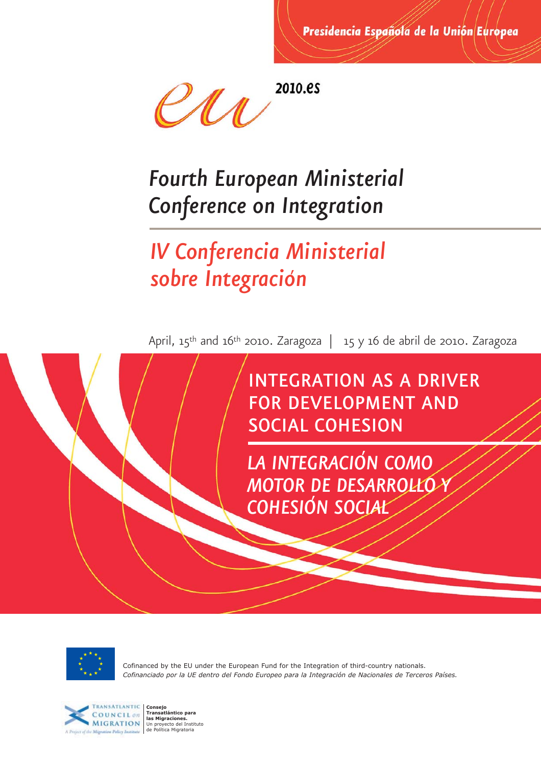2010.es  $eu$ 

# *Fourth European Ministerial Conference on Integration*

# *IV Conferencia Ministerial sobre Integracion* '

April, 15<sup>th</sup> and 16<sup>th</sup> 2010. Zaragoza | 15 y 16 de abril de 2010. Zaragoza

INTEGRATION AS A DRIVER FOR DEVELOPMENT AND SOCIAL COHESION LA INTEGRACIÓN COMO *MOTOR DE DESARROLLO Y COHESION SOCIAL* '



Cofinanced by the EU under the European Fund for the Integration of third-country nationals. *Cofinanciado por la UE dentro del Fondo Europeo para la Integración de Nacionales de Terceros Países.*



**Consejo Transatlántico para las Migraciones.**<br>Un proyecto del Instituto<br>de Política Migratoria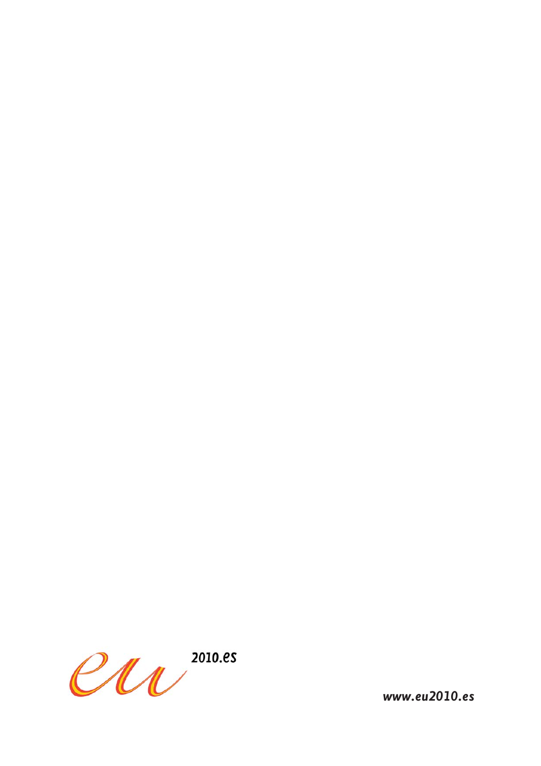$eu^{2010.25}$ 

*www.eu2010.es*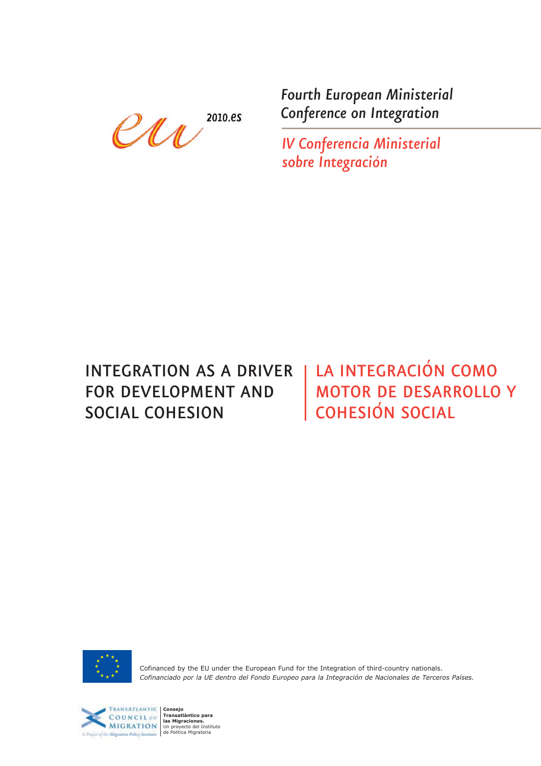2010.es  $\ell\ell\ell\ell$ 

*Fourth European Ministerial Conference on Integration*

*IV Conferencia Ministerial sobre Integracion*'

# FOR DEVELOPMENT AND SOCIAL COHESION

INTEGRATION AS A DRIVER | LA INTEGRACIÓN COMO MOTOR DE DESARROLLO Y COHESIÓN SOCIAL



Cofinanced by the EU under the European Fund for the Integration of third-country nationals. *Cofinanciado por la UE dentro del Fondo Europeo para la Integración de Nacionales de Terceros Países.*

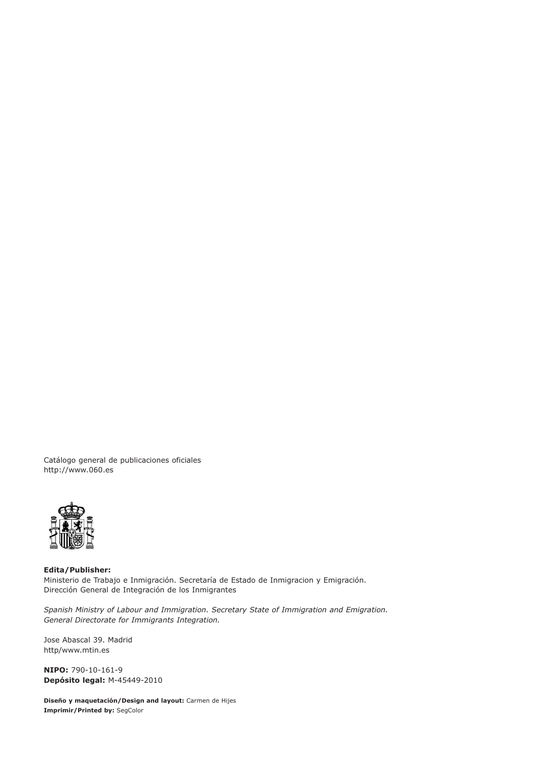Catálogo general de publicaciones oficiales http://www.060.es



**Edita/Publisher:**  Ministerio de Trabajo e Inmigración. Secretaría de Estado de Inmigracion y Emigración. Dirección General de Integración de los Inmigrantes

*Spanish Ministry of Labour and Immigration. Secretary State of Immigration and Emigration. General Directorate for Immigrants Integration.* 

Jose Abascal 39. Madrid http/www.mtin.es

**NIPO:** 790-10-161-9 **Depósito legal:** M-45449-2010

**Diseño y maquetación/Design and layout:** Carmen de Hijes **Imprimir/Printed by:** SegColor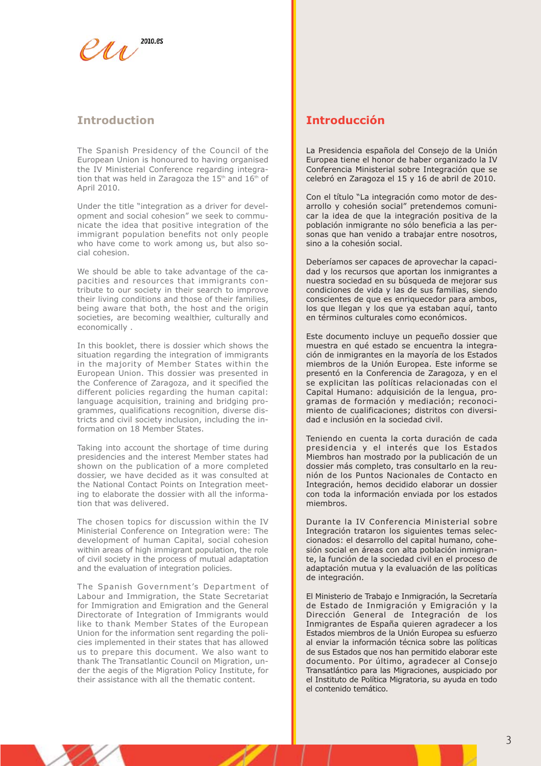

# **Introduction**

The Spanish Presidency of the Council of the European Union is honoured to having organised the IV Ministerial Conference regarding integration that was held in Zaragoza the  $15<sup>th</sup>$  and  $16<sup>th</sup>$  of April 2010.

Under the title "integration as a driver for development and social cohesion" we seek to communicate the idea that positive integration of the immigrant population benefits not only people who have come to work among us, but also social cohesion.

We should be able to take advantage of the capacities and resources that immigrants contribute to our society in their search to improve their living conditions and those of their families, being aware that both, the host and the origin societies, are becoming wealthier, culturally and economically .

In this booklet, there is dossier which shows the situation regarding the integration of immigrants in the majority of Member States within the European Union. This dossier was presented in the Conference of Zaragoza, and it specified the different policies regarding the human capital: language acquisition, training and bridging programmes, qualifications recognition, diverse districts and civil society inclusion, including the information on 18 Member States.

Taking into account the shortage of time during presidencies and the interest Member states had shown on the publication of a more completed dossier, we have decided as it was consulted at the National Contact Points on Integration meeting to elaborate the dossier with all the information that was delivered.

The chosen topics for discussion within the IV Ministerial Conference on Integration were: The development of human Capital, social cohesion within areas of high immigrant population, the role of civil society in the process of mutual adaptation and the evaluation of integration policies.

The Spanish Government's Department of Labour and Immigration, the State Secretariat for Immigration and Emigration and the General Directorate of Integration of Immigrants would like to thank Member States of the European Union for the information sent regarding the policies implemented in their states that has allowed us to prepare this document. We also want to thank The Transatlantic Council on Migration, under the aegis of the Migration Policy Institute, for their assistance with all the thematic content.

# **Introducción**

La Presidencia española del Consejo de la Unión Europea tiene el honor de haber organizado la IV Conferencia Ministerial sobre Integración que se celebró en Zaragoza el 15 y 16 de abril de 2010.

Con el título "La integración como motor de desarrollo y cohesión social" pretendemos comunicar la idea de que la integración positiva de la población inmigrante no sólo beneficia a las personas que han venido a trabajar entre nosotros, sino a la cohesión social.

Deberíamos ser capaces de aprovechar la capacidad y los recursos que aportan los inmigrantes a nuestra sociedad en su búsqueda de mejorar sus condiciones de vida y las de sus familias, siendo conscientes de que es enriquecedor para ambos, los que llegan y los que ya estaban aquí, tanto en términos culturales como económicos.

Este documento incluye un pequeño dossier que muestra en qué estado se encuentra la integración de inmigrantes en la mayoría de los Estados miembros de la Unión Europea. Este informe se presentó en la Conferencia de Zaragoza, y en el se explicitan las políticas relacionadas con el Capital Humano: adquisición de la lengua, programas de formación y mediación; reconocimiento de cualificaciones; distritos con diversidad e inclusión en la sociedad civil.

Teniendo en cuenta la corta duración de cada presidencia y el interés que los Estados Miembros han mostrado por la publicación de un dossier más completo, tras consultarlo en la reunión de los Puntos Nacionales de Contacto en Integración, hemos decidido elaborar un dossier con toda la información enviada por los estados miembros.

Durante la IV Conferencia Ministerial sobre Integración trataron los siguientes temas seleccionados: el desarrollo del capital humano, cohesión social en áreas con alta población inmigrante, la función de la sociedad civil en el proceso de adaptación mutua y la evaluación de las políticas de integración.

El Ministerio de Trabajo e Inmigración, la Secretaría de Estado de Inmigración y Emigración y la Dirección General de Integración de los Inmigrantes de España quieren agradecer a los Estados miembros de la Unión Europea su esfuerzo al enviar la información técnica sobre las políticas de sus Estados que nos han permitido elaborar este documento. Por último, agradecer al Consejo Transatlántico para las Migraciones, auspiciado por el Instituto de Política Migratoria, su ayuda en todo el contenido temático.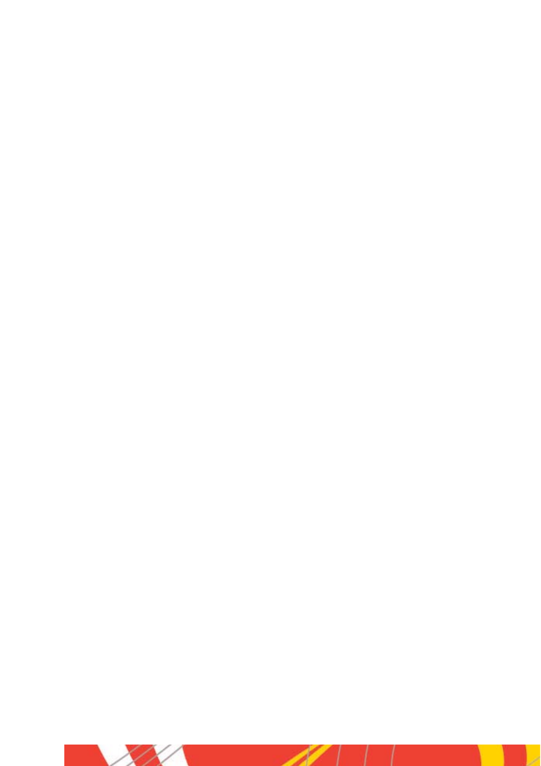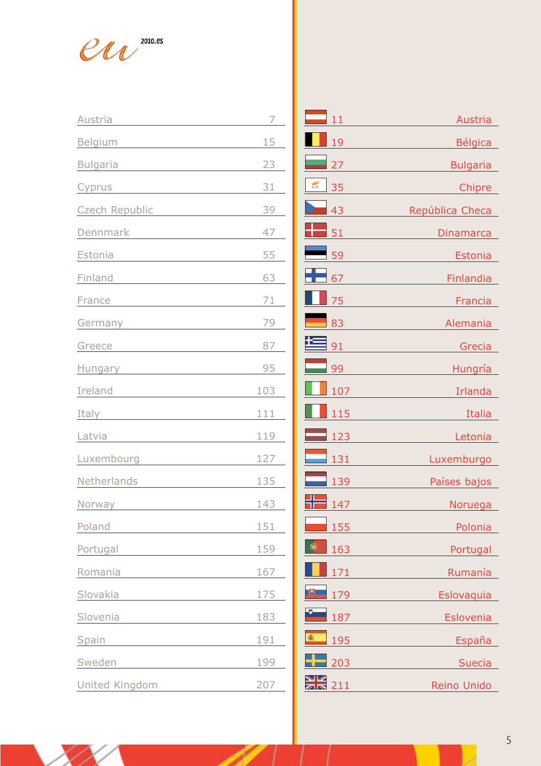

| Austria ______________________                                                                                                                                                                                                       | 7   |
|--------------------------------------------------------------------------------------------------------------------------------------------------------------------------------------------------------------------------------------|-----|
|                                                                                                                                                                                                                                      | 15  |
| Bulgaria <b>Manusia Bulgaria</b>                                                                                                                                                                                                     | 23  |
|                                                                                                                                                                                                                                      | 31  |
| Czech Republic<br><u> 1980 - Jan Stein Stein Stein Stein Stein Stein Stein Stein Stein Stein Stein Stein Stein Stein Stein Stein S</u>                                                                                               | 39  |
|                                                                                                                                                                                                                                      | 47  |
| Estonia de la construction de la construction de la construction de la construction de la construction de la construction de la construction de la construction de la construction de la construction de la construction de la       | 55  |
| Finland <b>Executive Service Service</b>                                                                                                                                                                                             | 63  |
| France Manuel Manuel Manuel Manuel Manuel Manuel Manuel Manuel Manuel Manuel Manuel Manuel Manuel Manuel Manuel Ma                                                                                                                   | 71  |
| Germany <b>Communication</b> Communication                                                                                                                                                                                           | 79  |
| Greece _________________                                                                                                                                                                                                             | 87  |
| Hungary Management Property and Property and Property and Property and Property and Property and Property and P                                                                                                                      | 95  |
| <u>Ireland and the community of the community of the community of the community of the community of the community of the community of the community of the community of the community of the community of the community of the c</u> | 103 |
| Italy <b>Executive Service Service Service Service</b> Service Service Service Service Service Service Service Service                                                                                                               | 111 |
| <u>Latvia et al. (2001)</u>                                                                                                                                                                                                          | 119 |
|                                                                                                                                                                                                                                      | 127 |
| Netherlands                                                                                                                                                                                                                          | 135 |
|                                                                                                                                                                                                                                      | 143 |
| Poland                                                                                                                                                                                                                               | 151 |
| Portugal<br><u> 1980 - Johann Barbara, martx</u>                                                                                                                                                                                     | 159 |
| Romania<br><u> 1989 - Johann Stein, mars an de France</u>                                                                                                                                                                            | 167 |
| Slovakia<br>the control of the control of the control of the                                                                                                                                                                         | 175 |
| Sloven <u>ia en al establecento de la esta</u>                                                                                                                                                                                       | 183 |
| Spain<br><u> 1989 - Johann Barbara, martxa alemaniar a</u>                                                                                                                                                                           | 191 |
| Sweden<br><u> 1989 - Johann Barn, mars ann an t-Amhain Aonaich an t-Aonaich an t-Aonaich an t-Aonaich an t-Aonaich an t-Aon</u>                                                                                                      | 199 |
| United Kingdom                                                                                                                                                                                                                       | 207 |

|    | 11  | Austria          |
|----|-----|------------------|
|    | 19  | <b>Bélgica</b>   |
|    | 27  | <b>Bulgaria</b>  |
| €  | 35  | Chipre           |
|    | 43  | República Checa  |
| ╈  | 51  | <b>Dinamarca</b> |
|    | 59  | <b>Estonia</b>   |
|    | 67  | Finlandia        |
|    | 75  | Francia          |
|    | 83  | Alemania         |
| t. | 91  | Grecia           |
|    | 99  | Hungría          |
|    | 107 | <b>Irlanda</b>   |
|    | 115 | Italia           |
|    | 123 | Letonia          |
|    | 131 | Luxemburgo       |
|    | 139 | Países bajos     |
|    | 147 | Noruega          |
|    | 155 | Polonia          |
| ۲  | 163 | Portugal         |
|    | 171 | <u>Rumanía</u>   |
| 曳  | 179 | Eslovaquia       |
| ₽  | 187 | <b>Eslovenia</b> |
| 南  | 195 | España           |
|    | 203 | <b>Suecia</b>    |
|    | 211 | Reino Unido      |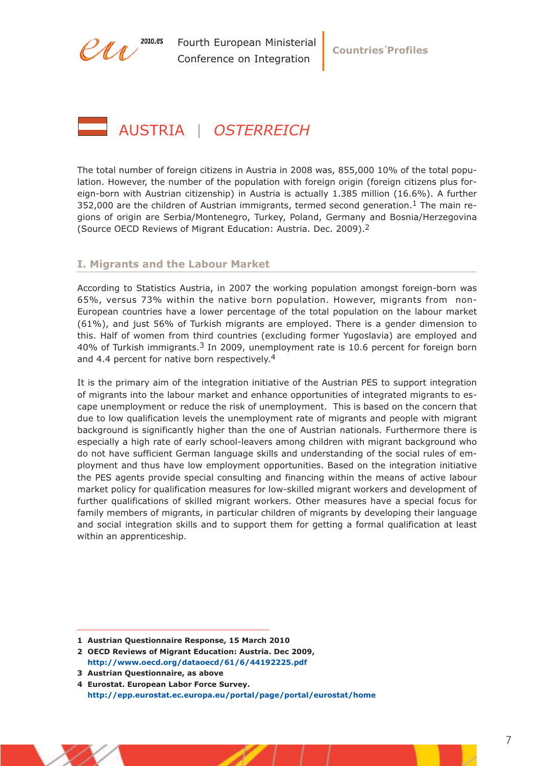



The total number of foreign citizens in Austria in 2008 was, 855,000 10% of the total population. However, the number of the population with foreign origin (foreign citizens plus foreign-born with Austrian citizenship) in Austria is actually 1.385 million (16.6%). A further 352,000 are the children of Austrian immigrants, termed second generation.<sup>1</sup> The main regions of origin are Serbia/Montenegro, Turkey, Poland, Germany and Bosnia/Herzegovina (Source OECD Reviews of Migrant Education: Austria. Dec. 2009).2

# **I. Migrants and the Labour Market**

According to Statistics Austria, in 2007 the working population amongst foreign-born was 65%, versus 73% within the native born population. However, migrants from non-European countries have a lower percentage of the total population on the labour market (61%), and just 56% of Turkish migrants are employed. There is a gender dimension to this. Half of women from third countries (excluding former Yugoslavia) are employed and 40% of Turkish immigrants.<sup>3</sup> In 2009, unemployment rate is 10.6 percent for foreign born and 4.4 percent for native born respectively.<sup>4</sup>

It is the primary aim of the integration initiative of the Austrian PES to support integration of migrants into the labour market and enhance opportunities of integrated migrants to escape unemployment or reduce the risk of unemployment. This is based on the concern that due to low qualification levels the unemployment rate of migrants and people with migrant background is significantly higher than the one of Austrian nationals. Furthermore there is especially a high rate of early school-leavers among children with migrant background who do not have sufficient German language skills and understanding of the social rules of employment and thus have low employment opportunities. Based on the integration initiative the PES agents provide special consulting and financing within the means of active labour market policy for qualification measures for low-skilled migrant workers and development of further qualifications of skilled migrant workers. Other measures have a special focus for family members of migrants, in particular children of migrants by developing their language and social integration skills and to support them for getting a formal qualification at least within an apprenticeship.

**2 OECD Reviews of Migrant Education: Austria. Dec 2009, http://www.oecd.org/dataoecd/61/6/44192225.pdf**

**<sup>1</sup> Austrian Questionnaire Response, 15 March 2010**

**<sup>3</sup> Austrian Questionnaire, as above**

**<sup>4</sup> Eurostat. European Labor Force Survey. http://epp.eurostat.ec.europa.eu/portal/page/portal/eurostat/home**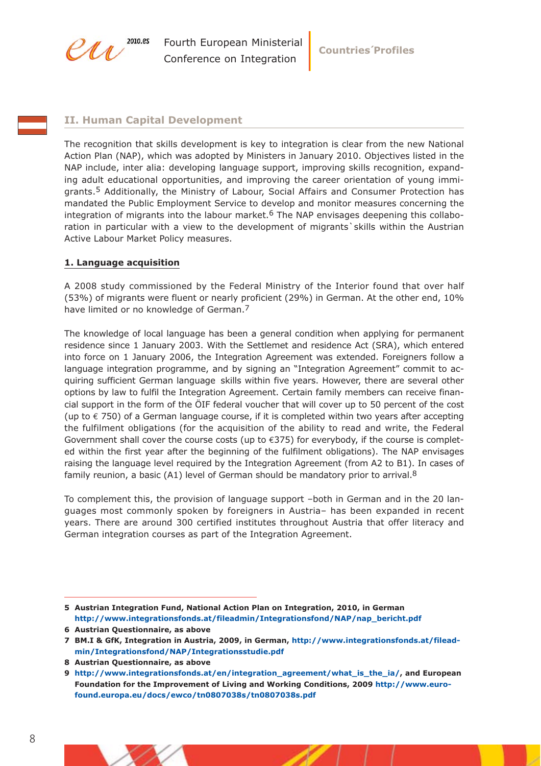

# **II. Human Capital Development**

The recognition that skills development is key to integration is clear from the new National Action Plan (NAP), which was adopted by Ministers in January 2010. Objectives listed in the NAP include, inter alia: developing language support, improving skills recognition, expanding adult educational opportunities, and improving the career orientation of young immigrants.5 Additionally, the Ministry of Labour, Social Affairs and Consumer Protection has mandated the Public Employment Service to develop and monitor measures concerning the integration of migrants into the labour market.<sup>6</sup> The NAP envisages deepening this collaboration in particular with a view to the development of migrants`skills within the Austrian Active Labour Market Policy measures.

## **1. Language acquisition**

A 2008 study commissioned by the Federal Ministry of the Interior found that over half (53%) of migrants were fluent or nearly proficient (29%) in German. At the other end, 10% have limited or no knowledge of German.<sup>7</sup>

The knowledge of local language has been a general condition when applying for permanent residence since 1 January 2003. With the Settlemet and residence Act (SRA), which entered into force on 1 January 2006, the Integration Agreement was extended. Foreigners follow a language integration programme, and by signing an "Integration Agreement" commit to acquiring sufficient German language skills within five years. However, there are several other options by law to fulfil the Integration Agreement. Certain family members can receive financial support in the form of the ÖIF federal voucher that will cover up to 50 percent of the cost (up to  $\epsilon$  750) of a German language course, if it is completed within two years after accepting the fulfilment obligations (for the acquisition of the ability to read and write, the Federal Government shall cover the course costs (up to  $\epsilon$ 375) for everybody, if the course is completed within the first year after the beginning of the fulfilment obligations). The NAP envisages raising the language level required by the Integration Agreement (from A2 to B1). In cases of family reunion, a basic (A1) level of German should be mandatory prior to arrival.<sup>8</sup>

To complement this, the provision of language support –both in German and in the 20 languages most commonly spoken by foreigners in Austria– has been expanded in recent years. There are around 300 certified institutes throughout Austria that offer literacy and German integration courses as part of the Integration Agreement.

**<sup>5</sup> Austrian Integration Fund, National Action Plan on Integration, 2010, in German http://www.integrationsfonds.at/fileadmin/Integrationsfond/NAP/nap\_bericht.pdf**

**<sup>6</sup> Austrian Questionnaire, as above**

**<sup>7</sup> BM.I & GfK, Integration in Austria, 2009, in German, http://www.integrationsfonds.at/fileadmin/Integrationsfond/NAP/Integrationsstudie.pdf**

**<sup>8</sup> Austrian Questionnaire, as above**

**<sup>9</sup> http://www.integrationsfonds.at/en/integration\_agreement/what\_is\_the\_ia/, and European Foundation for the Improvement of Living and Working Conditions, 2009 http://www.eurofound.europa.eu/docs/ewco/tn0807038s/tn0807038s.pdf**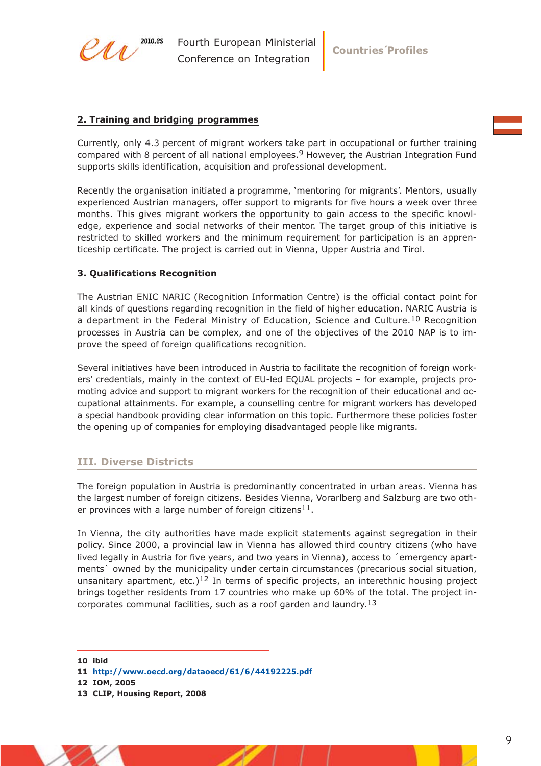

#### **2. Training and bridging programmes**

Currently, only 4.3 percent of migrant workers take part in occupational or further training compared with 8 percent of all national employees.<sup>9</sup> However, the Austrian Integration Fund supports skills identification, acquisition and professional development.

Recently the organisation initiated a programme, 'mentoring for migrants'. Mentors, usually experienced Austrian managers, offer support to migrants for five hours a week over three months. This gives migrant workers the opportunity to gain access to the specific knowledge, experience and social networks of their mentor. The target group of this initiative is restricted to skilled workers and the minimum requirement for participation is an apprenticeship certificate. The project is carried out in Vienna, Upper Austria and Tirol.

#### **3. Qualifications Recognition**

The Austrian ENIC NARIC (Recognition Information Centre) is the official contact point for all kinds of questions regarding recognition in the field of higher education. NARIC Austria is a department in the Federal Ministry of Education, Science and Culture.<sup>10</sup> Recognition processes in Austria can be complex, and one of the objectives of the 2010 NAP is to improve the speed of foreign qualifications recognition.

Several initiatives have been introduced in Austria to facilitate the recognition of foreign workers' credentials, mainly in the context of EU-led EQUAL projects – for example, projects promoting advice and support to migrant workers for the recognition of their educational and occupational attainments. For example, a counselling centre for migrant workers has developed a special handbook providing clear information on this topic. Furthermore these policies foster the opening up of companies for employing disadvantaged people like migrants.

#### **III. Diverse Districts**

The foreign population in Austria is predominantly concentrated in urban areas. Vienna has the largest number of foreign citizens. Besides Vienna, Vorarlberg and Salzburg are two other provinces with a large number of foreign citizens<sup>11</sup>.

In Vienna, the city authorities have made explicit statements against segregation in their policy. Since 2000, a provincial law in Vienna has allowed third country citizens (who have lived legally in Austria for five years, and two years in Vienna), access to ´emergency apartments` owned by the municipality under certain circumstances (precarious social situation, unsanitary apartment, etc.)<sup>12</sup> In terms of specific projects, an interethnic housing project brings together residents from 17 countries who make up 60% of the total. The project incorporates communal facilities, such as a roof garden and laundry.<sup>13</sup>

**10 ibid**

**12 IOM, 2005**

**<sup>11</sup> http://www.oecd.org/dataoecd/61/6/44192225.pdf**

**<sup>13</sup> CLIP, Housing Report, 2008**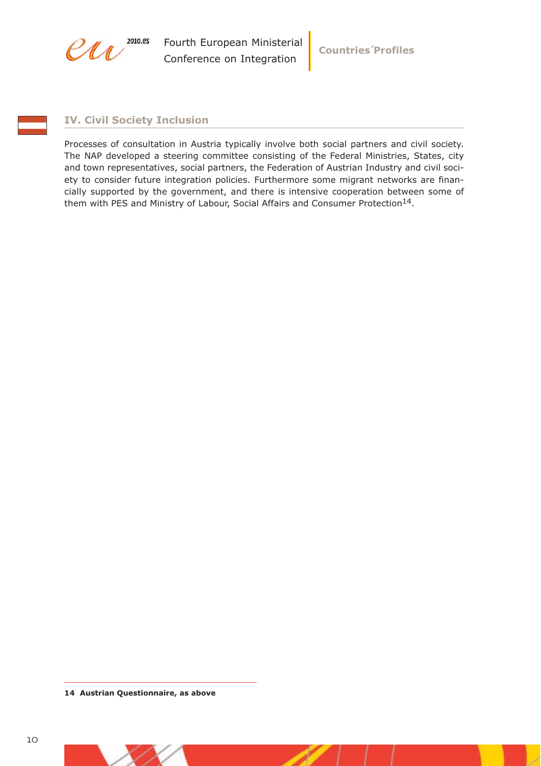

# **IV. Civil Society Inclusion**

Processes of consultation in Austria typically involve both social partners and civil society. The NAP developed a steering committee consisting of the Federal Ministries, States, city and town representatives, social partners, the Federation of Austrian Industry and civil society to consider future integration policies. Furthermore some migrant networks are financially supported by the government, and there is intensive cooperation between some of them with PES and Ministry of Labour, Social Affairs and Consumer Protection<sup>14</sup>.

**14 Austrian Questionnaire, as above**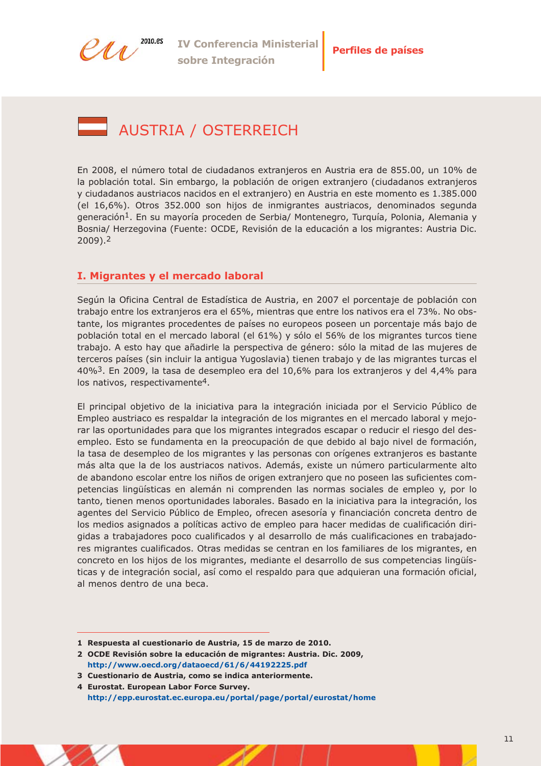



En 2008, el número total de ciudadanos extranjeros en Austria era de 855.00, un 10% de la población total. Sin embargo, la población de origen extranjero (ciudadanos extranjeros y ciudadanos austriacos nacidos en el extranjero) en Austria en este momento es 1.385.000 (el 16,6%). Otros 352.000 son hijos de inmigrantes austriacos, denominados segunda generación<sup>1</sup>. En su mayoría proceden de Serbia/ Montenegro, Turquía, Polonia, Alemania y Bosnia/ Herzegovina (Fuente: OCDE, Revisión de la educación a los migrantes: Austria Dic. 2009).2

## **I. Migrantes y el mercado laboral**

Según la Oficina Central de Estadística de Austria, en 2007 el porcentaje de población con trabajo entre los extranjeros era el 65%, mientras que entre los nativos era el 73%. No obstante, los migrantes procedentes de países no europeos poseen un porcentaje más bajo de población total en el mercado laboral (el 61%) y sólo el 56% de los migrantes turcos tiene trabajo. A esto hay que añadirle la perspectiva de género: sólo la mitad de las mujeres de terceros países (sin incluir la antigua Yugoslavia) tienen trabajo y de las migrantes turcas el 40%<sup>3</sup>. En 2009, la tasa de desempleo era del 10,6% para los extranjeros y del 4,4% para los nativos, respectivamente<sup>4</sup>.

El principal objetivo de la iniciativa para la integración iniciada por el Servicio Público de Empleo austriaco es respaldar la integración de los migrantes en el mercado laboral y mejorar las oportunidades para que los migrantes integrados escapar o reducir el riesgo del desempleo. Esto se fundamenta en la preocupación de que debido al bajo nivel de formación, la tasa de desempleo de los migrantes y las personas con orígenes extranjeros es bastante más alta que la de los austriacos nativos. Además, existe un número particularmente alto de abandono escolar entre los niños de origen extranjero que no poseen las suficientes competencias lingüísticas en alemán ni comprenden las normas sociales de empleo y, por lo tanto, tienen menos oportunidades laborales. Basado en la iniciativa para la integración, los agentes del Servicio Público de Empleo, ofrecen asesoría y financiación concreta dentro de los medios asignados a políticas activo de empleo para hacer medidas de cualificación dirigidas a trabajadores poco cualificados y al desarrollo de más cualificaciones en trabajadores migrantes cualificados. Otras medidas se centran en los familiares de los migrantes, en concreto en los hijos de los migrantes, mediante el desarrollo de sus competencias lingüísticas y de integración social, así como el respaldo para que adquieran una formación oficial, al menos dentro de una beca.



**<sup>1</sup> Respuesta al cuestionario de Austria, 15 de marzo de 2010.**

**<sup>2</sup> OCDE Revisión sobre la educación de migrantes: Austria. Dic. 2009, http://www.oecd.org/dataoecd/61/6/44192225.pdf**

**<sup>3</sup> Cuestionario de Austria, como se indica anteriormente.**

**<sup>4</sup> Eurostat. European Labor Force Survey. http://epp.eurostat.ec.europa.eu/portal/page/portal/eurostat/home**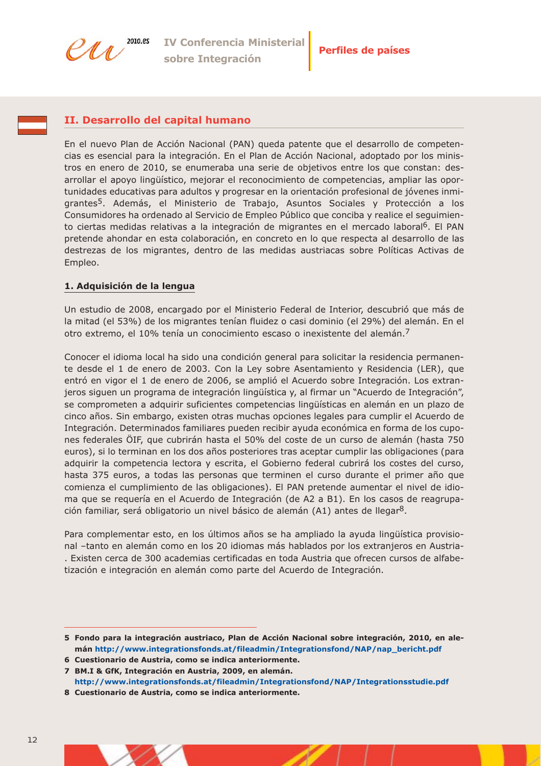

# **II. Desarrollo del capital humano**

En el nuevo Plan de Acción Nacional (PAN) queda patente que el desarrollo de competencias es esencial para la integración. En el Plan de Acción Nacional, adoptado por los ministros en enero de 2010, se enumeraba una serie de objetivos entre los que constan: desarrollar el apoyo lingüístico, mejorar el reconocimiento de competencias, ampliar las oportunidades educativas para adultos y progresar en la orientación profesional de jóvenes inmigrantes<sup>5</sup>. Además, el Ministerio de Trabajo, Asuntos Sociales y Protección a los Consumidores ha ordenado al Servicio de Empleo Público que conciba y realice el seguimiento ciertas medidas relativas a la integración de migrantes en el mercado laboral<sup>6</sup>. El PAN pretende ahondar en esta colaboración, en concreto en lo que respecta al desarrollo de las destrezas de los migrantes, dentro de las medidas austriacas sobre Políticas Activas de Empleo.

#### **1. Adquisición de la lengua**

Un estudio de 2008, encargado por el Ministerio Federal de Interior, descubrió que más de la mitad (el 53%) de los migrantes tenían fluidez o casi dominio (el 29%) del alemán. En el otro extremo, el 10% tenía un conocimiento escaso o inexistente del alemán.7

Conocer el idioma local ha sido una condición general para solicitar la residencia permanente desde el 1 de enero de 2003. Con la Ley sobre Asentamiento y Residencia (LER), que entró en vigor el 1 de enero de 2006, se amplió el Acuerdo sobre Integración. Los extranjeros siguen un programa de integración lingüística y, al firmar un "Acuerdo de Integración", se comprometen a adquirir suficientes competencias lingüísticas en alemán en un plazo de cinco años. Sin embargo, existen otras muchas opciones legales para cumplir el Acuerdo de Integración. Determinados familiares pueden recibir ayuda económica en forma de los cupones federales ÖIF, que cubrirán hasta el 50% del coste de un curso de alemán (hasta 750 euros), si lo terminan en los dos años posteriores tras aceptar cumplir las obligaciones (para adquirir la competencia lectora y escrita, el Gobierno federal cubrirá los costes del curso, hasta 375 euros, a todas las personas que terminen el curso durante el primer año que comienza el cumplimiento de las obligaciones). El PAN pretende aumentar el nivel de idioma que se requería en el Acuerdo de Integración (de A2 a B1). En los casos de reagrupación familiar, será obligatorio un nivel básico de alemán (A1) antes de llegar8.

Para complementar esto, en los últimos años se ha ampliado la ayuda lingüística provisional –tanto en alemán como en los 20 idiomas más hablados por los extranjeros en Austria- . Existen cerca de 300 academias certificadas en toda Austria que ofrecen cursos de alfabetización e integración en alemán como parte del Acuerdo de Integración.

**7 BM.I & GfK, Integración en Austria, 2009, en alemán. http://www.integrationsfonds.at/fileadmin/Integrationsfond/NAP/Integrationsstudie.pdf**

**<sup>5</sup> Fondo para la integración austriaco, Plan de Acción Nacional sobre integración, 2010, en alemán http://www.integrationsfonds.at/fileadmin/Integrationsfond/NAP/nap\_bericht.pdf**

**<sup>6</sup> Cuestionario de Austria, como se indica anteriormente.**

**<sup>8</sup> Cuestionario de Austria, como se indica anteriormente.**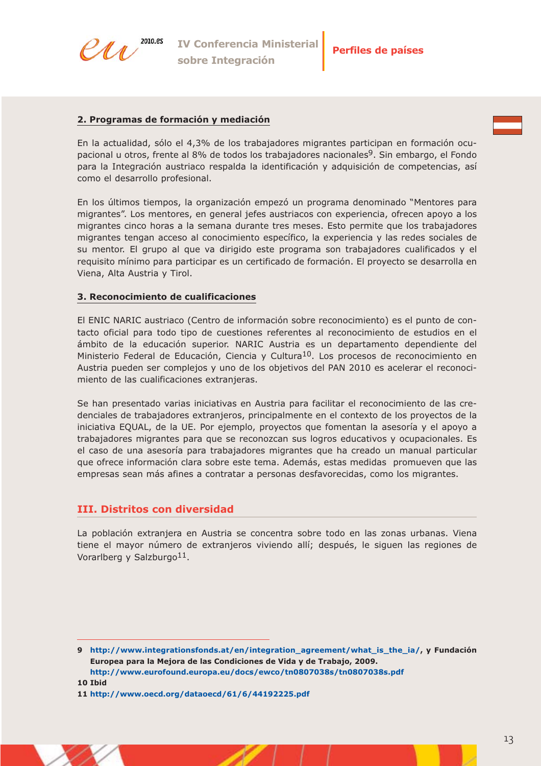

#### **2. Programas de formación y mediación**

En la actualidad, sólo el 4,3% de los trabajadores migrantes participan en formación ocupacional u otros, frente al 8% de todos los trabajadores nacionales<sup>9</sup>. Sin embargo, el Fondo para la Integración austriaco respalda la identificación y adquisición de competencias, así como el desarrollo profesional.

En los últimos tiempos, la organización empezó un programa denominado "Mentores para migrantes". Los mentores, en general jefes austriacos con experiencia, ofrecen apoyo a los migrantes cinco horas a la semana durante tres meses. Esto permite que los trabajadores migrantes tengan acceso al conocimiento específico, la experiencia y las redes sociales de su mentor. El grupo al que va dirigido este programa son trabajadores cualificados y el requisito mínimo para participar es un certificado de formación. El proyecto se desarrolla en Viena, Alta Austria y Tirol.

#### **3. Reconocimiento de cualificaciones**

El ENIC NARIC austriaco (Centro de información sobre reconocimiento) es el punto de contacto oficial para todo tipo de cuestiones referentes al reconocimiento de estudios en el ámbito de la educación superior. NARIC Austria es un departamento dependiente del Ministerio Federal de Educación, Ciencia y Cultura<sup>10</sup>. Los procesos de reconocimiento en Austria pueden ser complejos y uno de los objetivos del PAN 2010 es acelerar el reconocimiento de las cualificaciones extranjeras.

Se han presentado varias iniciativas en Austria para facilitar el reconocimiento de las credenciales de trabajadores extranjeros, principalmente en el contexto de los proyectos de la iniciativa EQUAL, de la UE. Por ejemplo, proyectos que fomentan la asesoría y el apoyo a trabajadores migrantes para que se reconozcan sus logros educativos y ocupacionales. Es el caso de una asesoría para trabajadores migrantes que ha creado un manual particular que ofrece información clara sobre este tema. Además, estas medidas promueven que las empresas sean más afines a contratar a personas desfavorecidas, como los migrantes.

#### **III. Distritos con diversidad**

La población extranjera en Austria se concentra sobre todo en las zonas urbanas. Viena tiene el mayor número de extranjeros viviendo allí; después, le siguen las regiones de Vorarlberg y Salzburgo<sup>11</sup>.

**10 Ibid**



**<sup>9</sup> http://www.integrationsfonds.at/en/integration\_agreement/what\_is\_the\_ia/, y Fundación Europea para la Mejora de las Condiciones de Vida y de Trabajo, 2009. http://www.eurofound.europa.eu/docs/ewco/tn0807038s/tn0807038s.pdf**

**<sup>11</sup> http://www.oecd.org/dataoecd/61/6/44192225.pdf**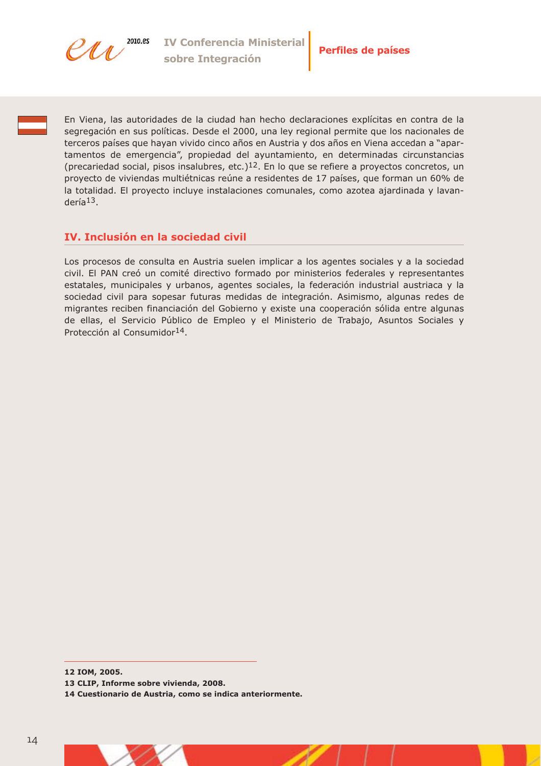

En Viena, las autoridades de la ciudad han hecho declaraciones explícitas en contra de la segregación en sus políticas. Desde el 2000, una ley regional permite que los nacionales de terceros países que hayan vivido cinco años en Austria y dos años en Viena accedan a "apartamentos de emergencia", propiedad del ayuntamiento, en determinadas circunstancias (precariedad social, pisos insalubres, etc.)<sup>12</sup>. En lo que se refiere a proyectos concretos, un proyecto de viviendas multiétnicas reúne a residentes de 17 países, que forman un 60% de la totalidad. El proyecto incluye instalaciones comunales, como azotea ajardinada y lavandería13.

## **IV. Inclusión en la sociedad civil**

Los procesos de consulta en Austria suelen implicar a los agentes sociales y a la sociedad civil. El PAN creó un comité directivo formado por ministerios federales y representantes estatales, municipales y urbanos, agentes sociales, la federación industrial austriaca y la sociedad civil para sopesar futuras medidas de integración. Asimismo, algunas redes de migrantes reciben financiación del Gobierno y existe una cooperación sólida entre algunas de ellas, el Servicio Público de Empleo y el Ministerio de Trabajo, Asuntos Sociales y Protección al Consumidor14.

**12 IOM, 2005.**

**<sup>13</sup> CLIP, Informe sobre vivienda, 2008.**

**<sup>14</sup> Cuestionario de Austria, como se indica anteriormente.**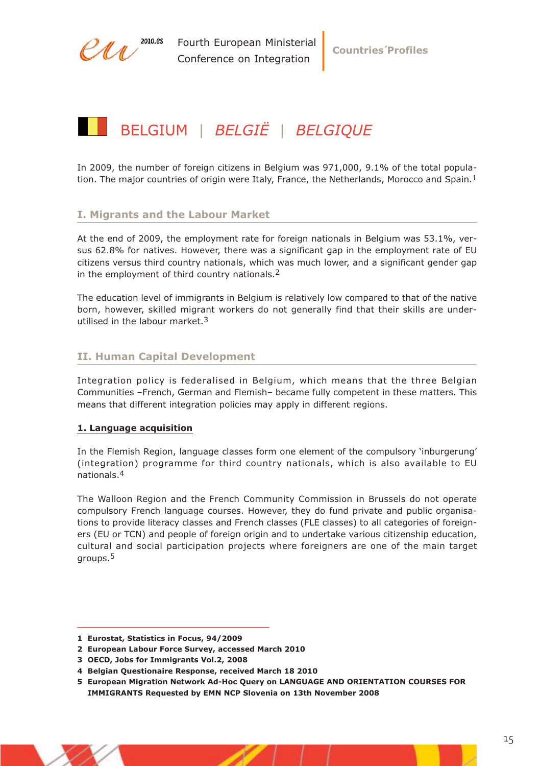

# BELGIUM | *BELGIË* | *BELGIQUE*

In 2009, the number of foreign citizens in Belgium was 971,000, 9.1% of the total population. The major countries of origin were Italy, France, the Netherlands, Morocco and Spain.<sup>1</sup>

# **I. Migrants and the Labour Market**

At the end of 2009, the employment rate for foreign nationals in Belgium was 53.1%, versus 62.8% for natives. However, there was a significant gap in the employment rate of EU citizens versus third country nationals, which was much lower, and a significant gender gap in the employment of third country nationals.2

The education level of immigrants in Belgium is relatively low compared to that of the native born, however, skilled migrant workers do not generally find that their skills are underutilised in the labour market.3

# **II. Human Capital Development**

Integration policy is federalised in Belgium, which means that the three Belgian Communities –French, German and Flemish– became fully competent in these matters. This means that different integration policies may apply in different regions.

#### **1. Language acquisition**

In the Flemish Region, language classes form one element of the compulsory 'inburgerung' (integration) programme for third country nationals, which is also available to EU nationals.4

The Walloon Region and the French Community Commission in Brussels do not operate compulsory French language courses. However, they do fund private and public organisations to provide literacy classes and French classes (FLE classes) to all categories of foreigners (EU or TCN) and people of foreign origin and to undertake various citizenship education, cultural and social participation projects where foreigners are one of the main target groups.5



**<sup>1</sup> Eurostat, Statistics in Focus, 94/2009**

**<sup>2</sup> European Labour Force Survey, accessed March 2010**

**<sup>3</sup> OECD, Jobs for Immigrants Vol.2, 2008**

**<sup>4</sup> Belgian Questionaire Response, received March 18 2010**

**<sup>5</sup> European Migration Network Ad-Hoc Query on LANGUAGE AND ORIENTATION COURSES FOR IMMIGRANTS Requested by EMN NCP Slovenia on 13th November 2008**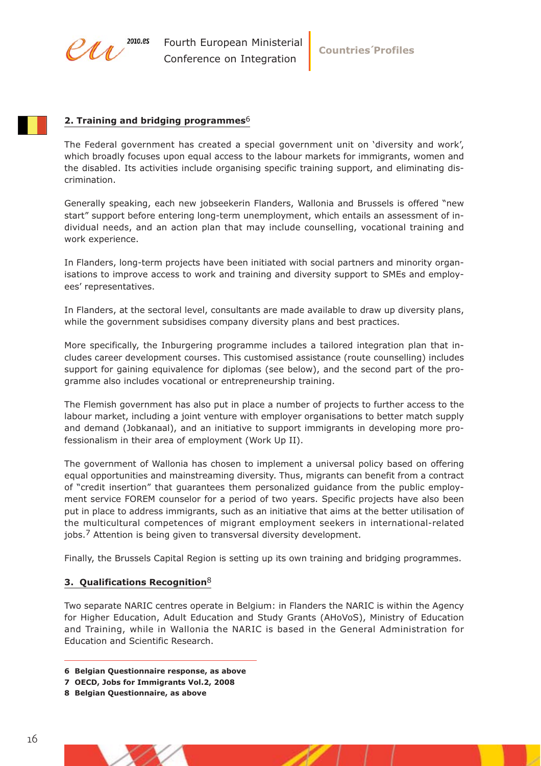

## **2. Training and bridging programmes**6

The Federal government has created a special government unit on 'diversity and work', which broadly focuses upon equal access to the labour markets for immigrants, women and the disabled. Its activities include organising specific training support, and eliminating discrimination.

Generally speaking, each new jobseekerin Flanders, Wallonia and Brussels is offered "new start" support before entering long-term unemployment, which entails an assessment of individual needs, and an action plan that may include counselling, vocational training and work experience.

In Flanders, long-term projects have been initiated with social partners and minority organisations to improve access to work and training and diversity support to SMEs and employees' representatives.

In Flanders, at the sectoral level, consultants are made available to draw up diversity plans, while the government subsidises company diversity plans and best practices.

More specifically, the Inburgering programme includes a tailored integration plan that includes career development courses. This customised assistance (route counselling) includes support for gaining equivalence for diplomas (see below), and the second part of the programme also includes vocational or entrepreneurship training.

The Flemish government has also put in place a number of projects to further access to the labour market, including a joint venture with employer organisations to better match supply and demand (Jobkanaal), and an initiative to support immigrants in developing more professionalism in their area of employment (Work Up II).

The government of Wallonia has chosen to implement a universal policy based on offering equal opportunities and mainstreaming diversity. Thus, migrants can benefit from a contract of "credit insertion" that guarantees them personalized guidance from the public employment service FOREM counselor for a period of two years. Specific projects have also been put in place to address immigrants, such as an initiative that aims at the better utilisation of the multicultural competences of migrant employment seekers in international-related jobs.7 Attention is being given to transversal diversity development.

Finally, the Brussels Capital Region is setting up its own training and bridging programmes.

#### **3. Qualifications Recognition**8

Two separate NARIC centres operate in Belgium: in Flanders the NARIC is within the Agency for Higher Education, Adult Education and Study Grants (AHoVoS), Ministry of Education and Training, while in Wallonia the NARIC is based in the General Administration for Education and Scientific Research.

- **6 Belgian Questionnaire response, as above**
- **7 OECD, Jobs for Immigrants Vol.2, 2008**
- **8 Belgian Questionnaire, as above**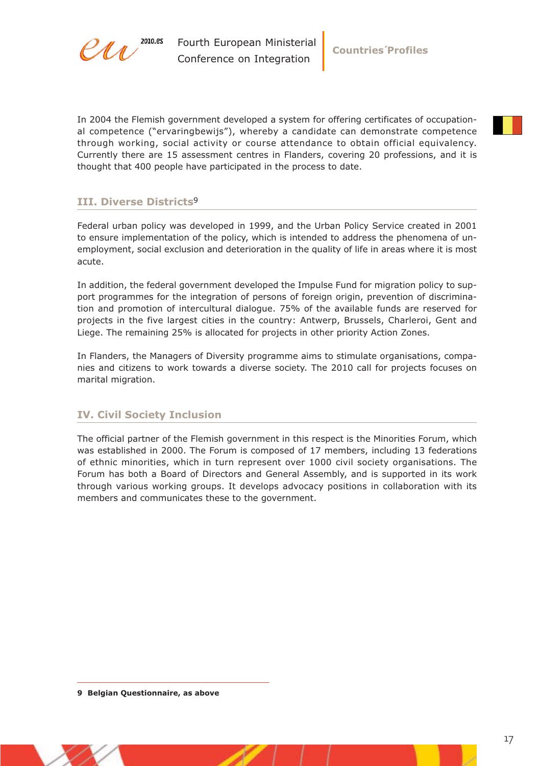

In 2004 the Flemish government developed a system for offering certificates of occupational competence ("ervaringbewijs"), whereby a candidate can demonstrate competence through working, social activity or course attendance to obtain official equivalency. Currently there are 15 assessment centres in Flanders, covering 20 professions, and it is thought that 400 people have participated in the process to date.

# **III. Diverse Districts**9

Federal urban policy was developed in 1999, and the Urban Policy Service created in 2001 to ensure implementation of the policy, which is intended to address the phenomena of unemployment, social exclusion and deterioration in the quality of life in areas where it is most acute.

In addition, the federal government developed the Impulse Fund for migration policy to support programmes for the integration of persons of foreign origin, prevention of discrimination and promotion of intercultural dialogue. 75% of the available funds are reserved for projects in the five largest cities in the country: Antwerp, Brussels, Charleroi, Gent and Liege. The remaining 25% is allocated for projects in other priority Action Zones.

In Flanders, the Managers of Diversity programme aims to stimulate organisations, companies and citizens to work towards a diverse society. The 2010 call for projects focuses on marital migration.

#### **IV. Civil Society Inclusion**

The official partner of the Flemish government in this respect is the Minorities Forum, which was established in 2000. The Forum is composed of 17 members, including 13 federations of ethnic minorities, which in turn represent over 1000 civil society organisations. The Forum has both a Board of Directors and General Assembly, and is supported in its work through various working groups. It develops advocacy positions in collaboration with its members and communicates these to the government.





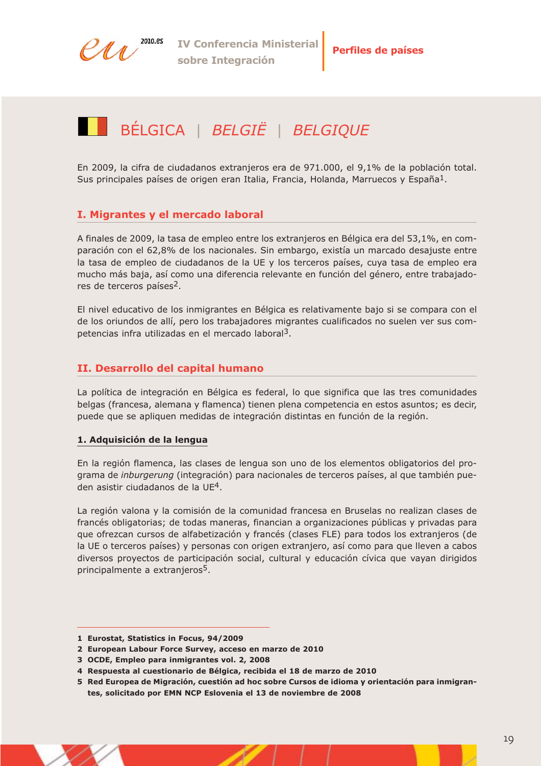

# BÉLGICA | *BELGIË* | *BELGIQUE*

En 2009, la cifra de ciudadanos extranjeros era de 971.000, el 9,1% de la población total. Sus principales países de origen eran Italia, Francia, Holanda, Marruecos y España<sup>1</sup>.

# **I. Migrantes y el mercado laboral**

A finales de 2009, la tasa de empleo entre los extranjeros en Bélgica era del 53,1%, en comparación con el 62,8% de los nacionales. Sin embargo, existía un marcado desajuste entre la tasa de empleo de ciudadanos de la UE y los terceros países, cuya tasa de empleo era mucho más baja, así como una diferencia relevante en función del género, entre trabajadores de terceros países<sup>2</sup>.

El nivel educativo de los inmigrantes en Bélgica es relativamente bajo si se compara con el de los oriundos de allí, pero los trabajadores migrantes cualificados no suelen ver sus competencias infra utilizadas en el mercado laboral3.

# **II. Desarrollo del capital humano**

La política de integración en Bélgica es federal, lo que significa que las tres comunidades belgas (francesa, alemana y flamenca) tienen plena competencia en estos asuntos; es decir, puede que se apliquen medidas de integración distintas en función de la región.

#### **1. Adquisición de la lengua**

En la región flamenca, las clases de lengua son uno de los elementos obligatorios del programa de *inburgerung* (integración) para nacionales de terceros países, al que también pueden asistir ciudadanos de la UE4.

La región valona y la comisión de la comunidad francesa en Bruselas no realizan clases de francés obligatorias; de todas maneras, financian a organizaciones públicas y privadas para que ofrezcan cursos de alfabetización y francés (clases FLE) para todos los extranjeros (de la UE o terceros países) y personas con origen extranjero, así como para que lleven a cabos diversos proyectos de participación social, cultural y educación cívica que vayan dirigidos principalmente a extranjeros5.



**<sup>1</sup> Eurostat, Statistics in Focus, 94/2009**

**<sup>2</sup> European Labour Force Survey, acceso en marzo de 2010**

**<sup>3</sup> OCDE, Empleo para inmigrantes vol. 2, 2008**

**<sup>4</sup> Respuesta al cuestionario de Bélgica, recibida el 18 de marzo de 2010**

**<sup>5</sup> Red Europea de Migración, cuestión ad hoc sobre Cursos de idioma y orientación para inmigrantes, solicitado por EMN NCP Eslovenia el 13 de noviembre de 2008**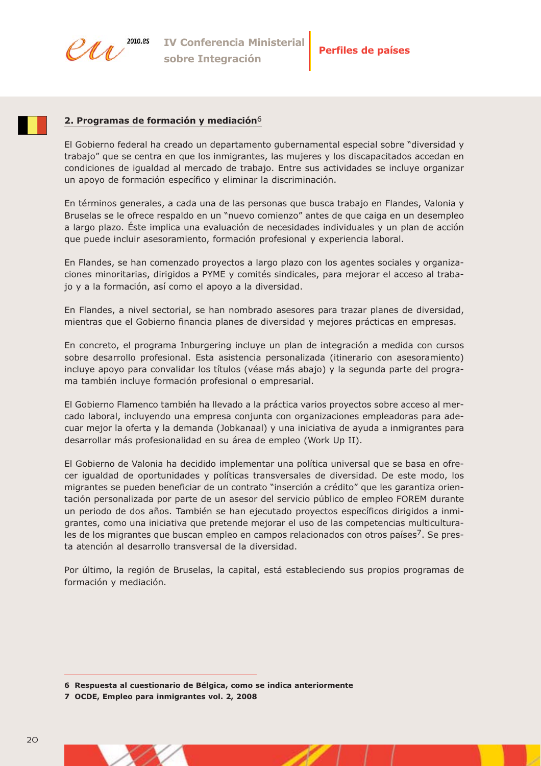

#### **2. Programas de formación y mediación**6

El Gobierno federal ha creado un departamento gubernamental especial sobre "diversidad y trabajo" que se centra en que los inmigrantes, las mujeres y los discapacitados accedan en condiciones de igualdad al mercado de trabajo. Entre sus actividades se incluye organizar un apoyo de formación específico y eliminar la discriminación.

En términos generales, a cada una de las personas que busca trabajo en Flandes, Valonia y Bruselas se le ofrece respaldo en un "nuevo comienzo" antes de que caiga en un desempleo a largo plazo. Éste implica una evaluación de necesidades individuales y un plan de acción que puede incluir asesoramiento, formación profesional y experiencia laboral.

En Flandes, se han comenzado proyectos a largo plazo con los agentes sociales y organizaciones minoritarias, dirigidos a PYME y comités sindicales, para mejorar el acceso al trabajo y a la formación, así como el apoyo a la diversidad.

En Flandes, a nivel sectorial, se han nombrado asesores para trazar planes de diversidad, mientras que el Gobierno financia planes de diversidad y mejores prácticas en empresas.

En concreto, el programa Inburgering incluye un plan de integración a medida con cursos sobre desarrollo profesional. Esta asistencia personalizada (itinerario con asesoramiento) incluye apoyo para convalidar los títulos (véase más abajo) y la segunda parte del programa también incluye formación profesional o empresarial.

El Gobierno Flamenco también ha llevado a la práctica varios proyectos sobre acceso al mercado laboral, incluyendo una empresa conjunta con organizaciones empleadoras para adecuar mejor la oferta y la demanda (Jobkanaal) y una iniciativa de ayuda a inmigrantes para desarrollar más profesionalidad en su área de empleo (Work Up II).

El Gobierno de Valonia ha decidido implementar una política universal que se basa en ofrecer igualdad de oportunidades y políticas transversales de diversidad. De este modo, los migrantes se pueden beneficiar de un contrato "inserción a crédito" que les garantiza orientación personalizada por parte de un asesor del servicio público de empleo FOREM durante un periodo de dos años. También se han ejecutado proyectos específicos dirigidos a inmigrantes, como una iniciativa que pretende mejorar el uso de las competencias multiculturales de los migrantes que buscan empleo en campos relacionados con otros países<sup>7</sup>. Se presta atención al desarrollo transversal de la diversidad.

Por último, la región de Bruselas, la capital, está estableciendo sus propios programas de formación y mediación.

**<sup>6</sup> Respuesta al cuestionario de Bélgica, como se indica anteriormente**

**<sup>7</sup> OCDE, Empleo para inmigrantes vol. 2, 2008**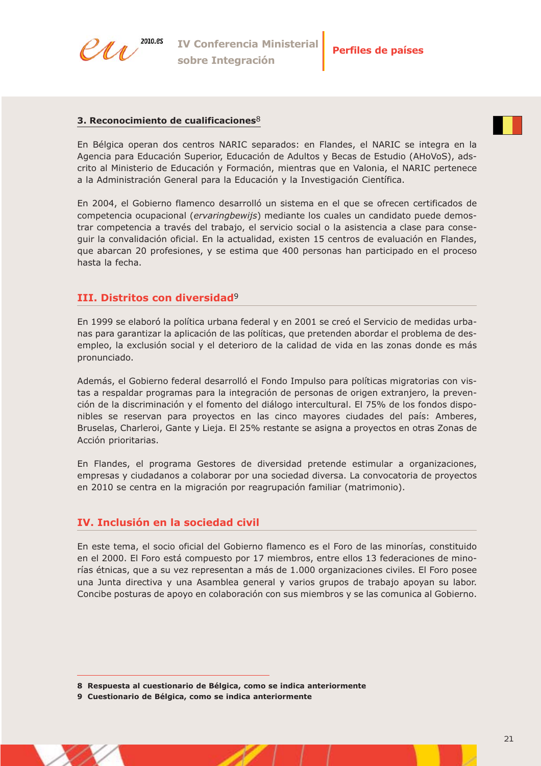

#### **3. Reconocimiento de cualificaciones**8

En Bélgica operan dos centros NARIC separados: en Flandes, el NARIC se integra en la Agencia para Educación Superior, Educación de Adultos y Becas de Estudio (AHoVoS), adscrito al Ministerio de Educación y Formación, mientras que en Valonia, el NARIC pertenece a la Administración General para la Educación y la Investigación Científica.

En 2004, el Gobierno flamenco desarrolló un sistema en el que se ofrecen certificados de competencia ocupacional (*ervaringbewijs*) mediante los cuales un candidato puede demostrar competencia a través del trabajo, el servicio social o la asistencia a clase para conseguir la convalidación oficial. En la actualidad, existen 15 centros de evaluación en Flandes, que abarcan 20 profesiones, y se estima que 400 personas han participado en el proceso hasta la fecha.

## **III. Distritos con diversidad**9

En 1999 se elaboró la política urbana federal y en 2001 se creó el Servicio de medidas urbanas para garantizar la aplicación de las políticas, que pretenden abordar el problema de desempleo, la exclusión social y el deterioro de la calidad de vida en las zonas donde es más pronunciado.

Además, el Gobierno federal desarrolló el Fondo Impulso para políticas migratorias con vistas a respaldar programas para la integración de personas de origen extranjero, la prevención de la discriminación y el fomento del diálogo intercultural. El 75% de los fondos disponibles se reservan para proyectos en las cinco mayores ciudades del país: Amberes, Bruselas, Charleroi, Gante y Lieja. El 25% restante se asigna a proyectos en otras Zonas de Acción prioritarias.

En Flandes, el programa Gestores de diversidad pretende estimular a organizaciones, empresas y ciudadanos a colaborar por una sociedad diversa. La convocatoria de proyectos en 2010 se centra en la migración por reagrupación familiar (matrimonio).

# **IV. Inclusión en la sociedad civil**

En este tema, el socio oficial del Gobierno flamenco es el Foro de las minorías, constituido en el 2000. El Foro está compuesto por 17 miembros, entre ellos 13 federaciones de minorías étnicas, que a su vez representan a más de 1.000 organizaciones civiles. El Foro posee una Junta directiva y una Asamblea general y varios grupos de trabajo apoyan su labor. Concibe posturas de apoyo en colaboración con sus miembros y se las comunica al Gobierno.



**<sup>8</sup> Respuesta al cuestionario de Bélgica, como se indica anteriormente**

**<sup>9</sup> Cuestionario de Bélgica, como se indica anteriormente**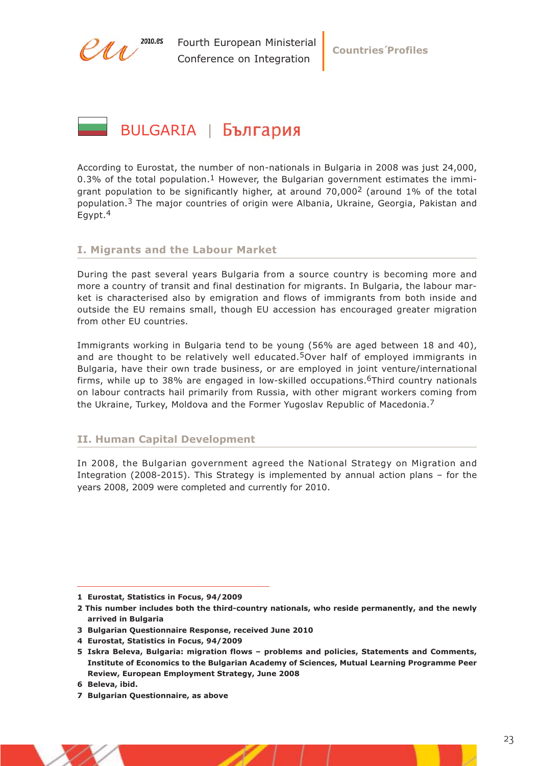



According to Eurostat, the number of non-nationals in Bulgaria in 2008 was just 24,000, 0.3% of the total population.<sup>1</sup> However, the Bulgarian government estimates the immigrant population to be significantly higher, at around  $70,000^2$  (around 1% of the total population.<sup>3</sup> The major countries of origin were Albania, Ukraine, Georgia, Pakistan and Egypt.4

# **I. Migrants and the Labour Market**

During the past several years Bulgaria from a source country is becoming more and more a country of transit and final destination for migrants. In Bulgaria, the labour market is characterised also by emigration and flows of immigrants from both inside and outside the EU remains small, though EU accession has encouraged greater migration from other EU countries.

Immigrants working in Bulgaria tend to be young (56% are aged between 18 and 40), and are thought to be relatively well educated.<sup>5</sup>Over half of employed immigrants in Bulgaria, have their own trade business, or are employed in joint venture/international firms, while up to 38% are engaged in low-skilled occupations.<sup>6</sup>Third country nationals on labour contracts hail primarily from Russia, with other migrant workers coming from the Ukraine, Turkey, Moldova and the Former Yugoslav Republic of Macedonia.7

# **II. Human Capital Development**

In 2008, the Bulgarian government agreed the National Strategy on Migration and Integration (2008-2015). This Strategy is implemented by annual action plans – for the years 2008, 2009 were completed and currently for 2010.

**3 Bulgarian Questionnaire Response, received June 2010**

**<sup>1</sup> Eurostat, Statistics in Focus, 94/2009**

**<sup>2</sup> This number includes both the third-country nationals, who reside permanently, and the newly arrived in Bulgaria**

**<sup>4</sup> Eurostat, Statistics in Focus, 94/2009**

**<sup>5</sup> Iskra Beleva, Bulgaria: migration flows – problems and policies, Statements and Comments, Institute of Economics to the Bulgarian Academy of Sciences, Mutual Learning Programme Peer Review, European Employment Strategy, June 2008**

**<sup>6</sup> Beleva, ibid.**

**<sup>7</sup> Bulgarian Questionnaire, as above**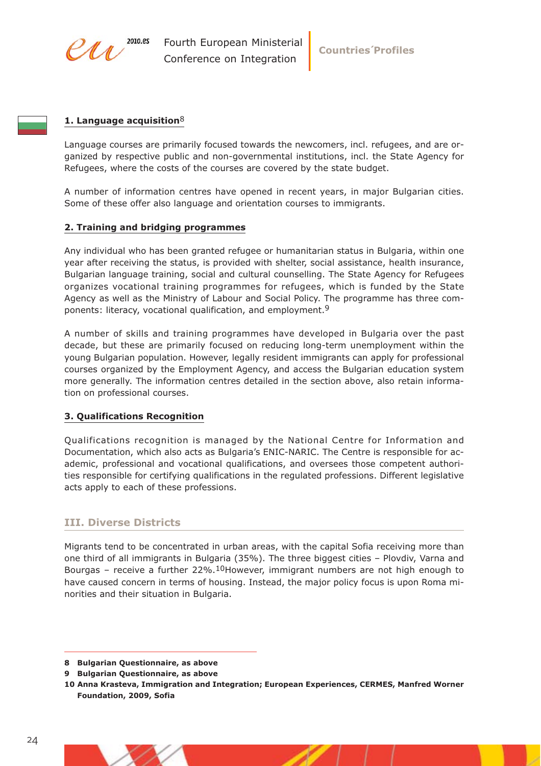

#### **1. Language acquisition**8

Language courses are primarily focused towards the newcomers, incl. refugees, and are organized by respective public and non-governmental institutions, incl. the State Agency for Refugees, where the costs of the courses are covered by the state budget.

A number of information centres have opened in recent years, in major Bulgarian cities. Some of these offer also language and orientation courses to immigrants.

#### **2. Training and bridging programmes**

Any individual who has been granted refugee or humanitarian status in Bulgaria, within one year after receiving the status, is provided with shelter, social assistance, health insurance, Bulgarian language training, social and cultural counselling. The State Agency for Refugees organizes vocational training programmes for refugees, which is funded by the State Agency as well as the Ministry of Labour and Social Policy. The programme has three components: literacy, vocational qualification, and employment.9

A number of skills and training programmes have developed in Bulgaria over the past decade, but these are primarily focused on reducing long-term unemployment within the young Bulgarian population. However, legally resident immigrants can apply for professional courses organized by the Employment Agency, and access the Bulgarian education system more generally. The information centres detailed in the section above, also retain information on professional courses.

#### **3. Qualifications Recognition**

Qualifications recognition is managed by the National Centre for Information and Documentation, which also acts as Bulgaria's ENIC-NARIC. The Centre is responsible for academic, professional and vocational qualifications, and oversees those competent authorities responsible for certifying qualifications in the regulated professions. Different legislative acts apply to each of these professions.

#### **III. Diverse Districts**

Migrants tend to be concentrated in urban areas, with the capital Sofia receiving more than one third of all immigrants in Bulgaria (35%). The three biggest cities – Plovdiv, Varna and Bourgas – receive a further 22%.<sup>10</sup>However, immigrant numbers are not high enough to have caused concern in terms of housing. Instead, the major policy focus is upon Roma minorities and their situation in Bulgaria.

**<sup>8</sup> Bulgarian Questionnaire, as above**

**<sup>9</sup> Bulgarian Questionnaire, as above**

**<sup>10</sup> Anna Krasteva, Immigration and Integration; European Experiences, CERMES, Manfred Worner Foundation, 2009, Sofia**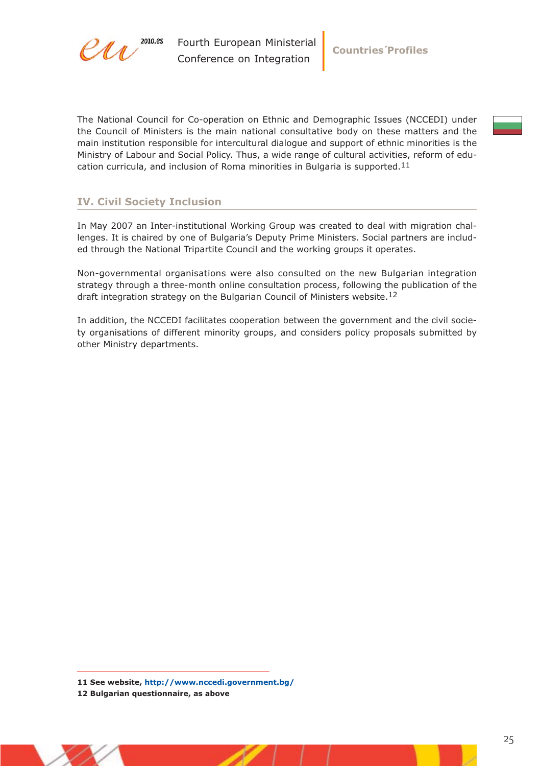

The National Council for Co-operation on Ethnic and Demographic Issues (NCCEDI) under the Council of Ministers is the main national consultative body on these matters and the main institution responsible for intercultural dialogue and support of ethnic minorities is the Ministry of Labour and Social Policy. Thus, a wide range of cultural activities, reform of education curricula, and inclusion of Roma minorities in Bulgaria is supported.<sup>11</sup>

# **IV. Civil Society Inclusion**

In May 2007 an Inter-institutional Working Group was created to deal with migration challenges. It is chaired by one of Bulgaria's Deputy Prime Ministers. Social partners are included through the National Tripartite Council and the working groups it operates.

Non-governmental organisations were also consulted on the new Bulgarian integration strategy through a three-month online consultation process, following the publication of the draft integration strategy on the Bulgarian Council of Ministers website.<sup>12</sup>

In addition, the NCCEDI facilitates cooperation between the government and the civil society organisations of different minority groups, and considers policy proposals submitted by other Ministry departments.

**11 See website, http://www.nccedi.government.bg/**

**12 Bulgarian questionnaire, as above**

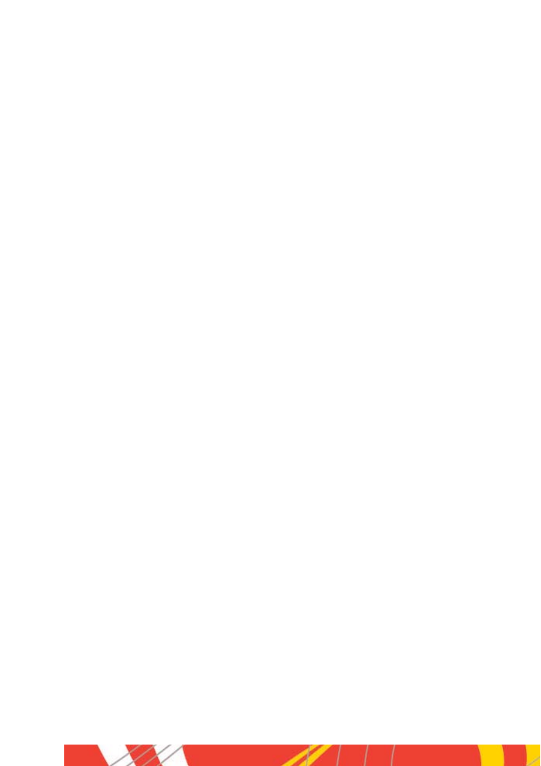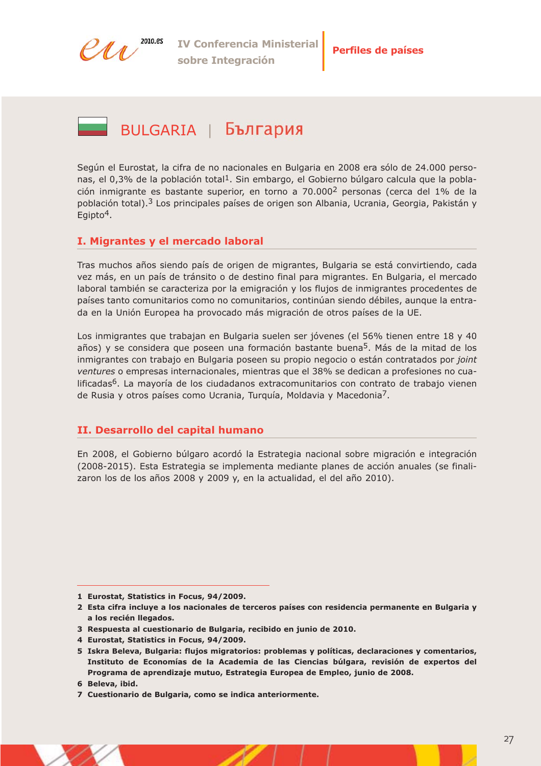



Según el Eurostat, la cifra de no nacionales en Bulgaria en 2008 era sólo de 24.000 personas, el 0,3% de la población total<sup>1</sup>. Sin embargo, el Gobierno búlgaro calcula que la población inmigrante es bastante superior, en torno a 70.0002 personas (cerca del 1% de la población total).<sup>3</sup> Los principales países de origen son Albania, Ucrania, Georgia, Pakistán y Egipto<sup>4</sup>.

# **I. Migrantes y el mercado laboral**

Tras muchos años siendo país de origen de migrantes, Bulgaria se está convirtiendo, cada vez más, en un país de tránsito o de destino final para migrantes. En Bulgaria, el mercado laboral también se caracteriza por la emigración y los flujos de inmigrantes procedentes de países tanto comunitarios como no comunitarios, continúan siendo débiles, aunque la entrada en la Unión Europea ha provocado más migración de otros países de la UE.

Los inmigrantes que trabajan en Bulgaria suelen ser jóvenes (el 56% tienen entre 18 y 40 años) y se considera que poseen una formación bastante buena<sup>5</sup>. Más de la mitad de los inmigrantes con trabajo en Bulgaria poseen su propio negocio o están contratados por *joint ventures* o empresas internacionales, mientras que el 38% se dedican a profesiones no cualificadas<sup>6</sup>. La mayoría de los ciudadanos extracomunitarios con contrato de trabajo vienen de Rusia y otros países como Ucrania, Turquía, Moldavia y Macedonia7.

# **II. Desarrollo del capital humano**

En 2008, el Gobierno búlgaro acordó la Estrategia nacional sobre migración e integración (2008-2015). Esta Estrategia se implementa mediante planes de acción anuales (se finalizaron los de los años 2008 y 2009 y, en la actualidad, el del año 2010).

**<sup>1</sup> Eurostat, Statistics in Focus, 94/2009.**

**<sup>2</sup> Esta cifra incluye a los nacionales de terceros países con residencia permanente en Bulgaria y a los recién llegados.**

**<sup>3</sup> Respuesta al cuestionario de Bulgaria, recibido en junio de 2010.**

**<sup>4</sup> Eurostat, Statistics in Focus, 94/2009.**

**<sup>5</sup> Iskra Beleva, Bulgaria: flujos migratorios: problemas y políticas, declaraciones y comentarios, Instituto de Economías de la Academia de las Ciencias búlgara, revisión de expertos del Programa de aprendizaje mutuo, Estrategia Europea de Empleo, junio de 2008.**

**<sup>6</sup> Beleva, ibid.**

**<sup>7</sup> Cuestionario de Bulgaria, como se indica anteriormente.**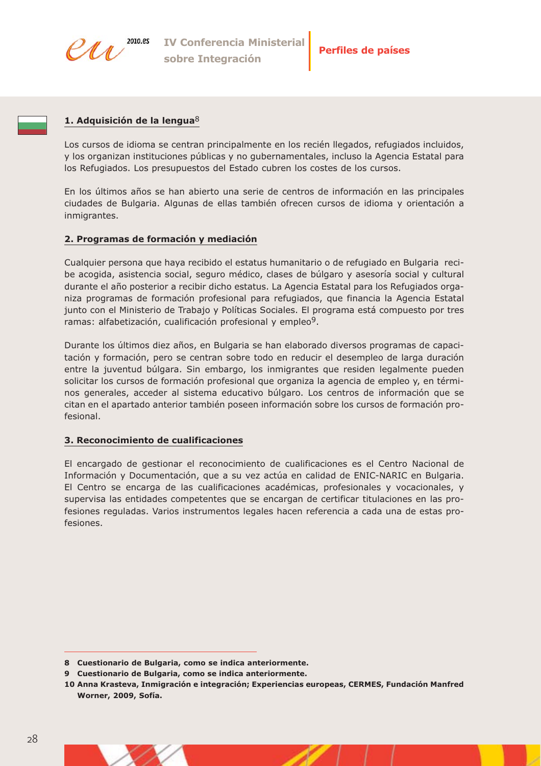

#### **1. Adquisición de la lengua**8

Los cursos de idioma se centran principalmente en los recién llegados, refugiados incluidos, y los organizan instituciones públicas y no gubernamentales, incluso la Agencia Estatal para los Refugiados. Los presupuestos del Estado cubren los costes de los cursos.

En los últimos años se han abierto una serie de centros de información en las principales ciudades de Bulgaria. Algunas de ellas también ofrecen cursos de idioma y orientación a inmigrantes.

#### **2. Programas de formación y mediación**

Cualquier persona que haya recibido el estatus humanitario o de refugiado en Bulgaria recibe acogida, asistencia social, seguro médico, clases de búlgaro y asesoría social y cultural durante el año posterior a recibir dicho estatus. La Agencia Estatal para los Refugiados organiza programas de formación profesional para refugiados, que financia la Agencia Estatal junto con el Ministerio de Trabajo y Políticas Sociales. El programa está compuesto por tres ramas: alfabetización, cualificación profesional y empleo<sup>9</sup>.

Durante los últimos diez años, en Bulgaria se han elaborado diversos programas de capacitación y formación, pero se centran sobre todo en reducir el desempleo de larga duración entre la juventud búlgara. Sin embargo, los inmigrantes que residen legalmente pueden solicitar los cursos de formación profesional que organiza la agencia de empleo y, en términos generales, acceder al sistema educativo búlgaro. Los centros de información que se citan en el apartado anterior también poseen información sobre los cursos de formación profesional.

#### **3. Reconocimiento de cualificaciones**

El encargado de gestionar el reconocimiento de cualificaciones es el Centro Nacional de Información y Documentación, que a su vez actúa en calidad de ENIC-NARIC en Bulgaria. El Centro se encarga de las cualificaciones académicas, profesionales y vocacionales, y supervisa las entidades competentes que se encargan de certificar titulaciones en las profesiones reguladas. Varios instrumentos legales hacen referencia a cada una de estas profesiones.

**<sup>8</sup> Cuestionario de Bulgaria, como se indica anteriormente.**

**<sup>9</sup> Cuestionario de Bulgaria, como se indica anteriormente.**

**<sup>10</sup> Anna Krasteva, Inmigración e integración; Experiencias europeas, CERMES, Fundación Manfred Worner, 2009, Sofía.**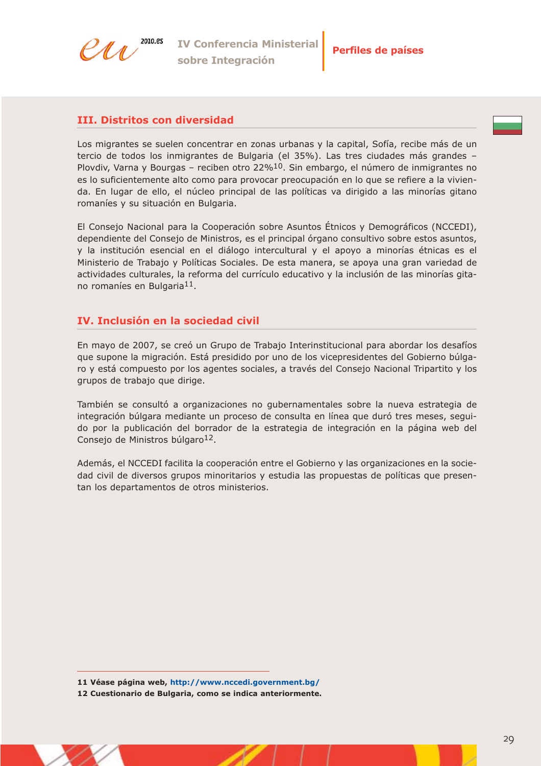

# **III. Distritos con diversidad**

Los migrantes se suelen concentrar en zonas urbanas y la capital, Sofía, recibe más de un tercio de todos los inmigrantes de Bulgaria (el 35%). Las tres ciudades más grandes – Plovdiv, Varna y Bourgas – reciben otro 22%<sup>10</sup>. Sin embargo, el número de inmigrantes no es lo suficientemente alto como para provocar preocupación en lo que se refiere a la vivienda. En lugar de ello, el núcleo principal de las políticas va dirigido a las minorías gitano romaníes y su situación en Bulgaria.

El Consejo Nacional para la Cooperación sobre Asuntos Étnicos y Demográficos (NCCEDI), dependiente del Consejo de Ministros, es el principal órgano consultivo sobre estos asuntos, y la institución esencial en el diálogo intercultural y el apoyo a minorías étnicas es el Ministerio de Trabajo y Políticas Sociales. De esta manera, se apoya una gran variedad de actividades culturales, la reforma del currículo educativo y la inclusión de las minorías gitano romaníes en Bulgaria<sup>11</sup>.

# **IV. Inclusión en la sociedad civil**

En mayo de 2007, se creó un Grupo de Trabajo Interinstitucional para abordar los desafíos que supone la migración. Está presidido por uno de los vicepresidentes del Gobierno búlgaro y está compuesto por los agentes sociales, a través del Consejo Nacional Tripartito y los grupos de trabajo que dirige.

También se consultó a organizaciones no gubernamentales sobre la nueva estrategia de integración búlgara mediante un proceso de consulta en línea que duró tres meses, seguido por la publicación del borrador de la estrategia de integración en la página web del Consejo de Ministros búlgaro<sup>12</sup>.

Además, el NCCEDI facilita la cooperación entre el Gobierno y las organizaciones en la sociedad civil de diversos grupos minoritarios y estudia las propuestas de políticas que presentan los departamentos de otros ministerios.



**<sup>11</sup> Véase página web, http://www.nccedi.government.bg/**

**<sup>12</sup> Cuestionario de Bulgaria, como se indica anteriormente.**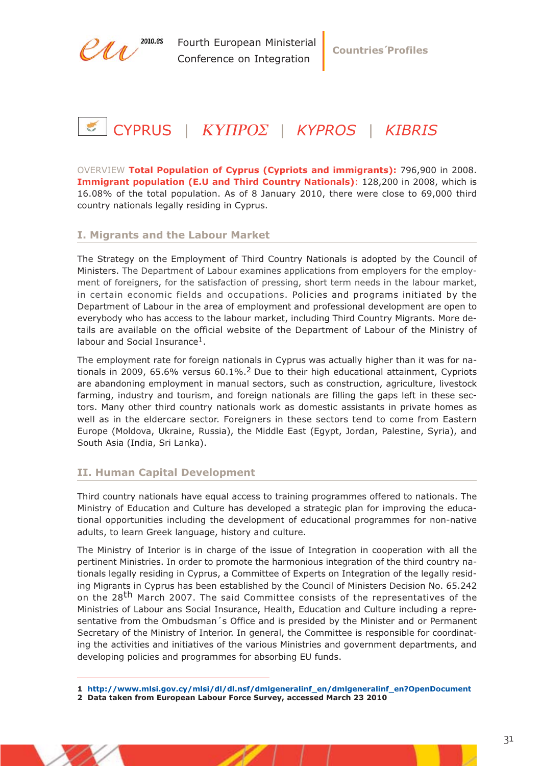

# CYPRUS | ΚΥΠΡΟΣ *| KYPROS | KIBRIS*

OVERVIEW **Total Population of Cyprus (Cypriots and immigrants):** 796,900 in 2008. **Immigrant population (E.U and Third Country Nationals)**: 128,200 in 2008, which is 16.08% of the total population. As of 8 January 2010, there were close to 69,000 third country nationals legally residing in Cyprus.

# **I. Migrants and the Labour Market**

The Strategy on the Employment of Third Country Nationals is adopted by the Council of Ministers. The Department of Labour examines applications from employers for the employment of foreigners, for the satisfaction of pressing, short term needs in the labour market, in certain economic fields and occupations. Policies and programs initiated by the Department of Labour in the area of employment and professional development are open to everybody who has access to the labour market, including Third Country Migrants. More details are available on the official website of the Department of Labour of the Ministry of labour and Social Insurance<sup>1</sup>.

The employment rate for foreign nationals in Cyprus was actually higher than it was for nationals in 2009, 65.6% versus 60.1%.2 Due to their high educational attainment, Cypriots are abandoning employment in manual sectors, such as construction, agriculture, livestock farming, industry and tourism, and foreign nationals are filling the gaps left in these sectors. Many other third country nationals work as domestic assistants in private homes as well as in the eldercare sector. Foreigners in these sectors tend to come from Eastern Europe (Moldova, Ukraine, Russia), the Middle East (Egypt, Jordan, Palestine, Syria), and South Asia (India, Sri Lanka).

#### **II. Human Capital Development**

Third country nationals have equal access to training programmes offered to nationals. The Ministry of Education and Culture has developed a strategic plan for improving the educational opportunities including the development of educational programmes for non-native adults, to learn Greek language, history and culture.

The Ministry of Interior is in charge of the issue of Integration in cooperation with all the pertinent Ministries. In order to promote the harmonious integration of the third country nationals legally residing in Cyprus, a Committee of Experts on Integration of the legally residing Migrants in Cyprus has been established by the Council of Ministers Decision No. 65.242 on the 28<sup>th</sup> March 2007. The said Committee consists of the representatives of the Ministries of Labour ans Social Insurance, Health, Education and Culture including a representative from the Ombudsman's Office and is presided by the Minister and or Permanent Secretary of the Ministry of Interior. In general, the Committee is responsible for coordinating the activities and initiatives of the various Ministries and government departments, and developing policies and programmes for absorbing EU funds.



**<sup>1</sup> http://www.mlsi.gov.cy/mlsi/dl/dl.nsf/dmlgeneralinf\_en/dmlgeneralinf\_en?OpenDocument**

**<sup>2</sup> Data taken from European Labour Force Survey, accessed March 23 2010**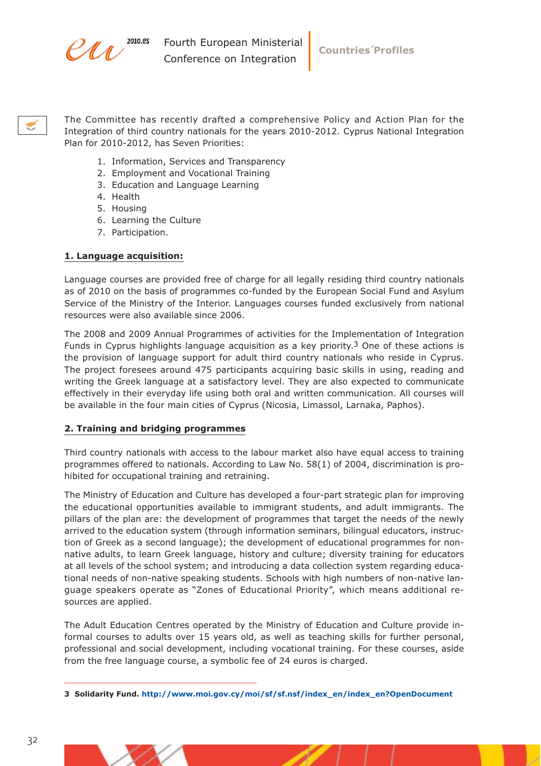



The Committee has recently drafted a comprehensive Policy and Action Plan for the Integration of third country nationals for the years 2010-2012. Cyprus National Integration Plan for 2010-2012, has Seven Priorities:

- 1. Information, Services and Transparency
- 2. Employment and Vocational Training
- 3. Education and Language Learning
- 4. Health
- 5. Housing
- 6. Learning the Culture
- 7. Participation.

#### **1. Language acquisition:**

Language courses are provided free of charge for all legally residing third country nationals as of 2010 on the basis of programmes co-funded by the European Social Fund and Asylum Service of the Ministry of the Interior. Languages courses funded exclusively from national resources were also available since 2006.

The 2008 and 2009 Annual Programmes of activities for the Implementation of Integration Funds in Cyprus highlights language acquisition as a key priority.<sup>3</sup> One of these actions is the provision of language support for adult third country nationals who reside in Cyprus. The project foresees around 475 participants acquiring basic skills in using, reading and writing the Greek language at a satisfactory level. They are also expected to communicate effectively in their everyday life using both oral and written communication. All courses will be available in the four main cities of Cyprus (Nicosia, Limassol, Larnaka, Paphos).

#### **2. Training and bridging programmes**

Third country nationals with access to the labour market also have equal access to training programmes offered to nationals. According to Law No. 58(1) of 2004, discrimination is prohibited for occupational training and retraining.

The Ministry of Education and Culture has developed a four-part strategic plan for improving the educational opportunities available to immigrant students, and adult immigrants. The pillars of the plan are: the development of programmes that target the needs of the newly arrived to the education system (through information seminars, bilingual educators, instruction of Greek as a second language); the development of educational programmes for nonnative adults, to learn Greek language, history and culture; diversity training for educators at all levels of the school system; and introducing a data collection system regarding educational needs of non-native speaking students. Schools with high numbers of non-native language speakers operate as "Zones of Educational Priority", which means additional resources are applied.

The Adult Education Centres operated by the Ministry of Education and Culture provide informal courses to adults over 15 years old, as well as teaching skills for further personal, professional and social development, including vocational training. For these courses, aside from the free language course, a symbolic fee of 24 euros is charged.

**<sup>3</sup> Solidarity Fund. http://www.moi.gov.cy/moi/sf/sf.nsf/index\_en/index\_en?OpenDocument**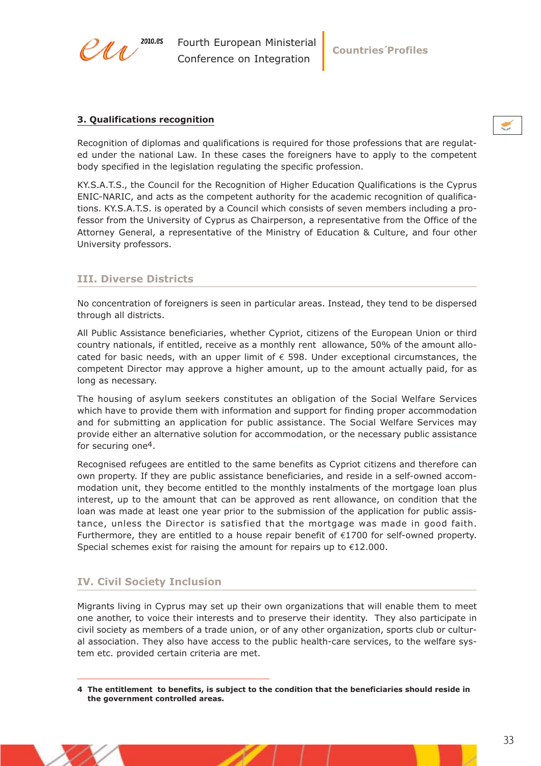

#### **3. Qualifications recognition**

Recognition of diplomas and qualifications is required for those professions that are regulated under the national Law. In these cases the foreigners have to apply to the competent body specified in the legislation regulating the specific profession.

KY.S.A.T.S., the Council for the Recognition of Higher Education Qualifications is the Cyprus ENIC-NARIC, and acts as the competent authority for the academic recognition of qualifications. KY.S.A.T.S. is operated by a Council which consists of seven members including a professor from the University of Cyprus as Chairperson, a representative from the Office of the Attorney General, a representative of the Ministry of Education & Culture, and four other University professors.

# **III. Diverse Districts**

No concentration of foreigners is seen in particular areas. Instead, they tend to be dispersed through all districts.

All Public Assistance beneficiaries, whether Cypriot, citizens of the European Union or third country nationals, if entitled, receive as a monthly rent allowance, 50% of the amount allocated for basic needs, with an upper limit of  $\epsilon$  598. Under exceptional circumstances, the competent Director may approve a higher amount, up to the amount actually paid, for as long as necessary.

The housing of asylum seekers constitutes an obligation of the Social Welfare Services which have to provide them with information and support for finding proper accommodation and for submitting an application for public assistance. The Social Welfare Services may provide either an alternative solution for accommodation, or the necessary public assistance for securing one<sup>4</sup>.

Recognised refugees are entitled to the same benefits as Cypriot citizens and therefore can own property. If they are public assistance beneficiaries, and reside in a self-owned accommodation unit, they become entitled to the monthly instalments of the mortgage loan plus interest, up to the amount that can be approved as rent allowance, on condition that the loan was made at least one year prior to the submission of the application for public assistance, unless the Director is satisfied that the mortgage was made in good faith. Furthermore, they are entitled to a house repair benefit of  $E1700$  for self-owned property. Special schemes exist for raising the amount for repairs up to  $£12.000$ .

# **IV. Civil Society Inclusion**

Migrants living in Cyprus may set up their own organizations that will enable them to meet one another, to voice their interests and to preserve their identity. They also participate in civil society as members of a trade union, or of any other organization, sports club or cultural association. They also have access to the public health-care services, to the welfare system etc. provided certain criteria are met.





**<sup>4</sup> The entitlement to benefits, is subject to the condition that the beneficiaries should reside in the government controlled areas.**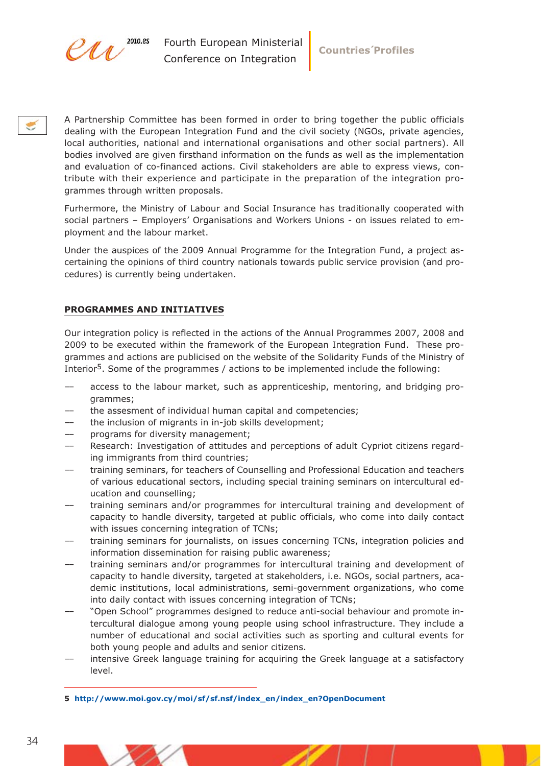

A Partnership Committee has been formed in order to bring together the public officials dealing with the European Integration Fund and the civil society (NGOs, private agencies, local authorities, national and international organisations and other social partners). All bodies involved are given firsthand information on the funds as well as the implementation and evaluation of co-financed actions. Civil stakeholders are able to express views, contribute with their experience and participate in the preparation of the integration programmes through written proposals.

Furhermore, the Ministry of Labour and Social Insurance has traditionally cooperated with social partners – Employers' Organisations and Workers Unions - on issues related to employment and the labour market.

Under the auspices of the 2009 Annual Programme for the Integration Fund, a project ascertaining the opinions of third country nationals towards public service provision (and procedures) is currently being undertaken.

# **PROGRAMMES AND INITIATIVES**

Our integration policy is reflected in the actions of the Annual Programmes 2007, 2008 and 2009 to be executed within the framework of the European Integration Fund. These programmes and actions are publicised on the website of the Solidarity Funds of the Ministry of Interior<sup>5</sup>. Some of the programmes / actions to be implemented include the following:

- access to the labour market, such as apprenticeship, mentoring, and bridging programmes;
- the assesment of individual human capital and competencies;
- the inclusion of migrants in in-job skills development;
- programs for diversity management;
- –– Research: Investigation of attitudes and perceptions of adult Cypriot citizens regarding immigrants from third countries;
- –– training seminars, for teachers of Counselling and Professional Education and teachers of various educational sectors, including special training seminars on intercultural education and counselling;
- –– training seminars and/or programmes for intercultural training and development of capacity to handle diversity, targeted at public officials, who come into daily contact with issues concerning integration of TCNs;
- –– training seminars for journalists, on issues concerning TCNs, integration policies and information dissemination for raising public awareness;
- –– training seminars and/or programmes for intercultural training and development of capacity to handle diversity, targeted at stakeholders, i.e. NGOs, social partners, academic institutions, local administrations, semi-government organizations, who come into daily contact with issues concerning integration of TCNs;
- –– "Open School" programmes designed to reduce anti-social behaviour and promote intercultural dialogue among young people using school infrastructure. They include a number of educational and social activities such as sporting and cultural events for both young people and adults and senior citizens.
- intensive Greek language training for acquiring the Greek language at a satisfactory level.

**5 http://www.moi.gov.cy/moi/sf/sf.nsf/index\_en/index\_en?OpenDocument**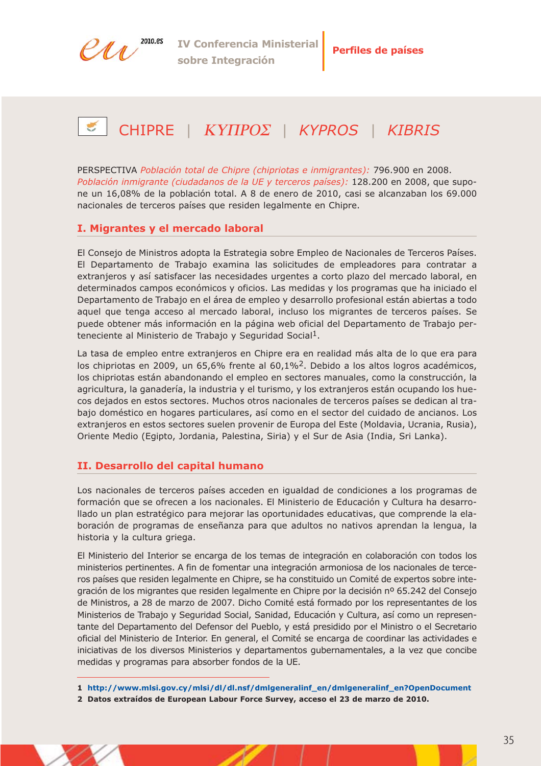

## CHIPRE | ΚΥΠΡΟΣ *| KYPROS | KIBRIS*

PERSPECTIVA *Población total de Chipre (chipriotas e inmigrantes):* 796.900 en 2008. *Población inmigrante (ciudadanos de la UE y terceros países):* 128.200 en 2008, que supone un 16,08% de la población total. A 8 de enero de 2010, casi se alcanzaban los 69.000 nacionales de terceros países que residen legalmente en Chipre.

#### **I. Migrantes y el mercado laboral**

El Consejo de Ministros adopta la Estrategia sobre Empleo de Nacionales de Terceros Países. El Departamento de Trabajo examina las solicitudes de empleadores para contratar a extranjeros y así satisfacer las necesidades urgentes a corto plazo del mercado laboral, en determinados campos económicos y oficios. Las medidas y los programas que ha iniciado el Departamento de Trabajo en el área de empleo y desarrollo profesional están abiertas a todo aquel que tenga acceso al mercado laboral, incluso los migrantes de terceros países. Se puede obtener más información en la página web oficial del Departamento de Trabajo perteneciente al Ministerio de Trabajo y Seguridad Social<sup>1</sup>.

La tasa de empleo entre extranjeros en Chipre era en realidad más alta de lo que era para los chipriotas en 2009, un 65,6% frente al 60,1%2. Debido a los altos logros académicos, los chipriotas están abandonando el empleo en sectores manuales, como la construcción, la agricultura, la ganadería, la industria y el turismo, y los extranjeros están ocupando los huecos dejados en estos sectores. Muchos otros nacionales de terceros países se dedican al trabajo doméstico en hogares particulares, así como en el sector del cuidado de ancianos. Los extranjeros en estos sectores suelen provenir de Europa del Este (Moldavia, Ucrania, Rusia), Oriente Medio (Egipto, Jordania, Palestina, Siria) y el Sur de Asia (India, Sri Lanka).

#### **II. Desarrollo del capital humano**

Los nacionales de terceros países acceden en igualdad de condiciones a los programas de formación que se ofrecen a los nacionales. El Ministerio de Educación y Cultura ha desarrollado un plan estratégico para mejorar las oportunidades educativas, que comprende la elaboración de programas de enseñanza para que adultos no nativos aprendan la lengua, la historia y la cultura griega.

El Ministerio del Interior se encarga de los temas de integración en colaboración con todos los ministerios pertinentes. A fin de fomentar una integración armoniosa de los nacionales de terceros países que residen legalmente en Chipre, se ha constituido un Comité de expertos sobre integración de los migrantes que residen legalmente en Chipre por la decisión nº 65.242 del Consejo de Ministros, a 28 de marzo de 2007. Dicho Comité está formado por los representantes de los Ministerios de Trabajo y Seguridad Social, Sanidad, Educación y Cultura, así como un representante del Departamento del Defensor del Pueblo, y está presidido por el Ministro o el Secretario oficial del Ministerio de Interior. En general, el Comité se encarga de coordinar las actividades e iniciativas de los diversos Ministerios y departamentos gubernamentales, a la vez que concibe medidas y programas para absorber fondos de la UE.

- **1 http://www.mlsi.gov.cy/mlsi/dl/dl.nsf/dmlgeneralinf\_en/dmlgeneralinf\_en?OpenDocument**
- **2 Datos extraídos de European Labour Force Survey, acceso el 23 de marzo de 2010.**

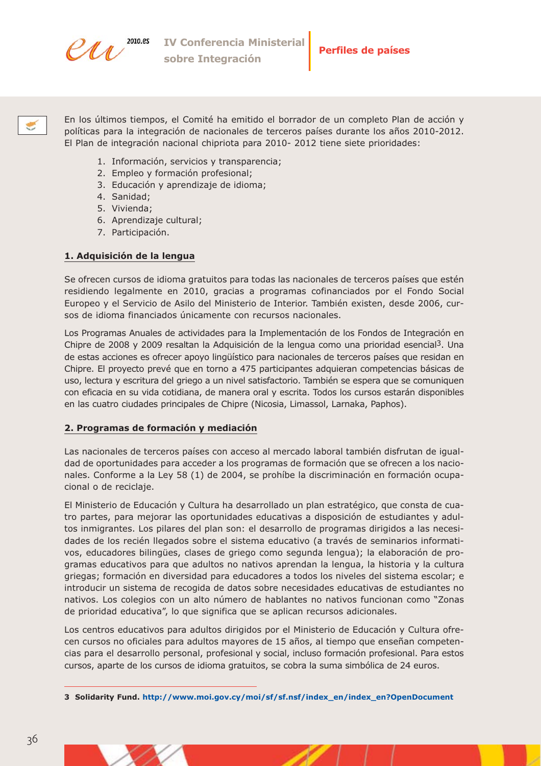

En los últimos tiempos, el Comité ha emitido el borrador de un completo Plan de acción y políticas para la integración de nacionales de terceros países durante los años 2010-2012. El Plan de integración nacional chipriota para 2010- 2012 tiene siete prioridades:

- 1. Información, servicios y transparencia;
- 2. Empleo y formación profesional;
- 3. Educación y aprendizaje de idioma;
- 4. Sanidad;
- 5. Vivienda;
- 6. Aprendizaje cultural;
- 7. Participación.

#### **1. Adquisición de la lengua**

Se ofrecen cursos de idioma gratuitos para todas las nacionales de terceros países que estén residiendo legalmente en 2010, gracias a programas cofinanciados por el Fondo Social Europeo y el Servicio de Asilo del Ministerio de Interior. También existen, desde 2006, cursos de idioma financiados únicamente con recursos nacionales.

Los Programas Anuales de actividades para la Implementación de los Fondos de Integración en Chipre de 2008 y 2009 resaltan la Adquisición de la lengua como una prioridad esencial3. Una de estas acciones es ofrecer apoyo lingüístico para nacionales de terceros países que residan en Chipre. El proyecto prevé que en torno a 475 participantes adquieran competencias básicas de uso, lectura y escritura del griego a un nivel satisfactorio. También se espera que se comuniquen con eficacia en su vida cotidiana, de manera oral y escrita. Todos los cursos estarán disponibles en las cuatro ciudades principales de Chipre (Nicosia, Limassol, Larnaka, Paphos).

#### **2. Programas de formación y mediación**

Las nacionales de terceros países con acceso al mercado laboral también disfrutan de igualdad de oportunidades para acceder a los programas de formación que se ofrecen a los nacionales. Conforme a la Ley 58 (1) de 2004, se prohíbe la discriminación en formación ocupacional o de reciclaje.

El Ministerio de Educación y Cultura ha desarrollado un plan estratégico, que consta de cuatro partes, para mejorar las oportunidades educativas a disposición de estudiantes y adultos inmigrantes. Los pilares del plan son: el desarrollo de programas dirigidos a las necesidades de los recién llegados sobre el sistema educativo (a través de seminarios informativos, educadores bilingües, clases de griego como segunda lengua); la elaboración de programas educativos para que adultos no nativos aprendan la lengua, la historia y la cultura griegas; formación en diversidad para educadores a todos los niveles del sistema escolar; e introducir un sistema de recogida de datos sobre necesidades educativas de estudiantes no nativos. Los colegios con un alto número de hablantes no nativos funcionan como "Zonas de prioridad educativa", lo que significa que se aplican recursos adicionales.

Los centros educativos para adultos dirigidos por el Ministerio de Educación y Cultura ofrecen cursos no oficiales para adultos mayores de 15 años, al tiempo que enseñan competencias para el desarrollo personal, profesional y social, incluso formación profesional. Para estos cursos, aparte de los cursos de idioma gratuitos, se cobra la suma simbólica de 24 euros.

**<sup>3</sup> Solidarity Fund. http://www.moi.gov.cy/moi/sf/sf.nsf/index\_en/index\_en?OpenDocument**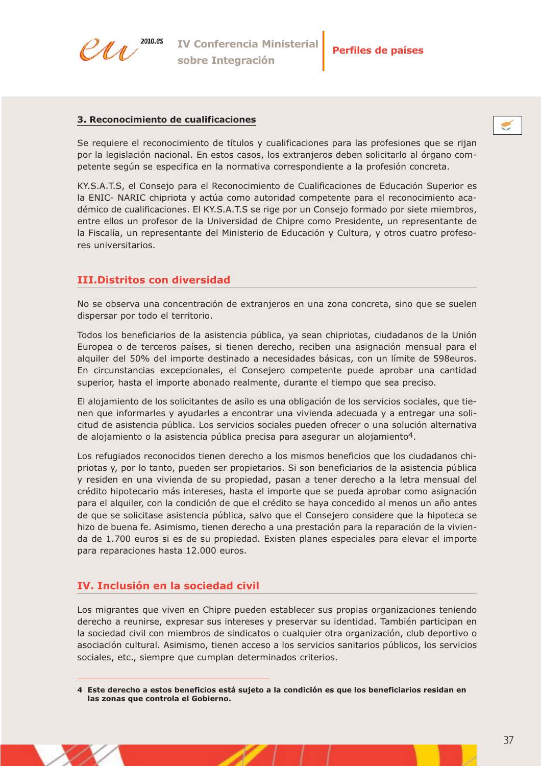

#### **3. Reconocimiento de cualificaciones**

Se requiere el reconocimiento de títulos y cualificaciones para las profesiones que se rijan por la legislación nacional. En estos casos, los extranjeros deben solicitarlo al órgano competente según se especifica en la normativa correspondiente a la profesión concreta.

KY.S.A.T.S, el Consejo para el Reconocimiento de Cualificaciones de Educación Superior es la ENIC- NARIC chipriota y actúa como autoridad competente para el reconocimiento académico de cualificaciones. El KY.S.A.T.S se rige por un Consejo formado por siete miembros, entre ellos un profesor de la Universidad de Chipre como Presidente, un representante de la Fiscalía, un representante del Ministerio de Educación y Cultura, y otros cuatro profesores universitarios.

#### **III.Distritos con diversidad**

No se observa una concentración de extranjeros en una zona concreta, sino que se suelen dispersar por todo el territorio.

Todos los beneficiarios de la asistencia pública, ya sean chipriotas, ciudadanos de la Unión Europea o de terceros países, si tienen derecho, reciben una asignación mensual para el alquiler del 50% del importe destinado a necesidades básicas, con un límite de 598euros. En circunstancias excepcionales, el Consejero competente puede aprobar una cantidad superior, hasta el importe abonado realmente, durante el tiempo que sea preciso.

El alojamiento de los solicitantes de asilo es una obligación de los servicios sociales, que tienen que informarles y ayudarles a encontrar una vivienda adecuada y a entregar una solicitud de asistencia pública. Los servicios sociales pueden ofrecer o una solución alternativa de alojamiento o la asistencia pública precisa para asegurar un alojamiento<sup>4</sup>.

Los refugiados reconocidos tienen derecho a los mismos beneficios que los ciudadanos chipriotas y, por lo tanto, pueden ser propietarios. Si son beneficiarios de la asistencia pública y residen en una vivienda de su propiedad, pasan a tener derecho a la letra mensual del crédito hipotecario más intereses, hasta el importe que se pueda aprobar como asignación para el alquiler, con la condición de que el crédito se haya concedido al menos un año antes de que se solicitase asistencia pública, salvo que el Consejero considere que la hipoteca se hizo de buena fe. Asimismo, tienen derecho a una prestación para la reparación de la vivienda de 1.700 euros si es de su propiedad. Existen planes especiales para elevar el importe para reparaciones hasta 12.000 euros.

## **IV. Inclusión en la sociedad civil**

Los migrantes que viven en Chipre pueden establecer sus propias organizaciones teniendo derecho a reunirse, expresar sus intereses y preservar su identidad. También participan en la sociedad civil con miembros de sindicatos o cualquier otra organización, club deportivo o asociación cultural. Asimismo, tienen acceso a los servicios sanitarios públicos, los servicios sociales, etc., siempre que cumplan determinados criterios.

**<sup>4</sup> Este derecho a estos beneficios está sujeto a la condición es que los beneficiarios residan en las zonas que controla el Gobierno.**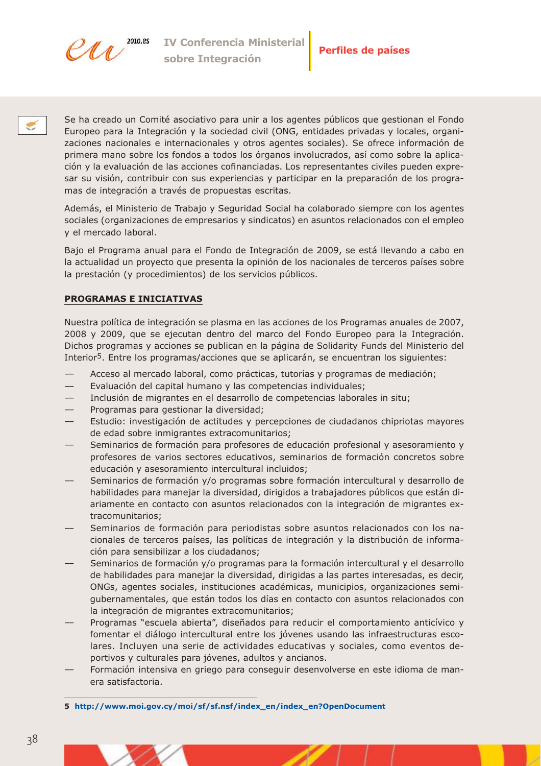

Se ha creado un Comité asociativo para unir a los agentes públicos que gestionan el Fondo Europeo para la Integración y la sociedad civil (ONG, entidades privadas y locales, organizaciones nacionales e internacionales y otros agentes sociales). Se ofrece información de primera mano sobre los fondos a todos los órganos involucrados, así como sobre la aplicación y la evaluación de las acciones cofinanciadas. Los representantes civiles pueden expresar su visión, contribuir con sus experiencias y participar en la preparación de los programas de integración a través de propuestas escritas.

Además, el Ministerio de Trabajo y Seguridad Social ha colaborado siempre con los agentes sociales (organizaciones de empresarios y sindicatos) en asuntos relacionados con el empleo y el mercado laboral.

Bajo el Programa anual para el Fondo de Integración de 2009, se está llevando a cabo en la actualidad un proyecto que presenta la opinión de los nacionales de terceros países sobre la prestación (y procedimientos) de los servicios públicos.

#### **PROGRAMAS E INICIATIVAS**

Nuestra política de integración se plasma en las acciones de los Programas anuales de 2007, 2008 y 2009, que se ejecutan dentro del marco del Fondo Europeo para la Integración. Dichos programas y acciones se publican en la página de Solidarity Funds del Ministerio del Interior5. Entre los programas/acciones que se aplicarán, se encuentran los siguientes:

- Acceso al mercado laboral, como prácticas, tutorías y programas de mediación;
- Evaluación del capital humano y las competencias individuales;
- –– Inclusión de migrantes en el desarrollo de competencias laborales in situ;
- Programas para gestionar la diversidad;
- Estudio: investigación de actitudes y percepciones de ciudadanos chipriotas mayores de edad sobre inmigrantes extracomunitarios;
- Seminarios de formación para profesores de educación profesional y asesoramiento y profesores de varios sectores educativos, seminarios de formación concretos sobre educación y asesoramiento intercultural incluidos;
- Seminarios de formación y/o programas sobre formación intercultural y desarrollo de habilidades para manejar la diversidad, dirigidos a trabajadores públicos que están diariamente en contacto con asuntos relacionados con la integración de migrantes extracomunitarios;
- –– Seminarios de formación para periodistas sobre asuntos relacionados con los nacionales de terceros países, las políticas de integración y la distribución de información para sensibilizar a los ciudadanos;
- –– Seminarios de formación y/o programas para la formación intercultural y el desarrollo de habilidades para manejar la diversidad, dirigidas a las partes interesadas, es decir, ONGs, agentes sociales, instituciones académicas, municipios, organizaciones semigubernamentales, que están todos los días en contacto con asuntos relacionados con la integración de migrantes extracomunitarios;
- –– Programas "escuela abierta", diseñados para reducir el comportamiento anticívico y fomentar el diálogo intercultural entre los jóvenes usando las infraestructuras escolares. Incluyen una serie de actividades educativas y sociales, como eventos deportivos y culturales para jóvenes, adultos y ancianos.
- Formación intensiva en griego para conseguir desenvolverse en este idioma de manera satisfactoria.
- **5 http://www.moi.gov.cy/moi/sf/sf.nsf/index\_en/index\_en?OpenDocument**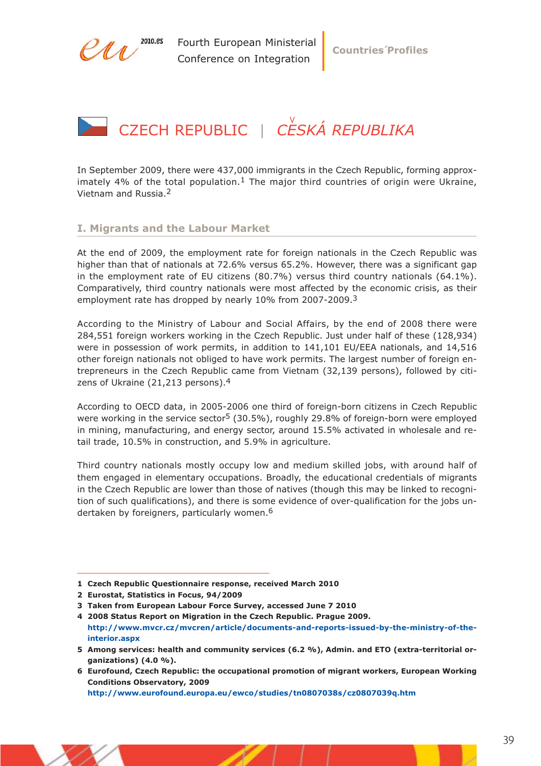



In September 2009, there were 437,000 immigrants in the Czech Republic, forming approximately 4% of the total population.<sup>1</sup> The major third countries of origin were Ukraine, Vietnam and Russia.2

### **I. Migrants and the Labour Market**

At the end of 2009, the employment rate for foreign nationals in the Czech Republic was higher than that of nationals at 72.6% versus 65.2%. However, there was a significant gap in the employment rate of EU citizens (80.7%) versus third country nationals (64.1%). Comparatively, third country nationals were most affected by the economic crisis, as their employment rate has dropped by nearly 10% from 2007-2009.<sup>3</sup>

According to the Ministry of Labour and Social Affairs, by the end of 2008 there were 284,551 foreign workers working in the Czech Republic. Just under half of these (128,934) were in possession of work permits, in addition to 141,101 EU/EEA nationals, and 14,516 other foreign nationals not obliged to have work permits. The largest number of foreign entrepreneurs in the Czech Republic came from Vietnam (32,139 persons), followed by citizens of Ukraine (21,213 persons).<sup>4</sup>

According to OECD data, in 2005-2006 one third of foreign-born citizens in Czech Republic were working in the service sector<sup>5</sup> (30.5%), roughly 29.8% of foreign-born were employed in mining, manufacturing, and energy sector, around 15.5% activated in wholesale and retail trade, 10.5% in construction, and 5.9% in agriculture.

Third country nationals mostly occupy low and medium skilled jobs, with around half of them engaged in elementary occupations. Broadly, the educational credentials of migrants in the Czech Republic are lower than those of natives (though this may be linked to recognition of such qualifications), and there is some evidence of over-qualification for the jobs undertaken by foreigners, particularly women.<sup>6</sup>

**http://www.eurofound.europa.eu/ewco/studies/tn0807038s/cz0807039q.htm**

**<sup>1</sup> Czech Republic Questionnaire response, received March 2010**

**<sup>2</sup> Eurostat, Statistics in Focus, 94/2009**

**<sup>3</sup> Taken from European Labour Force Survey, accessed June 7 2010**

**<sup>4 2008</sup> Status Report on Migration in the Czech Republic. Prague 2009.**

**http://www.mvcr.cz/mvcren/article/documents-and-reports-issued-by-the-ministry-of-theinterior.aspx**

**<sup>5</sup> Among services: health and community services (6.2 %), Admin. and ETO (extra-territorial organizations) (4.0 %).**

**<sup>6</sup> Eurofound, Czech Republic: the occupational promotion of migrant workers, European Working Conditions Observatory, 2009**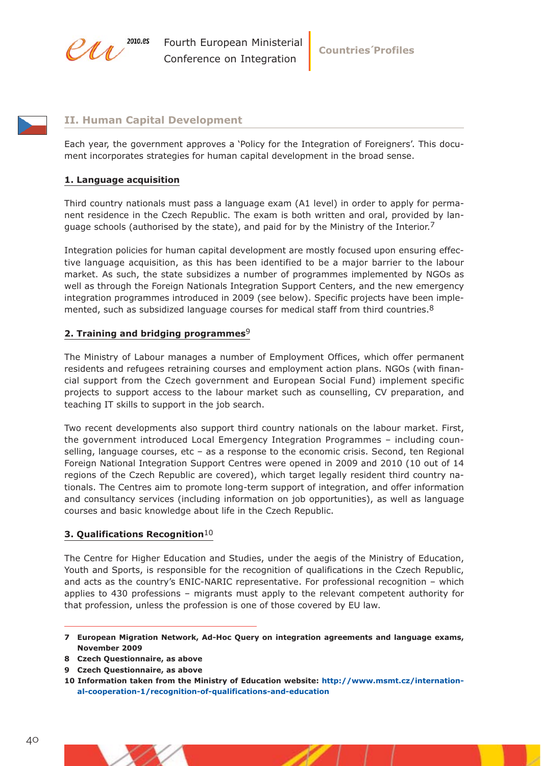

## **II. Human Capital Development**

Each year, the government approves a 'Policy for the Integration of Foreigners'. This document incorporates strategies for human capital development in the broad sense.

#### **1. Language acquisition**

Third country nationals must pass a language exam (A1 level) in order to apply for permanent residence in the Czech Republic. The exam is both written and oral, provided by language schools (authorised by the state), and paid for by the Ministry of the Interior.<sup>7</sup>

Integration policies for human capital development are mostly focused upon ensuring effective language acquisition, as this has been identified to be a major barrier to the labour market. As such, the state subsidizes a number of programmes implemented by NGOs as well as through the Foreign Nationals Integration Support Centers, and the new emergency integration programmes introduced in 2009 (see below). Specific projects have been implemented, such as subsidized language courses for medical staff from third countries.<sup>8</sup>

### **2. Training and bridging programmes**9

The Ministry of Labour manages a number of Employment Offices, which offer permanent residents and refugees retraining courses and employment action plans. NGOs (with financial support from the Czech government and European Social Fund) implement specific projects to support access to the labour market such as counselling, CV preparation, and teaching IT skills to support in the job search.

Two recent developments also support third country nationals on the labour market. First, the government introduced Local Emergency Integration Programmes – including counselling, language courses, etc – as a response to the economic crisis. Second, ten Regional Foreign National Integration Support Centres were opened in 2009 and 2010 (10 out of 14 regions of the Czech Republic are covered), which target legally resident third country nationals. The Centres aim to promote long-term support of integration, and offer information and consultancy services (including information on job opportunities), as well as language courses and basic knowledge about life in the Czech Republic.

#### **3. Qualifications Recognition**10

The Centre for Higher Education and Studies, under the aegis of the Ministry of Education, Youth and Sports, is responsible for the recognition of qualifications in the Czech Republic, and acts as the country's ENIC-NARIC representative. For professional recognition – which applies to 430 professions – migrants must apply to the relevant competent authority for that profession, unless the profession is one of those covered by EU law.

**<sup>7</sup> European Migration Network, Ad-Hoc Query on integration agreements and language exams, November 2009**

**<sup>8</sup> Czech Questionnaire, as above**

**<sup>9</sup> Czech Questionnaire, as above**

**<sup>10</sup> Information taken from the Ministry of Education website: http://www.msmt.cz/international-cooperation-1/recognition-of-qualifications-and-education**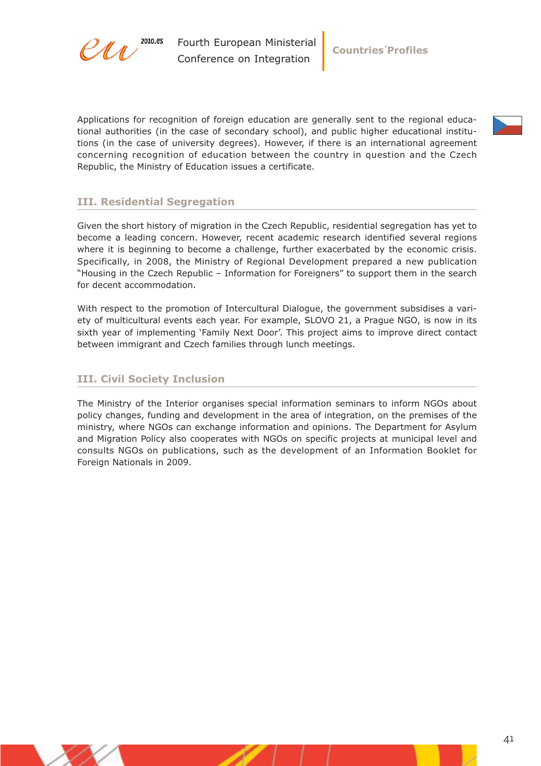

Applications for recognition of foreign education are generally sent to the regional educational authorities (in the case of secondary school), and public higher educational institutions (in the case of university degrees). However, if there is an international agreement concerning recognition of education between the country in question and the Czech Republic, the Ministry of Education issues a certificate.

## **III. Residential Segregation**

Given the short history of migration in the Czech Republic, residential segregation has yet to become a leading concern. However, recent academic research identified several regions where it is beginning to become a challenge, further exacerbated by the economic crisis. Specifically, in 2008, the Ministry of Regional Development prepared a new publication "Housing in the Czech Republic – Information for Foreigners" to support them in the search for decent accommodation.

With respect to the promotion of Intercultural Dialogue, the government subsidises a variety of multicultural events each year. For example, SLOVO 21, a Prague NGO, is now in its sixth year of implementing 'Family Next Door'. This project aims to improve direct contact between immigrant and Czech families through lunch meetings.

## **III. Civil Society Inclusion**

The Ministry of the Interior organises special information seminars to inform NGOs about policy changes, funding and development in the area of integration, on the premises of the ministry, where NGOs can exchange information and opinions. The Department for Asylum and Migration Policy also cooperates with NGOs on specific projects at municipal level and consults NGOs on publications, such as the development of an Information Booklet for Foreign Nationals in 2009.

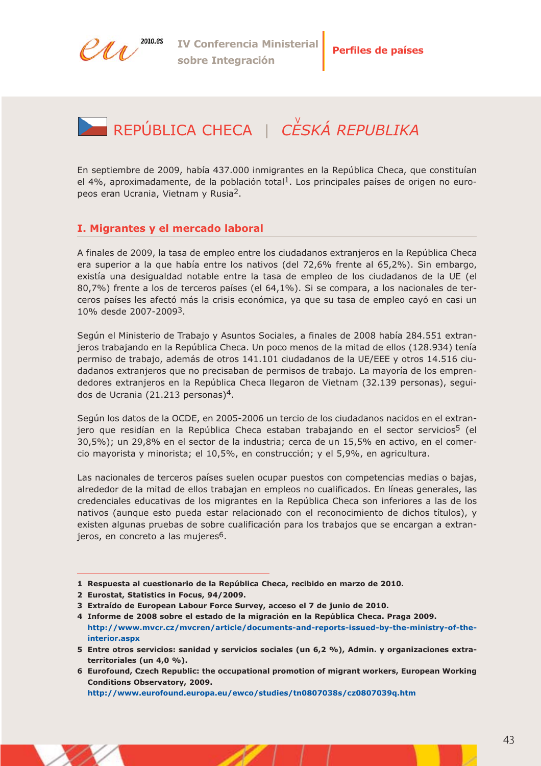



En septiembre de 2009, había 437.000 inmigrantes en la República Checa, que constituían el 4%, aproximadamente, de la población total<sup>1</sup>. Los principales países de origen no europeos eran Ucrania, Vietnam y Rusia2.

### **I. Migrantes y el mercado laboral**

A finales de 2009, la tasa de empleo entre los ciudadanos extranjeros en la República Checa era superior a la que había entre los nativos (del 72,6% frente al 65,2%). Sin embargo, existía una desigualdad notable entre la tasa de empleo de los ciudadanos de la UE (el 80,7%) frente a los de terceros países (el 64,1%). Si se compara, a los nacionales de terceros países les afectó más la crisis económica, ya que su tasa de empleo cayó en casi un 10% desde 2007-20093.

Según el Ministerio de Trabajo y Asuntos Sociales, a finales de 2008 había 284.551 extranjeros trabajando en la República Checa. Un poco menos de la mitad de ellos (128.934) tenía permiso de trabajo, además de otros 141.101 ciudadanos de la UE/EEE y otros 14.516 ciudadanos extranjeros que no precisaban de permisos de trabajo. La mayoría de los emprendedores extranjeros en la República Checa llegaron de Vietnam (32.139 personas), seguidos de Ucrania (21.213 personas)4.

Según los datos de la OCDE, en 2005-2006 un tercio de los ciudadanos nacidos en el extranjero que residían en la República Checa estaban trabajando en el sector servicios<sup>5</sup> (el 30,5%); un 29,8% en el sector de la industria; cerca de un 15,5% en activo, en el comercio mayorista y minorista; el 10,5%, en construcción; y el 5,9%, en agricultura.

Las nacionales de terceros países suelen ocupar puestos con competencias medias o bajas, alrededor de la mitad de ellos trabajan en empleos no cualificados. En líneas generales, las credenciales educativas de los migrantes en la República Checa son inferiores a las de los nativos (aunque esto pueda estar relacionado con el reconocimiento de dichos títulos), y existen algunas pruebas de sobre cualificación para los trabajos que se encargan a extranjeros, en concreto a las mujeres<sup>6</sup>.

**http://www.eurofound.europa.eu/ewco/studies/tn0807038s/cz0807039q.htm**

**<sup>1</sup> Respuesta al cuestionario de la República Checa, recibido en marzo de 2010.**

**<sup>2</sup> Eurostat, Statistics in Focus, 94/2009.**

**<sup>3</sup> Extraído de European Labour Force Survey, acceso el 7 de junio de 2010.**

**<sup>4</sup> Informe de 2008 sobre el estado de la migración en la República Checa. Praga 2009. http://www.mvcr.cz/mvcren/article/documents-and-reports-issued-by-the-ministry-of-theinterior.aspx**

**<sup>5</sup> Entre otros servicios: sanidad y servicios sociales (un 6,2 %), Admin. y organizaciones extraterritoriales (un 4,0 %).**

**<sup>6</sup> Eurofound, Czech Republic: the occupational promotion of migrant workers, European Working Conditions Observatory, 2009.**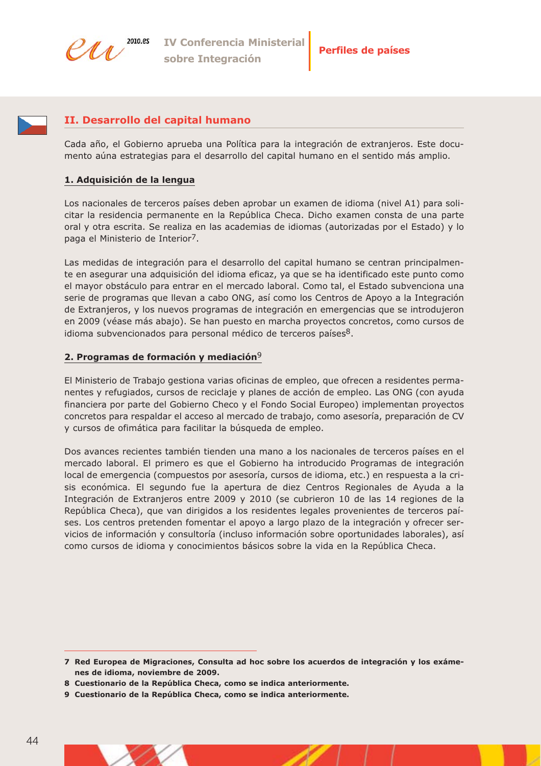

## **II. Desarrollo del capital humano**

Cada año, el Gobierno aprueba una Política para la integración de extranjeros. Este documento aúna estrategias para el desarrollo del capital humano en el sentido más amplio.

#### **1. Adquisición de la lengua**

Los nacionales de terceros países deben aprobar un examen de idioma (nivel A1) para solicitar la residencia permanente en la República Checa. Dicho examen consta de una parte oral y otra escrita. Se realiza en las academias de idiomas (autorizadas por el Estado) y lo paga el Ministerio de Interior7.

Las medidas de integración para el desarrollo del capital humano se centran principalmente en asegurar una adquisición del idioma eficaz, ya que se ha identificado este punto como el mayor obstáculo para entrar en el mercado laboral. Como tal, el Estado subvenciona una serie de programas que llevan a cabo ONG, así como los Centros de Apoyo a la Integración de Extranjeros, y los nuevos programas de integración en emergencias que se introdujeron en 2009 (véase más abajo). Se han puesto en marcha proyectos concretos, como cursos de idioma subvencionados para personal médico de terceros países<sup>8</sup>.

#### **2. Programas de formación y mediación**9

El Ministerio de Trabajo gestiona varias oficinas de empleo, que ofrecen a residentes permanentes y refugiados, cursos de reciclaje y planes de acción de empleo. Las ONG (con ayuda financiera por parte del Gobierno Checo y el Fondo Social Europeo) implementan proyectos concretos para respaldar el acceso al mercado de trabajo, como asesoría, preparación de CV y cursos de ofimática para facilitar la búsqueda de empleo.

Dos avances recientes también tienden una mano a los nacionales de terceros países en el mercado laboral. El primero es que el Gobierno ha introducido Programas de integración local de emergencia (compuestos por asesoría, cursos de idioma, etc.) en respuesta a la crisis económica. El segundo fue la apertura de diez Centros Regionales de Ayuda a la Integración de Extranjeros entre 2009 y 2010 (se cubrieron 10 de las 14 regiones de la República Checa), que van dirigidos a los residentes legales provenientes de terceros países. Los centros pretenden fomentar el apoyo a largo plazo de la integración y ofrecer servicios de información y consultoría (incluso información sobre oportunidades laborales), así como cursos de idioma y conocimientos básicos sobre la vida en la República Checa.

**<sup>7</sup> Red Europea de Migraciones, Consulta ad hoc sobre los acuerdos de integración y los exámenes de idioma, noviembre de 2009.**

**<sup>8</sup> Cuestionario de la República Checa, como se indica anteriormente.**

**<sup>9</sup> Cuestionario de la República Checa, como se indica anteriormente.**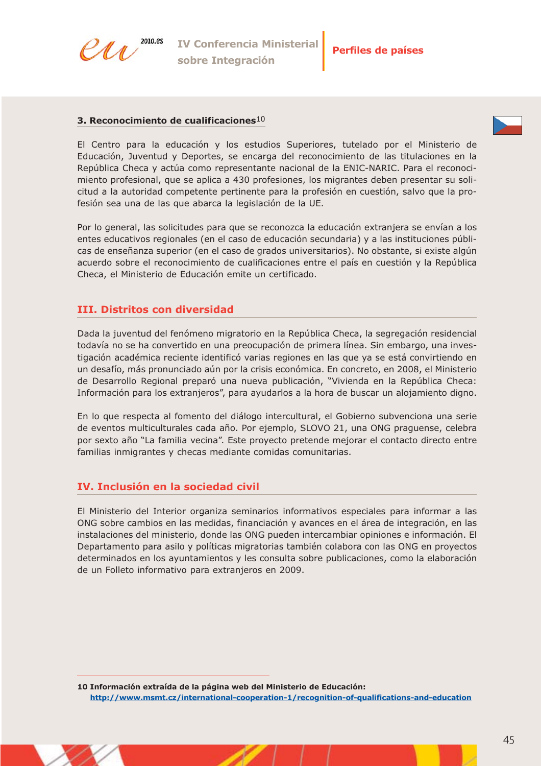

#### **3. Reconocimiento de cualificaciones**10

El Centro para la educación y los estudios Superiores, tutelado por el Ministerio de Educación, Juventud y Deportes, se encarga del reconocimiento de las titulaciones en la República Checa y actúa como representante nacional de la ENIC-NARIC. Para el reconocimiento profesional, que se aplica a 430 profesiones, los migrantes deben presentar su solicitud a la autoridad competente pertinente para la profesión en cuestión, salvo que la profesión sea una de las que abarca la legislación de la UE.

Por lo general, las solicitudes para que se reconozca la educación extranjera se envían a los entes educativos regionales (en el caso de educación secundaria) y a las instituciones públicas de enseñanza superior (en el caso de grados universitarios). No obstante, si existe algún acuerdo sobre el reconocimiento de cualificaciones entre el país en cuestión y la República Checa, el Ministerio de Educación emite un certificado.

### **III. Distritos con diversidad**

Dada la juventud del fenómeno migratorio en la República Checa, la segregación residencial todavía no se ha convertido en una preocupación de primera línea. Sin embargo, una investigación académica reciente identificó varias regiones en las que ya se está convirtiendo en un desafío, más pronunciado aún por la crisis económica. En concreto, en 2008, el Ministerio de Desarrollo Regional preparó una nueva publicación, "Vivienda en la República Checa: Información para los extranjeros", para ayudarlos a la hora de buscar un alojamiento digno.

En lo que respecta al fomento del diálogo intercultural, el Gobierno subvenciona una serie de eventos multiculturales cada año. Por ejemplo, SLOVO 21, una ONG praguense, celebra por sexto año "La familia vecina". Este proyecto pretende mejorar el contacto directo entre familias inmigrantes y checas mediante comidas comunitarias.

## **IV. Inclusión en la sociedad civil**

El Ministerio del Interior organiza seminarios informativos especiales para informar a las ONG sobre cambios en las medidas, financiación y avances en el área de integración, en las instalaciones del ministerio, donde las ONG pueden intercambiar opiniones e información. El Departamento para asilo y políticas migratorias también colabora con las ONG en proyectos determinados en los ayuntamientos y les consulta sobre publicaciones, como la elaboración de un Folleto informativo para extranjeros en 2009.

**10 Información extraída de la página web del Ministerio de Educación: http://www.msmt.cz/international-cooperation-1/recognition-of-qualifications-and-education**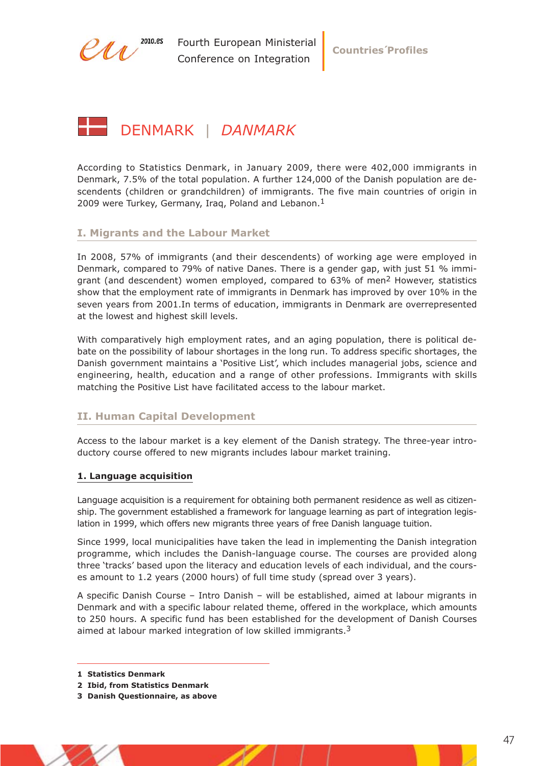



According to Statistics Denmark, in January 2009, there were 402,000 immigrants in Denmark, 7.5% of the total population. A further 124,000 of the Danish population are descendents (children or grandchildren) of immigrants. The five main countries of origin in 2009 were Turkey, Germany, Iraq, Poland and Lebanon. $1$ 

## **I. Migrants and the Labour Market**

In 2008, 57% of immigrants (and their descendents) of working age were employed in Denmark, compared to 79% of native Danes. There is a gender gap, with just 51 % immigrant (and descendent) women employed, compared to  $63\%$  of men<sup>2</sup> However, statistics show that the employment rate of immigrants in Denmark has improved by over 10% in the seven years from 2001.In terms of education, immigrants in Denmark are overrepresented at the lowest and highest skill levels.

With comparatively high employment rates, and an aging population, there is political debate on the possibility of labour shortages in the long run. To address specific shortages, the Danish government maintains a 'Positive List', which includes managerial jobs, science and engineering, health, education and a range of other professions. Immigrants with skills matching the Positive List have facilitated access to the labour market.

## **II. Human Capital Development**

Access to the labour market is a key element of the Danish strategy. The three-year introductory course offered to new migrants includes labour market training.

#### **1. Language acquisition**

Language acquisition is a requirement for obtaining both permanent residence as well as citizenship. The government established a framework for language learning as part of integration legislation in 1999, which offers new migrants three years of free Danish language tuition.

Since 1999, local municipalities have taken the lead in implementing the Danish integration programme, which includes the Danish-language course. The courses are provided along three 'tracks' based upon the literacy and education levels of each individual, and the courses amount to 1.2 years (2000 hours) of full time study (spread over 3 years).

A specific Danish Course – Intro Danish – will be established, aimed at labour migrants in Denmark and with a specific labour related theme, offered in the workplace, which amounts to 250 hours. A specific fund has been established for the development of Danish Courses aimed at labour marked integration of low skilled immigrants.<sup>3</sup>

- **1 Statistics Denmark**
- **2 Ibid, from Statistics Denmark**
- **3 Danish Questionnaire, as above**

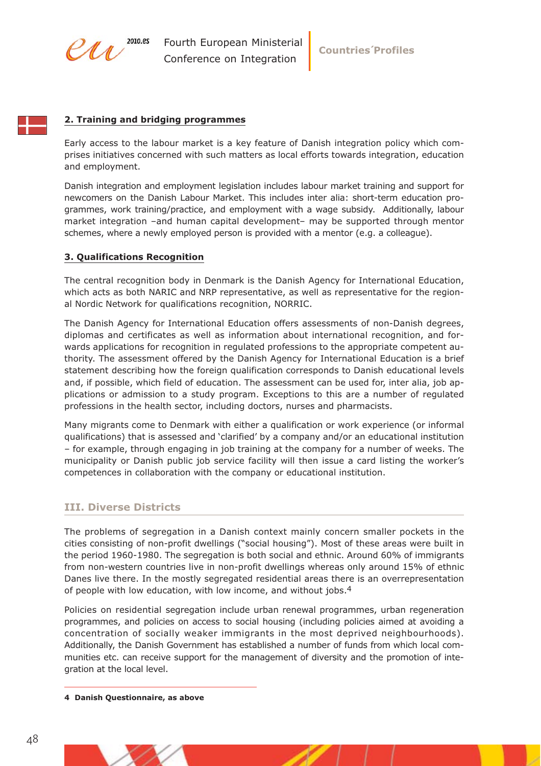

#### **2. Training and bridging programmes**

Early access to the labour market is a key feature of Danish integration policy which comprises initiatives concerned with such matters as local efforts towards integration, education and employment.

Danish integration and employment legislation includes labour market training and support for newcomers on the Danish Labour Market. This includes inter alia: short-term education programmes, work training/practice, and employment with a wage subsidy. Additionally, labour market integration –and human capital development– may be supported through mentor schemes, where a newly employed person is provided with a mentor (e.g. a colleague).

#### **3. Qualifications Recognition**

The central recognition body in Denmark is the Danish Agency for International Education, which acts as both NARIC and NRP representative, as well as representative for the regional Nordic Network for qualifications recognition, NORRIC.

The Danish Agency for International Education offers assessments of non-Danish degrees, diplomas and certificates as well as information about international recognition, and forwards applications for recognition in regulated professions to the appropriate competent authority. The assessment offered by the Danish Agency for International Education is a brief statement describing how the foreign qualification corresponds to Danish educational levels and, if possible, which field of education. The assessment can be used for, inter alia, job applications or admission to a study program. Exceptions to this are a number of regulated professions in the health sector, including doctors, nurses and pharmacists.

Many migrants come to Denmark with either a qualification or work experience (or informal qualifications) that is assessed and 'clarified' by a company and/or an educational institution – for example, through engaging in job training at the company for a number of weeks. The municipality or Danish public job service facility will then issue a card listing the worker's competences in collaboration with the company or educational institution.

## **III. Diverse Districts**

The problems of segregation in a Danish context mainly concern smaller pockets in the cities consisting of non-profit dwellings ("social housing"). Most of these areas were built in the period 1960-1980. The segregation is both social and ethnic. Around 60% of immigrants from non-western countries live in non-profit dwellings whereas only around 15% of ethnic Danes live there. In the mostly segregated residential areas there is an overrepresentation of people with low education, with low income, and without jobs.4

Policies on residential segregation include urban renewal programmes, urban regeneration programmes, and policies on access to social housing (including policies aimed at avoiding a concentration of socially weaker immigrants in the most deprived neighbourhoods). Additionally, the Danish Government has established a number of funds from which local communities etc. can receive support for the management of diversity and the promotion of integration at the local level.

**4 Danish Questionnaire, as above**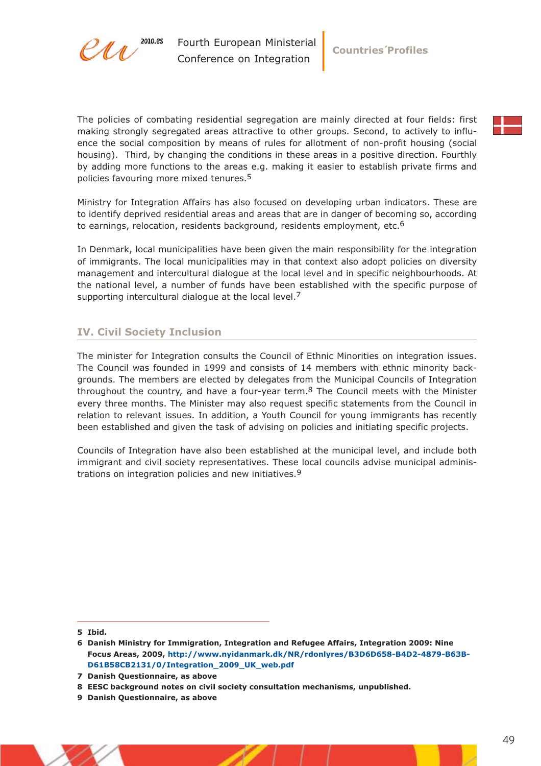

The policies of combating residential segregation are mainly directed at four fields: first making strongly segregated areas attractive to other groups. Second, to actively to influence the social composition by means of rules for allotment of non-profit housing (social housing). Third, by changing the conditions in these areas in a positive direction. Fourthly by adding more functions to the areas e.g. making it easier to establish private firms and policies favouring more mixed tenures.5

Ministry for Integration Affairs has also focused on developing urban indicators. These are to identify deprived residential areas and areas that are in danger of becoming so, according to earnings, relocation, residents background, residents employment, etc.<sup>6</sup>

In Denmark, local municipalities have been given the main responsibility for the integration of immigrants. The local municipalities may in that context also adopt policies on diversity management and intercultural dialogue at the local level and in specific neighbourhoods. At the national level, a number of funds have been established with the specific purpose of supporting intercultural dialogue at the local level.<sup>7</sup>

## **IV. Civil Society Inclusion**

The minister for Integration consults the Council of Ethnic Minorities on integration issues. The Council was founded in 1999 and consists of 14 members with ethnic minority backgrounds. The members are elected by delegates from the Municipal Councils of Integration throughout the country, and have a four-year term. $8$  The Council meets with the Minister every three months. The Minister may also request specific statements from the Council in relation to relevant issues. In addition, a Youth Council for young immigrants has recently been established and given the task of advising on policies and initiating specific projects.

Councils of Integration have also been established at the municipal level, and include both immigrant and civil society representatives. These local councils advise municipal administrations on integration policies and new initiatives.9

**5 Ibid.**



**<sup>6</sup> Danish Ministry for Immigration, Integration and Refugee Affairs, Integration 2009: Nine Focus Areas, 2009, http://www.nyidanmark.dk/NR/rdonlyres/B3D6D658-B4D2-4879-B63B-D61B58CB2131/0/Integration\_2009\_UK\_web.pdf**

**<sup>7</sup> Danish Questionnaire, as above**

**<sup>8</sup> EESC background notes on civil society consultation mechanisms, unpublished.** 

**<sup>9</sup> Danish Questionnaire, as above**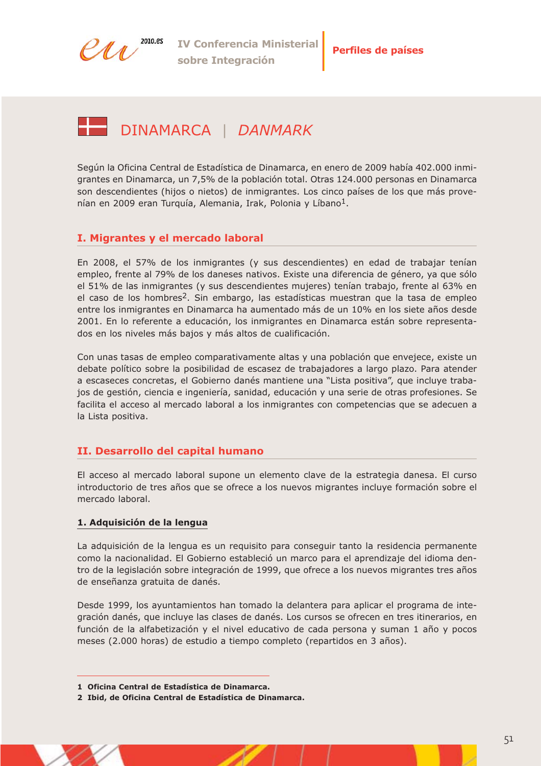



Según la Oficina Central de Estadística de Dinamarca, en enero de 2009 había 402.000 inmigrantes en Dinamarca, un 7,5% de la población total. Otras 124.000 personas en Dinamarca son descendientes (hijos o nietos) de inmigrantes. Los cinco países de los que más provenían en 2009 eran Turquía, Alemania, Irak, Polonia y Líbano<sup>1</sup>.

## **I. Migrantes y el mercado laboral**

En 2008, el 57% de los inmigrantes (y sus descendientes) en edad de trabajar tenían empleo, frente al 79% de los daneses nativos. Existe una diferencia de género, ya que sólo el 51% de las inmigrantes (y sus descendientes mujeres) tenían trabajo, frente al 63% en el caso de los hombres2. Sin embargo, las estadísticas muestran que la tasa de empleo entre los inmigrantes en Dinamarca ha aumentado más de un 10% en los siete años desde 2001. En lo referente a educación, los inmigrantes en Dinamarca están sobre representados en los niveles más bajos y más altos de cualificación.

Con unas tasas de empleo comparativamente altas y una población que envejece, existe un debate político sobre la posibilidad de escasez de trabajadores a largo plazo. Para atender a escaseces concretas, el Gobierno danés mantiene una "Lista positiva", que incluye trabajos de gestión, ciencia e ingeniería, sanidad, educación y una serie de otras profesiones. Se facilita el acceso al mercado laboral a los inmigrantes con competencias que se adecuen a la Lista positiva.

#### **II. Desarrollo del capital humano**

El acceso al mercado laboral supone un elemento clave de la estrategia danesa. El curso introductorio de tres años que se ofrece a los nuevos migrantes incluye formación sobre el mercado laboral.

#### **1. Adquisición de la lengua**

La adquisición de la lengua es un requisito para conseguir tanto la residencia permanente como la nacionalidad. El Gobierno estableció un marco para el aprendizaje del idioma dentro de la legislación sobre integración de 1999, que ofrece a los nuevos migrantes tres años de enseñanza gratuita de danés.

Desde 1999, los ayuntamientos han tomado la delantera para aplicar el programa de integración danés, que incluye las clases de danés. Los cursos se ofrecen en tres itinerarios, en función de la alfabetización y el nivel educativo de cada persona y suman 1 año y pocos meses (2.000 horas) de estudio a tiempo completo (repartidos en 3 años).



**<sup>1</sup> Oficina Central de Estadística de Dinamarca.**

**<sup>2</sup> Ibid, de Oficina Central de Estadística de Dinamarca.**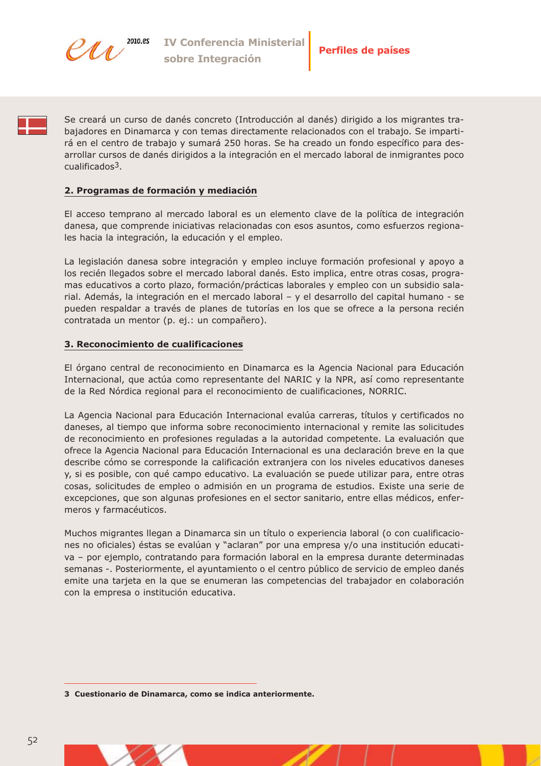

Se creará un curso de danés concreto (Introducción al danés) dirigido a los migrantes trabajadores en Dinamarca y con temas directamente relacionados con el trabajo. Se impartirá en el centro de trabajo y sumará 250 horas. Se ha creado un fondo específico para desarrollar cursos de danés dirigidos a la integración en el mercado laboral de inmigrantes poco cualificados3.

#### **2. Programas de formación y mediación**

El acceso temprano al mercado laboral es un elemento clave de la política de integración danesa, que comprende iniciativas relacionadas con esos asuntos, como esfuerzos regionales hacia la integración, la educación y el empleo.

La legislación danesa sobre integración y empleo incluye formación profesional y apoyo a los recién llegados sobre el mercado laboral danés. Esto implica, entre otras cosas, programas educativos a corto plazo, formación/prácticas laborales y empleo con un subsidio salarial. Además, la integración en el mercado laboral – y el desarrollo del capital humano - se pueden respaldar a través de planes de tutorías en los que se ofrece a la persona recién contratada un mentor (p. ej.: un compañero).

#### **3. Reconocimiento de cualificaciones**

El órgano central de reconocimiento en Dinamarca es la Agencia Nacional para Educación Internacional, que actúa como representante del NARIC y la NPR, así como representante de la Red Nórdica regional para el reconocimiento de cualificaciones, NORRIC.

La Agencia Nacional para Educación Internacional evalúa carreras, títulos y certificados no daneses, al tiempo que informa sobre reconocimiento internacional y remite las solicitudes de reconocimiento en profesiones reguladas a la autoridad competente. La evaluación que ofrece la Agencia Nacional para Educación Internacional es una declaración breve en la que describe cómo se corresponde la calificación extranjera con los niveles educativos daneses y, si es posible, con qué campo educativo. La evaluación se puede utilizar para, entre otras cosas, solicitudes de empleo o admisión en un programa de estudios. Existe una serie de excepciones, que son algunas profesiones en el sector sanitario, entre ellas médicos, enfermeros y farmacéuticos.

Muchos migrantes llegan a Dinamarca sin un título o experiencia laboral (o con cualificaciones no oficiales) éstas se evalúan y "aclaran" por una empresa y/o una institución educativa – por ejemplo, contratando para formación laboral en la empresa durante determinadas semanas -. Posteriormente, el ayuntamiento o el centro público de servicio de empleo danés emite una tarjeta en la que se enumeran las competencias del trabajador en colaboración con la empresa o institución educativa.

**<sup>3</sup> Cuestionario de Dinamarca, como se indica anteriormente.**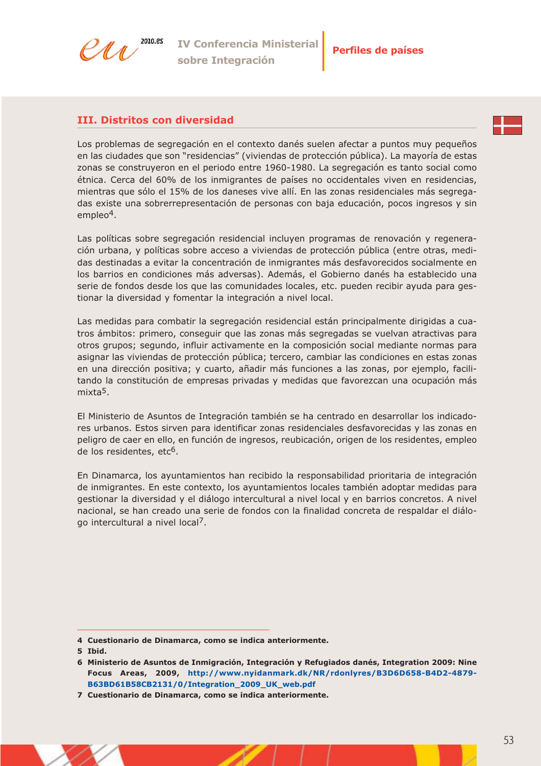

## **III. Distritos con diversidad**

Los problemas de segregación en el contexto danés suelen afectar a puntos muy pequeños en las ciudades que son "residencias" (viviendas de protección pública). La mayoría de estas zonas se construyeron en el periodo entre 1960-1980. La segregación es tanto social como étnica. Cerca del 60% de los inmigrantes de países no occidentales viven en residencias, mientras que sólo el 15% de los daneses vive allí. En las zonas residenciales más segregadas existe una sobrerrepresentación de personas con baja educación, pocos ingresos y sin  $empleo<sup>4</sup>$ .

Las políticas sobre segregación residencial incluyen programas de renovación y regeneración urbana, y políticas sobre acceso a viviendas de protección pública (entre otras, medidas destinadas a evitar la concentración de inmigrantes más desfavorecidos socialmente en los barrios en condiciones más adversas). Además, el Gobierno danés ha establecido una serie de fondos desde los que las comunidades locales, etc. pueden recibir ayuda para gestionar la diversidad y fomentar la integración a nivel local.

Las medidas para combatir la segregación residencial están principalmente dirigidas a cuatros ámbitos: primero, conseguir que las zonas más segregadas se vuelvan atractivas para otros grupos; segundo, influir activamente en la composición social mediante normas para asignar las viviendas de protección pública; tercero, cambiar las condiciones en estas zonas en una dirección positiva; y cuarto, añadir más funciones a las zonas, por ejemplo, facilitando la constitución de empresas privadas y medidas que favorezcan una ocupación más mixta5.

El Ministerio de Asuntos de Integración también se ha centrado en desarrollar los indicadores urbanos. Estos sirven para identificar zonas residenciales desfavorecidas y las zonas en peligro de caer en ello, en función de ingresos, reubicación, origen de los residentes, empleo de los residentes, etc<sup>6</sup>.

En Dinamarca, los ayuntamientos han recibido la responsabilidad prioritaria de integración de inmigrantes. En este contexto, los ayuntamientos locales también adoptar medidas para gestionar la diversidad y el diálogo intercultural a nivel local y en barrios concretos. A nivel nacional, se han creado una serie de fondos con la finalidad concreta de respaldar el diálogo intercultural a nivel local7.



**<sup>4</sup> Cuestionario de Dinamarca, como se indica anteriormente.**

**<sup>5</sup> Ibid.**

**<sup>6</sup> Ministerio de Asuntos de Inmigración, Integración y Refugiados danés, Integration 2009: Nine Focus Areas, 2009, http://www.nyidanmark.dk/NR/rdonlyres/B3D6D658-B4D2-4879- B63BD61B58CB2131/0/Integration\_2009\_UK\_web.pdf**

**<sup>7</sup> Cuestionario de Dinamarca, como se indica anteriormente.**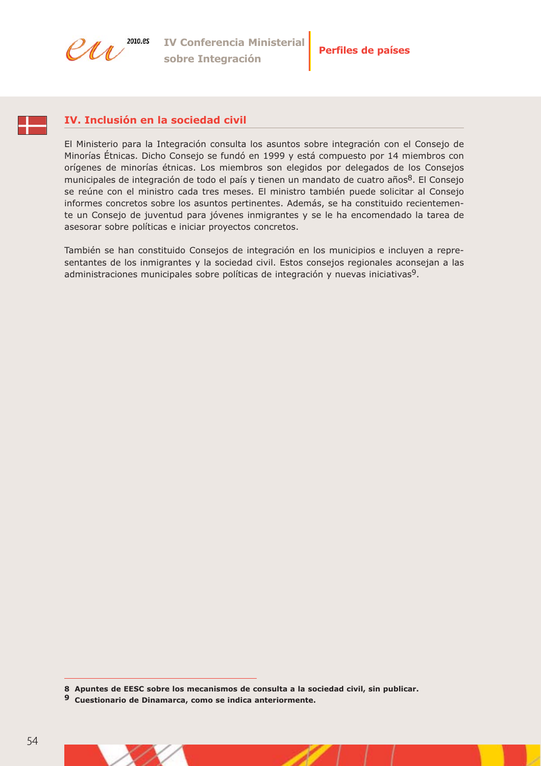

## **IV. Inclusión en la sociedad civil**

El Ministerio para la Integración consulta los asuntos sobre integración con el Consejo de Minorías Étnicas. Dicho Consejo se fundó en 1999 y está compuesto por 14 miembros con orígenes de minorías étnicas. Los miembros son elegidos por delegados de los Consejos municipales de integración de todo el país y tienen un mandato de cuatro años8. El Consejo se reúne con el ministro cada tres meses. El ministro también puede solicitar al Consejo informes concretos sobre los asuntos pertinentes. Además, se ha constituido recientemente un Consejo de juventud para jóvenes inmigrantes y se le ha encomendado la tarea de asesorar sobre políticas e iniciar proyectos concretos.

También se han constituido Consejos de integración en los municipios e incluyen a representantes de los inmigrantes y la sociedad civil. Estos consejos regionales aconsejan a las administraciones municipales sobre políticas de integración y nuevas iniciativas<sup>9</sup>.

**<sup>8</sup> Apuntes de EESC sobre los mecanismos de consulta a la sociedad civil, sin publicar.**

**<sup>9</sup> Cuestionario de Dinamarca, como se indica anteriormente.**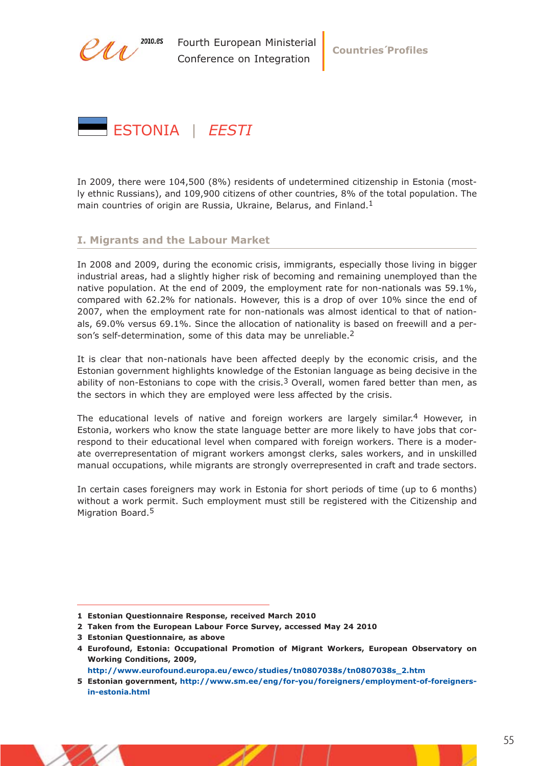



In 2009, there were 104,500 (8%) residents of undetermined citizenship in Estonia (mostly ethnic Russians), and 109,900 citizens of other countries, 8% of the total population. The main countries of origin are Russia, Ukraine, Belarus, and Finland.<sup>1</sup>

## **I. Migrants and the Labour Market**

In 2008 and 2009, during the economic crisis, immigrants, especially those living in bigger industrial areas, had a slightly higher risk of becoming and remaining unemployed than the native population. At the end of 2009, the employment rate for non-nationals was 59.1%, compared with 62.2% for nationals. However, this is a drop of over 10% since the end of 2007, when the employment rate for non-nationals was almost identical to that of nationals, 69.0% versus 69.1%. Since the allocation of nationality is based on freewill and a person's self-determination, some of this data may be unreliable.<sup>2</sup>

It is clear that non-nationals have been affected deeply by the economic crisis, and the Estonian government highlights knowledge of the Estonian language as being decisive in the ability of non-Estonians to cope with the crisis.<sup>3</sup> Overall, women fared better than men, as the sectors in which they are employed were less affected by the crisis.

The educational levels of native and foreign workers are largely similar.<sup>4</sup> However, in Estonia, workers who know the state language better are more likely to have jobs that correspond to their educational level when compared with foreign workers. There is a moderate overrepresentation of migrant workers amongst clerks, sales workers, and in unskilled manual occupations, while migrants are strongly overrepresented in craft and trade sectors.

In certain cases foreigners may work in Estonia for short periods of time (up to 6 months) without a work permit. Such employment must still be registered with the Citizenship and Migration Board.5

**<sup>1</sup> Estonian Questionnaire Response, received March 2010**

**<sup>2</sup> Taken from the European Labour Force Survey, accessed May 24 2010**

**<sup>3</sup> Estonian Questionnaire, as above**

**<sup>4</sup> Eurofound, Estonia: Occupational Promotion of Migrant Workers, European Observatory on Working Conditions, 2009,**

**http://www.eurofound.europa.eu/ewco/studies/tn0807038s/tn0807038s\_2.htm**

**<sup>5</sup> Estonian government, http://www.sm.ee/eng/for-you/foreigners/employment-of-foreignersin-estonia.html**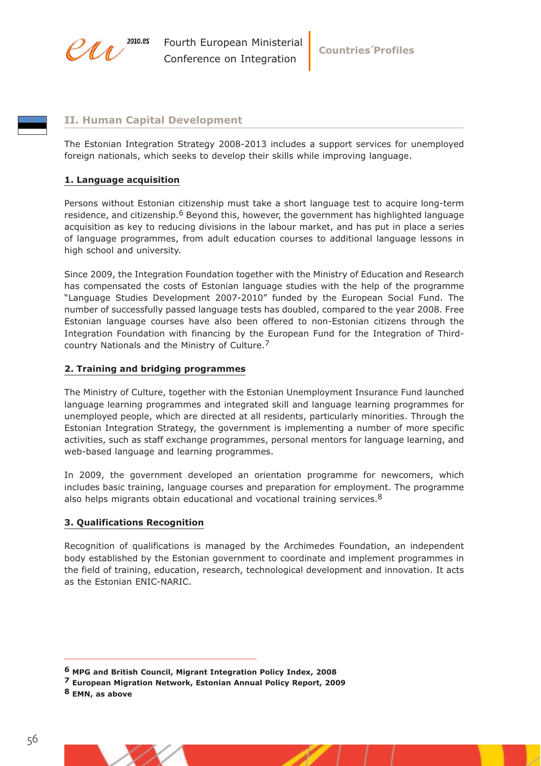

## **II. Human Capital Development**

The Estonian Integration Strategy 2008-2013 includes a support services for unemployed foreign nationals, which seeks to develop their skills while improving language.

#### **1. Language acquisition**

Persons without Estonian citizenship must take a short language test to acquire long-term residence, and citizenship.<sup>6</sup> Beyond this, however, the government has highlighted language acquisition as key to reducing divisions in the labour market, and has put in place a series of language programmes, from adult education courses to additional language lessons in high school and university.

Since 2009, the Integration Foundation together with the Ministry of Education and Research has compensated the costs of Estonian language studies with the help of the programme "Language Studies Development 2007-2010" funded by the European Social Fund. The number of successfully passed language tests has doubled, compared to the year 2008. Free Estonian language courses have also been offered to non-Estonian citizens through the Integration Foundation with financing by the European Fund for the Integration of Thirdcountry Nationals and the Ministry of Culture.7

### **2. Training and bridging programmes**

The Ministry of Culture, together with the Estonian Unemployment Insurance Fund launched language learning programmes and integrated skill and language learning programmes for unemployed people, which are directed at all residents, particularly minorities. Through the Estonian Integration Strategy, the government is implementing a number of more specific activities, such as staff exchange programmes, personal mentors for language learning, and web-based language and learning programmes.

In 2009, the government developed an orientation programme for newcomers, which includes basic training, language courses and preparation for employment. The programme also helps migrants obtain educational and vocational training services.<sup>8</sup>

#### **3. Qualifications Recognition**

Recognition of qualifications is managed by the Archimedes Foundation, an independent body established by the Estonian government to coordinate and implement programmes in the field of training, education, research, technological development and innovation. It acts as the Estonian ENIC-NARIC.

**<sup>6</sup> MPG and British Council, Migrant Integration Policy Index, 2008**

**<sup>7</sup> European Migration Network, Estonian Annual Policy Report, 2009**

**<sup>8</sup> EMN, as above**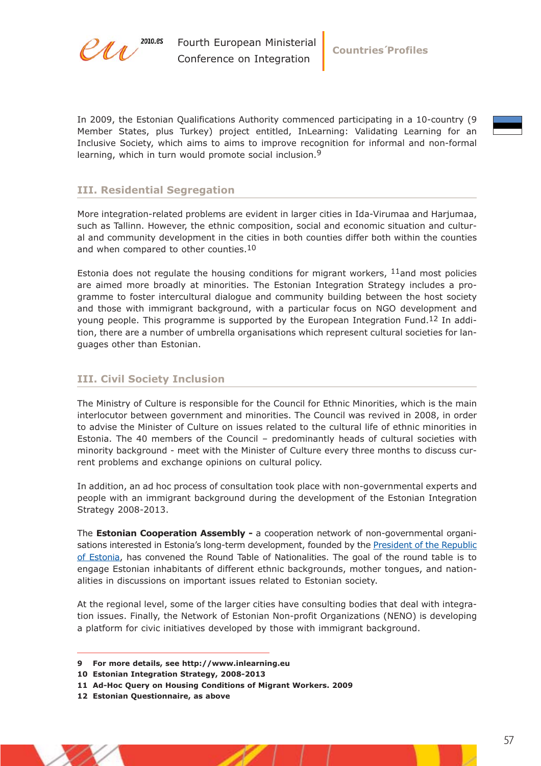

In 2009, the Estonian Qualifications Authority commenced participating in a 10-country (9 Member States, plus Turkey) project entitled, InLearning: Validating Learning for an Inclusive Society, which aims to aims to improve recognition for informal and non-formal learning, which in turn would promote social inclusion.<sup>9</sup>

## **III. Residential Segregation**

More integration-related problems are evident in larger cities in Ida-Virumaa and Harjumaa, such as Tallinn. However, the ethnic composition, social and economic situation and cultural and community development in the cities in both counties differ both within the counties and when compared to other counties.<sup>10</sup>

Estonia does not regulate the housing conditions for migrant workers,  $11$  and most policies are aimed more broadly at minorities. The Estonian Integration Strategy includes a programme to foster intercultural dialogue and community building between the host society and those with immigrant background, with a particular focus on NGO development and young people. This programme is supported by the European Integration Fund.<sup>12</sup> In addition, there are a number of umbrella organisations which represent cultural societies for languages other than Estonian.

## **III. Civil Society Inclusion**

The Ministry of Culture is responsible for the Council for Ethnic Minorities, which is the main interlocutor between government and minorities. The Council was revived in 2008, in order to advise the Minister of Culture on issues related to the cultural life of ethnic minorities in Estonia. The 40 members of the Council – predominantly heads of cultural societies with minority background - meet with the Minister of Culture every three months to discuss current problems and exchange opinions on cultural policy.

In addition, an ad hoc process of consultation took place with non-governmental experts and people with an immigrant background during the development of the Estonian Integration Strategy 2008-2013.

The **Estonian Cooperation Assembly -** a cooperation network of non-governmental organisations interested in Estonia's long-term development, founded by the President of the Republic of Estonia, has convened the Round Table of Nationalities. The goal of the round table is to engage Estonian inhabitants of different ethnic backgrounds, mother tongues, and nationalities in discussions on important issues related to Estonian society.

At the regional level, some of the larger cities have consulting bodies that deal with integration issues. Finally, the Network of Estonian Non-profit Organizations (NENO) is developing a platform for civic initiatives developed by those with immigrant background.

- **9 For more details, see http://www.inlearning.eu**
- **10 Estonian Integration Strategy, 2008-2013**
- **11 Ad-Hoc Query on Housing Conditions of Migrant Workers. 2009**
- **12 Estonian Questionnaire, as above**

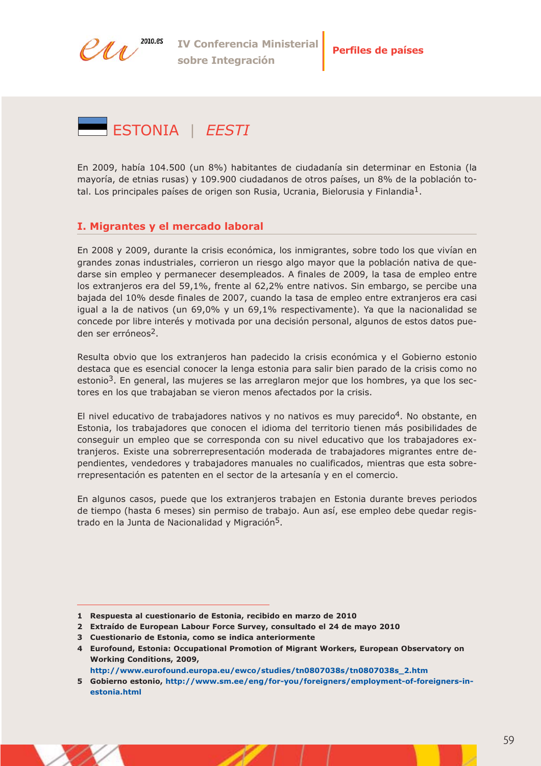



En 2009, había 104.500 (un 8%) habitantes de ciudadanía sin determinar en Estonia (la mayoría, de etnias rusas) y 109.900 ciudadanos de otros países, un 8% de la población total. Los principales países de origen son Rusia, Ucrania, Bielorusia y Finlandia<sup>1</sup>.

## **I. Migrantes y el mercado laboral**

En 2008 y 2009, durante la crisis económica, los inmigrantes, sobre todo los que vivían en grandes zonas industriales, corrieron un riesgo algo mayor que la población nativa de quedarse sin empleo y permanecer desempleados. A finales de 2009, la tasa de empleo entre los extranjeros era del 59,1%, frente al 62,2% entre nativos. Sin embargo, se percibe una bajada del 10% desde finales de 2007, cuando la tasa de empleo entre extranjeros era casi igual a la de nativos (un 69,0% y un 69,1% respectivamente). Ya que la nacionalidad se concede por libre interés y motivada por una decisión personal, algunos de estos datos pueden ser erróneos<sup>2</sup>.

Resulta obvio que los extranjeros han padecido la crisis económica y el Gobierno estonio destaca que es esencial conocer la lenga estonia para salir bien parado de la crisis como no estonio<sup>3</sup>. En general, las mujeres se las arreglaron mejor que los hombres, ya que los sectores en los que trabajaban se vieron menos afectados por la crisis.

El nivel educativo de trabajadores nativos y no nativos es muy parecido<sup>4</sup>. No obstante, en Estonia, los trabajadores que conocen el idioma del territorio tienen más posibilidades de conseguir un empleo que se corresponda con su nivel educativo que los trabajadores extranjeros. Existe una sobrerrepresentación moderada de trabajadores migrantes entre dependientes, vendedores y trabajadores manuales no cualificados, mientras que esta sobrerrepresentación es patenten en el sector de la artesanía y en el comercio.

En algunos casos, puede que los extranjeros trabajen en Estonia durante breves periodos de tiempo (hasta 6 meses) sin permiso de trabajo. Aun así, ese empleo debe quedar registrado en la Junta de Nacionalidad y Migración5.

- **2 Extraído de European Labour Force Survey, consultado el 24 de mayo 2010**
- **3 Cuestionario de Estonia, como se indica anteriormente**
- **4 Eurofound, Estonia: Occupational Promotion of Migrant Workers, European Observatory on Working Conditions, 2009,**

**<sup>1</sup> Respuesta al cuestionario de Estonia, recibido en marzo de 2010**

**http://www.eurofound.europa.eu/ewco/studies/tn0807038s/tn0807038s\_2.htm**

**<sup>5</sup> Gobierno estonio, http://www.sm.ee/eng/for-you/foreigners/employment-of-foreigners-inestonia.html**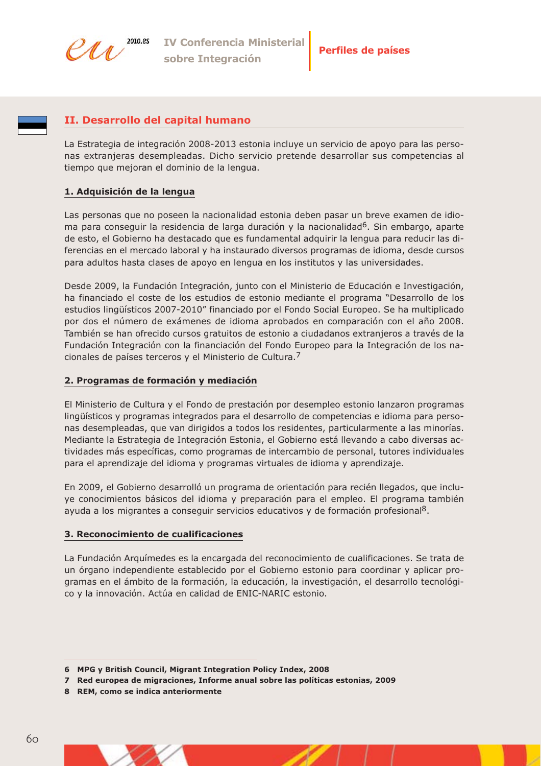

## **II. Desarrollo del capital humano**

La Estrategia de integración 2008-2013 estonia incluye un servicio de apoyo para las personas extranjeras desempleadas. Dicho servicio pretende desarrollar sus competencias al tiempo que mejoran el dominio de la lengua.

#### **1. Adquisición de la lengua**

Las personas que no poseen la nacionalidad estonia deben pasar un breve examen de idioma para conseguir la residencia de larga duración y la nacionalidad<sup>6</sup>. Sin embargo, aparte de esto, el Gobierno ha destacado que es fundamental adquirir la lengua para reducir las diferencias en el mercado laboral y ha instaurado diversos programas de idioma, desde cursos para adultos hasta clases de apoyo en lengua en los institutos y las universidades.

Desde 2009, la Fundación Integración, junto con el Ministerio de Educación e Investigación, ha financiado el coste de los estudios de estonio mediante el programa "Desarrollo de los estudios lingüísticos 2007-2010" financiado por el Fondo Social Europeo. Se ha multiplicado por dos el número de exámenes de idioma aprobados en comparación con el año 2008. También se han ofrecido cursos gratuitos de estonio a ciudadanos extranjeros a través de la Fundación Integración con la financiación del Fondo Europeo para la Integración de los nacionales de países terceros y el Ministerio de Cultura.7

#### **2. Programas de formación y mediación**

El Ministerio de Cultura y el Fondo de prestación por desempleo estonio lanzaron programas lingüísticos y programas integrados para el desarrollo de competencias e idioma para personas desempleadas, que van dirigidos a todos los residentes, particularmente a las minorías. Mediante la Estrategia de Integración Estonia, el Gobierno está llevando a cabo diversas actividades más específicas, como programas de intercambio de personal, tutores individuales para el aprendizaje del idioma y programas virtuales de idioma y aprendizaje.

En 2009, el Gobierno desarrolló un programa de orientación para recién llegados, que incluye conocimientos básicos del idioma y preparación para el empleo. El programa también ayuda a los migrantes a conseguir servicios educativos y de formación profesional8.

#### **3. Reconocimiento de cualificaciones**

La Fundación Arquímedes es la encargada del reconocimiento de cualificaciones. Se trata de un órgano independiente establecido por el Gobierno estonio para coordinar y aplicar programas en el ámbito de la formación, la educación, la investigación, el desarrollo tecnológico y la innovación. Actúa en calidad de ENIC-NARIC estonio.

**<sup>6</sup> MPG y British Council, Migrant Integration Policy Index, 2008**

**<sup>7</sup> Red europea de migraciones, Informe anual sobre las políticas estonias, 2009**

**<sup>8</sup> REM, como se indica anteriormente**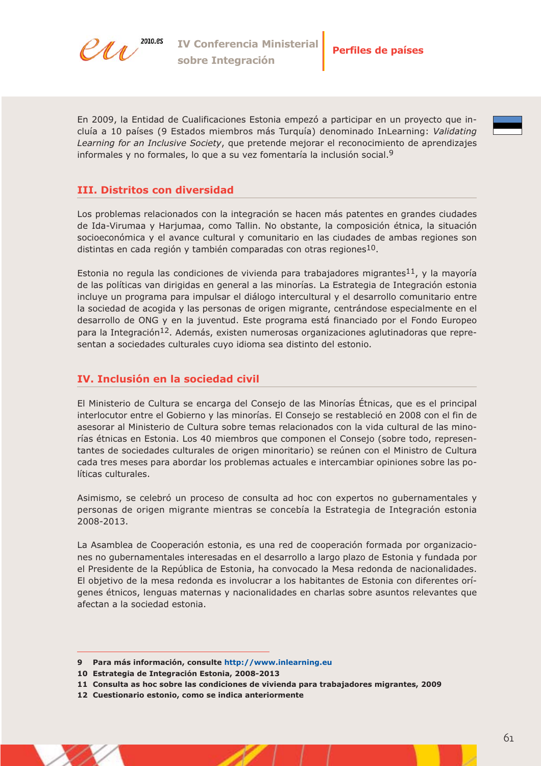

En 2009, la Entidad de Cualificaciones Estonia empezó a participar en un proyecto que incluía a 10 países (9 Estados miembros más Turquía) denominado InLearning: *Validating Learning for an Inclusive Society*, que pretende mejorar el reconocimiento de aprendizajes informales y no formales, lo que a su vez fomentaría la inclusión social.9

#### **III. Distritos con diversidad**

Los problemas relacionados con la integración se hacen más patentes en grandes ciudades de Ida-Virumaa y Harjumaa, como Tallin. No obstante, la composición étnica, la situación socioeconómica y el avance cultural y comunitario en las ciudades de ambas regiones son distintas en cada región y también comparadas con otras regiones<sup>10</sup>.

Estonia no regula las condiciones de vivienda para trabajadores migrantes<sup>11</sup>, y la mayoría de las políticas van dirigidas en general a las minorías. La Estrategia de Integración estonia incluye un programa para impulsar el diálogo intercultural y el desarrollo comunitario entre la sociedad de acogida y las personas de origen migrante, centrándose especialmente en el desarrollo de ONG y en la juventud. Este programa está financiado por el Fondo Europeo para la Integración<sup>12</sup>. Además, existen numerosas organizaciones aglutinadoras que representan a sociedades culturales cuyo idioma sea distinto del estonio.

## **IV. Inclusión en la sociedad civil**

El Ministerio de Cultura se encarga del Consejo de las Minorías Étnicas, que es el principal interlocutor entre el Gobierno y las minorías. El Consejo se restableció en 2008 con el fin de asesorar al Ministerio de Cultura sobre temas relacionados con la vida cultural de las minorías étnicas en Estonia. Los 40 miembros que componen el Consejo (sobre todo, representantes de sociedades culturales de origen minoritario) se reúnen con el Ministro de Cultura cada tres meses para abordar los problemas actuales e intercambiar opiniones sobre las políticas culturales.

Asimismo, se celebró un proceso de consulta ad hoc con expertos no gubernamentales y personas de origen migrante mientras se concebía la Estrategia de Integración estonia 2008-2013.

La Asamblea de Cooperación estonia, es una red de cooperación formada por organizaciones no gubernamentales interesadas en el desarrollo a largo plazo de Estonia y fundada por el Presidente de la República de Estonia, ha convocado la Mesa redonda de nacionalidades. El objetivo de la mesa redonda es involucrar a los habitantes de Estonia con diferentes orígenes étnicos, lenguas maternas y nacionalidades en charlas sobre asuntos relevantes que afectan a la sociedad estonia.

- **9 Para más información, consulte http://www.inlearning.eu**
- **10 Estrategia de Integración Estonia, 2008-2013**
- **11 Consulta as hoc sobre las condiciones de vivienda para trabajadores migrantes, 2009**
- **12 Cuestionario estonio, como se indica anteriormente**

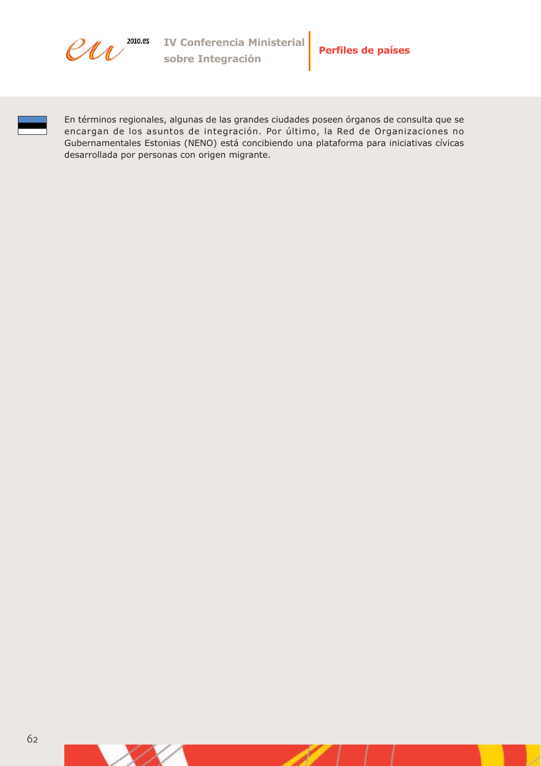

**IV Conferencia Ministerial sobre Integración Perfiles de países**

En términos regionales, algunas de las grandes ciudades poseen órganos de consulta que se encargan de los asuntos de integración. Por último, la Red de Organizaciones no Gubernamentales Estonias (NENO) está concibiendo una plataforma para iniciativas cívicas desarrollada por personas con origen migrante.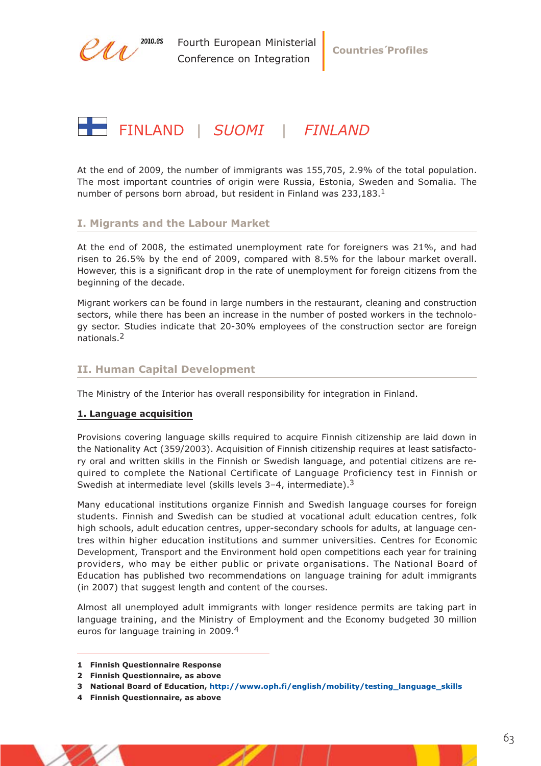



At the end of 2009, the number of immigrants was 155,705, 2.9% of the total population. The most important countries of origin were Russia, Estonia, Sweden and Somalia. The number of persons born abroad, but resident in Finland was 233,183.1

#### **I. Migrants and the Labour Market**

At the end of 2008, the estimated unemployment rate for foreigners was 21%, and had risen to 26.5% by the end of 2009, compared with 8.5% for the labour market overall. However, this is a significant drop in the rate of unemployment for foreign citizens from the beginning of the decade.

Migrant workers can be found in large numbers in the restaurant, cleaning and construction sectors, while there has been an increase in the number of posted workers in the technology sector. Studies indicate that 20-30% employees of the construction sector are foreign nationals.2

## **II. Human Capital Development**

The Ministry of the Interior has overall responsibility for integration in Finland.

#### **1. Language acquisition**

Provisions covering language skills required to acquire Finnish citizenship are laid down in the Nationality Act (359/2003). Acquisition of Finnish citizenship requires at least satisfactory oral and written skills in the Finnish or Swedish language, and potential citizens are required to complete the National Certificate of Language Proficiency test in Finnish or Swedish at intermediate level (skills levels  $3-4$ , intermediate).<sup>3</sup>

Many educational institutions organize Finnish and Swedish language courses for foreign students. Finnish and Swedish can be studied at vocational adult education centres, folk high schools, adult education centres, upper-secondary schools for adults, at language centres within higher education institutions and summer universities. Centres for Economic Development, Transport and the Environment hold open competitions each year for training providers, who may be either public or private organisations. The National Board of Education has published two recommendations on language training for adult immigrants (in 2007) that suggest length and content of the courses.

Almost all unemployed adult immigrants with longer residence permits are taking part in language training, and the Ministry of Employment and the Economy budgeted 30 million euros for language training in 2009.4

- **1 Finnish Questionnaire Response**
- **2 Finnish Questionnaire, as above**
- **3 National Board of Education, http://www.oph.fi/english/mobility/testing\_language\_skills**
- **4 Finnish Questionnaire, as above**

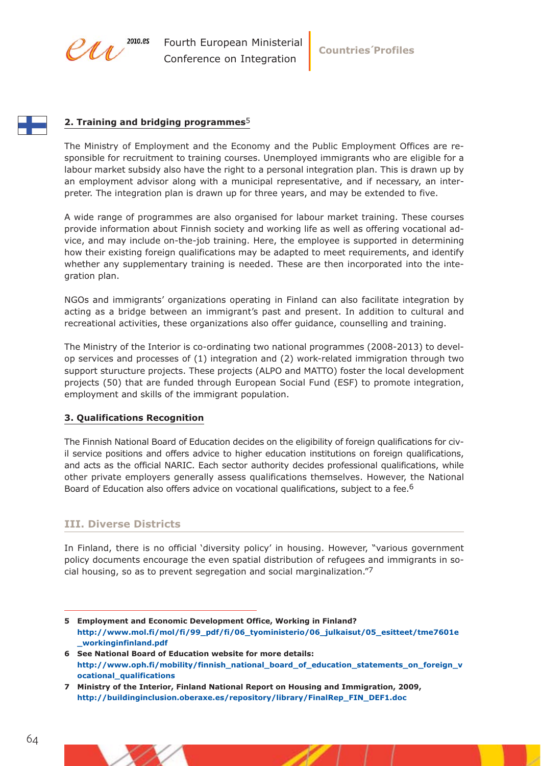

## **2. Training and bridging programmes**5

The Ministry of Employment and the Economy and the Public Employment Offices are responsible for recruitment to training courses. Unemployed immigrants who are eligible for a labour market subsidy also have the right to a personal integration plan. This is drawn up by an employment advisor along with a municipal representative, and if necessary, an interpreter. The integration plan is drawn up for three years, and may be extended to five.

A wide range of programmes are also organised for labour market training. These courses provide information about Finnish society and working life as well as offering vocational advice, and may include on-the-job training. Here, the employee is supported in determining how their existing foreign qualifications may be adapted to meet requirements, and identify whether any supplementary training is needed. These are then incorporated into the integration plan.

NGOs and immigrants' organizations operating in Finland can also facilitate integration by acting as a bridge between an immigrant's past and present. In addition to cultural and recreational activities, these organizations also offer guidance, counselling and training.

The Ministry of the Interior is co-ordinating two national programmes (2008-2013) to develop services and processes of (1) integration and (2) work-related immigration through two support sturucture projects. These projects (ALPO and MATTO) foster the local development projects (50) that are funded through European Social Fund (ESF) to promote integration, employment and skills of the immigrant population.

## **3. Qualifications Recognition**

The Finnish National Board of Education decides on the eligibility of foreign qualifications for civil service positions and offers advice to higher education institutions on foreign qualifications, and acts as the official NARIC. Each sector authority decides professional qualifications, while other private employers generally assess qualifications themselves. However, the National Board of Education also offers advice on vocational qualifications, subject to a fee.<sup>6</sup>

## **III. Diverse Districts**

In Finland, there is no official 'diversity policy' in housing. However, "various government policy documents encourage the even spatial distribution of refugees and immigrants in social housing, so as to prevent segregation and social marginalization."7

**<sup>5</sup> Employment and Economic Development Office, Working in Finland? http://www.mol.fi/mol/fi/99\_pdf/fi/06\_tyoministerio/06\_julkaisut/05\_esitteet/tme7601e \_workinginfinland.pdf**

**<sup>6</sup> See National Board of Education website for more details: http://www.oph.fi/mobility/finnish\_national\_board\_of\_education\_statements\_on\_foreign\_v ocational\_qualifications**

**<sup>7</sup> Ministry of the Interior, Finland National Report on Housing and Immigration, 2009, http://buildinginclusion.oberaxe.es/repository/library/FinalRep\_FIN\_DEF1.doc**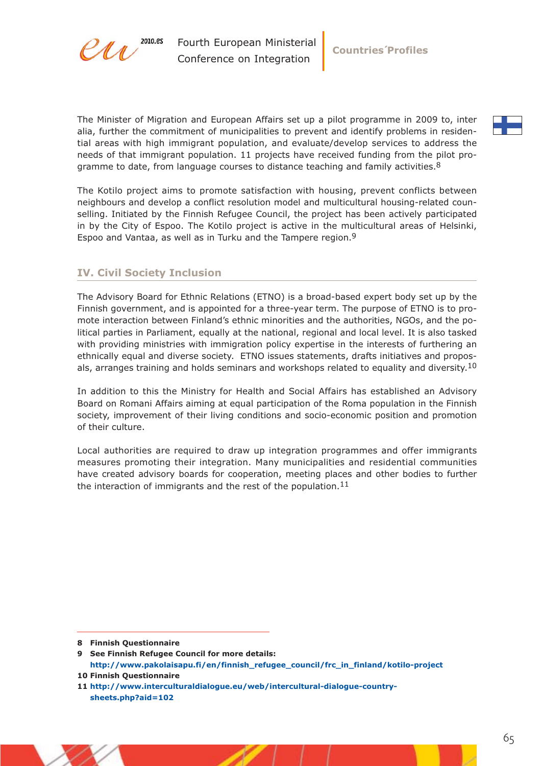

The Minister of Migration and European Affairs set up a pilot programme in 2009 to, inter alia, further the commitment of municipalities to prevent and identify problems in residential areas with high immigrant population, and evaluate/develop services to address the needs of that immigrant population. 11 projects have received funding from the pilot programme to date, from language courses to distance teaching and family activities. $8$ 

The Kotilo project aims to promote satisfaction with housing, prevent conflicts between neighbours and develop a conflict resolution model and multicultural housing-related counselling. Initiated by the Finnish Refugee Council, the project has been actively participated in by the City of Espoo. The Kotilo project is active in the multicultural areas of Helsinki, Espoo and Vantaa, as well as in Turku and the Tampere region.9

## **IV. Civil Society Inclusion**

The Advisory Board for Ethnic Relations (ETNO) is a broad-based expert body set up by the Finnish government, and is appointed for a three-year term. The purpose of ETNO is to promote interaction between Finland's ethnic minorities and the authorities, NGOs, and the political parties in Parliament, equally at the national, regional and local level. It is also tasked with providing ministries with immigration policy expertise in the interests of furthering an ethnically equal and diverse society. ETNO issues statements, drafts initiatives and proposals, arranges training and holds seminars and workshops related to equality and diversity.<sup>10</sup>

In addition to this the Ministry for Health and Social Affairs has established an Advisory Board on Romani Affairs aiming at equal participation of the Roma population in the Finnish society, improvement of their living conditions and socio-economic position and promotion of their culture.

Local authorities are required to draw up integration programmes and offer immigrants measures promoting their integration. Many municipalities and residential communities have created advisory boards for cooperation, meeting places and other bodies to further the interaction of immigrants and the rest of the population.<sup>11</sup>



**<sup>8</sup> Finnish Questionnaire**

**<sup>9</sup> See Finnish Refugee Council for more details: http://www.pakolaisapu.fi/en/finnish\_refugee\_council/frc\_in\_finland/kotilo-project**

**<sup>10</sup> Finnish Questionnaire**

**<sup>11</sup> http://www.interculturaldialogue.eu/web/intercultural-dialogue-countrysheets.php?aid=102**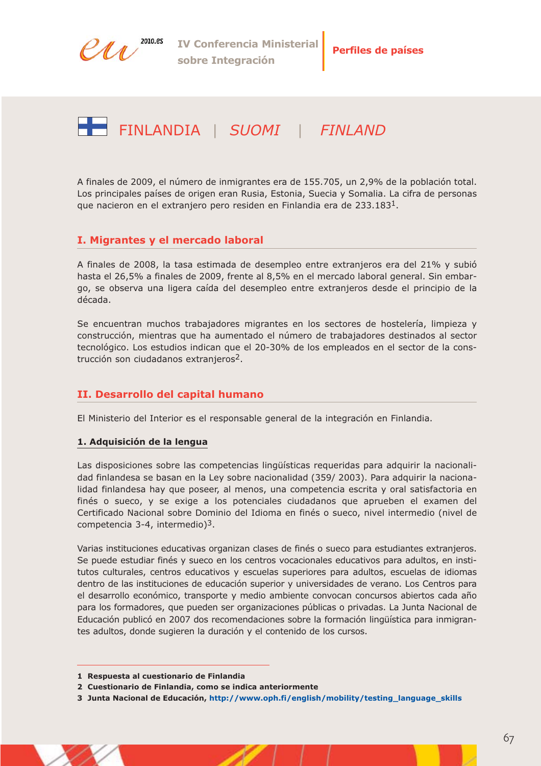

# FINLANDIA | *SUOMI* | *FINLAND*

A finales de 2009, el número de inmigrantes era de 155.705, un 2,9% de la población total. Los principales países de origen eran Rusia, Estonia, Suecia y Somalia. La cifra de personas que nacieron en el extranjero pero residen en Finlandia era de 233.1831.

## **I. Migrantes y el mercado laboral**

A finales de 2008, la tasa estimada de desempleo entre extranjeros era del 21% y subió hasta el 26,5% a finales de 2009, frente al 8,5% en el mercado laboral general. Sin embargo, se observa una ligera caída del desempleo entre extranjeros desde el principio de la década.

Se encuentran muchos trabajadores migrantes en los sectores de hostelería, limpieza y construcción, mientras que ha aumentado el número de trabajadores destinados al sector tecnológico. Los estudios indican que el 20-30% de los empleados en el sector de la construcción son ciudadanos extranjeros2.

## **II. Desarrollo del capital humano**

El Ministerio del Interior es el responsable general de la integración en Finlandia.

#### **1. Adquisición de la lengua**

Las disposiciones sobre las competencias lingüísticas requeridas para adquirir la nacionalidad finlandesa se basan en la Ley sobre nacionalidad (359/ 2003). Para adquirir la nacionalidad finlandesa hay que poseer, al menos, una competencia escrita y oral satisfactoria en finés o sueco, y se exige a los potenciales ciudadanos que aprueben el examen del Certificado Nacional sobre Dominio del Idioma en finés o sueco, nivel intermedio (nivel de competencia 3-4, intermedio)3.

Varias instituciones educativas organizan clases de finés o sueco para estudiantes extranjeros. Se puede estudiar finés y sueco en los centros vocacionales educativos para adultos, en institutos culturales, centros educativos y escuelas superiores para adultos, escuelas de idiomas dentro de las instituciones de educación superior y universidades de verano. Los Centros para el desarrollo económico, transporte y medio ambiente convocan concursos abiertos cada año para los formadores, que pueden ser organizaciones públicas o privadas. La Junta Nacional de Educación publicó en 2007 dos recomendaciones sobre la formación lingüística para inmigrantes adultos, donde sugieren la duración y el contenido de los cursos.



**<sup>1</sup> Respuesta al cuestionario de Finlandia**

**<sup>2</sup> Cuestionario de Finlandia, como se indica anteriormente**

**<sup>3</sup> Junta Nacional de Educación, http://www.oph.fi/english/mobility/testing\_language\_skills**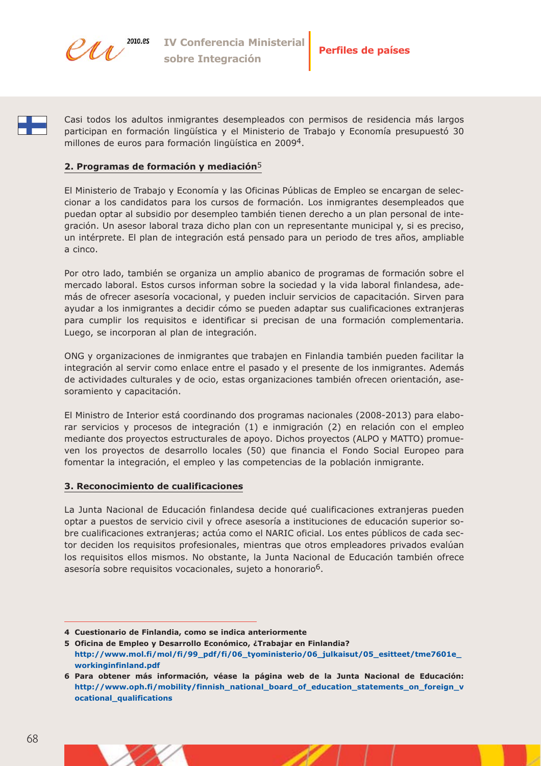



Casi todos los adultos inmigrantes desempleados con permisos de residencia más largos participan en formación lingüística y el Ministerio de Trabajo y Economía presupuestó 30 millones de euros para formación lingüística en 20094.

#### **2. Programas de formación y mediación**5

El Ministerio de Trabajo y Economía y las Oficinas Públicas de Empleo se encargan de seleccionar a los candidatos para los cursos de formación. Los inmigrantes desempleados que puedan optar al subsidio por desempleo también tienen derecho a un plan personal de integración. Un asesor laboral traza dicho plan con un representante municipal y, si es preciso, un intérprete. El plan de integración está pensado para un periodo de tres años, ampliable a cinco.

Por otro lado, también se organiza un amplio abanico de programas de formación sobre el mercado laboral. Estos cursos informan sobre la sociedad y la vida laboral finlandesa, además de ofrecer asesoría vocacional, y pueden incluir servicios de capacitación. Sirven para ayudar a los inmigrantes a decidir cómo se pueden adaptar sus cualificaciones extranjeras para cumplir los requisitos e identificar si precisan de una formación complementaria. Luego, se incorporan al plan de integración.

ONG y organizaciones de inmigrantes que trabajen en Finlandia también pueden facilitar la integración al servir como enlace entre el pasado y el presente de los inmigrantes. Además de actividades culturales y de ocio, estas organizaciones también ofrecen orientación, asesoramiento y capacitación.

El Ministro de Interior está coordinando dos programas nacionales (2008-2013) para elaborar servicios y procesos de integración (1) e inmigración (2) en relación con el empleo mediante dos proyectos estructurales de apoyo. Dichos proyectos (ALPO y MATTO) promueven los proyectos de desarrollo locales (50) que financia el Fondo Social Europeo para fomentar la integración, el empleo y las competencias de la población inmigrante.

#### **3. Reconocimiento de cualificaciones**

La Junta Nacional de Educación finlandesa decide qué cualificaciones extranjeras pueden optar a puestos de servicio civil y ofrece asesoría a instituciones de educación superior sobre cualificaciones extranjeras; actúa como el NARIC oficial. Los entes públicos de cada sector deciden los requisitos profesionales, mientras que otros empleadores privados evalúan los requisitos ellos mismos. No obstante, la Junta Nacional de Educación también ofrece asesoría sobre requisitos vocacionales, sujeto a honorario6.

**<sup>4</sup> Cuestionario de Finlandia, como se indica anteriormente**

**<sup>5</sup> Oficina de Empleo y Desarrollo Económico, ¿Trabajar en Finlandia? http://www.mol.fi/mol/fi/99\_pdf/fi/06\_tyoministerio/06\_julkaisut/05\_esitteet/tme7601e\_ workinginfinland.pdf**

**<sup>6</sup> Para obtener más información, véase la página web de la Junta Nacional de Educación: http://www.oph.fi/mobility/finnish\_national\_board\_of\_education\_statements\_on\_foreign\_v ocational\_qualifications**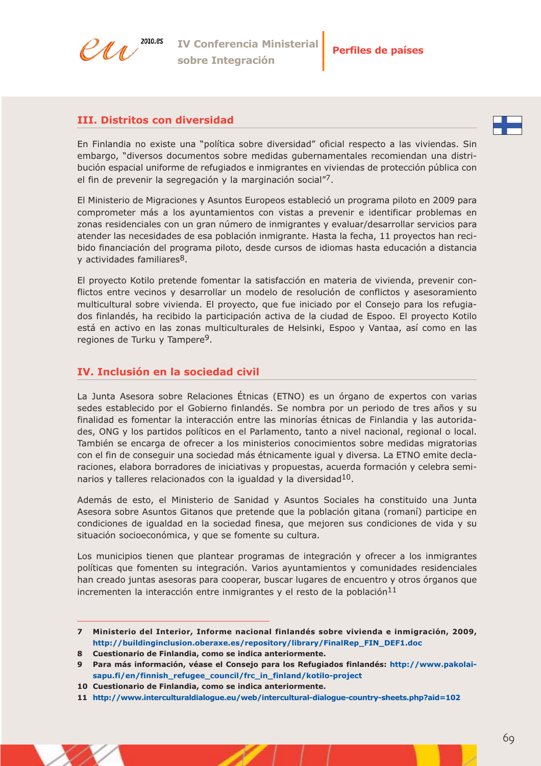

## **III. Distritos con diversidad**

En Finlandia no existe una "política sobre diversidad" oficial respecto a las viviendas. Sin embargo, "diversos documentos sobre medidas gubernamentales recomiendan una distribución espacial uniforme de refugiados e inmigrantes en viviendas de protección pública con el fin de prevenir la segregación y la marginación social"7.

El Ministerio de Migraciones y Asuntos Europeos estableció un programa piloto en 2009 para comprometer más a los ayuntamientos con vistas a prevenir e identificar problemas en zonas residenciales con un gran número de inmigrantes y evaluar/desarrollar servicios para atender las necesidades de esa población inmigrante. Hasta la fecha, 11 proyectos han recibido financiación del programa piloto, desde cursos de idiomas hasta educación a distancia y actividades familiares<sup>8</sup>.

El proyecto Kotilo pretende fomentar la satisfacción en materia de vivienda, prevenir conflictos entre vecinos y desarrollar un modelo de resolución de conflictos y asesoramiento multicultural sobre vivienda. El proyecto, que fue iniciado por el Consejo para los refugiados finlandés, ha recibido la participación activa de la ciudad de Espoo. El proyecto Kotilo está en activo en las zonas multiculturales de Helsinki, Espoo y Vantaa, así como en las regiones de Turku y Tampere<sup>9</sup>.

## **IV. Inclusión en la sociedad civil**

La Junta Asesora sobre Relaciones Étnicas (ETNO) es un órgano de expertos con varias sedes establecido por el Gobierno finlandés. Se nombra por un periodo de tres años y su finalidad es fomentar la interacción entre las minorías étnicas de Finlandia y las autoridades, ONG y los partidos políticos en el Parlamento, tanto a nivel nacional, regional o local. También se encarga de ofrecer a los ministerios conocimientos sobre medidas migratorias con el fin de conseguir una sociedad más étnicamente igual y diversa. La ETNO emite declaraciones, elabora borradores de iniciativas y propuestas, acuerda formación y celebra seminarios y talleres relacionados con la igualdad y la diversidad $10$ .

Además de esto, el Ministerio de Sanidad y Asuntos Sociales ha constituido una Junta Asesora sobre Asuntos Gitanos que pretende que la población gitana (romaní) participe en condiciones de igualdad en la sociedad finesa, que mejoren sus condiciones de vida y su situación socioeconómica, y que se fomente su cultura.

Los municipios tienen que plantear programas de integración y ofrecer a los inmigrantes políticas que fomenten su integración. Varios ayuntamientos y comunidades residenciales han creado juntas asesoras para cooperar, buscar lugares de encuentro y otros órganos que incrementen la interacción entre inmigrantes y el resto de la población $11$ 

**10 Cuestionario de Finlandia, como se indica anteriormente.**

**<sup>7</sup> Ministerio del Interior, Informe nacional finlandés sobre vivienda e inmigración, 2009, http://buildinginclusion.oberaxe.es/repository/library/FinalRep\_FIN\_DEF1.doc**

**<sup>8</sup> Cuestionario de Finlandia, como se indica anteriormente.**

**<sup>9</sup> Para más información, véase el Consejo para los Refugiados finlandés: http://www.pakolaisapu.fi/en/finnish\_refugee\_council/frc\_in\_finland/kotilo-project**

**<sup>11</sup> http://www.interculturaldialogue.eu/web/intercultural-dialogue-country-sheets.php?aid=102**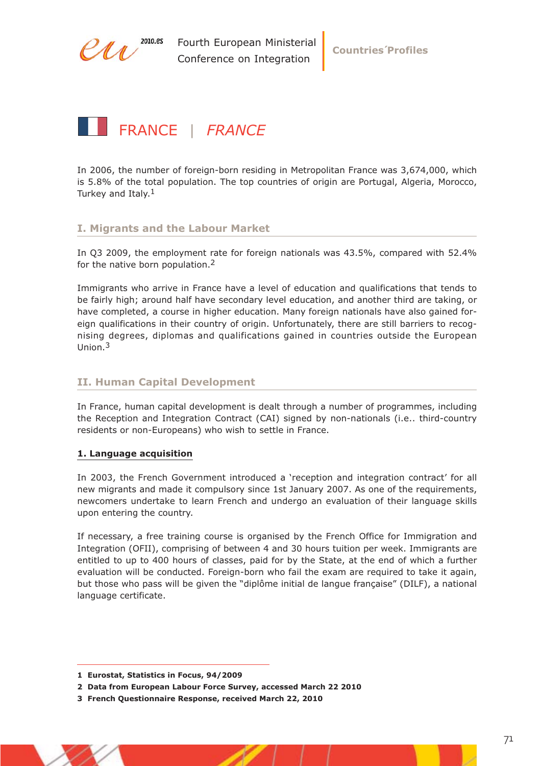



In 2006, the number of foreign-born residing in Metropolitan France was 3,674,000, which is 5.8% of the total population. The top countries of origin are Portugal, Algeria, Morocco, Turkey and Italy.1

# **I. Migrants and the Labour Market**

In Q3 2009, the employment rate for foreign nationals was 43.5%, compared with 52.4% for the native born population.2

Immigrants who arrive in France have a level of education and qualifications that tends to be fairly high; around half have secondary level education, and another third are taking, or have completed, a course in higher education. Many foreign nationals have also gained foreign qualifications in their country of origin. Unfortunately, there are still barriers to recognising degrees, diplomas and qualifications gained in countries outside the European Union.3

# **II. Human Capital Development**

In France, human capital development is dealt through a number of programmes, including the Reception and Integration Contract (CAI) signed by non-nationals (i.e.. third-country residents or non-Europeans) who wish to settle in France.

## **1. Language acquisition**

In 2003, the French Government introduced a 'reception and integration contract' for all new migrants and made it compulsory since 1st January 2007. As one of the requirements, newcomers undertake to learn French and undergo an evaluation of their language skills upon entering the country.

If necessary, a free training course is organised by the French Office for Immigration and Integration (OFII), comprising of between 4 and 30 hours tuition per week. Immigrants are entitled to up to 400 hours of classes, paid for by the State, at the end of which a further evaluation will be conducted. Foreign-born who fail the exam are required to take it again, but those who pass will be given the "diplôme initial de langue française" (DILF), a national language certificate.

**<sup>3</sup> French Questionnaire Response, received March 22, 2010**



**<sup>1</sup> Eurostat, Statistics in Focus, 94/2009**

**<sup>2</sup> Data from European Labour Force Survey, accessed March 22 2010**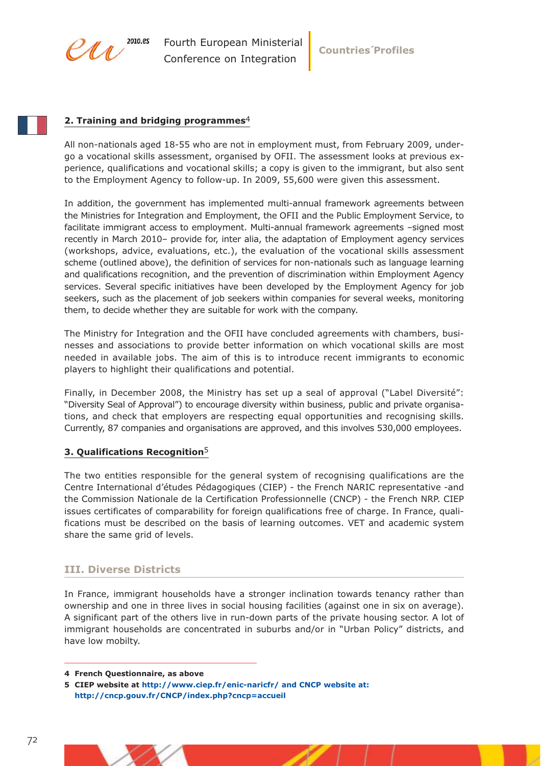

# **2. Training and bridging programmes**4

All non-nationals aged 18-55 who are not in employment must, from February 2009, undergo a vocational skills assessment, organised by OFII. The assessment looks at previous experience, qualifications and vocational skills; a copy is given to the immigrant, but also sent to the Employment Agency to follow-up. In 2009, 55,600 were given this assessment.

In addition, the government has implemented multi-annual framework agreements between the Ministries for Integration and Employment, the OFII and the Public Employment Service, to facilitate immigrant access to employment. Multi-annual framework agreements –signed most recently in March 2010– provide for, inter alia, the adaptation of Employment agency services (workshops, advice, evaluations, etc.), the evaluation of the vocational skills assessment scheme (outlined above), the definition of services for non-nationals such as language learning and qualifications recognition, and the prevention of discrimination within Employment Agency services. Several specific initiatives have been developed by the Employment Agency for job seekers, such as the placement of job seekers within companies for several weeks, monitoring them, to decide whether they are suitable for work with the company.

The Ministry for Integration and the OFII have concluded agreements with chambers, businesses and associations to provide better information on which vocational skills are most needed in available jobs. The aim of this is to introduce recent immigrants to economic players to highlight their qualifications and potential.

Finally, in December 2008, the Ministry has set up a seal of approval ("Label Diversité": "Diversity Seal of Approval") to encourage diversity within business, public and private organisations, and check that employers are respecting equal opportunities and recognising skills. Currently, 87 companies and organisations are approved, and this involves 530,000 employees.

## **3. Qualifications Recognition**5

The two entities responsible for the general system of recognising qualifications are the Centre International d'études Pédagogiques (CIEP) - the French NARIC representative -and the Commission Nationale de la Certification Professionnelle (CNCP) - the French NRP. CIEP issues certificates of comparability for foreign qualifications free of charge. In France, qualifications must be described on the basis of learning outcomes. VET and academic system share the same grid of levels.

#### **III. Diverse Districts**

In France, immigrant households have a stronger inclination towards tenancy rather than ownership and one in three lives in social housing facilities (against one in six on average). A significant part of the others live in run-down parts of the private housing sector. A lot of immigrant households are concentrated in suburbs and/or in "Urban Policy" districts, and have low mobilty.

**4 French Questionnaire, as above**

**5 CIEP website at http://www.ciep.fr/enic-naricfr/ and CNCP website at: http://cncp.gouv.fr/CNCP/index.php?cncp=accueil**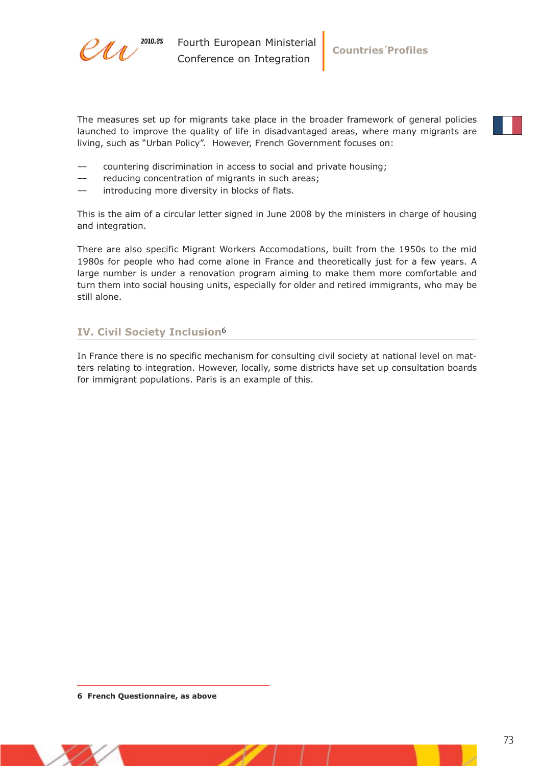

The measures set up for migrants take place in the broader framework of general policies launched to improve the quality of life in disadvantaged areas, where many migrants are living, such as "Urban Policy". However, French Government focuses on:

- countering discrimination in access to social and private housing;
- reducing concentration of migrants in such areas;
- introducing more diversity in blocks of flats.

This is the aim of a circular letter signed in June 2008 by the ministers in charge of housing and integration.

There are also specific Migrant Workers Accomodations, built from the 1950s to the mid 1980s for people who had come alone in France and theoretically just for a few years. A large number is under a renovation program aiming to make them more comfortable and turn them into social housing units, especially for older and retired immigrants, who may be still alone.

# **IV. Civil Society Inclusion**6

In France there is no specific mechanism for consulting civil society at national level on matters relating to integration. However, locally, some districts have set up consultation boards for immigrant populations. Paris is an example of this.



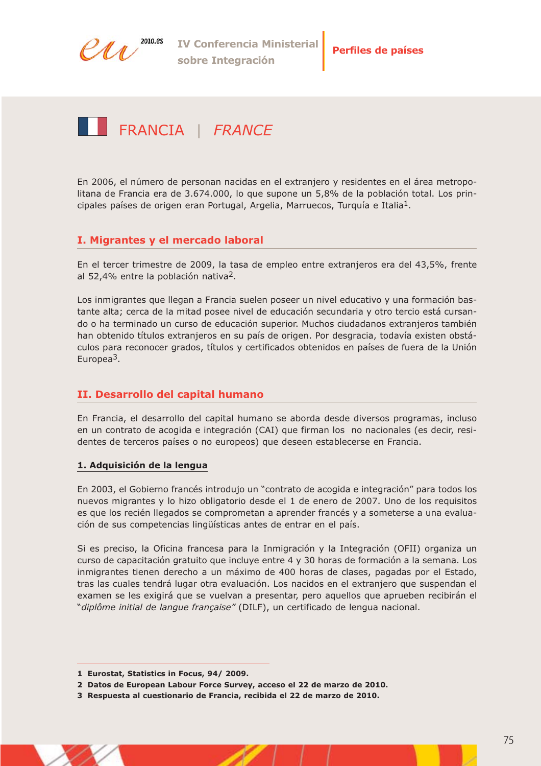



En 2006, el número de personan nacidas en el extranjero y residentes en el área metropolitana de Francia era de 3.674.000, lo que supone un 5,8% de la población total. Los principales países de origen eran Portugal, Argelia, Marruecos, Turquía e Italia<sup>1</sup>.

# **I. Migrantes y el mercado laboral**

En el tercer trimestre de 2009, la tasa de empleo entre extranjeros era del 43,5%, frente al 52,4% entre la población nativa2.

Los inmigrantes que llegan a Francia suelen poseer un nivel educativo y una formación bastante alta; cerca de la mitad posee nivel de educación secundaria y otro tercio está cursando o ha terminado un curso de educación superior. Muchos ciudadanos extranjeros también han obtenido títulos extranjeros en su país de origen. Por desgracia, todavía existen obstáculos para reconocer grados, títulos y certificados obtenidos en países de fuera de la Unión Europea<sup>3</sup>.

# **II. Desarrollo del capital humano**

En Francia, el desarrollo del capital humano se aborda desde diversos programas, incluso en un contrato de acogida e integración (CAI) que firman los no nacionales (es decir, residentes de terceros países o no europeos) que deseen establecerse en Francia.

## **1. Adquisición de la lengua**

En 2003, el Gobierno francés introdujo un "contrato de acogida e integración" para todos los nuevos migrantes y lo hizo obligatorio desde el 1 de enero de 2007. Uno de los requisitos es que los recién llegados se comprometan a aprender francés y a someterse a una evaluación de sus competencias lingüísticas antes de entrar en el país.

Si es preciso, la Oficina francesa para la Inmigración y la Integración (OFII) organiza un curso de capacitación gratuito que incluye entre 4 y 30 horas de formación a la semana. Los inmigrantes tienen derecho a un máximo de 400 horas de clases, pagadas por el Estado, tras las cuales tendrá lugar otra evaluación. Los nacidos en el extranjero que suspendan el examen se les exigirá que se vuelvan a presentar, pero aquellos que aprueben recibirán el "*diplôme initial de langue française"* (DILF), un certificado de lengua nacional.



**<sup>1</sup> Eurostat, Statistics in Focus, 94/ 2009.**

**<sup>2</sup> Datos de European Labour Force Survey, acceso el 22 de marzo de 2010.**

**<sup>3</sup> Respuesta al cuestionario de Francia, recibida el 22 de marzo de 2010.**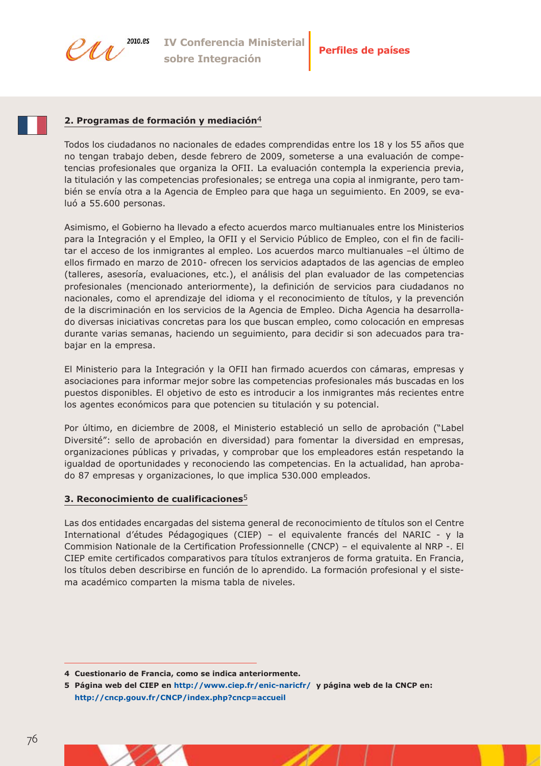

## **2. Programas de formación y mediación**4

Todos los ciudadanos no nacionales de edades comprendidas entre los 18 y los 55 años que no tengan trabajo deben, desde febrero de 2009, someterse a una evaluación de competencias profesionales que organiza la OFII. La evaluación contempla la experiencia previa, la titulación y las competencias profesionales; se entrega una copia al inmigrante, pero también se envía otra a la Agencia de Empleo para que haga un seguimiento. En 2009, se evaluó a 55.600 personas.

Asimismo, el Gobierno ha llevado a efecto acuerdos marco multianuales entre los Ministerios para la Integración y el Empleo, la OFII y el Servicio Público de Empleo, con el fin de facilitar el acceso de los inmigrantes al empleo. Los acuerdos marco multianuales –el último de ellos firmado en marzo de 2010- ofrecen los servicios adaptados de las agencias de empleo (talleres, asesoría, evaluaciones, etc.), el análisis del plan evaluador de las competencias profesionales (mencionado anteriormente), la definición de servicios para ciudadanos no nacionales, como el aprendizaje del idioma y el reconocimiento de títulos, y la prevención de la discriminación en los servicios de la Agencia de Empleo. Dicha Agencia ha desarrollado diversas iniciativas concretas para los que buscan empleo, como colocación en empresas durante varias semanas, haciendo un seguimiento, para decidir si son adecuados para trabajar en la empresa.

El Ministerio para la Integración y la OFII han firmado acuerdos con cámaras, empresas y asociaciones para informar mejor sobre las competencias profesionales más buscadas en los puestos disponibles. El objetivo de esto es introducir a los inmigrantes más recientes entre los agentes económicos para que potencien su titulación y su potencial.

Por último, en diciembre de 2008, el Ministerio estableció un sello de aprobación ("Label Diversité": sello de aprobación en diversidad) para fomentar la diversidad en empresas, organizaciones públicas y privadas, y comprobar que los empleadores están respetando la igualdad de oportunidades y reconociendo las competencias. En la actualidad, han aprobado 87 empresas y organizaciones, lo que implica 530.000 empleados.

#### **3. Reconocimiento de cualificaciones**5

Las dos entidades encargadas del sistema general de reconocimiento de títulos son el Centre International d'études Pédagogiques (CIEP) – el equivalente francés del NARIC - y la Commision Nationale de la Certification Professionnelle (CNCP) – el equivalente al NRP -. El CIEP emite certificados comparativos para títulos extranjeros de forma gratuita. En Francia, los títulos deben describirse en función de lo aprendido. La formación profesional y el sistema académico comparten la misma tabla de niveles.

**<sup>4</sup> Cuestionario de Francia, como se indica anteriormente.**

**<sup>5</sup> Página web del CIEP en http://www.ciep.fr/enic-naricfr/ y página web de la CNCP en: http://cncp.gouv.fr/CNCP/index.php?cncp=accueil**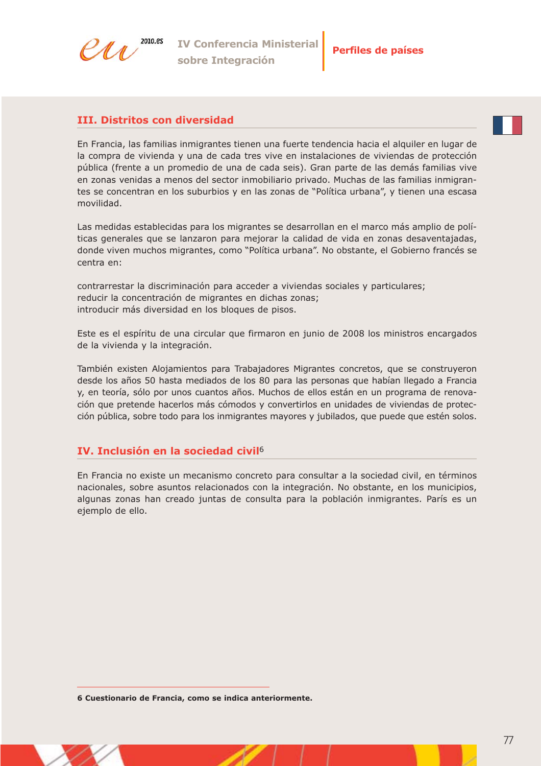

# **III. Distritos con diversidad**

En Francia, las familias inmigrantes tienen una fuerte tendencia hacia el alquiler en lugar de la compra de vivienda y una de cada tres vive en instalaciones de viviendas de protección pública (frente a un promedio de una de cada seis). Gran parte de las demás familias vive en zonas venidas a menos del sector inmobiliario privado. Muchas de las familias inmigrantes se concentran en los suburbios y en las zonas de "Política urbana", y tienen una escasa movilidad.

Las medidas establecidas para los migrantes se desarrollan en el marco más amplio de políticas generales que se lanzaron para mejorar la calidad de vida en zonas desaventajadas, donde viven muchos migrantes, como "Política urbana". No obstante, el Gobierno francés se centra en:

contrarrestar la discriminación para acceder a viviendas sociales y particulares; reducir la concentración de migrantes en dichas zonas; introducir más diversidad en los bloques de pisos.

Este es el espíritu de una circular que firmaron en junio de 2008 los ministros encargados de la vivienda y la integración.

También existen Alojamientos para Trabajadores Migrantes concretos, que se construyeron desde los años 50 hasta mediados de los 80 para las personas que habían llegado a Francia y, en teoría, sólo por unos cuantos años. Muchos de ellos están en un programa de renovación que pretende hacerlos más cómodos y convertirlos en unidades de viviendas de protección pública, sobre todo para los inmigrantes mayores y jubilados, que puede que estén solos.

# **IV. Inclusión en la sociedad civil**6

En Francia no existe un mecanismo concreto para consultar a la sociedad civil, en términos nacionales, sobre asuntos relacionados con la integración. No obstante, en los municipios, algunas zonas han creado juntas de consulta para la población inmigrantes. París es un ejemplo de ello.



**<sup>6</sup> Cuestionario de Francia, como se indica anteriormente.**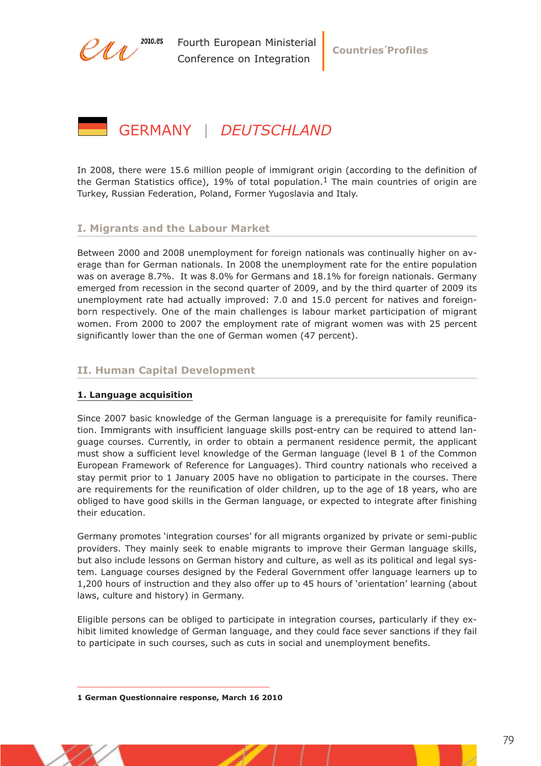



In 2008, there were 15.6 million people of immigrant origin (according to the definition of the German Statistics office), 19% of total population.<sup>1</sup> The main countries of origin are Turkey, Russian Federation, Poland, Former Yugoslavia and Italy.

# **I. Migrants and the Labour Market**

Between 2000 and 2008 unemployment for foreign nationals was continually higher on average than for German nationals. In 2008 the unemployment rate for the entire population was on average 8.7%. It was 8.0% for Germans and 18.1% for foreign nationals. Germany emerged from recession in the second quarter of 2009, and by the third quarter of 2009 its unemployment rate had actually improved: 7.0 and 15.0 percent for natives and foreignborn respectively. One of the main challenges is labour market participation of migrant women. From 2000 to 2007 the employment rate of migrant women was with 25 percent significantly lower than the one of German women (47 percent).

# **II. Human Capital Development**

## **1. Language acquisition**

Since 2007 basic knowledge of the German language is a prerequisite for family reunification. Immigrants with insufficient language skills post-entry can be required to attend language courses. Currently, in order to obtain a permanent residence permit, the applicant must show a sufficient level knowledge of the German language (level B 1 of the Common European Framework of Reference for Languages). Third country nationals who received a stay permit prior to 1 January 2005 have no obligation to participate in the courses. There are requirements for the reunification of older children, up to the age of 18 years, who are obliged to have good skills in the German language, or expected to integrate after finishing their education.

Germany promotes 'integration courses' for all migrants organized by private or semi-public providers. They mainly seek to enable migrants to improve their German language skills, but also include lessons on German history and culture, as well as its political and legal system. Language courses designed by the Federal Government offer language learners up to 1,200 hours of instruction and they also offer up to 45 hours of 'orientation' learning (about laws, culture and history) in Germany.

Eligible persons can be obliged to participate in integration courses, particularly if they exhibit limited knowledge of German language, and they could face sever sanctions if they fail to participate in such courses, such as cuts in social and unemployment benefits.

**1 German Questionnaire response, March 16 2010**

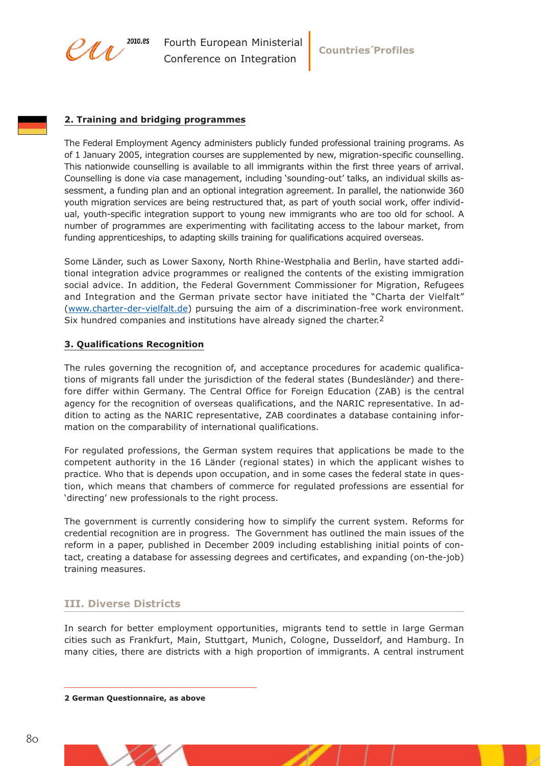

## **2. Training and bridging programmes**

The Federal Employment Agency administers publicly funded professional training programs. As of 1 January 2005, integration courses are supplemented by new, migration-specific counselling. This nationwide counselling is available to all immigrants within the first three years of arrival. Counselling is done via case management, including 'sounding-out' talks, an individual skills assessment, a funding plan and an optional integration agreement. In parallel, the nationwide 360 youth migration services are being restructured that, as part of youth social work, offer individual, youth-specific integration support to young new immigrants who are too old for school. A number of programmes are experimenting with facilitating access to the labour market, from funding apprenticeships, to adapting skills training for qualifications acquired overseas.

Some Länder, such as Lower Saxony, North Rhine-Westphalia and Berlin, have started additional integration advice programmes or realigned the contents of the existing immigration social advice. In addition, the Federal Government Commissioner for Migration, Refugees and Integration and the German private sector have initiated the "Charta der Vielfalt" (www.charter-der-vielfalt.de) pursuing the aim of a discrimination-free work environment. Six hundred companies and institutions have already signed the charter.2

#### **3. Qualifications Recognition**

The rules governing the recognition of, and acceptance procedures for academic qualifications of migrants fall under the jurisdiction of the federal states (Bundeslände*r*) and therefore differ within Germany. The Central Office for Foreign Education (ZAB) is the central agency for the recognition of overseas qualifications, and the NARIC representative. In addition to acting as the NARIC representative, ZAB coordinates a database containing information on the comparability of international qualifications.

For regulated professions, the German system requires that applications be made to the competent authority in the 16 Länder (regional states) in which the applicant wishes to practice. Who that is depends upon occupation, and in some cases the federal state in question, which means that chambers of commerce for regulated professions are essential for 'directing' new professionals to the right process.

The government is currently considering how to simplify the current system. Reforms for credential recognition are in progress. The Government has outlined the main issues of the reform in a paper, published in December 2009 including establishing initial points of contact, creating a database for assessing degrees and certificates, and expanding (on-the-job) training measures.

# **III. Diverse Districts**

In search for better employment opportunities, migrants tend to settle in large German cities such as Frankfurt, Main, Stuttgart, Munich, Cologne, Dusseldorf, and Hamburg. In many cities, there are districts with a high proportion of immigrants. A central instrument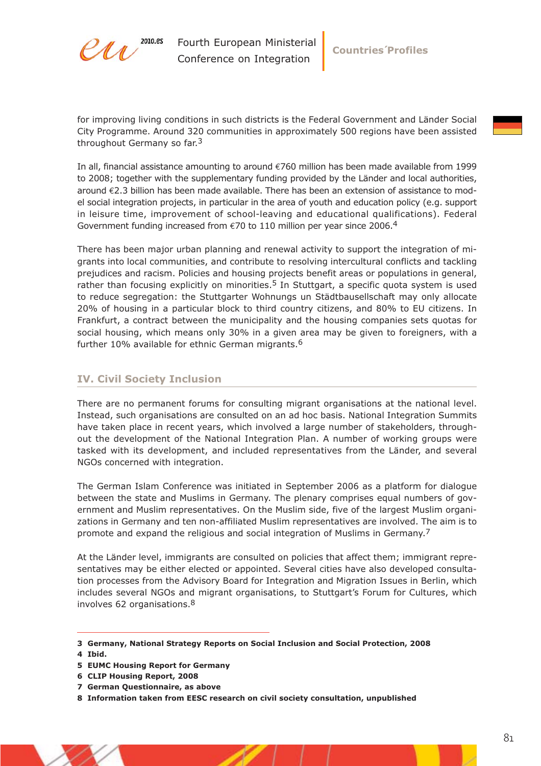

for improving living conditions in such districts is the Federal Government and Länder Social City Programme. Around 320 communities in approximately 500 regions have been assisted throughout Germany so far.3

In all, financial assistance amounting to around €760 million has been made available from 1999 to 2008; together with the supplementary funding provided by the Länder and local authorities, around €2.3 billion has been made available. There has been an extension of assistance to model social integration projects, in particular in the area of youth and education policy (e.g. support in leisure time, improvement of school-leaving and educational qualifications). Federal Government funding increased from  $\epsilon$ 70 to 110 million per year since 2006.<sup>4</sup>

There has been major urban planning and renewal activity to support the integration of migrants into local communities, and contribute to resolving intercultural conflicts and tackling prejudices and racism. Policies and housing projects benefit areas or populations in general, rather than focusing explicitly on minorities.<sup>5</sup> In Stuttgart, a specific quota system is used to reduce segregation: the Stuttgarter Wohnungs un Städtbausellschaft may only allocate 20% of housing in a particular block to third country citizens, and 80% to EU citizens. In Frankfurt, a contract between the municipality and the housing companies sets quotas for social housing, which means only 30% in a given area may be given to foreigners, with a further 10% available for ethnic German migrants.<sup>6</sup>

# **IV. Civil Society Inclusion**

There are no permanent forums for consulting migrant organisations at the national level. Instead, such organisations are consulted on an ad hoc basis. National Integration Summits have taken place in recent years, which involved a large number of stakeholders, throughout the development of the National Integration Plan. A number of working groups were tasked with its development, and included representatives from the Länder, and several NGOs concerned with integration.

The German Islam Conference was initiated in September 2006 as a platform for dialogue between the state and Muslims in Germany. The plenary comprises equal numbers of government and Muslim representatives. On the Muslim side, five of the largest Muslim organizations in Germany and ten non-affiliated Muslim representatives are involved. The aim is to promote and expand the religious and social integration of Muslims in Germany.7

At the Länder level, immigrants are consulted on policies that affect them; immigrant representatives may be either elected or appointed. Several cities have also developed consultation processes from the Advisory Board for Integration and Migration Issues in Berlin, which includes several NGOs and migrant organisations, to Stuttgart's Forum for Cultures, which involves 62 organisations.8

- **6 CLIP Housing Report, 2008**
- **7 German Questionnaire, as above**

**<sup>3</sup> Germany, National Strategy Reports on Social Inclusion and Social Protection, 2008 4 Ibid.** 

**<sup>5</sup> EUMC Housing Report for Germany** 

**<sup>8</sup> Information taken from EESC research on civil society consultation, unpublished**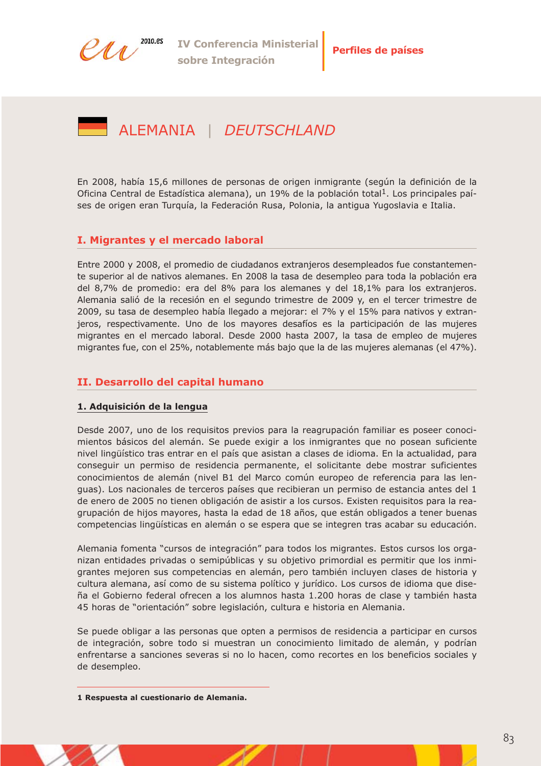



En 2008, había 15,6 millones de personas de origen inmigrante (según la definición de la Oficina Central de Estadística alemana), un 19% de la población total<sup>1</sup>. Los principales países de origen eran Turquía, la Federación Rusa, Polonia, la antigua Yugoslavia e Italia.

# **I. Migrantes y el mercado laboral**

Entre 2000 y 2008, el promedio de ciudadanos extranjeros desempleados fue constantemente superior al de nativos alemanes. En 2008 la tasa de desempleo para toda la población era del 8,7% de promedio: era del 8% para los alemanes y del 18,1% para los extranjeros. Alemania salió de la recesión en el segundo trimestre de 2009 y, en el tercer trimestre de 2009, su tasa de desempleo había llegado a mejorar: el 7% y el 15% para nativos y extranjeros, respectivamente. Uno de los mayores desafíos es la participación de las mujeres migrantes en el mercado laboral. Desde 2000 hasta 2007, la tasa de empleo de mujeres migrantes fue, con el 25%, notablemente más bajo que la de las mujeres alemanas (el 47%).

# **II. Desarrollo del capital humano**

## **1. Adquisición de la lengua**

Desde 2007, uno de los requisitos previos para la reagrupación familiar es poseer conocimientos básicos del alemán. Se puede exigir a los inmigrantes que no posean suficiente nivel lingüístico tras entrar en el país que asistan a clases de idioma. En la actualidad, para conseguir un permiso de residencia permanente, el solicitante debe mostrar suficientes conocimientos de alemán (nivel B1 del Marco común europeo de referencia para las lenguas). Los nacionales de terceros países que recibieran un permiso de estancia antes del 1 de enero de 2005 no tienen obligación de asistir a los cursos. Existen requisitos para la reagrupación de hijos mayores, hasta la edad de 18 años, que están obligados a tener buenas competencias lingüísticas en alemán o se espera que se integren tras acabar su educación.

Alemania fomenta "cursos de integración" para todos los migrantes. Estos cursos los organizan entidades privadas o semipúblicas y su objetivo primordial es permitir que los inmigrantes mejoren sus competencias en alemán, pero también incluyen clases de historia y cultura alemana, así como de su sistema político y jurídico. Los cursos de idioma que diseña el Gobierno federal ofrecen a los alumnos hasta 1.200 horas de clase y también hasta 45 horas de "orientación" sobre legislación, cultura e historia en Alemania.

Se puede obligar a las personas que opten a permisos de residencia a participar en cursos de integración, sobre todo si muestran un conocimiento limitado de alemán, y podrían enfrentarse a sanciones severas si no lo hacen, como recortes en los beneficios sociales y de desempleo.

**1 Respuesta al cuestionario de Alemania.**

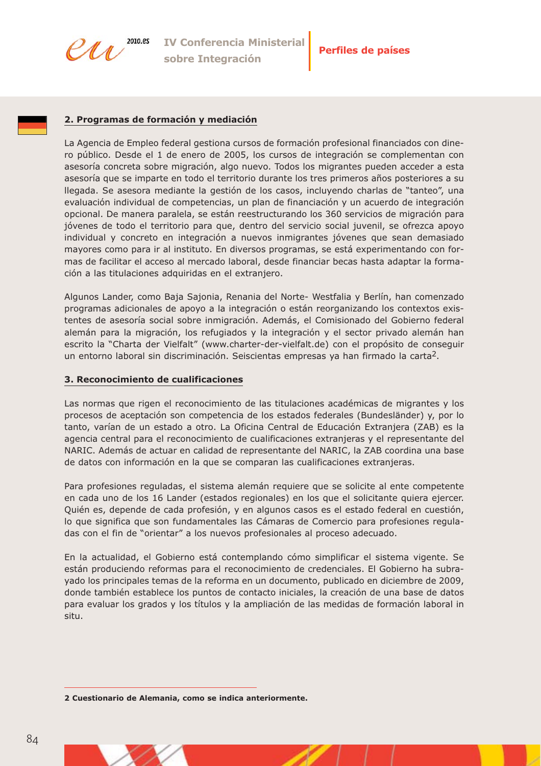

#### **2. Programas de formación y mediación**

La Agencia de Empleo federal gestiona cursos de formación profesional financiados con dinero público. Desde el 1 de enero de 2005, los cursos de integración se complementan con asesoría concreta sobre migración, algo nuevo. Todos los migrantes pueden acceder a esta asesoría que se imparte en todo el territorio durante los tres primeros años posteriores a su llegada. Se asesora mediante la gestión de los casos, incluyendo charlas de "tanteo", una evaluación individual de competencias, un plan de financiación y un acuerdo de integración opcional. De manera paralela, se están reestructurando los 360 servicios de migración para jóvenes de todo el territorio para que, dentro del servicio social juvenil, se ofrezca apoyo individual y concreto en integración a nuevos inmigrantes jóvenes que sean demasiado mayores como para ir al instituto. En diversos programas, se está experimentando con formas de facilitar el acceso al mercado laboral, desde financiar becas hasta adaptar la formación a las titulaciones adquiridas en el extranjero.

Algunos Lander, como Baja Sajonia, Renania del Norte- Westfalia y Berlín, han comenzado programas adicionales de apoyo a la integración o están reorganizando los contextos existentes de asesoría social sobre inmigración. Además, el Comisionado del Gobierno federal alemán para la migración, los refugiados y la integración y el sector privado alemán han escrito la "Charta der Vielfalt" (www.charter-der-vielfalt.de) con el propósito de conseguir un entorno laboral sin discriminación. Seiscientas empresas ya han firmado la carta2.

#### **3. Reconocimiento de cualificaciones**

Las normas que rigen el reconocimiento de las titulaciones académicas de migrantes y los procesos de aceptación son competencia de los estados federales (Bundesländer) y, por lo tanto, varían de un estado a otro. La Oficina Central de Educación Extranjera (ZAB) es la agencia central para el reconocimiento de cualificaciones extranjeras y el representante del NARIC. Además de actuar en calidad de representante del NARIC, la ZAB coordina una base de datos con información en la que se comparan las cualificaciones extranjeras.

Para profesiones reguladas, el sistema alemán requiere que se solicite al ente competente en cada uno de los 16 Lander (estados regionales) en los que el solicitante quiera ejercer. Quién es, depende de cada profesión, y en algunos casos es el estado federal en cuestión, lo que significa que son fundamentales las Cámaras de Comercio para profesiones reguladas con el fin de "orientar" a los nuevos profesionales al proceso adecuado.

En la actualidad, el Gobierno está contemplando cómo simplificar el sistema vigente. Se están produciendo reformas para el reconocimiento de credenciales. El Gobierno ha subrayado los principales temas de la reforma en un documento, publicado en diciembre de 2009, donde también establece los puntos de contacto iniciales, la creación de una base de datos para evaluar los grados y los títulos y la ampliación de las medidas de formación laboral in situ.

**2 Cuestionario de Alemania, como se indica anteriormente.**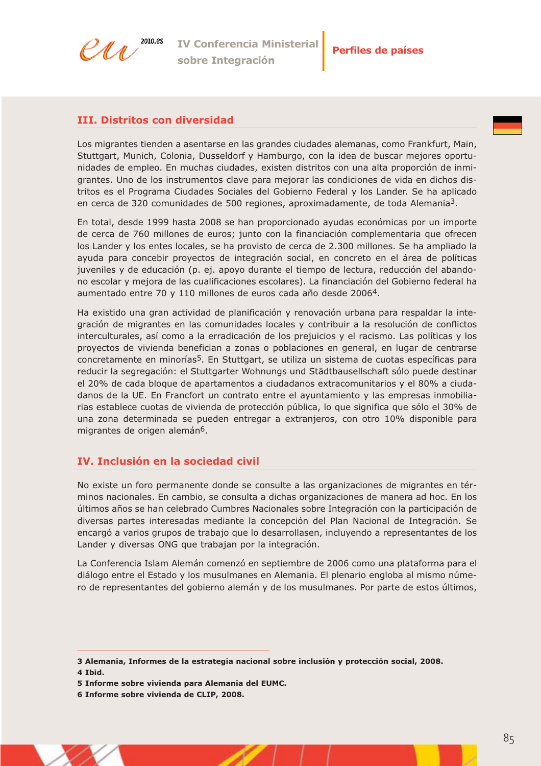

# **III. Distritos con diversidad**

Los migrantes tienden a asentarse en las grandes ciudades alemanas, como Frankfurt, Main, Stuttgart, Munich, Colonia, Dusseldorf y Hamburgo, con la idea de buscar mejores oportunidades de empleo. En muchas ciudades, existen distritos con una alta proporción de inmigrantes. Uno de los instrumentos clave para mejorar las condiciones de vida en dichos distritos es el Programa Ciudades Sociales del Gobierno Federal y los Lander. Se ha aplicado en cerca de 320 comunidades de 500 regiones, aproximadamente, de toda Alemania<sup>3</sup>.

En total, desde 1999 hasta 2008 se han proporcionado ayudas económicas por un importe de cerca de 760 millones de euros; junto con la financiación complementaria que ofrecen los Lander y los entes locales, se ha provisto de cerca de 2.300 millones. Se ha ampliado la ayuda para concebir proyectos de integración social, en concreto en el área de políticas juveniles y de educación (p. ej. apoyo durante el tiempo de lectura, reducción del abandono escolar y mejora de las cualificaciones escolares). La financiación del Gobierno federal ha aumentado entre 70 y 110 millones de euros cada año desde 2006<sup>4</sup>.

Ha existido una gran actividad de planificación y renovación urbana para respaldar la integración de migrantes en las comunidades locales y contribuir a la resolución de conflictos interculturales, así como a la erradicación de los prejuicios y el racismo. Las políticas y los proyectos de vivienda benefician a zonas o poblaciones en general, en lugar de centrarse concretamente en minorías5. En Stuttgart, se utiliza un sistema de cuotas específicas para reducir la segregación: el Stuttgarter Wohnungs und Städtbausellschaft sólo puede destinar el 20% de cada bloque de apartamentos a ciudadanos extracomunitarios y el 80% a ciudadanos de la UE. En Francfort un contrato entre el ayuntamiento y las empresas inmobiliarias establece cuotas de vivienda de protección pública, lo que significa que sólo el 30% de una zona determinada se pueden entregar a extranjeros, con otro 10% disponible para migrantes de origen alemán<sup>6</sup>.

# **IV. Inclusión en la sociedad civil**

No existe un foro permanente donde se consulte a las organizaciones de migrantes en términos nacionales. En cambio, se consulta a dichas organizaciones de manera ad hoc. En los últimos años se han celebrado Cumbres Nacionales sobre Integración con la participación de diversas partes interesadas mediante la concepción del Plan Nacional de Integración. Se encargó a varios grupos de trabajo que lo desarrollasen, incluyendo a representantes de los Lander y diversas ONG que trabajan por la integración.

La Conferencia Islam Alemán comenzó en septiembre de 2006 como una plataforma para el diálogo entre el Estado y los musulmanes en Alemania. El plenario engloba al mismo número de representantes del gobierno alemán y de los musulmanes. Por parte de estos últimos,

**<sup>3</sup> Alemania, Informes de la estrategia nacional sobre inclusión y protección social, 2008. 4 Ibid.**

**<sup>5</sup> Informe sobre vivienda para Alemania del EUMC.**

**<sup>6</sup> Informe sobre vivienda de CLIP, 2008.**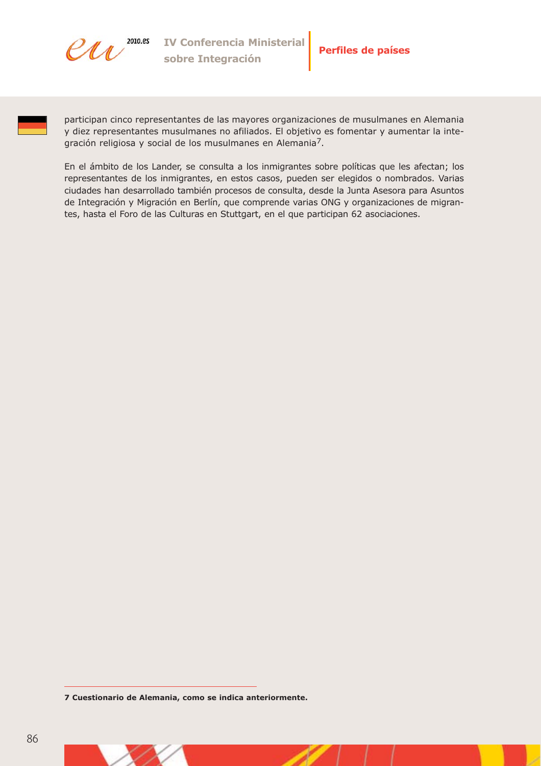

participan cinco representantes de las mayores organizaciones de musulmanes en Alemania y diez representantes musulmanes no afiliados. El objetivo es fomentar y aumentar la integración religiosa y social de los musulmanes en Alemania7.

En el ámbito de los Lander, se consulta a los inmigrantes sobre políticas que les afectan; los representantes de los inmigrantes, en estos casos, pueden ser elegidos o nombrados. Varias ciudades han desarrollado también procesos de consulta, desde la Junta Asesora para Asuntos de Integración y Migración en Berlín, que comprende varias ONG y organizaciones de migrantes, hasta el Foro de las Culturas en Stuttgart, en el que participan 62 asociaciones.

**<sup>7</sup> Cuestionario de Alemania, como se indica anteriormente.**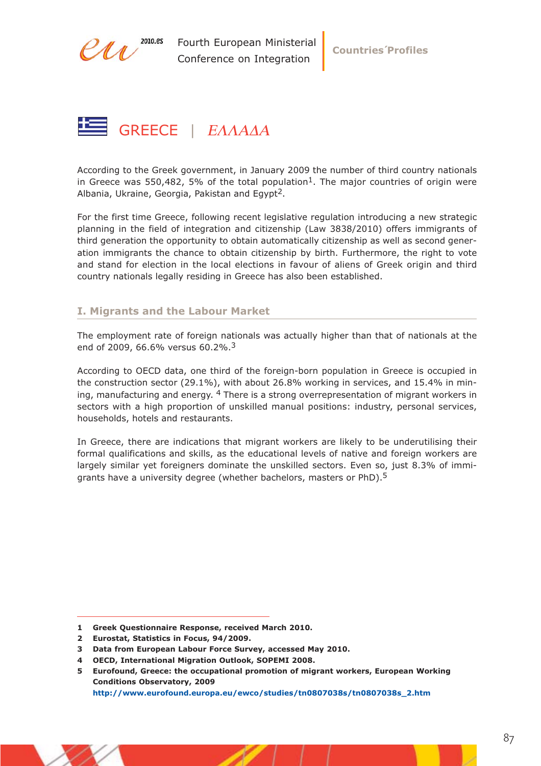



According to the Greek government, in January 2009 the number of third country nationals in Greece was 550,482, 5% of the total population<sup>1</sup>. The major countries of origin were Albania, Ukraine, Georgia, Pakistan and Egypt2.

For the first time Greece, following recent legislative regulation introducing a new strategic planning in the field of integration and citizenship (Law 3838/2010) offers immigrants of third generation the opportunity to obtain automatically citizenship as well as second generation immigrants the chance to obtain citizenship by birth. Furthermore, the right to vote and stand for election in the local elections in favour of aliens of Greek origin and third country nationals legally residing in Greece has also been established.

# **I. Migrants and the Labour Market**

The employment rate of foreign nationals was actually higher than that of nationals at the end of 2009, 66.6% versus 60.2%.3

According to OECD data, one third of the foreign-born population in Greece is occupied in the construction sector (29.1%), with about 26.8% working in services, and 15.4% in mining, manufacturing and energy. <sup>4</sup> There is a strong overrepresentation of migrant workers in sectors with a high proportion of unskilled manual positions: industry, personal services, households, hotels and restaurants.

In Greece, there are indications that migrant workers are likely to be underutilising their formal qualifications and skills, as the educational levels of native and foreign workers are largely similar yet foreigners dominate the unskilled sectors. Even so, just 8.3% of immigrants have a university degree (whether bachelors, masters or PhD).<sup>5</sup>



**<sup>1</sup> Greek Questionnaire Response, received March 2010.**

**<sup>2</sup> Eurostat, Statistics in Focus, 94/2009.**

**<sup>3</sup> Data from European Labour Force Survey, accessed May 2010.**

**<sup>4</sup> OECD, International Migration Outlook, SOPEMI 2008.**

**<sup>5</sup> Eurofound, Greece: the occupational promotion of migrant workers, European Working Conditions Observatory, 2009**

**http://www.eurofound.europa.eu/ewco/studies/tn0807038s/tn0807038s\_2.htm**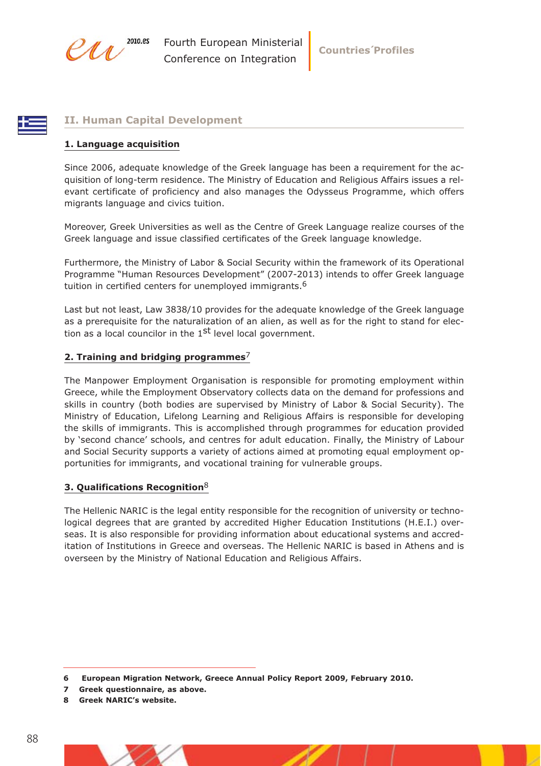

# **II. Human Capital Development**

## **1. Language acquisition**

Since 2006, adequate knowledge of the Greek language has been a requirement for the acquisition of long-term residence. The Ministry of Education and Religious Affairs issues a relevant certificate of proficiency and also manages the Odysseus Programme, which offers migrants language and civics tuition.

Moreover, Greek Universities as well as the Centre of Greek Language realize courses of the Greek language and issue classified certificates of the Greek language knowledge.

Furthermore, the Ministry of Labor & Social Security within the framework of its Operational Programme "Human Resources Development" (2007-2013) intends to offer Greek language tuition in certified centers for unemployed immigrants.<sup>6</sup>

Last but not least, Law 3838/10 provides for the adequate knowledge of the Greek language as a prerequisite for the naturalization of an alien, as well as for the right to stand for election as a local councilor in the  $1<sup>st</sup>$  level local government.

## **2. Training and bridging programmes**7

The Manpower Employment Organisation is responsible for promoting employment within Greece, while the Employment Observatory collects data on the demand for professions and skills in country (both bodies are supervised by Ministry of Labor & Social Security). The Ministry of Education, Lifelong Learning and Religious Affairs is responsible for developing the skills of immigrants. This is accomplished through programmes for education provided by 'second chance' schools, and centres for adult education. Finally, the Ministry of Labour and Social Security supports a variety of actions aimed at promoting equal employment opportunities for immigrants, and vocational training for vulnerable groups.

## **3. Qualifications Recognition**8

The Hellenic NARIC is the legal entity responsible for the recognition of university or technological degrees that are granted by accredited Higher Education Institutions (H.E.I.) overseas. It is also responsible for providing information about educational systems and accreditation of Institutions in Greece and overseas. The Hellenic NARIC is based in Athens and is overseen by the Ministry of National Education and Religious Affairs.

**7 Greek questionnaire, as above.**

**<sup>6</sup> European Migration Network, Greece Annual Policy Report 2009, February 2010.**

**<sup>8</sup> Greek NARIC's website.**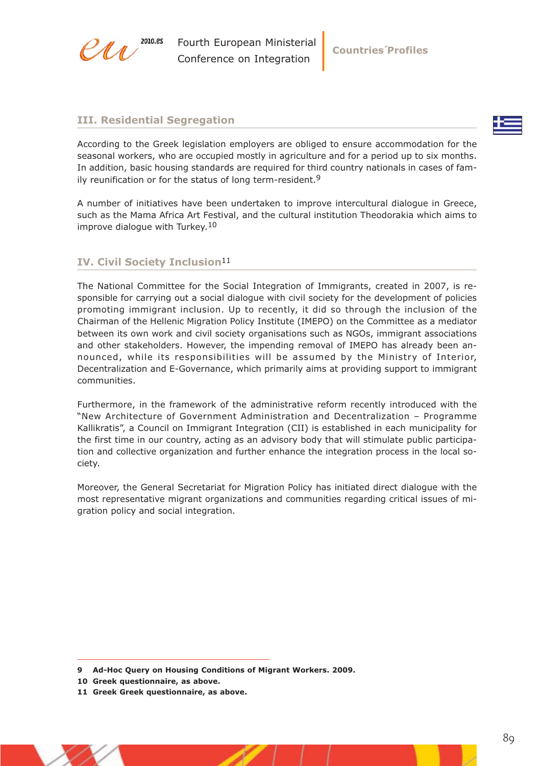

# **III. Residential Segregation**

According to the Greek legislation employers are obliged to ensure accommodation for the seasonal workers, who are occupied mostly in agriculture and for a period up to six months. In addition, basic housing standards are required for third country nationals in cases of family reunification or for the status of long term-resident. $9$ 

A number of initiatives have been undertaken to improve intercultural dialogue in Greece, such as the Mama Africa Art Festival, and the cultural institution Theodorakia which aims to improve dialogue with Turkey.<sup>10</sup>

# **IV. Civil Society Inclusion**11

The National Committee for the Social Integration of Immigrants, created in 2007, is responsible for carrying out a social dialogue with civil society for the development of policies promoting immigrant inclusion. Up to recently, it did so through the inclusion of the Chairman of the Hellenic Migration Policy Institute (IMEPO) on the Committee as a mediator between its own work and civil society organisations such as NGOs, immigrant associations and other stakeholders. However, the impending removal of IMEPO has already been announced, while its responsibilities will be assumed by the Ministry of Interior, Decentralization and E-Governance, which primarily aims at providing support to immigrant communities.

Furthermore, in the framework of the administrative reform recently introduced with the "New Architecture of Government Administration and Decentralization – Programme Kallikratis", a Council on Immigrant Integration (CII) is established in each municipality for the first time in our country, acting as an advisory body that will stimulate public participation and collective organization and further enhance the integration process in the local society.

Moreover, the General Secretariat for Migration Policy has initiated direct dialogue with the most representative migrant organizations and communities regarding critical issues of migration policy and social integration.



**<sup>9</sup> Ad-Hoc Query on Housing Conditions of Migrant Workers. 2009.**

**<sup>10</sup> Greek questionnaire, as above.**

**<sup>11</sup> Greek Greek questionnaire, as above.**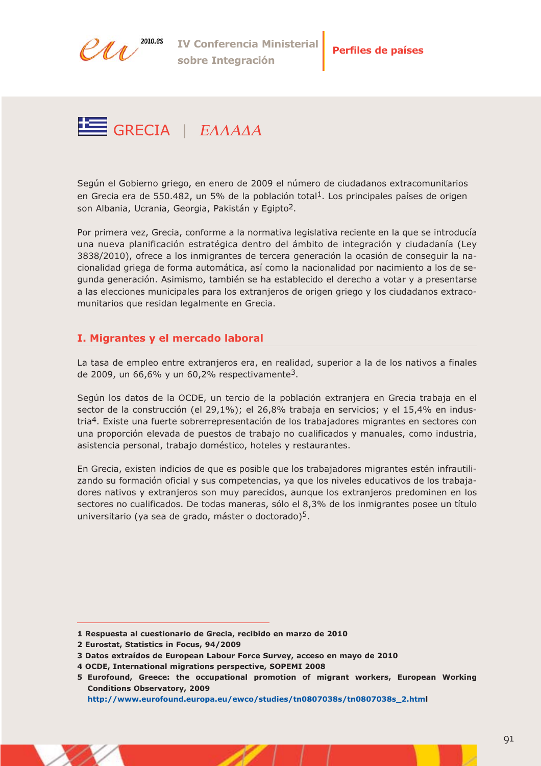



Según el Gobierno griego, en enero de 2009 el número de ciudadanos extracomunitarios en Grecia era de 550.482, un 5% de la población total<sup>1</sup>. Los principales países de origen son Albania, Ucrania, Georgia, Pakistán y Egipto2.

Por primera vez, Grecia, conforme a la normativa legislativa reciente en la que se introducía una nueva planificación estratégica dentro del ámbito de integración y ciudadanía (Ley 3838/2010), ofrece a los inmigrantes de tercera generación la ocasión de conseguir la nacionalidad griega de forma automática, así como la nacionalidad por nacimiento a los de segunda generación. Asimismo, también se ha establecido el derecho a votar y a presentarse a las elecciones municipales para los extranjeros de origen griego y los ciudadanos extracomunitarios que residan legalmente en Grecia.

# **I. Migrantes y el mercado laboral**

La tasa de empleo entre extranjeros era, en realidad, superior a la de los nativos a finales de 2009, un 66,6% y un 60,2% respectivamente3.

Según los datos de la OCDE, un tercio de la población extranjera en Grecia trabaja en el sector de la construcción (el 29,1%); el 26,8% trabaja en servicios; y el 15,4% en industria4. Existe una fuerte sobrerrepresentación de los trabajadores migrantes en sectores con una proporción elevada de puestos de trabajo no cualificados y manuales, como industria, asistencia personal, trabajo doméstico, hoteles y restaurantes.

En Grecia, existen indicios de que es posible que los trabajadores migrantes estén infrautilizando su formación oficial y sus competencias, ya que los niveles educativos de los trabajadores nativos y extranjeros son muy parecidos, aunque los extranjeros predominen en los sectores no cualificados. De todas maneras, sólo el 8,3% de los inmigrantes posee un título universitario (ya sea de grado, máster o doctorado)5.

**http://www.eurofound.europa.eu/ewco/studies/tn0807038s/tn0807038s\_2.html**



**<sup>1</sup> Respuesta al cuestionario de Grecia, recibido en marzo de 2010**

**<sup>2</sup> Eurostat, Statistics in Focus, 94/2009**

**<sup>3</sup> Datos extraídos de European Labour Force Survey, acceso en mayo de 2010**

**<sup>4</sup> OCDE, International migrations perspective, SOPEMI 2008**

**<sup>5</sup> Eurofound, Greece: the occupational promotion of migrant workers, European Working Conditions Observatory, 2009**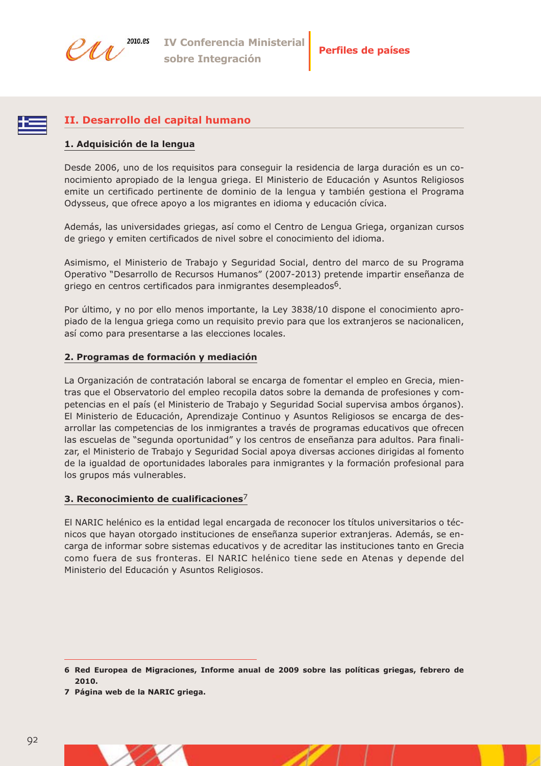

# **II. Desarrollo del capital humano**

## **1. Adquisición de la lengua**

Desde 2006, uno de los requisitos para conseguir la residencia de larga duración es un conocimiento apropiado de la lengua griega. El Ministerio de Educación y Asuntos Religiosos emite un certificado pertinente de dominio de la lengua y también gestiona el Programa Odysseus, que ofrece apoyo a los migrantes en idioma y educación cívica.

Además, las universidades griegas, así como el Centro de Lengua Griega, organizan cursos de griego y emiten certificados de nivel sobre el conocimiento del idioma.

Asimismo, el Ministerio de Trabajo y Seguridad Social, dentro del marco de su Programa Operativo "Desarrollo de Recursos Humanos" (2007-2013) pretende impartir enseñanza de griego en centros certificados para inmigrantes desempleados6.

Por último, y no por ello menos importante, la Ley 3838/10 dispone el conocimiento apropiado de la lengua griega como un requisito previo para que los extranjeros se nacionalicen, así como para presentarse a las elecciones locales.

#### **2. Programas de formación y mediación**

La Organización de contratación laboral se encarga de fomentar el empleo en Grecia, mientras que el Observatorio del empleo recopila datos sobre la demanda de profesiones y competencias en el país (el Ministerio de Trabajo y Seguridad Social supervisa ambos órganos). El Ministerio de Educación, Aprendizaje Continuo y Asuntos Religiosos se encarga de desarrollar las competencias de los inmigrantes a través de programas educativos que ofrecen las escuelas de "segunda oportunidad" y los centros de enseñanza para adultos. Para finalizar, el Ministerio de Trabajo y Seguridad Social apoya diversas acciones dirigidas al fomento de la igualdad de oportunidades laborales para inmigrantes y la formación profesional para los grupos más vulnerables.

## **3. Reconocimiento de cualificaciones**7

El NARIC helénico es la entidad legal encargada de reconocer los títulos universitarios o técnicos que hayan otorgado instituciones de enseñanza superior extranjeras. Además, se encarga de informar sobre sistemas educativos y de acreditar las instituciones tanto en Grecia como fuera de sus fronteras. El NARIC helénico tiene sede en Atenas y depende del Ministerio del Educación y Asuntos Religiosos.

**<sup>6</sup> Red Europea de Migraciones, Informe anual de 2009 sobre las políticas griegas, febrero de 2010.**

**<sup>7</sup> Página web de la NARIC griega.**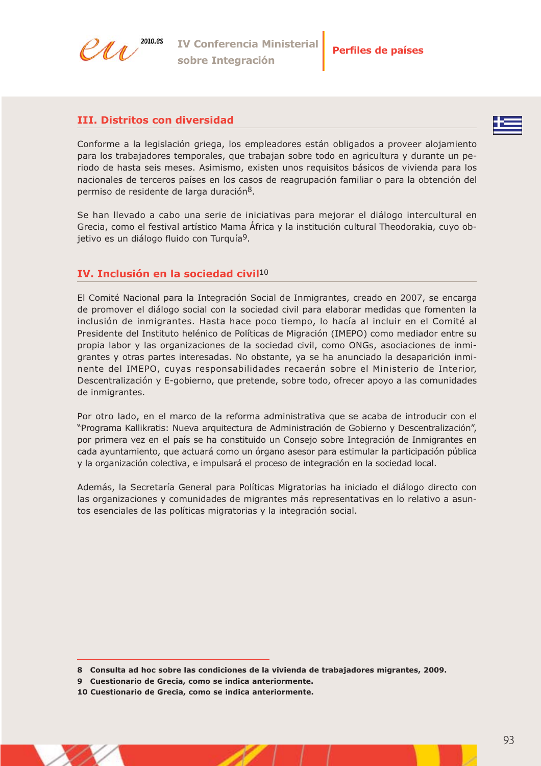

# **III. Distritos con diversidad**



Conforme a la legislación griega, los empleadores están obligados a proveer alojamiento para los trabajadores temporales, que trabajan sobre todo en agricultura y durante un periodo de hasta seis meses. Asimismo, existen unos requisitos básicos de vivienda para los nacionales de terceros países en los casos de reagrupación familiar o para la obtención del permiso de residente de larga duración<sup>8</sup>.

Se han llevado a cabo una serie de iniciativas para mejorar el diálogo intercultural en Grecia, como el festival artístico Mama África y la institución cultural Theodorakia, cuyo objetivo es un diálogo fluido con Turquía<sup>9</sup>.

# **IV. Inclusión en la sociedad civil**10

El Comité Nacional para la Integración Social de Inmigrantes, creado en 2007, se encarga de promover el diálogo social con la sociedad civil para elaborar medidas que fomenten la inclusión de inmigrantes. Hasta hace poco tiempo, lo hacía al incluir en el Comité al Presidente del Instituto helénico de Políticas de Migración (IMEPO) como mediador entre su propia labor y las organizaciones de la sociedad civil, como ONGs, asociaciones de inmigrantes y otras partes interesadas. No obstante, ya se ha anunciado la desaparición inminente del IMEPO, cuyas responsabilidades recaerán sobre el Ministerio de Interior, Descentralización y E-gobierno, que pretende, sobre todo, ofrecer apoyo a las comunidades de inmigrantes.

Por otro lado, en el marco de la reforma administrativa que se acaba de introducir con el "Programa Kallikratis: Nueva arquitectura de Administración de Gobierno y Descentralización", por primera vez en el país se ha constituido un Consejo sobre Integración de Inmigrantes en cada ayuntamiento, que actuará como un órgano asesor para estimular la participación pública y la organización colectiva, e impulsará el proceso de integración en la sociedad local.

Además, la Secretaría General para Políticas Migratorias ha iniciado el diálogo directo con las organizaciones y comunidades de migrantes más representativas en lo relativo a asuntos esenciales de las políticas migratorias y la integración social.

**<sup>8</sup> Consulta ad hoc sobre las condiciones de la vivienda de trabajadores migrantes, 2009.**

**<sup>9</sup> Cuestionario de Grecia, como se indica anteriormente.**

**<sup>10</sup> Cuestionario de Grecia, como se indica anteriormente.**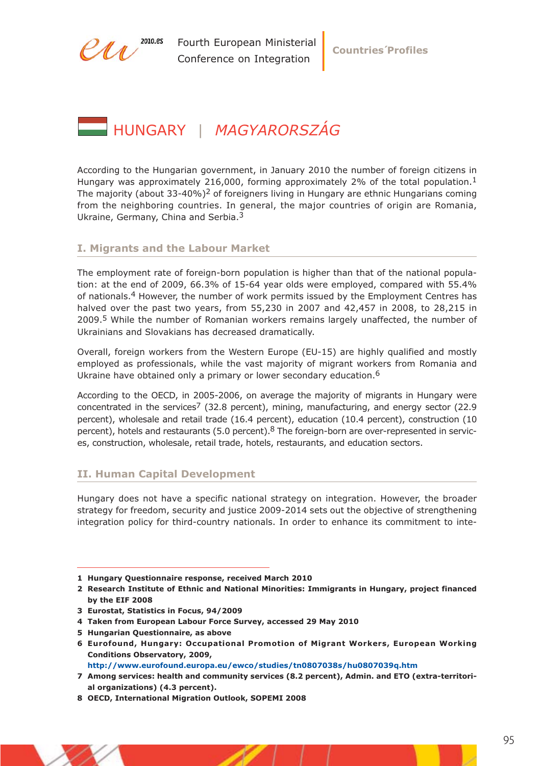



According to the Hungarian government, in January 2010 the number of foreign citizens in Hungary was approximately 216,000, forming approximately 2% of the total population.<sup>1</sup> The majority (about 33-40%)<sup>2</sup> of foreigners living in Hungary are ethnic Hungarians coming from the neighboring countries. In general, the major countries of origin are Romania, Ukraine, Germany, China and Serbia.<sup>3</sup>

# **I. Migrants and the Labour Market**

The employment rate of foreign-born population is higher than that of the national population: at the end of 2009, 66.3% of 15-64 year olds were employed, compared with 55.4% of nationals.4 However, the number of work permits issued by the Employment Centres has halved over the past two years, from 55,230 in 2007 and 42,457 in 2008, to 28,215 in 2009.5 While the number of Romanian workers remains largely unaffected, the number of Ukrainians and Slovakians has decreased dramatically.

Overall, foreign workers from the Western Europe (EU-15) are highly qualified and mostly employed as professionals, while the vast majority of migrant workers from Romania and Ukraine have obtained only a primary or lower secondary education.<sup>6</sup>

According to the OECD, in 2005-2006, on average the majority of migrants in Hungary were concentrated in the services<sup>7</sup> (32.8 percent), mining, manufacturing, and energy sector (22.9 percent), wholesale and retail trade (16.4 percent), education (10.4 percent), construction (10 percent), hotels and restaurants (5.0 percent).<sup>8</sup> The foreign-born are over-represented in services, construction, wholesale, retail trade, hotels, restaurants, and education sectors.

# **II. Human Capital Development**

Hungary does not have a specific national strategy on integration. However, the broader strategy for freedom, security and justice 2009-2014 sets out the objective of strengthening integration policy for third-country nationals. In order to enhance its commitment to inte-

- **3 Eurostat, Statistics in Focus, 94/2009**
- **4 Taken from European Labour Force Survey, accessed 29 May 2010**
- **5 Hungarian Questionnaire, as above**

**<sup>1</sup> Hungary Questionnaire response, received March 2010**

**<sup>2</sup> Research Institute of Ethnic and National Minorities: Immigrants in Hungary, project financed by the EIF 2008**

**<sup>6</sup> Eurofound, Hungary: Occupational Promotion of Migrant Workers, European Working Conditions Observatory, 2009,**

**http://www.eurofound.europa.eu/ewco/studies/tn0807038s/hu0807039q.htm**

**<sup>7</sup> Among services: health and community services (8.2 percent), Admin. and ETO (extra-territorial organizations) (4.3 percent).**

**<sup>8</sup> OECD, International Migration Outlook, SOPEMI 2008**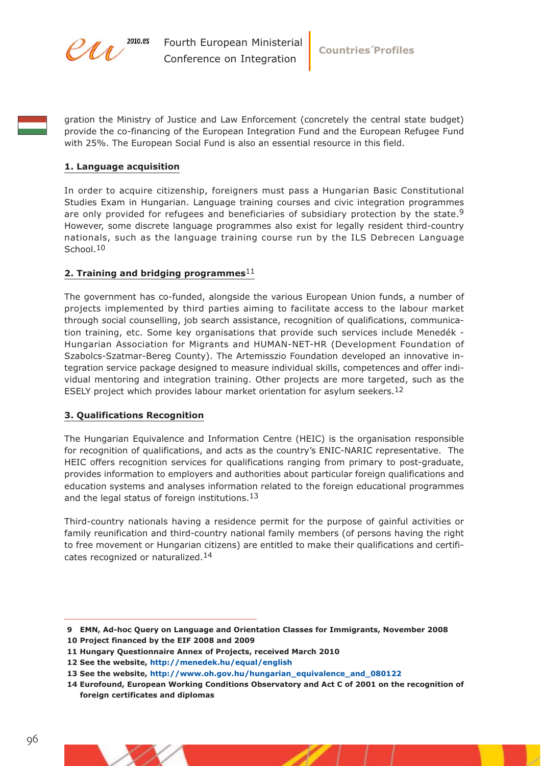

gration the Ministry of Justice and Law Enforcement (concretely the central state budget) provide the co-financing of the European Integration Fund and the European Refugee Fund with 25%. The European Social Fund is also an essential resource in this field.

## **1. Language acquisition**

In order to acquire citizenship, foreigners must pass a Hungarian Basic Constitutional Studies Exam in Hungarian. Language training courses and civic integration programmes are only provided for refugees and beneficiaries of subsidiary protection by the state.<sup>9</sup> However, some discrete language programmes also exist for legally resident third-country nationals, such as the language training course run by the ILS Debrecen Language School.<sup>10</sup>

# **2. Training and bridging programmes**11

The government has co-funded, alongside the various European Union funds, a number of projects implemented by third parties aiming to facilitate access to the labour market through social counselling, job search assistance, recognition of qualifications, communication training, etc. Some key organisations that provide such services include Menedék - Hungarian Association for Migrants and HUMAN-NET-HR (Development Foundation of Szabolcs-Szatmar-Bereg County). The Artemisszio Foundation developed an innovative integration service package designed to measure individual skills, competences and offer individual mentoring and integration training. Other projects are more targeted, such as the ESELY project which provides labour market orientation for asylum seekers.<sup>12</sup>

## **3. Qualifications Recognition**

The Hungarian Equivalence and Information Centre (HEIC) is the organisation responsible for recognition of qualifications, and acts as the country's ENIC-NARIC representative. The HEIC offers recognition services for qualifications ranging from primary to post-graduate, provides information to employers and authorities about particular foreign qualifications and education systems and analyses information related to the foreign educational programmes and the legal status of foreign institutions.13

Third-country nationals having a residence permit for the purpose of gainful activities or family reunification and third-country national family members (of persons having the right to free movement or Hungarian citizens) are entitled to make their qualifications and certificates recognized or naturalized.14

**<sup>9</sup> EMN, Ad-hoc Query on Language and Orientation Classes for Immigrants, November 2008**

**<sup>10</sup> Project financed by the EIF 2008 and 2009**

**<sup>11</sup> Hungary Questionnaire Annex of Projects, received March 2010**

**<sup>12</sup> See the website, http://menedek.hu/equal/english**

**<sup>13</sup> See the website, http://www.oh.gov.hu/hungarian\_equivalence\_and\_080122**

**<sup>14</sup> Eurofound, European Working Conditions Observatory and Act C of 2001 on the recognition of foreign certificates and diplomas**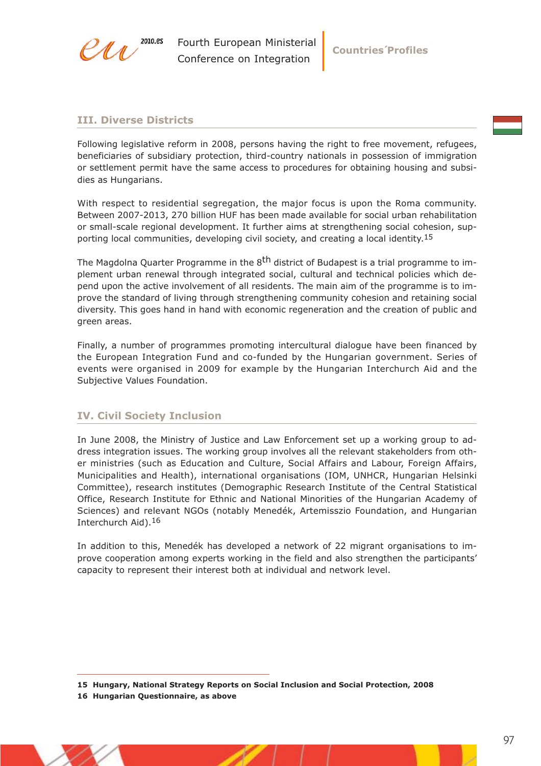

# **III. Diverse Districts**

Following legislative reform in 2008, persons having the right to free movement, refugees, beneficiaries of subsidiary protection, third-country nationals in possession of immigration or settlement permit have the same access to procedures for obtaining housing and subsidies as Hungarians.

With respect to residential segregation, the major focus is upon the Roma community. Between 2007-2013, 270 billion HUF has been made available for social urban rehabilitation or small-scale regional development. It further aims at strengthening social cohesion, supporting local communities, developing civil society, and creating a local identity.<sup>15</sup>

The Magdolna Quarter Programme in the 8<sup>th</sup> district of Budapest is a trial programme to implement urban renewal through integrated social, cultural and technical policies which depend upon the active involvement of all residents. The main aim of the programme is to improve the standard of living through strengthening community cohesion and retaining social diversity. This goes hand in hand with economic regeneration and the creation of public and green areas.

Finally, a number of programmes promoting intercultural dialogue have been financed by the European Integration Fund and co-funded by the Hungarian government. Series of events were organised in 2009 for example by the Hungarian Interchurch Aid and the Subjective Values Foundation.

# **IV. Civil Society Inclusion**

In June 2008, the Ministry of Justice and Law Enforcement set up a working group to address integration issues. The working group involves all the relevant stakeholders from other ministries (such as Education and Culture, Social Affairs and Labour, Foreign Affairs, Municipalities and Health), international organisations (IOM, UNHCR, Hungarian Helsinki Committee), research institutes (Demographic Research Institute of the Central Statistical Office, Research Institute for Ethnic and National Minorities of the Hungarian Academy of Sciences) and relevant NGOs (notably Menedék, Artemisszio Foundation, and Hungarian Interchurch Aid).16

In addition to this, Menedék has developed a network of 22 migrant organisations to improve cooperation among experts working in the field and also strengthen the participants' capacity to represent their interest both at individual and network level.



**<sup>15</sup> Hungary, National Strategy Reports on Social Inclusion and Social Protection, 2008**

**<sup>16</sup> Hungarian Questionnaire, as above**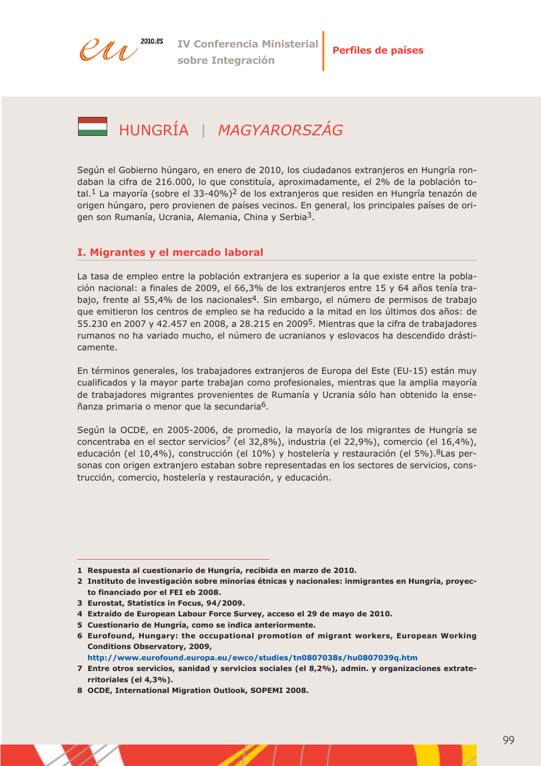



Según el Gobierno húngaro, en enero de 2010, los ciudadanos extranjeros en Hungría rondaban la cifra de 216.000, lo que constituía, aproximadamente, el 2% de la población to $tal.<sup>1</sup>$  La mayoría (sobre el 33-40%)<sup>2</sup> de los extranjeros que residen en Hungría tenazón de origen húngaro, pero provienen de países vecinos. En general, los principales países de origen son Rumanía, Ucrania, Alemania, China y Serbia3.

# **I. Migrantes y el mercado laboral**

La tasa de empleo entre la población extranjera es superior a la que existe entre la población nacional: a finales de 2009, el 66,3% de los extranjeros entre 15 y 64 años tenía trabajo, frente al 55,4% de los nacionales<sup>4</sup>. Sin embargo, el número de permisos de trabajo que emitieron los centros de empleo se ha reducido a la mitad en los últimos dos años: de 55.230 en 2007 y 42.457 en 2008, a 28.215 en 20095. Mientras que la cifra de trabajadores rumanos no ha variado mucho, el número de ucranianos y eslovacos ha descendido drásticamente.

En términos generales, los trabajadores extranjeros de Europa del Este (EU-15) están muy cualificados y la mayor parte trabajan como profesionales, mientras que la amplia mayoría de trabajadores migrantes provenientes de Rumanía y Ucrania sólo han obtenido la enseñanza primaria o menor que la secundaria<sup>6</sup>.

Según la OCDE, en 2005-2006, de promedio, la mayoría de los migrantes de Hungría se concentraba en el sector servicios<sup>7</sup> (el 32,8%), industria (el 22,9%), comercio (el 16,4%), educación (el 10,4%), construcción (el 10%) y hostelería y restauración (el 5%).<sup>8</sup>Las personas con origen extranjero estaban sobre representadas en los sectores de servicios, construcción, comercio, hostelería y restauración, y educación.

- **4 Extraído de European Labour Force Survey, acceso el 29 de mayo de 2010.**
- **5 Cuestionario de Hungría, como se indica anteriormente.**
- **6 Eurofound, Hungary: the occupational promotion of migrant workers, European Working Conditions Observatory, 2009,**

**http://www.eurofound.europa.eu/ewco/studies/tn0807038s/hu0807039q.htm**

- **7 Entre otros servicios, sanidad y servicios sociales (el 8,2%), admin. y organizaciones extraterritoriales (el 4,3%).**
- **8 OCDE, International Migration Outlook, SOPEMI 2008.**

99

**<sup>1</sup> Respuesta al cuestionario de Hungría, recibida en marzo de 2010.**

**<sup>2</sup> Instituto de investigación sobre minorías étnicas y nacionales: inmigrantes en Hungría, proyecto financiado por el FEI eb 2008.**

**<sup>3</sup> Eurostat, Statistics in Focus, 94/2009.**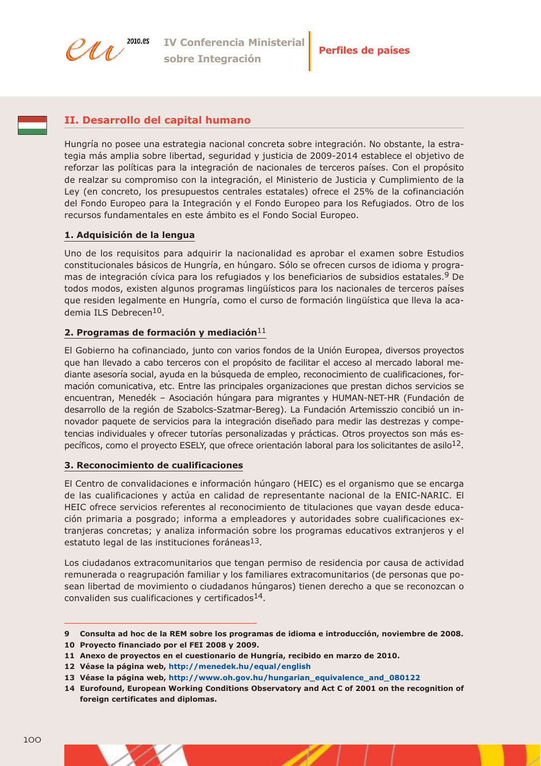

# **II. Desarrollo del capital humano**

Hungría no posee una estrategia nacional concreta sobre integración. No obstante, la estrategia más amplia sobre libertad, seguridad y justicia de 2009-2014 establece el objetivo de reforzar las políticas para la integración de nacionales de terceros países. Con el propósito de realzar su compromiso con la integración, el Ministerio de Justicia y Cumplimiento de la Ley (en concreto, los presupuestos centrales estatales) ofrece el 25% de la cofinanciación del Fondo Europeo para la Integración y el Fondo Europeo para los Refugiados. Otro de los recursos fundamentales en este ámbito es el Fondo Social Europeo.

# **1. Adquisición de la lengua**

Uno de los requisitos para adquirir la nacionalidad es aprobar el examen sobre Estudios constitucionales básicos de Hungría, en húngaro. Sólo se ofrecen cursos de idioma y programas de integración cívica para los refugiados y los beneficiarios de subsidios estatales.9 De todos modos, existen algunos programas lingüísticos para los nacionales de terceros países que residen legalmente en Hungría, como el curso de formación lingüística que lleva la academia ILS Debrecen<sup>10</sup>.

# **2. Programas de formación y mediación**11

El Gobierno ha cofinanciado, junto con varios fondos de la Unión Europea, diversos proyectos que han llevado a cabo terceros con el propósito de facilitar el acceso al mercado laboral mediante asesoría social, ayuda en la búsqueda de empleo, reconocimiento de cualificaciones, formación comunicativa, etc. Entre las principales organizaciones que prestan dichos servicios se encuentran, Menedék – Asociación húngara para migrantes y HUMAN-NET-HR (Fundación de desarrollo de la región de Szabolcs-Szatmar-Bereg). La Fundación Artemisszio concibió un innovador paquete de servicios para la integración diseñado para medir las destrezas y competencias individuales y ofrecer tutorías personalizadas y prácticas. Otros proyectos son más específicos, como el proyecto ESELY, que ofrece orientación laboral para los solicitantes de asilo<sup>12</sup>.

## **3. Reconocimiento de cualificaciones**

El Centro de convalidaciones e información húngaro (HEIC) es el organismo que se encarga de las cualificaciones y actúa en calidad de representante nacional de la ENIC-NARIC. El HEIC ofrece servicios referentes al reconocimiento de titulaciones que vayan desde educación primaria a posgrado; informa a empleadores y autoridades sobre cualificaciones extranjeras concretas; y analiza información sobre los programas educativos extranjeros y el estatuto legal de las instituciones foráneas $13$ .

Los ciudadanos extracomunitarios que tengan permiso de residencia por causa de actividad remunerada o reagrupación familiar y los familiares extracomunitarios (de personas que posean libertad de movimiento o ciudadanos húngaros) tienen derecho a que se reconozcan o convaliden sus cualificaciones y certificados $14$ .

**<sup>9</sup> Consulta ad hoc de la REM sobre los programas de idioma e introducción, noviembre de 2008.**

**<sup>10</sup> Proyecto financiado por el FEI 2008 y 2009.**

**<sup>11</sup> Anexo de proyectos en el cuestionario de Hungría, recibido en marzo de 2010.**

**<sup>12</sup> Véase la página web, http://menedek.hu/equal/english**

**<sup>13</sup> Véase la página web, http://www.oh.gov.hu/hungarian\_equivalence\_and\_080122**

**<sup>14</sup> Eurofound, European Working Conditions Observatory and Act C of 2001 on the recognition of foreign certificates and diplomas.**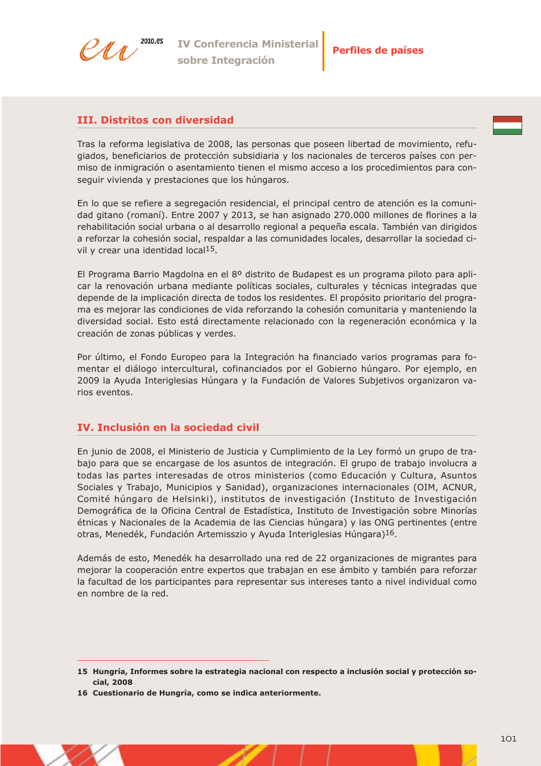

# **III. Distritos con diversidad**

Tras la reforma legislativa de 2008, las personas que poseen libertad de movimiento, refugiados, beneficiarios de protección subsidiaria y los nacionales de terceros países con permiso de inmigración o asentamiento tienen el mismo acceso a los procedimientos para conseguir vivienda y prestaciones que los húngaros.

En lo que se refiere a segregación residencial, el principal centro de atención es la comunidad gitano (romaní). Entre 2007 y 2013, se han asignado 270.000 millones de florines a la rehabilitación social urbana o al desarrollo regional a pequeña escala. También van dirigidos a reforzar la cohesión social, respaldar a las comunidades locales, desarrollar la sociedad civil y crear una identidad local<sup>15</sup>.

El Programa Barrio Magdolna en el 8º distrito de Budapest es un programa piloto para aplicar la renovación urbana mediante políticas sociales, culturales y técnicas integradas que depende de la implicación directa de todos los residentes. El propósito prioritario del programa es mejorar las condiciones de vida reforzando la cohesión comunitaria y manteniendo la diversidad social. Esto está directamente relacionado con la regeneración económica y la creación de zonas públicas y verdes.

Por último, el Fondo Europeo para la Integración ha financiado varios programas para fomentar el diálogo intercultural, cofinanciados por el Gobierno húngaro. Por ejemplo, en 2009 la Ayuda Interiglesias Húngara y la Fundación de Valores Subjetivos organizaron varios eventos.

# **IV. Inclusión en la sociedad civil**

En junio de 2008, el Ministerio de Justicia y Cumplimiento de la Ley formó un grupo de trabajo para que se encargase de los asuntos de integración. El grupo de trabajo involucra a todas las partes interesadas de otros ministerios (como Educación y Cultura, Asuntos Sociales y Trabajo, Municipios y Sanidad), organizaciones internacionales (OIM, ACNUR, Comité húngaro de Helsinki), institutos de investigación (Instituto de Investigación Demográfica de la Oficina Central de Estadística, Instituto de Investigación sobre Minorías étnicas y Nacionales de la Academia de las Ciencias húngara) y las ONG pertinentes (entre otras, Menedék, Fundación Artemisszio y Ayuda Interiglesias Húngara)16.

Además de esto, Menedék ha desarrollado una red de 22 organizaciones de migrantes para mejorar la cooperación entre expertos que trabajan en ese ámbito y también para reforzar la facultad de los participantes para representar sus intereses tanto a nivel individual como en nombre de la red.

**<sup>15</sup> Hungría, Informes sobre la estrategia nacional con respecto a inclusión social y protección social, 2008**

**<sup>16</sup> Cuestionario de Hungría, como se indica anteriormente.**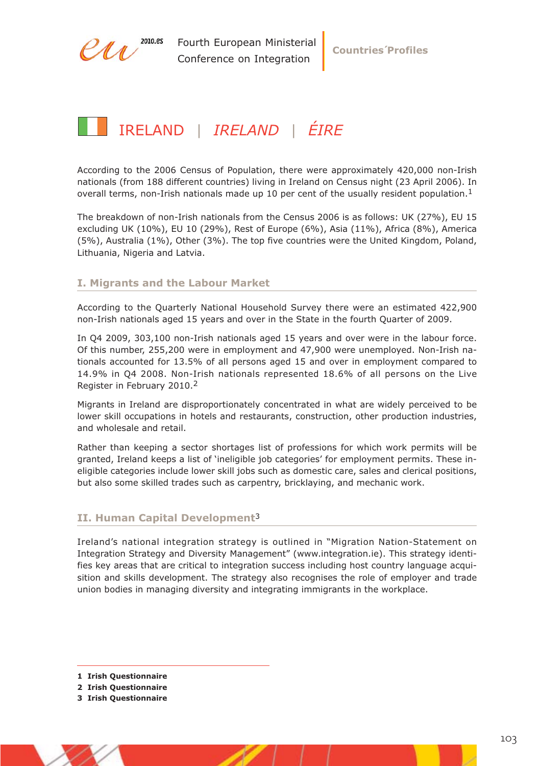

# IRELAND | *IRELAND* | *ÉIRE*

According to the 2006 Census of Population, there were approximately 420,000 non-Irish nationals (from 188 different countries) living in Ireland on Census night (23 April 2006). In overall terms, non-Irish nationals made up 10 per cent of the usually resident population.<sup>1</sup>

The breakdown of non-Irish nationals from the Census 2006 is as follows: UK (27%), EU 15 excluding UK (10%), EU 10 (29%), Rest of Europe (6%), Asia (11%), Africa (8%), America (5%), Australia (1%), Other (3%). The top five countries were the United Kingdom, Poland, Lithuania, Nigeria and Latvia.

# **I. Migrants and the Labour Market**

According to the Quarterly National Household Survey there were an estimated 422,900 non-Irish nationals aged 15 years and over in the State in the fourth Quarter of 2009.

In Q4 2009, 303,100 non-Irish nationals aged 15 years and over were in the labour force. Of this number, 255,200 were in employment and 47,900 were unemployed. Non-Irish nationals accounted for 13.5% of all persons aged 15 and over in employment compared to 14.9% in Q4 2008. Non-Irish nationals represented 18.6% of all persons on the Live Register in February 2010.2

Migrants in Ireland are disproportionately concentrated in what are widely perceived to be lower skill occupations in hotels and restaurants, construction, other production industries, and wholesale and retail.

Rather than keeping a sector shortages list of professions for which work permits will be granted, Ireland keeps a list of 'ineligible job categories' for employment permits. These ineligible categories include lower skill jobs such as domestic care, sales and clerical positions, but also some skilled trades such as carpentry, bricklaying, and mechanic work.

# **II. Human Capital Development**3

Ireland's national integration strategy is outlined in "Migration Nation-Statement on Integration Strategy and Diversity Management" (www.integration.ie). This strategy identifies key areas that are critical to integration success including host country language acquisition and skills development. The strategy also recognises the role of employer and trade union bodies in managing diversity and integrating immigrants in the workplace.

- **1 Irish Questionnaire**
- **2 Irish Questionnaire**
- **3 Irish Questionnaire**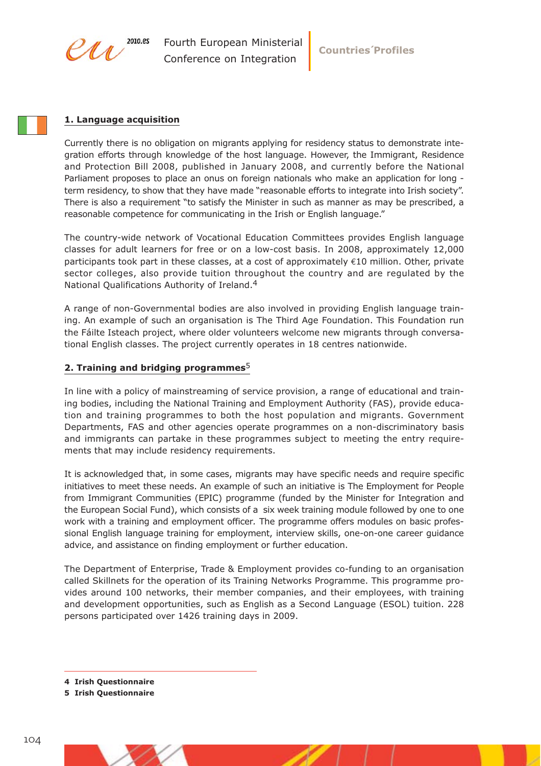

#### **1. Language acquisition**

Currently there is no obligation on migrants applying for residency status to demonstrate integration efforts through knowledge of the host language. However, the Immigrant, Residence and Protection Bill 2008, published in January 2008, and currently before the National Parliament proposes to place an onus on foreign nationals who make an application for long term residency, to show that they have made "reasonable efforts to integrate into Irish society". There is also a requirement "to satisfy the Minister in such as manner as may be prescribed, a reasonable competence for communicating in the Irish or English language."

The country-wide network of Vocational Education Committees provides English language classes for adult learners for free or on a low-cost basis. In 2008, approximately 12,000 participants took part in these classes, at a cost of approximately €10 million. Other, private sector colleges, also provide tuition throughout the country and are regulated by the National Qualifications Authority of Ireland.4

A range of non-Governmental bodies are also involved in providing English language training. An example of such an organisation is The Third Age Foundation. This Foundation run the Fáilte Isteach project, where older volunteers welcome new migrants through conversational English classes. The project currently operates in 18 centres nationwide.

## **2. Training and bridging programmes**5

In line with a policy of mainstreaming of service provision, a range of educational and training bodies, including the National Training and Employment Authority (FAS), provide education and training programmes to both the host population and migrants. Government Departments, FAS and other agencies operate programmes on a non-discriminatory basis and immigrants can partake in these programmes subject to meeting the entry requirements that may include residency requirements.

It is acknowledged that, in some cases, migrants may have specific needs and require specific initiatives to meet these needs. An example of such an initiative is The Employment for People from Immigrant Communities (EPIC) programme (funded by the Minister for Integration and the European Social Fund), which consists of a six week training module followed by one to one work with a training and employment officer*.* The programme offers modules on basic professional English language training for employment, interview skills, one-on-one career guidance advice, and assistance on finding employment or further education.

The Department of Enterprise, Trade & Employment provides co-funding to an organisation called Skillnets for the operation of its Training Networks Programme. This programme provides around 100 networks, their member companies, and their employees, with training and development opportunities, such as English as a Second Language (ESOL) tuition. 228 persons participated over 1426 training days in 2009.

**4 Irish Questionnaire**

**5 Irish Questionnaire**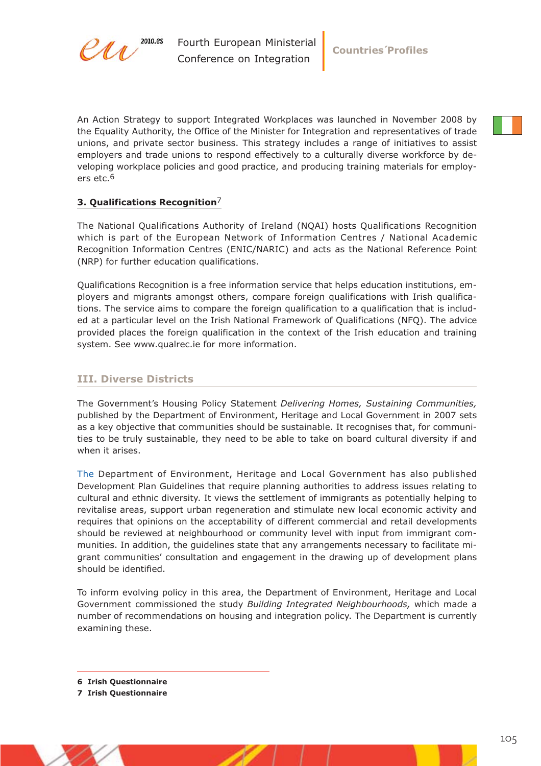

An Action Strategy to support Integrated Workplaces was launched in November 2008 by the Equality Authority, the Office of the Minister for Integration and representatives of trade unions, and private sector business. This strategy includes a range of initiatives to assist employers and trade unions to respond effectively to a culturally diverse workforce by developing workplace policies and good practice, and producing training materials for employers etc.6

# **3. Qualifications Recognition**7

The National Qualifications Authority of Ireland (NQAI) hosts Qualifications Recognition which is part of the European Network of Information Centres / National Academic Recognition Information Centres (ENIC/NARIC) and acts as the National Reference Point (NRP) for further education qualifications.

Qualifications Recognition is a free information service that helps education institutions, employers and migrants amongst others, compare foreign qualifications with Irish qualifications. The service aims to compare the foreign qualification to a qualification that is included at a particular level on the Irish National Framework of Qualifications (NFQ). The advice provided places the foreign qualification in the context of the Irish education and training system. See www.qualrec.ie for more information.

# **III. Diverse Districts**

The Government's Housing Policy Statement *Delivering Homes, Sustaining Communities,* published by the Department of Environment, Heritage and Local Government in 2007 sets as a key objective that communities should be sustainable. It recognises that, for communities to be truly sustainable, they need to be able to take on board cultural diversity if and when it arises.

The Department of Environment, Heritage and Local Government has also published Development Plan Guidelines that require planning authorities to address issues relating to cultural and ethnic diversity. It views the settlement of immigrants as potentially helping to revitalise areas, support urban regeneration and stimulate new local economic activity and requires that opinions on the acceptability of different commercial and retail developments should be reviewed at neighbourhood or community level with input from immigrant communities. In addition, the guidelines state that any arrangements necessary to facilitate migrant communities' consultation and engagement in the drawing up of development plans should be identified.

To inform evolving policy in this area, the Department of Environment, Heritage and Local Government commissioned the study *Building Integrated Neighbourhoods,* which made a number of recommendations on housing and integration policy. The Department is currently examining these.

- **6 Irish Questionnaire**
- **7 Irish Questionnaire**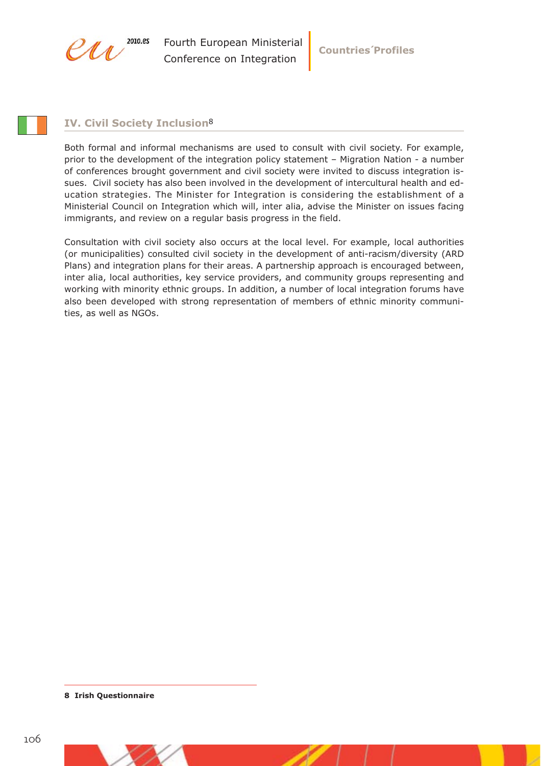

# **IV. Civil Society Inclusion**8

Both formal and informal mechanisms are used to consult with civil society. For example, prior to the development of the integration policy statement – Migration Nation - a number of conferences brought government and civil society were invited to discuss integration issues. Civil society has also been involved in the development of intercultural health and education strategies. The Minister for Integration is considering the establishment of a Ministerial Council on Integration which will, inter alia, advise the Minister on issues facing immigrants, and review on a regular basis progress in the field.

Consultation with civil society also occurs at the local level. For example, local authorities (or municipalities) consulted civil society in the development of anti-racism/diversity (ARD Plans) and integration plans for their areas. A partnership approach is encouraged between, inter alia, local authorities, key service providers, and community groups representing and working with minority ethnic groups. In addition, a number of local integration forums have also been developed with strong representation of members of ethnic minority communities, as well as NGOs.

#### **8 Irish Questionnaire**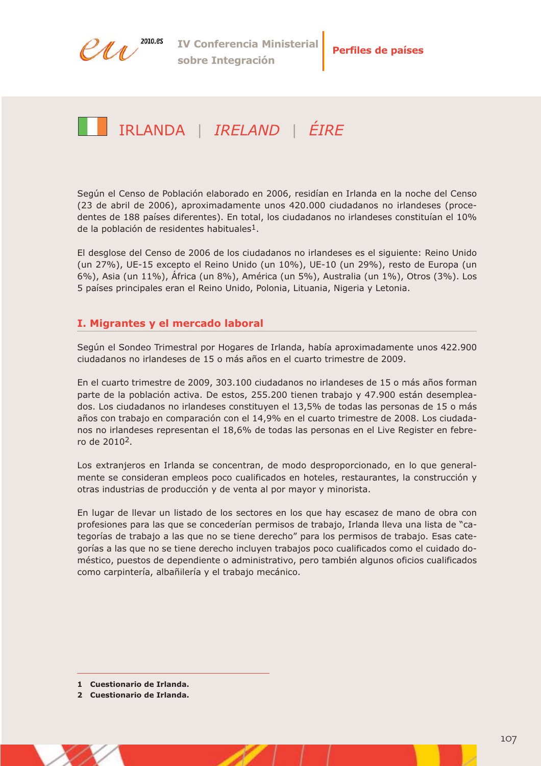

# IRLANDA | *IRELAND* | *ÉIRE*

Según el Censo de Población elaborado en 2006, residían en Irlanda en la noche del Censo (23 de abril de 2006), aproximadamente unos 420.000 ciudadanos no irlandeses (procedentes de 188 países diferentes). En total, los ciudadanos no irlandeses constituían el 10% de la población de residentes habituales<sup>1</sup>.

El desglose del Censo de 2006 de los ciudadanos no irlandeses es el siguiente: Reino Unido (un 27%), UE-15 excepto el Reino Unido (un 10%), UE-10 (un 29%), resto de Europa (un 6%), Asia (un 11%), África (un 8%), América (un 5%), Australia (un 1%), Otros (3%). Los 5 países principales eran el Reino Unido, Polonia, Lituania, Nigeria y Letonia.

# **I. Migrantes y el mercado laboral**

Según el Sondeo Trimestral por Hogares de Irlanda, había aproximadamente unos 422.900 ciudadanos no irlandeses de 15 o más años en el cuarto trimestre de 2009.

En el cuarto trimestre de 2009, 303.100 ciudadanos no irlandeses de 15 o más años forman parte de la población activa. De estos, 255.200 tienen trabajo y 47.900 están desempleados. Los ciudadanos no irlandeses constituyen el 13,5% de todas las personas de 15 o más años con trabajo en comparación con el 14,9% en el cuarto trimestre de 2008. Los ciudadanos no irlandeses representan el 18,6% de todas las personas en el Live Register en febrero de 20102.

Los extranjeros en Irlanda se concentran, de modo desproporcionado, en lo que generalmente se consideran empleos poco cualificados en hoteles, restaurantes, la construcción y otras industrias de producción y de venta al por mayor y minorista.

En lugar de llevar un listado de los sectores en los que hay escasez de mano de obra con profesiones para las que se concederían permisos de trabajo, Irlanda lleva una lista de "categorías de trabajo a las que no se tiene derecho" para los permisos de trabajo. Esas categorías a las que no se tiene derecho incluyen trabajos poco cualificados como el cuidado doméstico, puestos de dependiente o administrativo, pero también algunos oficios cualificados como carpintería, albañilería y el trabajo mecánico.

- **1 Cuestionario de Irlanda.**
- **2 Cuestionario de Irlanda.**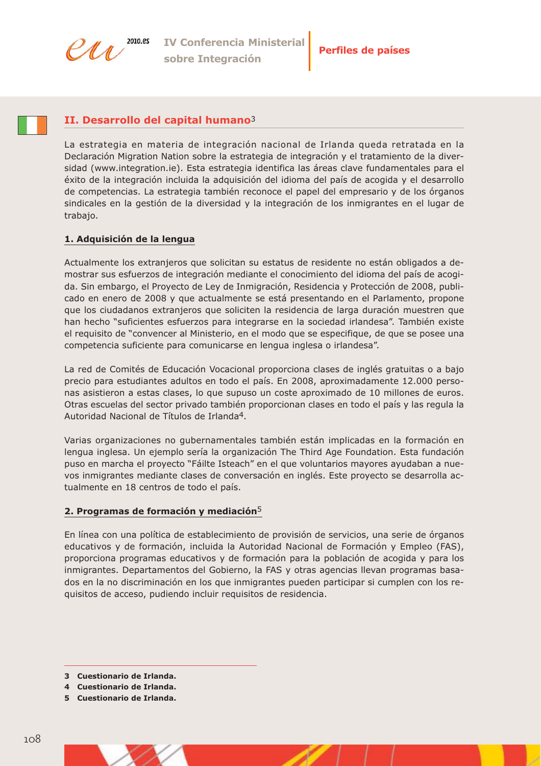

# **II. Desarrollo del capital humano**3

La estrategia en materia de integración nacional de Irlanda queda retratada en la Declaración Migration Nation sobre la estrategia de integración y el tratamiento de la diversidad (www.integration.ie). Esta estrategia identifica las áreas clave fundamentales para el éxito de la integración incluida la adquisición del idioma del país de acogida y el desarrollo de competencias. La estrategia también reconoce el papel del empresario y de los órganos sindicales en la gestión de la diversidad y la integración de los inmigrantes en el lugar de trabajo.

# **1. Adquisición de la lengua**

Actualmente los extranjeros que solicitan su estatus de residente no están obligados a demostrar sus esfuerzos de integración mediante el conocimiento del idioma del país de acogida. Sin embargo, el Proyecto de Ley de Inmigración, Residencia y Protección de 2008, publicado en enero de 2008 y que actualmente se está presentando en el Parlamento, propone que los ciudadanos extranjeros que soliciten la residencia de larga duración muestren que han hecho "suficientes esfuerzos para integrarse en la sociedad irlandesa". También existe el requisito de "convencer al Ministerio, en el modo que se especifique, de que se posee una competencia suficiente para comunicarse en lengua inglesa o irlandesa".

La red de Comités de Educación Vocacional proporciona clases de inglés gratuitas o a bajo precio para estudiantes adultos en todo el país. En 2008, aproximadamente 12.000 personas asistieron a estas clases, lo que supuso un coste aproximado de 10 millones de euros. Otras escuelas del sector privado también proporcionan clases en todo el país y las regula la Autoridad Nacional de Títulos de Irlanda<sup>4</sup>.

Varias organizaciones no gubernamentales también están implicadas en la formación en lengua inglesa. Un ejemplo sería la organización The Third Age Foundation. Esta fundación puso en marcha el proyecto "Fáilte Isteach" en el que voluntarios mayores ayudaban a nuevos inmigrantes mediante clases de conversación en inglés. Este proyecto se desarrolla actualmente en 18 centros de todo el país.

### **2. Programas de formación y mediación**5

En línea con una política de establecimiento de provisión de servicios, una serie de órganos educativos y de formación, incluida la Autoridad Nacional de Formación y Empleo (FAS), proporciona programas educativos y de formación para la población de acogida y para los inmigrantes. Departamentos del Gobierno, la FAS y otras agencias llevan programas basados en la no discriminación en los que inmigrantes pueden participar si cumplen con los requisitos de acceso, pudiendo incluir requisitos de residencia.

- **3 Cuestionario de Irlanda.**
- **4 Cuestionario de Irlanda.**
- **5 Cuestionario de Irlanda.**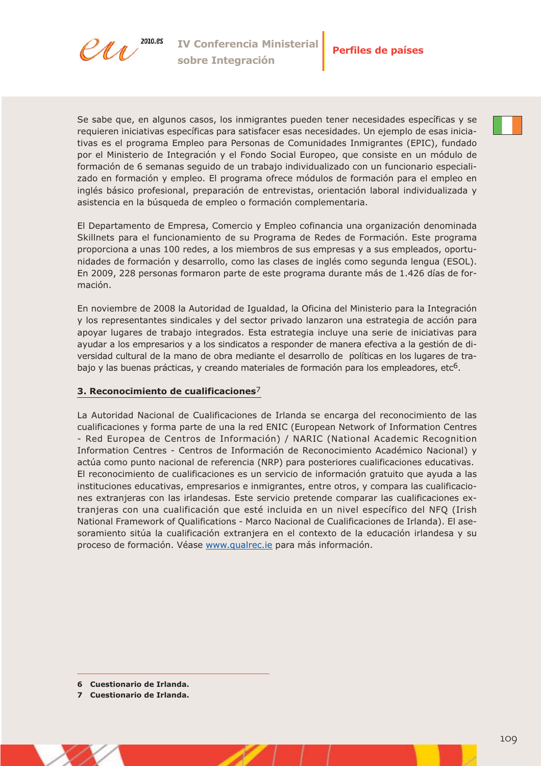

Se sabe que, en algunos casos, los inmigrantes pueden tener necesidades específicas y se requieren iniciativas específicas para satisfacer esas necesidades. Un ejemplo de esas iniciativas es el programa Empleo para Personas de Comunidades Inmigrantes (EPIC), fundado por el Ministerio de Integración y el Fondo Social Europeo, que consiste en un módulo de formación de 6 semanas seguido de un trabajo individualizado con un funcionario especializado en formación y empleo. El programa ofrece módulos de formación para el empleo en inglés básico profesional, preparación de entrevistas, orientación laboral individualizada y asistencia en la búsqueda de empleo o formación complementaria.

El Departamento de Empresa, Comercio y Empleo cofinancia una organización denominada Skillnets para el funcionamiento de su Programa de Redes de Formación. Este programa proporciona a unas 100 redes, a los miembros de sus empresas y a sus empleados, oportunidades de formación y desarrollo, como las clases de inglés como segunda lengua (ESOL). En 2009, 228 personas formaron parte de este programa durante más de 1.426 días de formación.

En noviembre de 2008 la Autoridad de Igualdad, la Oficina del Ministerio para la Integración y los representantes sindicales y del sector privado lanzaron una estrategia de acción para apoyar lugares de trabajo integrados. Esta estrategia incluye una serie de iniciativas para ayudar a los empresarios y a los sindicatos a responder de manera efectiva a la gestión de diversidad cultural de la mano de obra mediante el desarrollo de políticas en los lugares de trabajo y las buenas prácticas, y creando materiales de formación para los empleadores, etc<sup>6</sup>.

### **3. Reconocimiento de cualificaciones**7

La Autoridad Nacional de Cualificaciones de Irlanda se encarga del reconocimiento de las cualificaciones y forma parte de una la red ENIC (European Network of Information Centres - Red Europea de Centros de Información) / NARIC (National Academic Recognition Information Centres - Centros de Información de Reconocimiento Académico Nacional) y actúa como punto nacional de referencia (NRP) para posteriores cualificaciones educativas. El reconocimiento de cualificaciones es un servicio de información gratuito que ayuda a las instituciones educativas, empresarios e inmigrantes, entre otros, y compara las cualificaciones extranjeras con las irlandesas. Este servicio pretende comparar las cualificaciones extranjeras con una cualificación que esté incluida en un nivel específico del NFQ (Irish National Framework of Qualifications - Marco Nacional de Cualificaciones de Irlanda). El asesoramiento sitúa la cualificación extranjera en el contexto de la educación irlandesa y su proceso de formación. Véase www.qualrec.ie para más información.

- **6 Cuestionario de Irlanda.**
- **7 Cuestionario de Irlanda.**

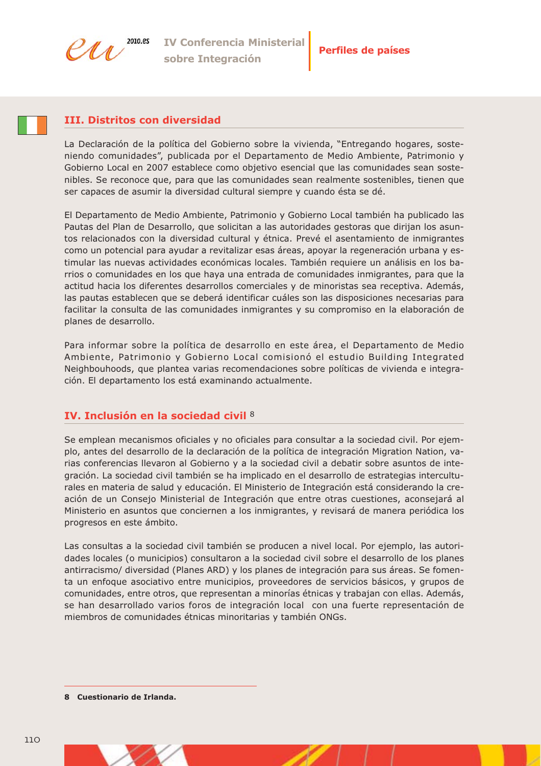

# **III. Distritos con diversidad**

La Declaración de la política del Gobierno sobre la vivienda, "Entregando hogares, sosteniendo comunidades", publicada por el Departamento de Medio Ambiente, Patrimonio y Gobierno Local en 2007 establece como objetivo esencial que las comunidades sean sostenibles. Se reconoce que, para que las comunidades sean realmente sostenibles, tienen que ser capaces de asumir la diversidad cultural siempre y cuando ésta se dé.

El Departamento de Medio Ambiente, Patrimonio y Gobierno Local también ha publicado las Pautas del Plan de Desarrollo, que solicitan a las autoridades gestoras que dirijan los asuntos relacionados con la diversidad cultural y étnica. Prevé el asentamiento de inmigrantes como un potencial para ayudar a revitalizar esas áreas, apoyar la regeneración urbana y estimular las nuevas actividades económicas locales. También requiere un análisis en los barrios o comunidades en los que haya una entrada de comunidades inmigrantes, para que la actitud hacia los diferentes desarrollos comerciales y de minoristas sea receptiva. Además, las pautas establecen que se deberá identificar cuáles son las disposiciones necesarias para facilitar la consulta de las comunidades inmigrantes y su compromiso en la elaboración de planes de desarrollo.

Para informar sobre la política de desarrollo en este área, el Departamento de Medio Ambiente, Patrimonio y Gobierno Local comisionó el estudio Building Integrated Neighbouhoods, que plantea varias recomendaciones sobre políticas de vivienda e integración. El departamento los está examinando actualmente.

# **IV. Inclusión en la sociedad civil** 8

Se emplean mecanismos oficiales y no oficiales para consultar a la sociedad civil. Por ejemplo, antes del desarrollo de la declaración de la política de integración Migration Nation, varias conferencias llevaron al Gobierno y a la sociedad civil a debatir sobre asuntos de integración. La sociedad civil también se ha implicado en el desarrollo de estrategias interculturales en materia de salud y educación. El Ministerio de Integración está considerando la creación de un Consejo Ministerial de Integración que entre otras cuestiones, aconsejará al Ministerio en asuntos que conciernen a los inmigrantes, y revisará de manera periódica los progresos en este ámbito.

Las consultas a la sociedad civil también se producen a nivel local. Por ejemplo, las autoridades locales (o municipios) consultaron a la sociedad civil sobre el desarrollo de los planes antirracismo/ diversidad (Planes ARD) y los planes de integración para sus áreas. Se fomenta un enfoque asociativo entre municipios, proveedores de servicios básicos, y grupos de comunidades, entre otros, que representan a minorías étnicas y trabajan con ellas. Además, se han desarrollado varios foros de integración local con una fuerte representación de miembros de comunidades étnicas minoritarias y también ONGs.

**<sup>8</sup> Cuestionario de Irlanda.**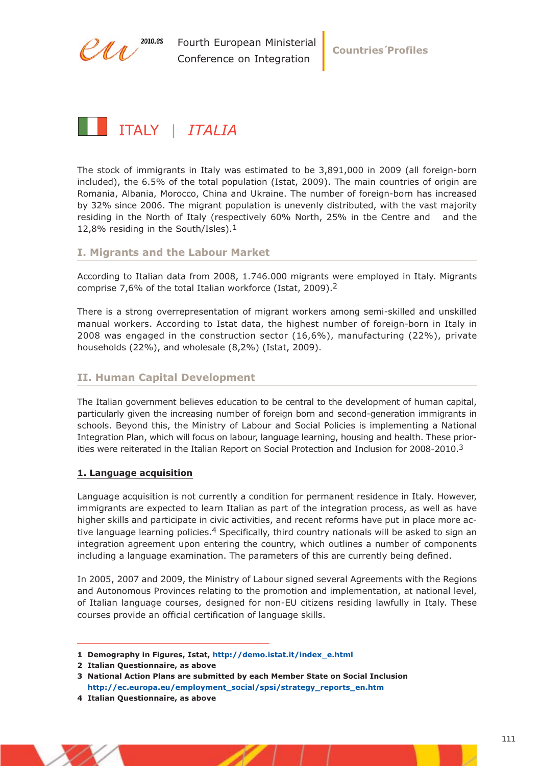



The stock of immigrants in Italy was estimated to be 3,891,000 in 2009 (all foreign-born included), the 6.5% of the total population (Istat, 2009). The main countries of origin are Romania, Albania, Morocco, China and Ukraine. The number of foreign-born has increased by 32% since 2006. The migrant population is unevenly distributed, with the vast majority residing in the North of Italy (respectively 60% North, 25% in tbe Centre and and the 12,8% residing in the South/Isles). $1$ 

### **I. Migrants and the Labour Market**

According to Italian data from 2008, 1.746.000 migrants were employed in Italy. Migrants comprise 7,6% of the total Italian workforce (Istat, 2009).2

There is a strong overrepresentation of migrant workers among semi-skilled and unskilled manual workers. According to Istat data, the highest number of foreign-born in Italy in 2008 was engaged in the construction sector (16,6%), manufacturing (22%), private households (22%), and wholesale (8,2%) (Istat, 2009).

# **II. Human Capital Development**

The Italian government believes education to be central to the development of human capital, particularly given the increasing number of foreign born and second-generation immigrants in schools. Beyond this, the Ministry of Labour and Social Policies is implementing a National Integration Plan, which will focus on labour, language learning, housing and health. These priorities were reiterated in the Italian Report on Social Protection and Inclusion for 2008-2010.<sup>3</sup>

### **1. Language acquisition**

Language acquisition is not currently a condition for permanent residence in Italy. However, immigrants are expected to learn Italian as part of the integration process, as well as have higher skills and participate in civic activities, and recent reforms have put in place more active language learning policies.<sup>4</sup> Specifically, third country nationals will be asked to sign an integration agreement upon entering the country, which outlines a number of components including a language examination. The parameters of this are currently being defined.

In 2005, 2007 and 2009, the Ministry of Labour signed several Agreements with the Regions and Autonomous Provinces relating to the promotion and implementation, at national level, of Italian language courses, designed for non-EU citizens residing lawfully in Italy. These courses provide an official certification of language skills.

- **1 Demography in Figures, Istat, http://demo.istat.it/index\_e.html**
- **2 Italian Questionnaire, as above**



**<sup>3</sup> National Action Plans are submitted by each Member State on Social Inclusion http://ec.europa.eu/employment\_social/spsi/strategy\_reports\_en.htm** 

**<sup>4</sup> Italian Questionnaire, as above**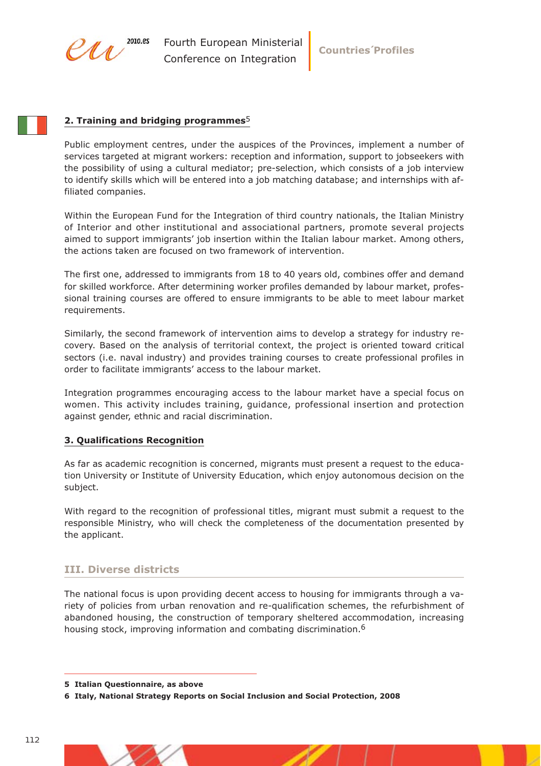

# **2. Training and bridging programmes**5

Public employment centres, under the auspices of the Provinces, implement a number of services targeted at migrant workers: reception and information, support to jobseekers with the possibility of using a cultural mediator; pre-selection, which consists of a job interview to identify skills which will be entered into a job matching database; and internships with affiliated companies.

Within the European Fund for the Integration of third country nationals, the Italian Ministry of Interior and other institutional and associational partners, promote several projects aimed to support immigrants' job insertion within the Italian labour market. Among others, the actions taken are focused on two framework of intervention.

The first one, addressed to immigrants from 18 to 40 years old, combines offer and demand for skilled workforce. After determining worker profiles demanded by labour market, professional training courses are offered to ensure immigrants to be able to meet labour market requirements.

Similarly, the second framework of intervention aims to develop a strategy for industry recovery. Based on the analysis of territorial context, the project is oriented toward critical sectors (i.e. naval industry) and provides training courses to create professional profiles in order to facilitate immigrants' access to the labour market.

Integration programmes encouraging access to the labour market have a special focus on women. This activity includes training, guidance, professional insertion and protection against gender, ethnic and racial discrimination.

### **3. Qualifications Recognition**

As far as academic recognition is concerned, migrants must present a request to the education University or Institute of University Education, which enjoy autonomous decision on the subject.

With regard to the recognition of professional titles, migrant must submit a request to the responsible Ministry, who will check the completeness of the documentation presented by the applicant.

### **III. Diverse districts**

The national focus is upon providing decent access to housing for immigrants through a variety of policies from urban renovation and re-qualification schemes, the refurbishment of abandoned housing, the construction of temporary sheltered accommodation, increasing housing stock, improving information and combating discrimination.<sup>6</sup>

**<sup>5</sup> Italian Questionnaire, as above**

**<sup>6</sup> Italy, National Strategy Reports on Social Inclusion and Social Protection, 2008**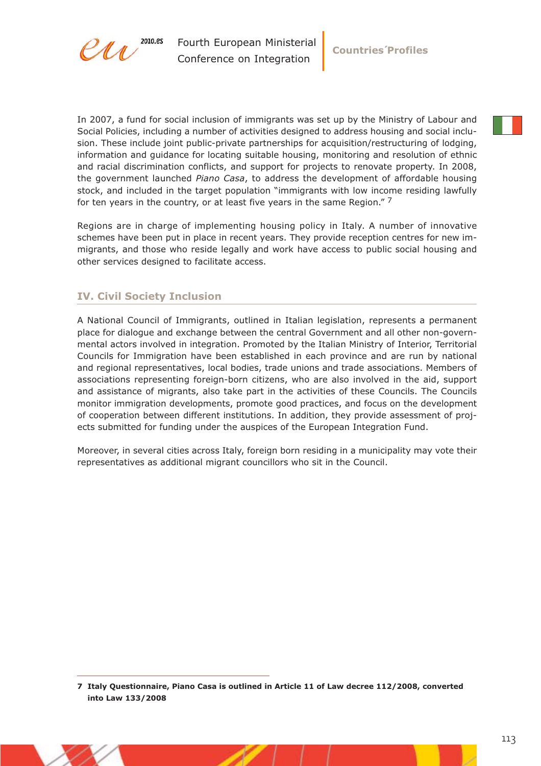

In 2007, a fund for social inclusion of immigrants was set up by the Ministry of Labour and Social Policies, including a number of activities designed to address housing and social inclusion. These include joint public-private partnerships for acquisition/restructuring of lodging, information and guidance for locating suitable housing, monitoring and resolution of ethnic and racial discrimination conflicts, and support for projects to renovate property. In 2008, the government launched *Piano Casa*, to address the development of affordable housing stock, and included in the target population "immigrants with low income residing lawfully for ten years in the country, or at least five years in the same Region."<sup>7</sup>

Regions are in charge of implementing housing policy in Italy. A number of innovative schemes have been put in place in recent years. They provide reception centres for new immigrants, and those who reside legally and work have access to public social housing and other services designed to facilitate access.

# **IV. Civil Society Inclusion**

A National Council of Immigrants, outlined in Italian legislation, represents a permanent place for dialogue and exchange between the central Government and all other non-governmental actors involved in integration. Promoted by the Italian Ministry of Interior, Territorial Councils for Immigration have been established in each province and are run by national and regional representatives, local bodies, trade unions and trade associations. Members of associations representing foreign-born citizens, who are also involved in the aid, support and assistance of migrants, also take part in the activities of these Councils. The Councils monitor immigration developments, promote good practices, and focus on the development of cooperation between different institutions. In addition, they provide assessment of projects submitted for funding under the auspices of the European Integration Fund.

Moreover, in several cities across Italy, foreign born residing in a municipality may vote their representatives as additional migrant councillors who sit in the Council.

**<sup>7</sup> Italy Questionnaire, Piano Casa is outlined in Article 11 of Law decree 112/2008, converted into Law 133/2008**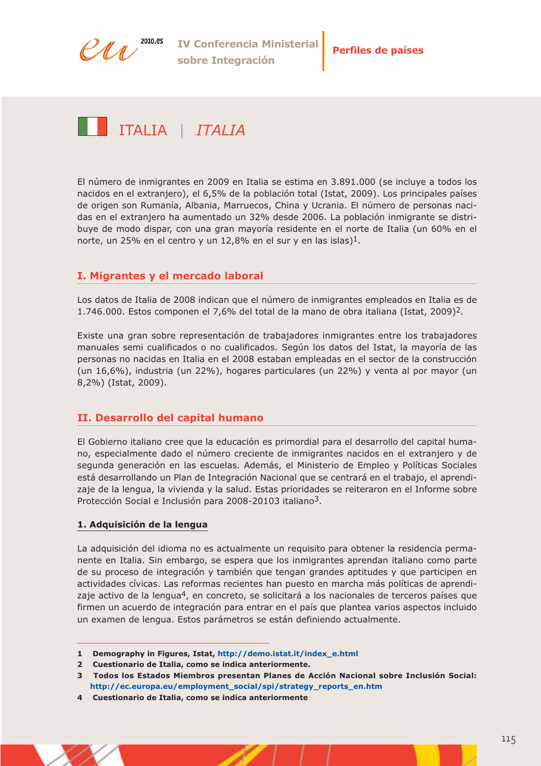



El número de inmigrantes en 2009 en Italia se estima en 3.891.000 (se incluye a todos los nacidos en el extranjero), el 6,5% de la población total (Istat, 2009). Los principales países de origen son Rumanía, Albania, Marruecos, China y Ucrania. El número de personas nacidas en el extranjero ha aumentado un 32% desde 2006. La población inmigrante se distribuye de modo dispar, con una gran mayoría residente en el norte de Italia (un 60% en el norte, un 25% en el centro y un 12,8% en el sur y en las islas)<sup>1</sup>.

# **I. Migrantes y el mercado laboral**

Los datos de Italia de 2008 indican que el número de inmigrantes empleados en Italia es de 1.746.000. Estos componen el 7,6% del total de la mano de obra italiana (Istat, 2009)2.

Existe una gran sobre representación de trabajadores inmigrantes entre los trabajadores manuales semi cualificados o no cualificados. Según los datos del Istat, la mayoría de las personas no nacidas en Italia en el 2008 estaban empleadas en el sector de la construcción (un 16,6%), industria (un 22%), hogares particulares (un 22%) y venta al por mayor (un 8,2%) (Istat, 2009).

### **II. Desarrollo del capital humano**

El Gobierno italiano cree que la educación es primordial para el desarrollo del capital humano, especialmente dado el número creciente de inmigrantes nacidos en el extranjero y de segunda generación en las escuelas. Además, el Ministerio de Empleo y Políticas Sociales está desarrollando un Plan de Integración Nacional que se centrará en el trabajo, el aprendizaje de la lengua, la vivienda y la salud. Estas prioridades se reiteraron en el Informe sobre Protección Social e Inclusión para 2008-20103 italiano3.

### **1. Adquisición de la lengua**

La adquisición del idioma no es actualmente un requisito para obtener la residencia permanente en Italia. Sin embargo, se espera que los inmigrantes aprendan italiano como parte de su proceso de integración y también que tengan grandes aptitudes y que participen en actividades cívicas. Las reformas recientes han puesto en marcha más políticas de aprendizaje activo de la lengua<sup>4</sup>, en concreto, se solicitará a los nacionales de terceros países que firmen un acuerdo de integración para entrar en el país que plantea varios aspectos incluido un examen de lengua. Estos parámetros se están definiendo actualmente.

- **1 Demography in Figures, Istat, http://demo.istat.it/index\_e.html**
- **2 Cuestionario de Italia, como se indica anteriormente.**

**4 Cuestionario de Italia, como se indica anteriormente**



**<sup>3</sup> Todos los Estados Miembros presentan Planes de Acción Nacional sobre Inclusión Social: http://ec.europa.eu/employment\_social/spi/strategy\_reports\_en.htm**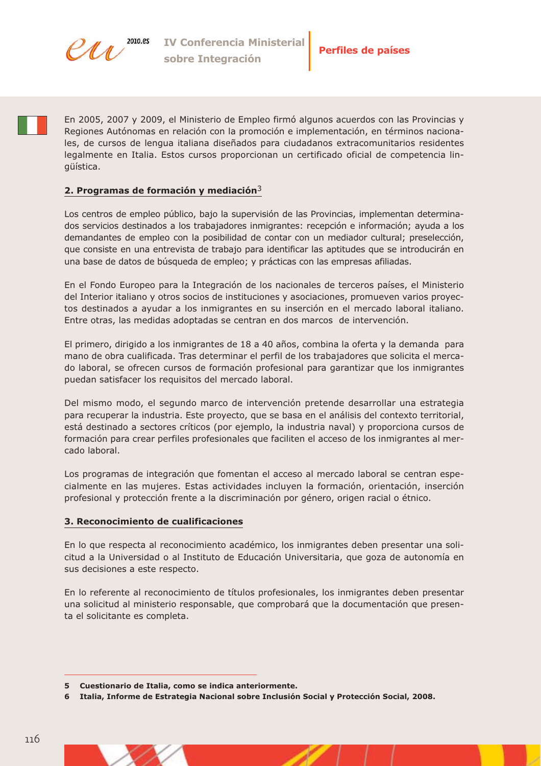

En 2005, 2007 y 2009, el Ministerio de Empleo firmó algunos acuerdos con las Provincias y Regiones Autónomas en relación con la promoción e implementación, en términos nacionales, de cursos de lengua italiana diseñados para ciudadanos extracomunitarios residentes legalmente en Italia. Estos cursos proporcionan un certificado oficial de competencia lingüística.

#### **2. Programas de formación y mediación**3

Los centros de empleo público, bajo la supervisión de las Provincias, implementan determinados servicios destinados a los trabajadores inmigrantes: recepción e información; ayuda a los demandantes de empleo con la posibilidad de contar con un mediador cultural; preselección, que consiste en una entrevista de trabajo para identificar las aptitudes que se introducirán en una base de datos de búsqueda de empleo; y prácticas con las empresas afiliadas.

En el Fondo Europeo para la Integración de los nacionales de terceros países, el Ministerio del Interior italiano y otros socios de instituciones y asociaciones, promueven varios proyectos destinados a ayudar a los inmigrantes en su inserción en el mercado laboral italiano. Entre otras, las medidas adoptadas se centran en dos marcos de intervención.

El primero, dirigido a los inmigrantes de 18 a 40 años, combina la oferta y la demanda para mano de obra cualificada. Tras determinar el perfil de los trabajadores que solicita el mercado laboral, se ofrecen cursos de formación profesional para garantizar que los inmigrantes puedan satisfacer los requisitos del mercado laboral.

Del mismo modo, el segundo marco de intervención pretende desarrollar una estrategia para recuperar la industria. Este proyecto, que se basa en el análisis del contexto territorial, está destinado a sectores críticos (por ejemplo, la industria naval) y proporciona cursos de formación para crear perfiles profesionales que faciliten el acceso de los inmigrantes al mercado laboral.

Los programas de integración que fomentan el acceso al mercado laboral se centran especialmente en las mujeres. Estas actividades incluyen la formación, orientación, inserción profesional y protección frente a la discriminación por género, origen racial o étnico.

#### **3. Reconocimiento de cualificaciones**

En lo que respecta al reconocimiento académico, los inmigrantes deben presentar una solicitud a la Universidad o al Instituto de Educación Universitaria, que goza de autonomía en sus decisiones a este respecto.

En lo referente al reconocimiento de títulos profesionales, los inmigrantes deben presentar una solicitud al ministerio responsable, que comprobará que la documentación que presenta el solicitante es completa.

**<sup>5</sup> Cuestionario de Italia, como se indica anteriormente.**

**<sup>6</sup> Italia, Informe de Estrategia Nacional sobre Inclusión Social y Protección Social, 2008.**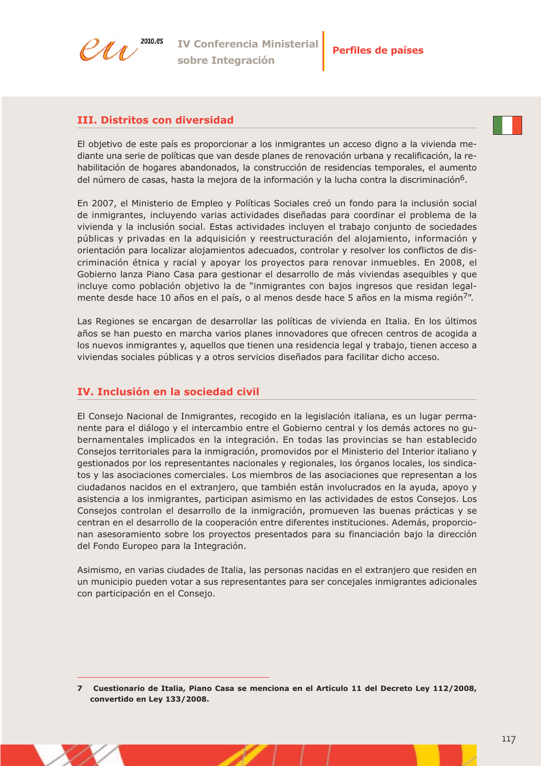

# **III. Distritos con diversidad**

El objetivo de este país es proporcionar a los inmigrantes un acceso digno a la vivienda mediante una serie de políticas que van desde planes de renovación urbana y recalificación, la rehabilitación de hogares abandonados, la construcción de residencias temporales, el aumento del número de casas, hasta la mejora de la información y la lucha contra la discriminación<sup>6</sup>.

En 2007, el Ministerio de Empleo y Políticas Sociales creó un fondo para la inclusión social de inmigrantes, incluyendo varias actividades diseñadas para coordinar el problema de la vivienda y la inclusión social. Estas actividades incluyen el trabajo conjunto de sociedades públicas y privadas en la adquisición y reestructuración del alojamiento, información y orientación para localizar alojamientos adecuados, controlar y resolver los conflictos de discriminación étnica y racial y apoyar los proyectos para renovar inmuebles. En 2008, el Gobierno lanza Piano Casa para gestionar el desarrollo de más viviendas asequibles y que incluye como población objetivo la de "inmigrantes con bajos ingresos que residan legalmente desde hace 10 años en el país, o al menos desde hace 5 años en la misma región<sup>7</sup>".

Las Regiones se encargan de desarrollar las políticas de vivienda en Italia. En los últimos años se han puesto en marcha varios planes innovadores que ofrecen centros de acogida a los nuevos inmigrantes y, aquellos que tienen una residencia legal y trabajo, tienen acceso a viviendas sociales públicas y a otros servicios diseñados para facilitar dicho acceso.

# **IV. Inclusión en la sociedad civil**

El Consejo Nacional de Inmigrantes, recogido en la legislación italiana, es un lugar permanente para el diálogo y el intercambio entre el Gobierno central y los demás actores no gubernamentales implicados en la integración. En todas las provincias se han establecido Consejos territoriales para la inmigración, promovidos por el Ministerio del Interior italiano y gestionados por los representantes nacionales y regionales, los órganos locales, los sindicatos y las asociaciones comerciales. Los miembros de las asociaciones que representan a los ciudadanos nacidos en el extranjero, que también están involucrados en la ayuda, apoyo y asistencia a los inmigrantes, participan asimismo en las actividades de estos Consejos. Los Consejos controlan el desarrollo de la inmigración, promueven las buenas prácticas y se centran en el desarrollo de la cooperación entre diferentes instituciones. Además, proporcionan asesoramiento sobre los proyectos presentados para su financiación bajo la dirección del Fondo Europeo para la Integración.

Asimismo, en varias ciudades de Italia, las personas nacidas en el extranjero que residen en un municipio pueden votar a sus representantes para ser concejales inmigrantes adicionales con participación en el Consejo.

**<sup>7</sup> Cuestionario de Italia, Piano Casa se menciona en el Artículo 11 del Decreto Ley 112/2008, convertido en Ley 133/2008.**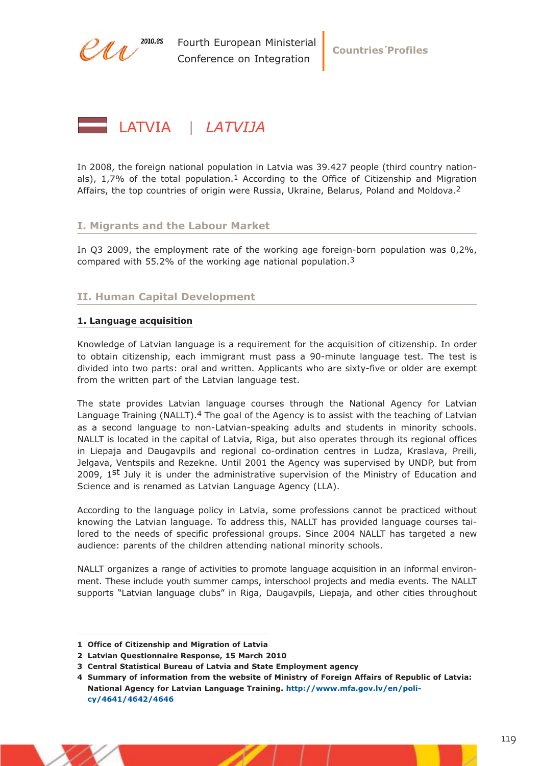



In 2008, the foreign national population in Latvia was 39.427 people (third country nationals),  $1,7\%$  of the total population.<sup>1</sup> According to the Office of Citizenship and Migration Affairs, the top countries of origin were Russia, Ukraine, Belarus, Poland and Moldova.<sup>2</sup>

# **I. Migrants and the Labour Market**

In Q3 2009, the employment rate of the working age foreign-born population was 0,2%, compared with 55.2% of the working age national population.3

# **II. Human Capital Development**

### **1. Language acquisition**

Knowledge of Latvian language is a requirement for the acquisition of citizenship. In order to obtain citizenship, each immigrant must pass a 90-minute language test. The test is divided into two parts: oral and written. Applicants who are sixty-five or older are exempt from the written part of the Latvian language test.

The state provides Latvian language courses through the National Agency for Latvian Language Training (NALLT).<sup>4</sup> The goal of the Agency is to assist with the teaching of Latvian as a second language to non-Latvian-speaking adults and students in minority schools. NALLT is located in the capital of Latvia, Riga, but also operates through its regional offices in Liepaja and Daugavpils and regional co-ordination centres in Ludza, Kraslava, Preili, Jelgava, Ventspils and Rezekne. Until 2001 the Agency was supervised by UNDP, but from 2009, 1st July it is under the administrative supervision of the Ministry of Education and Science and is renamed as Latvian Language Agency (LLA).

According to the language policy in Latvia, some professions cannot be practiced without knowing the Latvian language. To address this, NALLT has provided language courses tailored to the needs of specific professional groups. Since 2004 NALLT has targeted a new audience: parents of the children attending national minority schools.

NALLT organizes a range of activities to promote language acquisition in an informal environment. These include youth summer camps, interschool projects and media events. The NALLT supports "Latvian language clubs" in Riga, Daugavpils, Liepaja, and other cities throughout

**4 Summary of information from the website of Ministry of Foreign Affairs of Republic of Latvia: National Agency for Latvian Language Training. http://www.mfa.gov.lv/en/policy/4641/4642/4646**



**<sup>1</sup> Office of Citizenship and Migration of Latvia**

**<sup>2</sup> Latvian Questionnaire Response, 15 March 2010**

**<sup>3</sup> Central Statistical Bureau of Latvia and State Employment agency**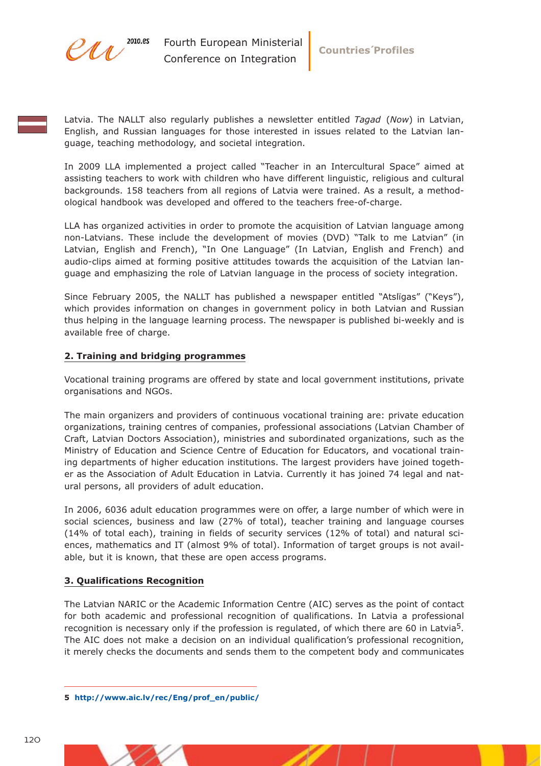

Latvia. The NALLT also regularly publishes a newsletter entitled *Tagad* (*Now*) in Latvian, English, and Russian languages for those interested in issues related to the Latvian language, teaching methodology, and societal integration.

In 2009 LLA implemented a project called "Teacher in an Intercultural Space" aimed at assisting teachers to work with children who have different linguistic, religious and cultural backgrounds. 158 teachers from all regions of Latvia were trained. As a result, a methodological handbook was developed and offered to the teachers free-of-charge.

LLA has organized activities in order to promote the acquisition of Latvian language among non-Latvians. These include the development of movies (DVD) "Talk to me Latvian" (in Latvian, English and French), "In One Language" (In Latvian, English and French) and audio-clips aimed at forming positive attitudes towards the acquisition of the Latvian language and emphasizing the role of Latvian language in the process of society integration.

Since February 2005, the NALLT has published a newspaper entitled "Atslïgas" ("Keys"), which provides information on changes in government policy in both Latvian and Russian thus helping in the language learning process. The newspaper is published bi-weekly and is available free of charge.

### **2. Training and bridging programmes**

Vocational training programs are offered by state and local government institutions, private organisations and NGOs.

The main organizers and providers of continuous vocational training are: private education organizations, training centres of companies, professional associations (Latvian Chamber of Craft, Latvian Doctors Association), ministries and subordinated organizations, such as the Ministry of Education and Science Centre of Education for Educators, and vocational training departments of higher education institutions. The largest providers have joined together as the Association of Adult Education in Latvia. Currently it has joined 74 legal and natural persons, all providers of adult education.

In 2006, 6036 adult education programmes were on offer, a large number of which were in social sciences, business and law (27% of total), teacher training and language courses (14% of total each), training in fields of security services (12% of total) and natural sciences, mathematics and IT (almost 9% of total). Information of target groups is not available, but it is known, that these are open access programs.

### **3. Qualifications Recognition**

The Latvian NARIC or the Academic Information Centre (AIC) serves as the point of contact for both academic and professional recognition of qualifications. In Latvia a professional recognition is necessary only if the profession is regulated, of which there are 60 in Latvia5. The AIC does not make a decision on an individual qualification's professional recognition, it merely checks the documents and sends them to the competent body and communicates

**<sup>5</sup> http://www.aic.lv/rec/Eng/prof\_en/public/**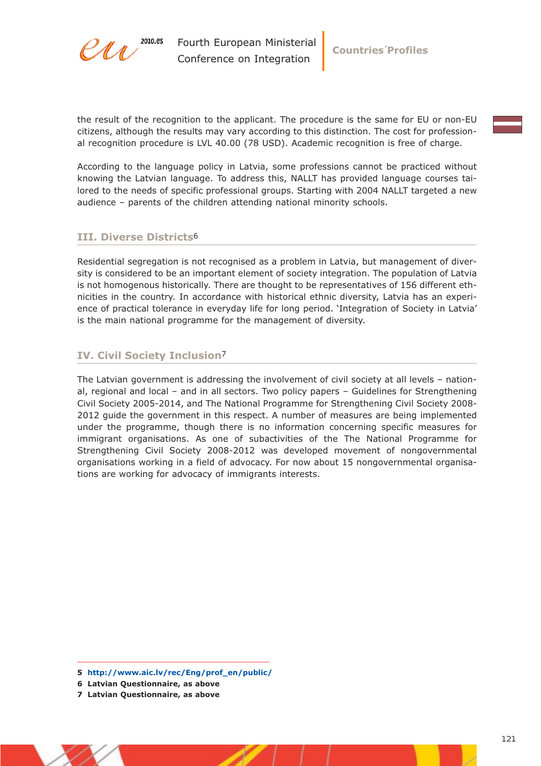

the result of the recognition to the applicant. The procedure is the same for EU or non-EU citizens, although the results may vary according to this distinction. The cost for professional recognition procedure is LVL 40.00 (78 USD). Academic recognition is free of charge.

According to the language policy in Latvia, some professions cannot be practiced without knowing the Latvian language. To address this, NALLT has provided language courses tailored to the needs of specific professional groups. Starting with 2004 NALLT targeted a new audience – parents of the children attending national minority schools.

# **III. Diverse Districts**6

Residential segregation is not recognised as a problem in Latvia, but management of diversity is considered to be an important element of society integration. The population of Latvia is not homogenous historically. There are thought to be representatives of 156 different ethnicities in the country. In accordance with historical ethnic diversity, Latvia has an experience of practical tolerance in everyday life for long period. 'Integration of Society in Latvia' is the main national programme for the management of diversity.

# **IV. Civil Society Inclusion**7

The Latvian government is addressing the involvement of civil society at all levels – national, regional and local – and in all sectors. Two policy papers – Guidelines for Strengthening Civil Society 2005-2014, and The National Programme for Strengthening Civil Society 2008- 2012 guide the government in this respect. A number of measures are being implemented under the programme, though there is no information concerning specific measures for immigrant organisations. As one of subactivities of the The National Programme for Strengthening Civil Society 2008-2012 was developed movement of nongovernmental organisations working in a field of advocacy. For now about 15 nongovernmental organisations are working for advocacy of immigrants interests.

- **6 Latvian Questionnaire, as above**
- **7 Latvian Questionnaire, as above**

**<sup>5</sup> http://www.aic.lv/rec/Eng/prof\_en/public/**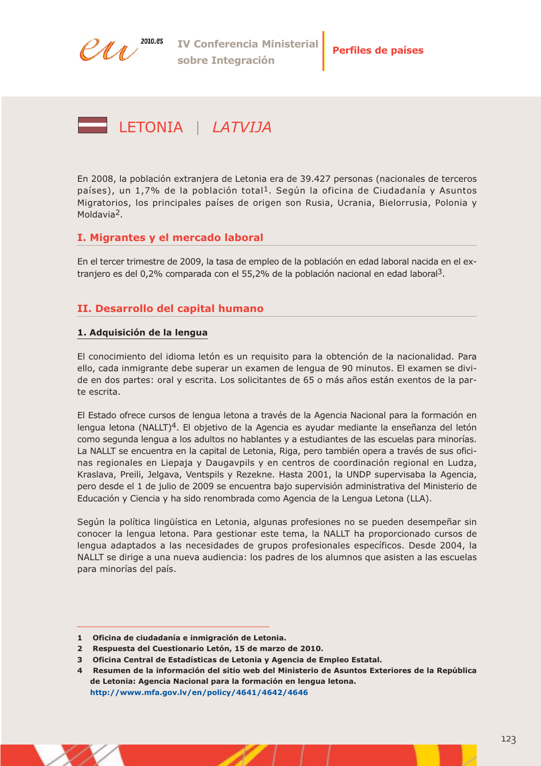



En 2008, la población extranjera de Letonia era de 39.427 personas (nacionales de terceros países), un 1,7% de la población total<sup>1</sup>. Según la oficina de Ciudadanía y Asuntos Migratorios, los principales países de origen son Rusia, Ucrania, Bielorrusia, Polonia y Moldavia2.

# **I. Migrantes y el mercado laboral**

En el tercer trimestre de 2009, la tasa de empleo de la población en edad laboral nacida en el extranjero es del 0,2% comparada con el 55,2% de la población nacional en edad laboral3.

# **II. Desarrollo del capital humano**

### **1. Adquisición de la lengua**

El conocimiento del idioma letón es un requisito para la obtención de la nacionalidad. Para ello, cada inmigrante debe superar un examen de lengua de 90 minutos. El examen se divide en dos partes: oral y escrita. Los solicitantes de 65 o más años están exentos de la parte escrita.

El Estado ofrece cursos de lengua letona a través de la Agencia Nacional para la formación en lengua letona (NALLT)<sup>4</sup>. El objetivo de la Agencia es ayudar mediante la enseñanza del letón como segunda lengua a los adultos no hablantes y a estudiantes de las escuelas para minorías. La NALLT se encuentra en la capital de Letonia, Riga, pero también opera a través de sus oficinas regionales en Liepaja y Daugavpils y en centros de coordinación regional en Ludza, Kraslava, Preili, Jelgava, Ventspils y Rezekne. Hasta 2001, la UNDP supervisaba la Agencia, pero desde el 1 de julio de 2009 se encuentra bajo supervisión administrativa del Ministerio de Educación y Ciencia y ha sido renombrada como Agencia de la Lengua Letona (LLA).

Según la política lingüística en Letonia, algunas profesiones no se pueden desempeñar sin conocer la lengua letona. Para gestionar este tema, la NALLT ha proporcionado cursos de lengua adaptados a las necesidades de grupos profesionales específicos. Desde 2004, la NALLT se dirige a una nueva audiencia: los padres de los alumnos que asisten a las escuelas para minorías del país.



**<sup>1</sup> Oficina de ciudadanía e inmigración de Letonia.**

**<sup>2</sup> Respuesta del Cuestionario Letón, 15 de marzo de 2010.**

**<sup>3</sup> Oficina Central de Estadísticas de Letonia y Agencia de Empleo Estatal.**

**<sup>4</sup> Resumen de la información del sitio web del Ministerio de Asuntos Exteriores de la República de Letonia: Agencia Nacional para la formación en lengua letona. http://www.mfa.gov.lv/en/policy/4641/4642/4646**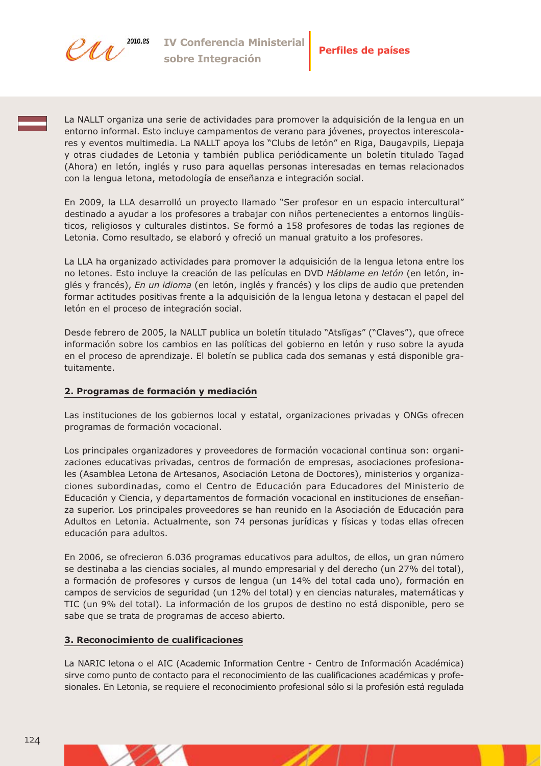

La NALLT organiza una serie de actividades para promover la adquisición de la lengua en un entorno informal. Esto incluye campamentos de verano para jóvenes, proyectos interescolares y eventos multimedia. La NALLT apoya los "Clubs de letón" en Riga, Daugavpils, Liepaja y otras ciudades de Letonia y también publica periódicamente un boletín titulado Tagad (Ahora) en letón, inglés y ruso para aquellas personas interesadas en temas relacionados con la lengua letona, metodología de enseñanza e integración social.

En 2009, la LLA desarrolló un proyecto llamado "Ser profesor en un espacio intercultural" destinado a ayudar a los profesores a trabajar con niños pertenecientes a entornos lingüísticos, religiosos y culturales distintos. Se formó a 158 profesores de todas las regiones de Letonia. Como resultado, se elaboró y ofreció un manual gratuito a los profesores.

La LLA ha organizado actividades para promover la adquisición de la lengua letona entre los no letones. Esto incluye la creación de las películas en DVD *Háblame en letón* (en letón, inglés y francés), *En un idioma* (en letón, inglés y francés) y los clips de audio que pretenden formar actitudes positivas frente a la adquisición de la lengua letona y destacan el papel del letón en el proceso de integración social.

Desde febrero de 2005, la NALLT publica un boletín titulado "Atslïgas" ("Claves"), que ofrece información sobre los cambios en las políticas del gobierno en letón y ruso sobre la ayuda en el proceso de aprendizaje. El boletín se publica cada dos semanas y está disponible gratuitamente.

### **2. Programas de formación y mediación**

Las instituciones de los gobiernos local y estatal, organizaciones privadas y ONGs ofrecen programas de formación vocacional.

Los principales organizadores y proveedores de formación vocacional continua son: organizaciones educativas privadas, centros de formación de empresas, asociaciones profesionales (Asamblea Letona de Artesanos, Asociación Letona de Doctores), ministerios y organizaciones subordinadas, como el Centro de Educación para Educadores del Ministerio de Educación y Ciencia, y departamentos de formación vocacional en instituciones de enseñanza superior. Los principales proveedores se han reunido en la Asociación de Educación para Adultos en Letonia. Actualmente, son 74 personas jurídicas y físicas y todas ellas ofrecen educación para adultos.

En 2006, se ofrecieron 6.036 programas educativos para adultos, de ellos, un gran número se destinaba a las ciencias sociales, al mundo empresarial y del derecho (un 27% del total), a formación de profesores y cursos de lengua (un 14% del total cada uno), formación en campos de servicios de seguridad (un 12% del total) y en ciencias naturales, matemáticas y TIC (un 9% del total). La información de los grupos de destino no está disponible, pero se sabe que se trata de programas de acceso abierto.

#### **3. Reconocimiento de cualificaciones**

La NARIC letona o el AIC (Academic Information Centre - Centro de Información Académica) sirve como punto de contacto para el reconocimiento de las cualificaciones académicas y profesionales. En Letonia, se requiere el reconocimiento profesional sólo si la profesión está regulada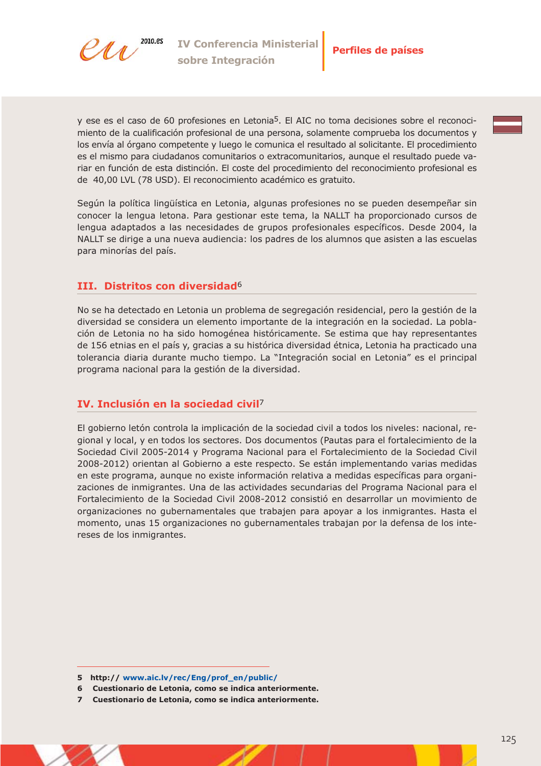

y ese es el caso de 60 profesiones en Letonia5. El AIC no toma decisiones sobre el reconocimiento de la cualificación profesional de una persona, solamente comprueba los documentos y los envía al órgano competente y luego le comunica el resultado al solicitante. El procedimiento es el mismo para ciudadanos comunitarios o extracomunitarios, aunque el resultado puede variar en función de esta distinción. El coste del procedimiento del reconocimiento profesional es de 40,00 LVL (78 USD). El reconocimiento académico es gratuito.

Según la política lingüística en Letonia, algunas profesiones no se pueden desempeñar sin conocer la lengua letona. Para gestionar este tema, la NALLT ha proporcionado cursos de lengua adaptados a las necesidades de grupos profesionales específicos. Desde 2004, la NALLT se dirige a una nueva audiencia: los padres de los alumnos que asisten a las escuelas para minorías del país.

# **III. Distritos con diversidad**6

No se ha detectado en Letonia un problema de segregación residencial, pero la gestión de la diversidad se considera un elemento importante de la integración en la sociedad. La población de Letonia no ha sido homogénea históricamente. Se estima que hay representantes de 156 etnias en el país y, gracias a su histórica diversidad étnica, Letonia ha practicado una tolerancia diaria durante mucho tiempo. La "Integración social en Letonia" es el principal programa nacional para la gestión de la diversidad.

# **IV. Inclusión en la sociedad civil**7

El gobierno letón controla la implicación de la sociedad civil a todos los niveles: nacional, regional y local, y en todos los sectores. Dos documentos (Pautas para el fortalecimiento de la Sociedad Civil 2005-2014 y Programa Nacional para el Fortalecimiento de la Sociedad Civil 2008-2012) orientan al Gobierno a este respecto. Se están implementando varias medidas en este programa, aunque no existe información relativa a medidas específicas para organizaciones de inmigrantes. Una de las actividades secundarias del Programa Nacional para el Fortalecimiento de la Sociedad Civil 2008-2012 consistió en desarrollar un movimiento de organizaciones no gubernamentales que trabajen para apoyar a los inmigrantes. Hasta el momento, unas 15 organizaciones no gubernamentales trabajan por la defensa de los intereses de los inmigrantes.

**<sup>7</sup> Cuestionario de Letonia, como se indica anteriormente.**



**<sup>5</sup> http:// www.aic.lv/rec/Eng/prof\_en/public/**

**<sup>6</sup> Cuestionario de Letonia, como se indica anteriormente.**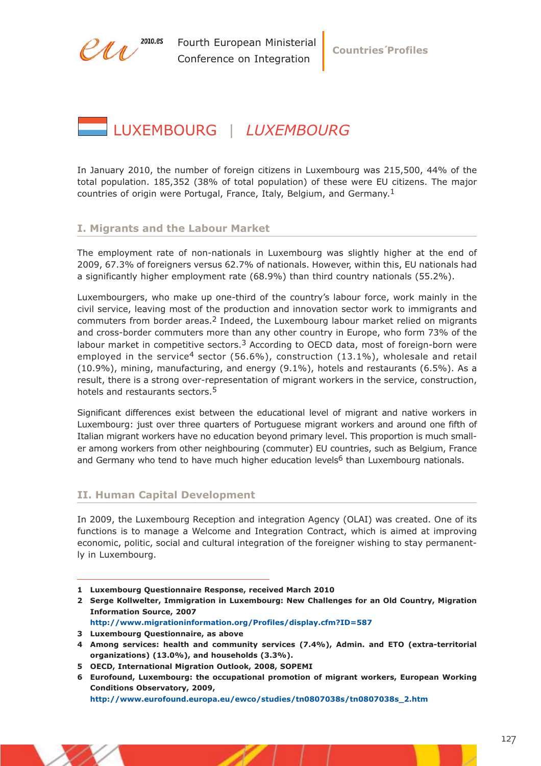



In January 2010, the number of foreign citizens in Luxembourg was 215,500, 44% of the total population. 185,352 (38% of total population) of these were EU citizens. The major countries of origin were Portugal, France, Italy, Belgium, and Germany.<sup>1</sup>

# **I. Migrants and the Labour Market**

The employment rate of non-nationals in Luxembourg was slightly higher at the end of 2009, 67.3% of foreigners versus 62.7% of nationals. However, within this, EU nationals had a significantly higher employment rate (68.9%) than third country nationals (55.2%).

Luxembourgers, who make up one-third of the country's labour force, work mainly in the civil service, leaving most of the production and innovation sector work to immigrants and commuters from border areas.<sup>2</sup> Indeed, the Luxembourg labour market relied on migrants and cross-border commuters more than any other country in Europe, who form 73% of the labour market in competitive sectors.<sup>3</sup> According to OECD data, most of foreign-born were employed in the service<sup>4</sup> sector (56.6%), construction (13.1%), wholesale and retail (10.9%), mining, manufacturing, and energy (9.1%), hotels and restaurants (6.5%). As a result, there is a strong over-representation of migrant workers in the service, construction, hotels and restaurants sectors.<sup>5</sup>

Significant differences exist between the educational level of migrant and native workers in Luxembourg: just over three quarters of Portuguese migrant workers and around one fifth of Italian migrant workers have no education beyond primary level. This proportion is much smaller among workers from other neighbouring (commuter) EU countries, such as Belgium, France and Germany who tend to have much higher education levels<sup>6</sup> than Luxembourg nationals.

# **II. Human Capital Development**

In 2009, the Luxembourg Reception and integration Agency (OLAI) was created. One of its functions is to manage a Welcome and Integration Contract, which is aimed at improving economic, politic, social and cultural integration of the foreigner wishing to stay permanently in Luxembourg.

**<sup>1</sup> Luxembourg Questionnaire Response, received March 2010**

**<sup>2</sup> Serge Kollwelter, Immigration in Luxembourg: New Challenges for an Old Country, Migration Information Source, 2007**

**http://www.migrationinformation.org/Profiles/display.cfm?ID=587**

**<sup>3</sup> Luxembourg Questionnaire, as above**

**<sup>4</sup> Among services: health and community services (7.4%), Admin. and ETO (extra-territorial organizations) (13.0%), and households (3.3%).**

**<sup>5</sup> OECD, International Migration Outlook, 2008, SOPEMI**

**<sup>6</sup> Eurofound, Luxembourg: the occupational promotion of migrant workers, European Working Conditions Observatory, 2009,**

**http://www.eurofound.europa.eu/ewco/studies/tn0807038s/tn0807038s\_2.htm**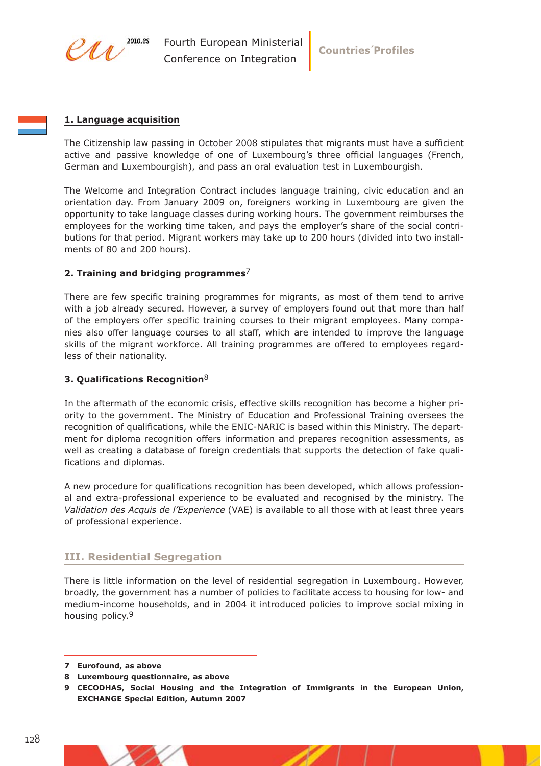

#### **1. Language acquisition**

The Citizenship law passing in October 2008 stipulates that migrants must have a sufficient active and passive knowledge of one of Luxembourg's three official languages (French, German and Luxembourgish), and pass an oral evaluation test in Luxembourgish.

The Welcome and Integration Contract includes language training, civic education and an orientation day. From January 2009 on, foreigners working in Luxembourg are given the opportunity to take language classes during working hours. The government reimburses the employees for the working time taken, and pays the employer's share of the social contributions for that period. Migrant workers may take up to 200 hours (divided into two installments of 80 and 200 hours).

#### **2. Training and bridging programmes**7

There are few specific training programmes for migrants, as most of them tend to arrive with a job already secured. However, a survey of employers found out that more than half of the employers offer specific training courses to their migrant employees. Many companies also offer language courses to all staff, which are intended to improve the language skills of the migrant workforce. All training programmes are offered to employees regardless of their nationality.

#### **3. Qualifications Recognition**8

In the aftermath of the economic crisis, effective skills recognition has become a higher priority to the government. The Ministry of Education and Professional Training oversees the recognition of qualifications, while the ENIC-NARIC is based within this Ministry. The department for diploma recognition offers information and prepares recognition assessments, as well as creating a database of foreign credentials that supports the detection of fake qualifications and diplomas.

A new procedure for qualifications recognition has been developed, which allows professional and extra-professional experience to be evaluated and recognised by the ministry. The *Validation des Acquis de l'Experience* (VAE) is available to all those with at least three years of professional experience.

### **III. Residential Segregation**

There is little information on the level of residential segregation in Luxembourg. However, broadly, the government has a number of policies to facilitate access to housing for low- and medium-income households, and in 2004 it introduced policies to improve social mixing in housing policy.9

**<sup>7</sup> Eurofound, as above**

**<sup>8</sup> Luxembourg questionnaire, as above**

**<sup>9</sup> CECODHAS, Social Housing and the Integration of Immigrants in the European Union, EXCHANGE Special Edition, Autumn 2007**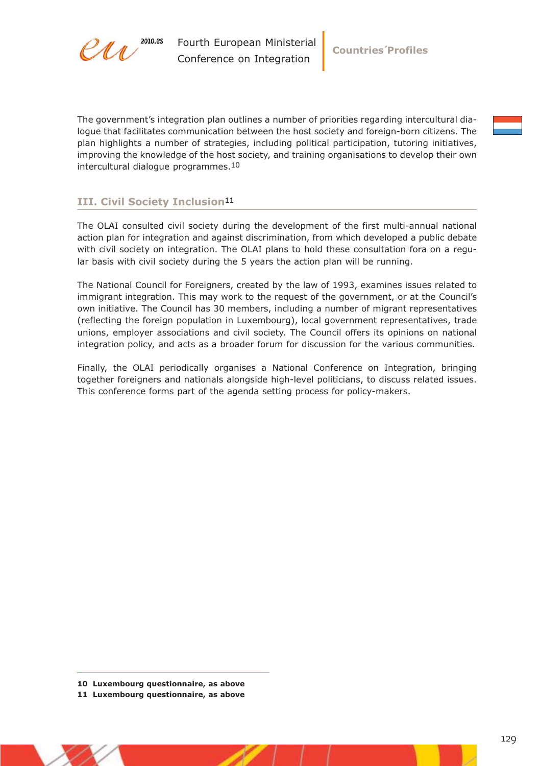

The government's integration plan outlines a number of priorities regarding intercultural dialogue that facilitates communication between the host society and foreign-born citizens. The plan highlights a number of strategies, including political participation, tutoring initiatives, improving the knowledge of the host society, and training organisations to develop their own intercultural dialogue programmes.10

# **III. Civil Society Inclusion**11

The OLAI consulted civil society during the development of the first multi-annual national action plan for integration and against discrimination, from which developed a public debate with civil society on integration. The OLAI plans to hold these consultation fora on a regular basis with civil society during the 5 years the action plan will be running.

The National Council for Foreigners, created by the law of 1993, examines issues related to immigrant integration. This may work to the request of the government, or at the Council's own initiative. The Council has 30 members, including a number of migrant representatives (reflecting the foreign population in Luxembourg), local government representatives, trade unions, employer associations and civil society. The Council offers its opinions on national integration policy, and acts as a broader forum for discussion for the various communities.

Finally, the OLAI periodically organises a National Conference on Integration, bringing together foreigners and nationals alongside high-level politicians, to discuss related issues. This conference forms part of the agenda setting process for policy-makers.

- **10 Luxembourg questionnaire, as above**
- **11 Luxembourg questionnaire, as above**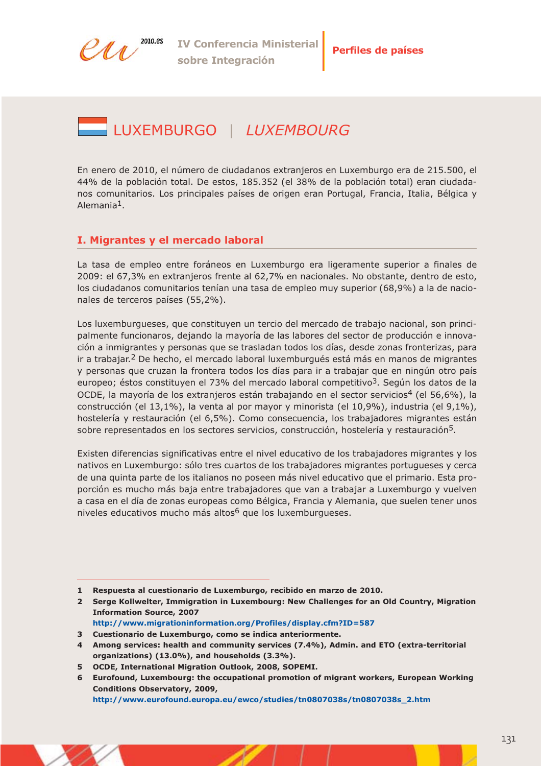

**IV Conferencia Ministerial sobre Integración**

# LUXEMBURGO | *LUXEMBOURG*

En enero de 2010, el número de ciudadanos extranjeros en Luxemburgo era de 215.500, el 44% de la población total. De estos, 185.352 (el 38% de la población total) eran ciudadanos comunitarios. Los principales países de origen eran Portugal, Francia, Italia, Bélgica y Alemania1.

# **I. Migrantes y el mercado laboral**

La tasa de empleo entre foráneos en Luxemburgo era ligeramente superior a finales de 2009: el 67,3% en extranjeros frente al 62,7% en nacionales. No obstante, dentro de esto, los ciudadanos comunitarios tenían una tasa de empleo muy superior (68,9%) a la de nacionales de terceros países (55,2%).

Los luxemburgueses, que constituyen un tercio del mercado de trabajo nacional, son principalmente funcionaros, dejando la mayoría de las labores del sector de producción e innovación a inmigrantes y personas que se trasladan todos los días, desde zonas fronterizas, para ir a trabajar.2 De hecho, el mercado laboral luxemburgués está más en manos de migrantes y personas que cruzan la frontera todos los días para ir a trabajar que en ningún otro país europeo; éstos constituyen el 73% del mercado laboral competitivo<sup>3</sup>. Según los datos de la OCDE, la mayoría de los extranjeros están trabajando en el sector servicios<sup>4</sup> (el 56,6%), la construcción (el 13,1%), la venta al por mayor y minorista (el 10,9%), industria (el 9,1%), hostelería y restauración (el 6,5%). Como consecuencia, los trabajadores migrantes están sobre representados en los sectores servicios, construcción, hostelería y restauración<sup>5</sup>.

Existen diferencias significativas entre el nivel educativo de los trabajadores migrantes y los nativos en Luxemburgo: sólo tres cuartos de los trabajadores migrantes portugueses y cerca de una quinta parte de los italianos no poseen más nivel educativo que el primario. Esta proporción es mucho más baja entre trabajadores que van a trabajar a Luxemburgo y vuelven a casa en el día de zonas europeas como Bélgica, Francia y Alemania, que suelen tener unos niveles educativos mucho más altos<sup>6</sup> que los luxemburgueses.

- **http://www.migrationinformation.org/Profiles/display.cfm?ID=587**
- **3 Cuestionario de Luxemburgo, como se indica anteriormente.**
- **4 Among services: health and community services (7.4%), Admin. and ETO (extra-territorial organizations) (13.0%), and households (3.3%).**
- **5 OCDE, International Migration Outlook, 2008, SOPEMI.**

**<sup>1</sup> Respuesta al cuestionario de Luxemburgo, recibido en marzo de 2010.**

**<sup>2</sup> Serge Kollwelter, Immigration in Luxembourg: New Challenges for an Old Country, Migration Information Source, 2007**

**<sup>6</sup> Eurofound, Luxembourg: the occupational promotion of migrant workers, European Working Conditions Observatory, 2009,**

**http://www.eurofound.europa.eu/ewco/studies/tn0807038s/tn0807038s\_2.htm**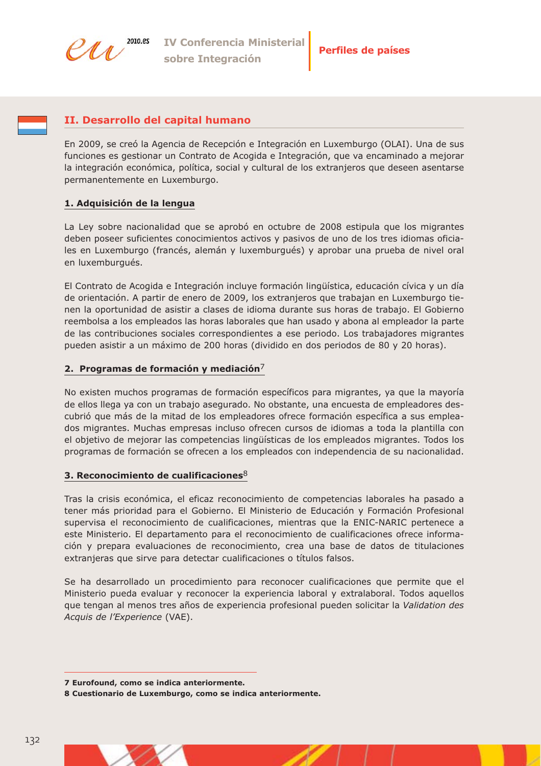

# **II. Desarrollo del capital humano**

En 2009, se creó la Agencia de Recepción e Integración en Luxemburgo (OLAI). Una de sus funciones es gestionar un Contrato de Acogida e Integración, que va encaminado a mejorar la integración económica, política, social y cultural de los extranjeros que deseen asentarse permanentemente en Luxemburgo.

# **1. Adquisición de la lengua**

La Ley sobre nacionalidad que se aprobó en octubre de 2008 estipula que los migrantes deben poseer suficientes conocimientos activos y pasivos de uno de los tres idiomas oficiales en Luxemburgo (francés, alemán y luxemburgués) y aprobar una prueba de nivel oral en luxemburgués.

El Contrato de Acogida e Integración incluye formación lingüística, educación cívica y un día de orientación. A partir de enero de 2009, los extranjeros que trabajan en Luxemburgo tienen la oportunidad de asistir a clases de idioma durante sus horas de trabajo. El Gobierno reembolsa a los empleados las horas laborales que han usado y abona al empleador la parte de las contribuciones sociales correspondientes a ese periodo. Los trabajadores migrantes pueden asistir a un máximo de 200 horas (dividido en dos periodos de 80 y 20 horas).

### **2. Programas de formación y mediación**7

No existen muchos programas de formación específicos para migrantes, ya que la mayoría de ellos llega ya con un trabajo asegurado. No obstante, una encuesta de empleadores descubrió que más de la mitad de los empleadores ofrece formación específica a sus empleados migrantes. Muchas empresas incluso ofrecen cursos de idiomas a toda la plantilla con el objetivo de mejorar las competencias lingüísticas de los empleados migrantes. Todos los programas de formación se ofrecen a los empleados con independencia de su nacionalidad.

### **3. Reconocimiento de cualificaciones**8

Tras la crisis económica, el eficaz reconocimiento de competencias laborales ha pasado a tener más prioridad para el Gobierno. El Ministerio de Educación y Formación Profesional supervisa el reconocimiento de cualificaciones, mientras que la ENIC-NARIC pertenece a este Ministerio. El departamento para el reconocimiento de cualificaciones ofrece información y prepara evaluaciones de reconocimiento, crea una base de datos de titulaciones extranjeras que sirve para detectar cualificaciones o títulos falsos.

Se ha desarrollado un procedimiento para reconocer cualificaciones que permite que el Ministerio pueda evaluar y reconocer la experiencia laboral y extralaboral. Todos aquellos que tengan al menos tres años de experiencia profesional pueden solicitar la *Validation des Acquis de l'Experience* (VAE).

**<sup>7</sup> Eurofound, como se indica anteriormente.**

**<sup>8</sup> Cuestionario de Luxemburgo, como se indica anteriormente.**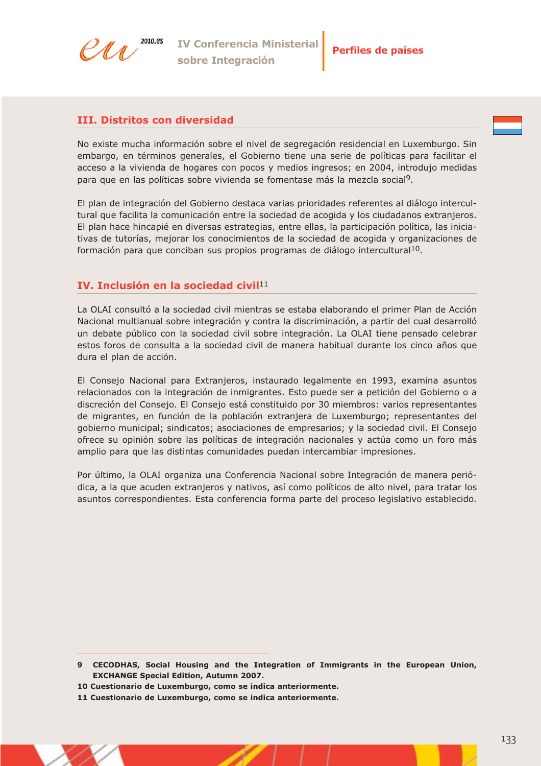

# **III. Distritos con diversidad**

No existe mucha información sobre el nivel de segregación residencial en Luxemburgo. Sin embargo, en términos generales, el Gobierno tiene una serie de políticas para facilitar el acceso a la vivienda de hogares con pocos y medios ingresos; en 2004, introdujo medidas para que en las políticas sobre vivienda se fomentase más la mezcla social<sup>9</sup>.

El plan de integración del Gobierno destaca varias prioridades referentes al diálogo intercultural que facilita la comunicación entre la sociedad de acogida y los ciudadanos extranjeros. El plan hace hincapié en diversas estrategias, entre ellas, la participación política, las iniciativas de tutorías, mejorar los conocimientos de la sociedad de acogida y organizaciones de formación para que conciban sus propios programas de diálogo intercultural $10$ .

# **IV. Inclusión en la sociedad civil**11

La OLAI consultó a la sociedad civil mientras se estaba elaborando el primer Plan de Acción Nacional multianual sobre integración y contra la discriminación, a partir del cual desarrolló un debate público con la sociedad civil sobre integración. La OLAI tiene pensado celebrar estos foros de consulta a la sociedad civil de manera habitual durante los cinco años que dura el plan de acción.

El Consejo Nacional para Extranjeros, instaurado legalmente en 1993, examina asuntos relacionados con la integración de inmigrantes. Esto puede ser a petición del Gobierno o a discreción del Consejo. El Consejo está constituido por 30 miembros: varios representantes de migrantes, en función de la población extranjera de Luxemburgo; representantes del gobierno municipal; sindicatos; asociaciones de empresarios; y la sociedad civil. El Consejo ofrece su opinión sobre las políticas de integración nacionales y actúa como un foro más amplio para que las distintas comunidades puedan intercambiar impresiones.

Por último, la OLAI organiza una Conferencia Nacional sobre Integración de manera periódica, a la que acuden extranjeros y nativos, así como políticos de alto nivel, para tratar los asuntos correspondientes. Esta conferencia forma parte del proceso legislativo establecido.

**<sup>11</sup> Cuestionario de Luxemburgo, como se indica anteriormente.**



**<sup>9</sup> CECODHAS, Social Housing and the Integration of Immigrants in the European Union, EXCHANGE Special Edition, Autumn 2007.**

**<sup>10</sup> Cuestionario de Luxemburgo, como se indica anteriormente.**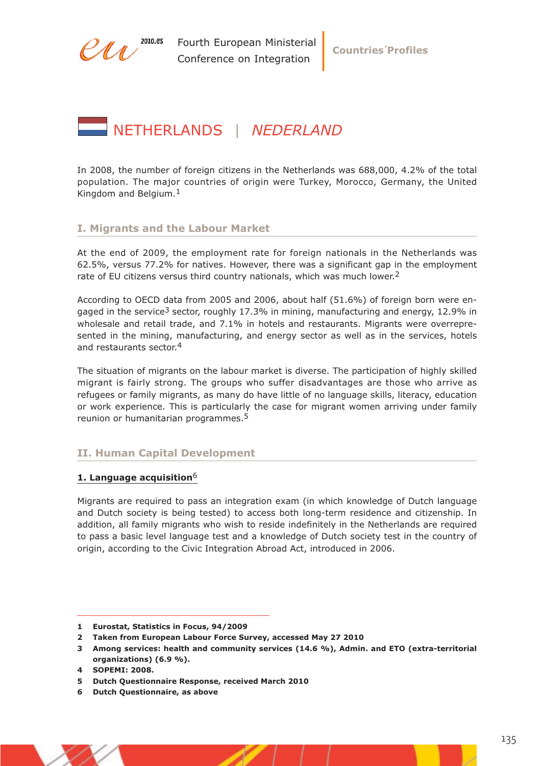



In 2008, the number of foreign citizens in the Netherlands was 688,000, 4.2% of the total population. The major countries of origin were Turkey, Morocco, Germany, the United Kingdom and Belgium.1

# **I. Migrants and the Labour Market**

At the end of 2009, the employment rate for foreign nationals in the Netherlands was 62.5%, versus 77.2% for natives. However, there was a significant gap in the employment rate of EU citizens versus third country nationals, which was much lower.<sup>2</sup>

According to OECD data from 2005 and 2006, about half (51.6%) of foreign born were engaged in the service<sup>3</sup> sector, roughly 17.3% in mining, manufacturing and energy, 12.9% in wholesale and retail trade, and 7.1% in hotels and restaurants. Migrants were overrepresented in the mining, manufacturing, and energy sector as well as in the services, hotels and restaurants sector.4

The situation of migrants on the labour market is diverse. The participation of highly skilled migrant is fairly strong. The groups who suffer disadvantages are those who arrive as refugees or family migrants, as many do have little of no language skills, literacy, education or work experience. This is particularly the case for migrant women arriving under family reunion or humanitarian programmes.<sup>5</sup>

# **II. Human Capital Development**

### **1. Language acquisition**6

Migrants are required to pass an integration exam (in which knowledge of Dutch language and Dutch society is being tested) to access both long-term residence and citizenship. In addition, all family migrants who wish to reside indefinitely in the Netherlands are required to pass a basic level language test and a knowledge of Dutch society test in the country of origin, according to the Civic Integration Abroad Act, introduced in 2006.

**6 Dutch Questionnaire, as above**

**<sup>1</sup> Eurostat, Statistics in Focus, 94/2009**

**<sup>2</sup> Taken from European Labour Force Survey, accessed May 27 2010**

**<sup>3</sup> Among services: health and community services (14.6 %), Admin. and ETO (extra-territorial organizations) (6.9 %).**

**<sup>4</sup> SOPEMI: 2008.** 

**<sup>5</sup> Dutch Questionnaire Response, received March 2010**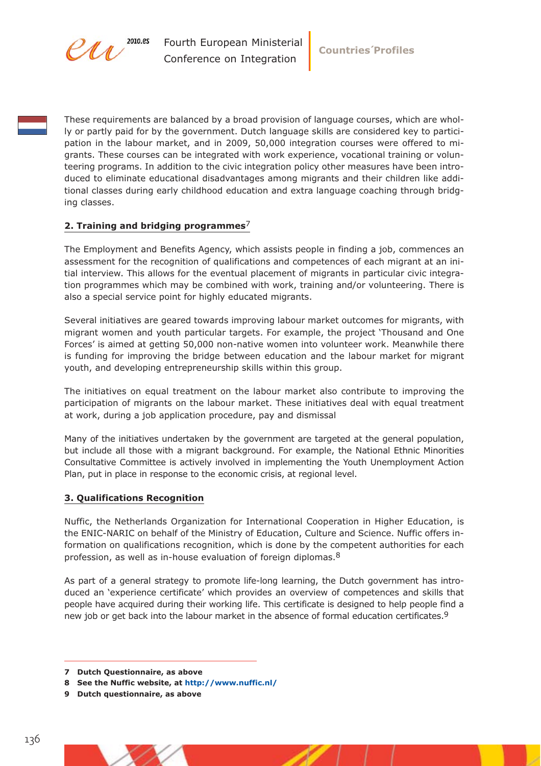

These requirements are balanced by a broad provision of language courses, which are wholly or partly paid for by the government. Dutch language skills are considered key to participation in the labour market, and in 2009, 50,000 integration courses were offered to migrants. These courses can be integrated with work experience, vocational training or volunteering programs. In addition to the civic integration policy other measures have been introduced to eliminate educational disadvantages among migrants and their children like additional classes during early childhood education and extra language coaching through bridging classes.

# **2. Training and bridging programmes**7

The Employment and Benefits Agency, which assists people in finding a job, commences an assessment for the recognition of qualifications and competences of each migrant at an initial interview. This allows for the eventual placement of migrants in particular civic integration programmes which may be combined with work, training and/or volunteering. There is also a special service point for highly educated migrants.

Several initiatives are geared towards improving labour market outcomes for migrants, with migrant women and youth particular targets. For example, the project 'Thousand and One Forces' is aimed at getting 50,000 non-native women into volunteer work. Meanwhile there is funding for improving the bridge between education and the labour market for migrant youth, and developing entrepreneurship skills within this group.

The initiatives on equal treatment on the labour market also contribute to improving the participation of migrants on the labour market. These initiatives deal with equal treatment at work, during a job application procedure, pay and dismissal

Many of the initiatives undertaken by the government are targeted at the general population, but include all those with a migrant background. For example, the National Ethnic Minorities Consultative Committee is actively involved in implementing the Youth Unemployment Action Plan, put in place in response to the economic crisis, at regional level.

### **3. Qualifications Recognition**

Nuffic, the Netherlands Organization for International Cooperation in Higher Education, is the ENIC-NARIC on behalf of the Ministry of Education, Culture and Science. Nuffic offers information on qualifications recognition, which is done by the competent authorities for each profession, as well as in-house evaluation of foreign diplomas.8

As part of a general strategy to promote life-long learning, the Dutch government has introduced an 'experience certificate' which provides an overview of competences and skills that people have acquired during their working life. This certificate is designed to help people find a new job or get back into the labour market in the absence of formal education certificates.<sup>9</sup>

**<sup>7</sup> Dutch Questionnaire, as above**

**<sup>8</sup> See the Nuffic website, at http://www.nuffic.nl/**

**<sup>9</sup> Dutch questionnaire, as above**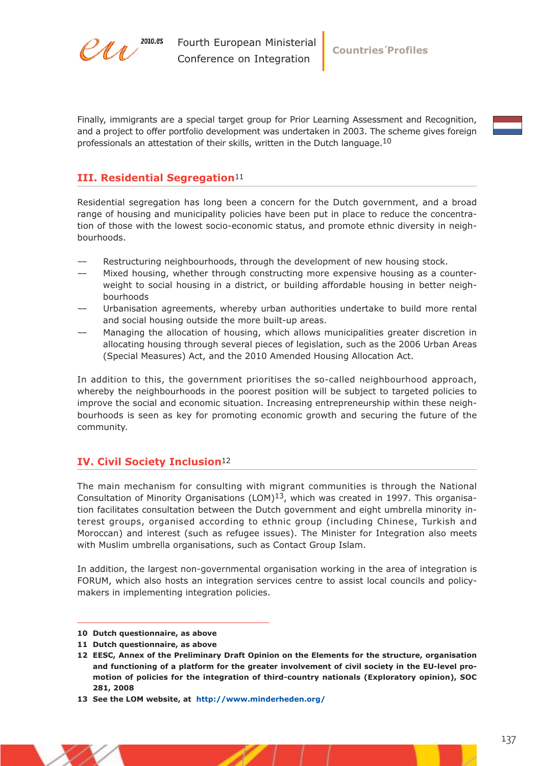

Finally, immigrants are a special target group for Prior Learning Assessment and Recognition, and a project to offer portfolio development was undertaken in 2003. The scheme gives foreign professionals an attestation of their skills, written in the Dutch language.<sup>10</sup>

# **III. Residential Segregation**11

Residential segregation has long been a concern for the Dutch government, and a broad range of housing and municipality policies have been put in place to reduce the concentration of those with the lowest socio-economic status, and promote ethnic diversity in neighbourhoods.

- Restructuring neighbourhoods, through the development of new housing stock.
- Mixed housing, whether through constructing more expensive housing as a counterweight to social housing in a district, or building affordable housing in better neighbourhoods
- –– Urbanisation agreements, whereby urban authorities undertake to build more rental and social housing outside the more built-up areas.
- Managing the allocation of housing, which allows municipalities greater discretion in allocating housing through several pieces of legislation, such as the 2006 Urban Areas (Special Measures) Act, and the 2010 Amended Housing Allocation Act.

In addition to this, the government prioritises the so-called neighbourhood approach, whereby the neighbourhoods in the poorest position will be subject to targeted policies to improve the social and economic situation. Increasing entrepreneurship within these neighbourhoods is seen as key for promoting economic growth and securing the future of the community.

# **IV. Civil Society Inclusion**12

The main mechanism for consulting with migrant communities is through the National Consultation of Minority Organisations (LOM) $^{13}$ , which was created in 1997. This organisation facilitates consultation between the Dutch government and eight umbrella minority interest groups, organised according to ethnic group (including Chinese, Turkish and Moroccan) and interest (such as refugee issues). The Minister for Integration also meets with Muslim umbrella organisations, such as Contact Group Islam.

In addition, the largest non-governmental organisation working in the area of integration is FORUM, which also hosts an integration services centre to assist local councils and policymakers in implementing integration policies.

- **10 Dutch questionnaire, as above**
- **11 Dutch questionnaire, as above**
- **12 EESC, Annex of the Preliminary Draft Opinion on the Elements for the structure, organisation and functioning of a platform for the greater involvement of civil society in the EU-level promotion of policies for the integration of third-country nationals (Exploratory opinion), SOC 281, 2008**
- **13 See the LOM website, at http://www.minderheden.org/**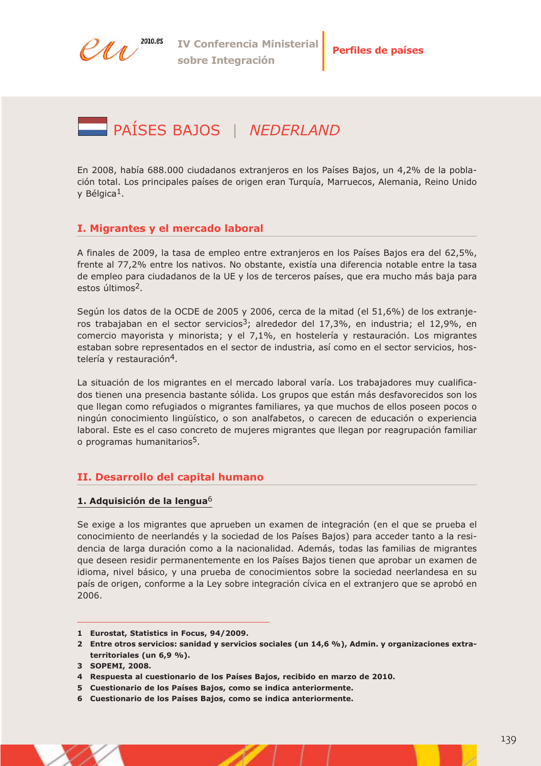



En 2008, había 688.000 ciudadanos extranjeros en los Países Bajos, un 4,2% de la población total. Los principales países de origen eran Turquía, Marruecos, Alemania, Reino Unido y Bélgica1.

# **I. Migrantes y el mercado laboral**

A finales de 2009, la tasa de empleo entre extranjeros en los Países Bajos era del 62,5%, frente al 77,2% entre los nativos. No obstante, existía una diferencia notable entre la tasa de empleo para ciudadanos de la UE y los de terceros países, que era mucho más baja para estos últimos2.

Según los datos de la OCDE de 2005 y 2006, cerca de la mitad (el 51,6%) de los extranjeros trabajaban en el sector servicios<sup>3</sup>; alrededor del 17,3%, en industria; el 12,9%, en comercio mayorista y minorista; y el 7,1%, en hostelería y restauración. Los migrantes estaban sobre representados en el sector de industria, así como en el sector servicios, hostelería y restauración<sup>4</sup>.

La situación de los migrantes en el mercado laboral varía. Los trabajadores muy cualificados tienen una presencia bastante sólida. Los grupos que están más desfavorecidos son los que llegan como refugiados o migrantes familiares, ya que muchos de ellos poseen pocos o ningún conocimiento lingüístico, o son analfabetos, o carecen de educación o experiencia laboral. Este es el caso concreto de mujeres migrantes que llegan por reagrupación familiar o programas humanitarios5.

### **II. Desarrollo del capital humano**

#### **1. Adquisición de la lengua**6

Se exige a los migrantes que aprueben un examen de integración (en el que se prueba el conocimiento de neerlandés y la sociedad de los Países Bajos) para acceder tanto a la residencia de larga duración como a la nacionalidad. Además, todas las familias de migrantes que deseen residir permanentemente en los Países Bajos tienen que aprobar un examen de idioma, nivel básico, y una prueba de conocimientos sobre la sociedad neerlandesa en su país de origen, conforme a la Ley sobre integración cívica en el extranjero que se aprobó en 2006.

- **1 Eurostat, Statistics in Focus, 94/2009.**
- **2 Entre otros servicios: sanidad y servicios sociales (un 14,6 %), Admin. y organizaciones extraterritoriales (un 6,9 %).**
- **3 SOPEMI, 2008.**
- **4 Respuesta al cuestionario de los Países Bajos, recibido en marzo de 2010.**
- **5 Cuestionario de los Países Bajos, como se indica anteriormente.**
- **6 Cuestionario de los Países Bajos, como se indica anteriormente.**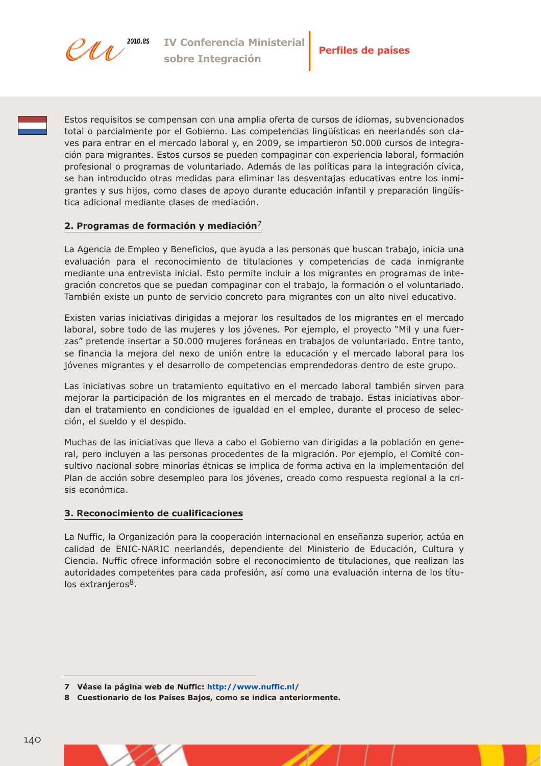

Estos requisitos se compensan con una amplia oferta de cursos de idiomas, subvencionados total o parcialmente por el Gobierno. Las competencias lingüísticas en neerlandés son claves para entrar en el mercado laboral y, en 2009, se impartieron 50.000 cursos de integración para migrantes. Estos cursos se pueden compaginar con experiencia laboral, formación profesional o programas de voluntariado. Además de las políticas para la integración cívica, se han introducido otras medidas para eliminar las desventajas educativas entre los inmigrantes y sus hijos, como clases de apoyo durante educación infantil y preparación lingüística adicional mediante clases de mediación.

#### **2. Programas de formación y mediación**7

La Agencia de Empleo y Beneficios, que ayuda a las personas que buscan trabajo, inicia una evaluación para el reconocimiento de titulaciones y competencias de cada inmigrante mediante una entrevista inicial. Esto permite incluir a los migrantes en programas de integración concretos que se puedan compaginar con el trabajo, la formación o el voluntariado. También existe un punto de servicio concreto para migrantes con un alto nivel educativo.

Existen varias iniciativas dirigidas a mejorar los resultados de los migrantes en el mercado laboral, sobre todo de las mujeres y los jóvenes. Por ejemplo, el proyecto "Mil y una fuerzas" pretende insertar a 50.000 mujeres foráneas en trabajos de voluntariado. Entre tanto, se financia la mejora del nexo de unión entre la educación y el mercado laboral para los jóvenes migrantes y el desarrollo de competencias emprendedoras dentro de este grupo.

Las iniciativas sobre un tratamiento equitativo en el mercado laboral también sirven para mejorar la participación de los migrantes en el mercado de trabajo. Estas iniciativas abordan el tratamiento en condiciones de igualdad en el empleo, durante el proceso de selección, el sueldo y el despido.

Muchas de las iniciativas que lleva a cabo el Gobierno van dirigidas a la población en general, pero incluyen a las personas procedentes de la migración. Por ejemplo, el Comité consultivo nacional sobre minorías étnicas se implica de forma activa en la implementación del Plan de acción sobre desempleo para los jóvenes, creado como respuesta regional a la crisis económica.

#### **3. Reconocimiento de cualificaciones**

La Nuffic, la Organización para la cooperación internacional en enseñanza superior, actúa en calidad de ENIC-NARIC neerlandés, dependiente del Ministerio de Educación, Cultura y Ciencia. Nuffic ofrece información sobre el reconocimiento de titulaciones, que realizan las autoridades competentes para cada profesión, así como una evaluación interna de los títu- $\log$  extranieros<sup>8</sup>.

**<sup>7</sup> Véase la página web de Nuffic: http://www.nuffic.nl/**

**<sup>8</sup> Cuestionario de los Países Bajos, como se indica anteriormente.**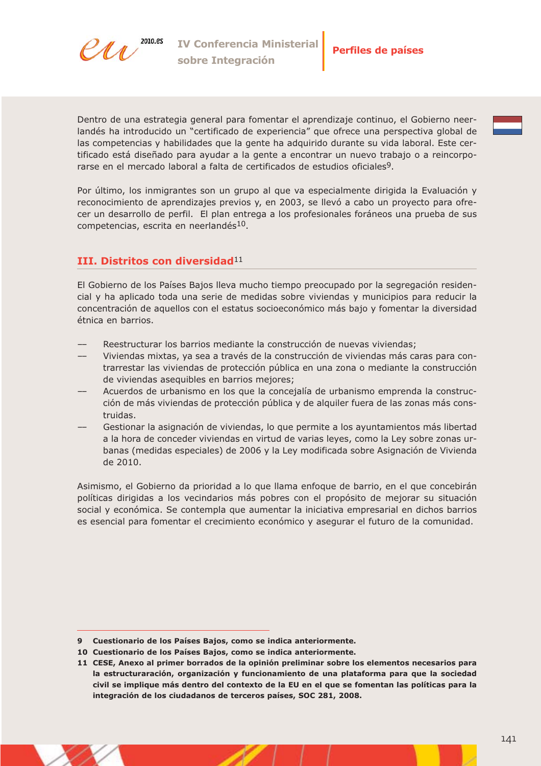

Dentro de una estrategia general para fomentar el aprendizaje continuo, el Gobierno neerlandés ha introducido un "certificado de experiencia" que ofrece una perspectiva global de las competencias y habilidades que la gente ha adquirido durante su vida laboral. Este certificado está diseñado para ayudar a la gente a encontrar un nuevo trabajo o a reincorporarse en el mercado laboral a falta de certificados de estudios oficiales<sup>9</sup>.

Por último, los inmigrantes son un grupo al que va especialmente dirigida la Evaluación y reconocimiento de aprendizajes previos y, en 2003, se llevó a cabo un proyecto para ofrecer un desarrollo de perfil. El plan entrega a los profesionales foráneos una prueba de sus competencias, escrita en neerlandés<sup>10</sup>.

# **III. Distritos con diversidad**11

El Gobierno de los Países Bajos lleva mucho tiempo preocupado por la segregación residencial y ha aplicado toda una serie de medidas sobre viviendas y municipios para reducir la concentración de aquellos con el estatus socioeconómico más bajo y fomentar la diversidad étnica en barrios.

- Reestructurar los barrios mediante la construcción de nuevas viviendas;
- –– Viviendas mixtas, ya sea a través de la construcción de viviendas más caras para contrarrestar las viviendas de protección pública en una zona o mediante la construcción de viviendas asequibles en barrios mejores;
- –– Acuerdos de urbanismo en los que la concejalía de urbanismo emprenda la construcción de más viviendas de protección pública y de alquiler fuera de las zonas más construidas.
- –– Gestionar la asignación de viviendas, lo que permite a los ayuntamientos más libertad a la hora de conceder viviendas en virtud de varias leyes, como la Ley sobre zonas urbanas (medidas especiales) de 2006 y la Ley modificada sobre Asignación de Vivienda de 2010.

Asimismo, el Gobierno da prioridad a lo que llama enfoque de barrio, en el que concebirán políticas dirigidas a los vecindarios más pobres con el propósito de mejorar su situación social y económica. Se contempla que aumentar la iniciativa empresarial en dichos barrios es esencial para fomentar el crecimiento económico y asegurar el futuro de la comunidad.



**<sup>9</sup> Cuestionario de los Países Bajos, como se indica anteriormente.**

**<sup>10</sup> Cuestionario de los Países Bajos, como se indica anteriormente.**

**<sup>11</sup> CESE, Anexo al primer borrados de la opinión preliminar sobre los elementos necesarios para la estructuraración, organización y funcionamiento de una plataforma para que la sociedad civil se implique más dentro del contexto de la EU en el que se fomentan las políticas para la integración de los ciudadanos de terceros países, SOC 281, 2008.**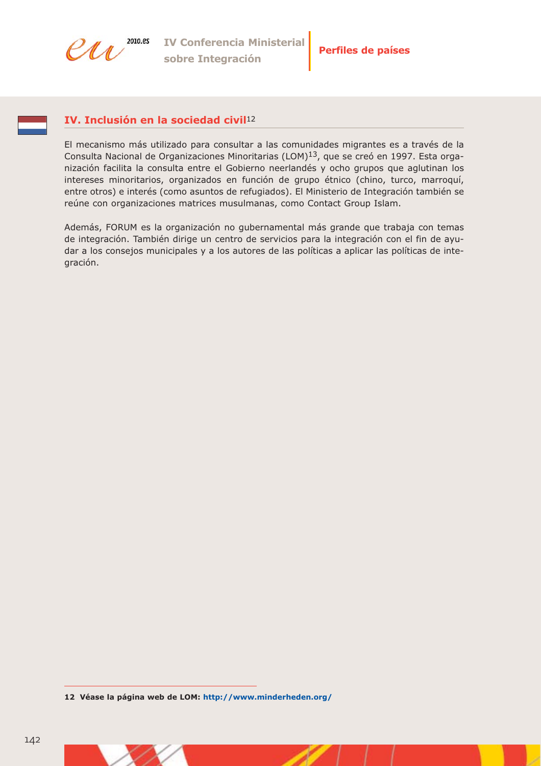

# **IV. Inclusión en la sociedad civil**<sup>12</sup>

El mecanismo más utilizado para consultar a las comunidades migrantes es a través de la Consulta Nacional de Organizaciones Minoritarias (LOM)13, que se creó en 1997. Esta organización facilita la consulta entre el Gobierno neerlandés y ocho grupos que aglutinan los intereses minoritarios, organizados en función de grupo étnico (chino, turco, marroquí, entre otros) e interés (como asuntos de refugiados). El Ministerio de Integración también se reúne con organizaciones matrices musulmanas, como Contact Group Islam.

Además, FORUM es la organización no gubernamental más grande que trabaja con temas de integración. También dirige un centro de servicios para la integración con el fin de ayudar a los consejos municipales y a los autores de las políticas a aplicar las políticas de integración.

**<sup>12</sup> Véase la página web de LOM: http://www.minderheden.org/**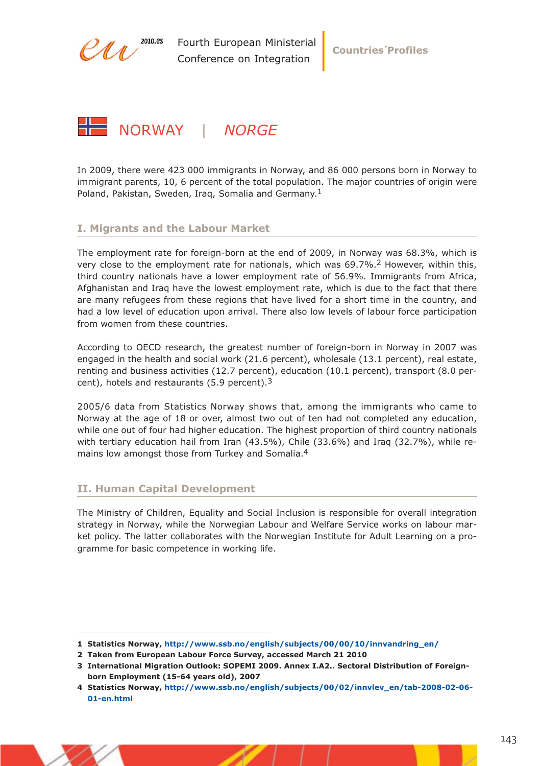



In 2009, there were 423 000 immigrants in Norway, and 86 000 persons born in Norway to immigrant parents, 10, 6 percent of the total population. The major countries of origin were Poland, Pakistan, Sweden, Iraq, Somalia and Germany.<sup>1</sup>

# **I. Migrants and the Labour Market**

The employment rate for foreign-born at the end of 2009, in Norway was 68.3%, which is very close to the employment rate for nationals, which was  $69.7\%$ .<sup>2</sup> However, within this, third country nationals have a lower employment rate of 56.9%. Immigrants from Africa, Afghanistan and Iraq have the lowest employment rate, which is due to the fact that there are many refugees from these regions that have lived for a short time in the country, and had a low level of education upon arrival. There also low levels of labour force participation from women from these countries.

According to OECD research, the greatest number of foreign-born in Norway in 2007 was engaged in the health and social work (21.6 percent), wholesale (13.1 percent), real estate, renting and business activities (12.7 percent), education (10.1 percent), transport (8.0 percent), hotels and restaurants (5.9 percent).<sup>3</sup>

2005/6 data from Statistics Norway shows that, among the immigrants who came to Norway at the age of 18 or over, almost two out of ten had not completed any education, while one out of four had higher education. The highest proportion of third country nationals with tertiary education hail from Iran (43.5%), Chile (33.6%) and Iraq (32.7%), while remains low amongst those from Turkey and Somalia.<sup>4</sup>

# **II. Human Capital Development**

The Ministry of Children, Equality and Social Inclusion is responsible for overall integration strategy in Norway, while the Norwegian Labour and Welfare Service works on labour market policy. The latter collaborates with the Norwegian Institute for Adult Learning on a programme for basic competence in working life.

**<sup>4</sup> Statistics Norway, http://www.ssb.no/english/subjects/00/02/innvlev\_en/tab-2008-02-06- 01-en.html**



**<sup>1</sup> Statistics Norway, http://www.ssb.no/english/subjects/00/00/10/innvandring\_en/**

**<sup>2</sup> Taken from European Labour Force Survey, accessed March 21 2010**

**<sup>3</sup> International Migration Outlook: SOPEMI 2009. Annex I.A2.. Sectoral Distribution of Foreignborn Employment (15-64 years old), 2007**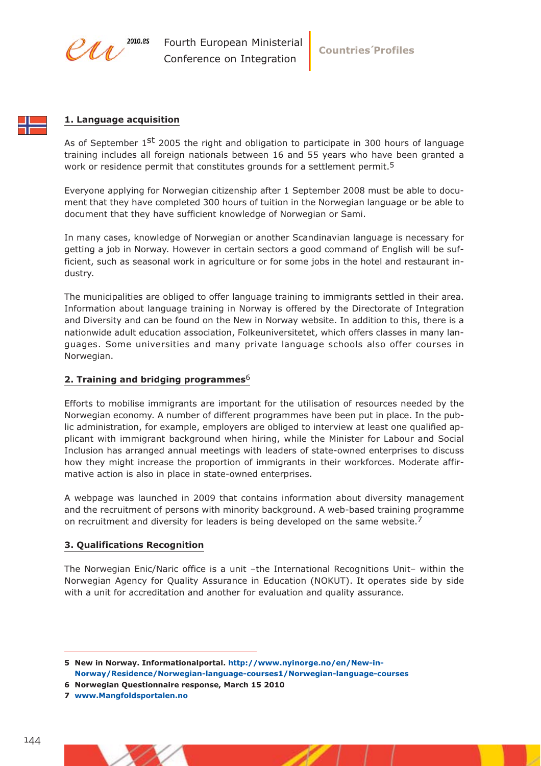

### **1. Language acquisition**

As of September 1st 2005 the right and obligation to participate in 300 hours of language training includes all foreign nationals between 16 and 55 years who have been granted a work or residence permit that constitutes grounds for a settlement permit.<sup>5</sup>

Everyone applying for Norwegian citizenship after 1 September 2008 must be able to document that they have completed 300 hours of tuition in the Norwegian language or be able to document that they have sufficient knowledge of Norwegian or Sami.

In many cases, knowledge of Norwegian or another Scandinavian language is necessary for getting a job in Norway. However in certain sectors a good command of English will be sufficient, such as seasonal work in agriculture or for some jobs in the hotel and restaurant industry.

The municipalities are obliged to offer language training to immigrants settled in their area. Information about language training in Norway is offered by the Directorate of Integration and Diversity and can be found on the New in Norway website. In addition to this, there is a nationwide adult education association, Folkeuniversitetet, which offers classes in many languages. Some universities and many private language schools also offer courses in Norwegian.

### **2. Training and bridging programmes**6

Efforts to mobilise immigrants are important for the utilisation of resources needed by the Norwegian economy. A number of different programmes have been put in place. In the public administration, for example, employers are obliged to interview at least one qualified applicant with immigrant background when hiring, while the Minister for Labour and Social Inclusion has arranged annual meetings with leaders of state-owned enterprises to discuss how they might increase the proportion of immigrants in their workforces. Moderate affirmative action is also in place in state-owned enterprises.

A webpage was launched in 2009 that contains information about diversity management and the recruitment of persons with minority background. A web-based training programme on recruitment and diversity for leaders is being developed on the same website.<sup>7</sup>

#### **3. Qualifications Recognition**

The Norwegian Enic/Naric office is a unit –the International Recognitions Unit– within the Norwegian Agency for Quality Assurance in Education (NOKUT). It operates side by side with a unit for accreditation and another for evaluation and quality assurance.

**<sup>5</sup> New in Norway. Informationalportal. http://www.nyinorge.no/en/New-in-Norway/Residence/Norwegian-language-courses1/Norwegian-language-courses**

**<sup>6</sup> Norwegian Questionnaire response, March 15 2010**

**<sup>7</sup> www.Mangfoldsportalen.no**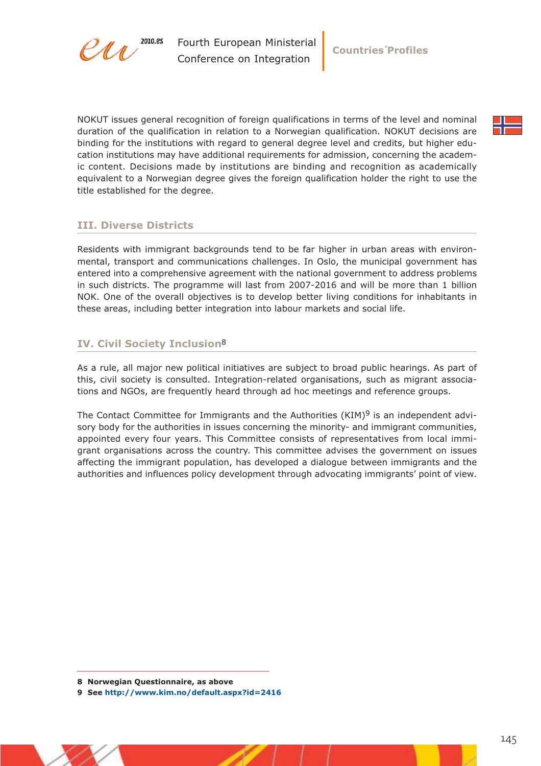

NOKUT issues general recognition of foreign qualifications in terms of the level and nominal duration of the qualification in relation to a Norwegian qualification. NOKUT decisions are binding for the institutions with regard to general degree level and credits, but higher education institutions may have additional requirements for admission, concerning the academic content. Decisions made by institutions are binding and recognition as academically equivalent to a Norwegian degree gives the foreign qualification holder the right to use the title established for the degree.

# **III. Diverse Districts**

Residents with immigrant backgrounds tend to be far higher in urban areas with environmental, transport and communications challenges. In Oslo, the municipal government has entered into a comprehensive agreement with the national government to address problems in such districts. The programme will last from 2007-2016 and will be more than 1 billion NOK. One of the overall objectives is to develop better living conditions for inhabitants in these areas, including better integration into labour markets and social life.

# **IV. Civil Society Inclusion**8

As a rule, all major new political initiatives are subject to broad public hearings. As part of this, civil society is consulted. Integration-related organisations, such as migrant associations and NGOs, are frequently heard through ad hoc meetings and reference groups.

The Contact Committee for Immigrants and the Authorities (KIM)<sup>9</sup> is an independent advisory body for the authorities in issues concerning the minority- and immigrant communities, appointed every four years. This Committee consists of representatives from local immigrant organisations across the country. This committee advises the government on issues affecting the immigrant population, has developed a dialogue between immigrants and the authorities and influences policy development through advocating immigrants' point of view.

**8 Norwegian Questionnaire, as above**



**<sup>9</sup> See http://www.kim.no/default.aspx?id=2416**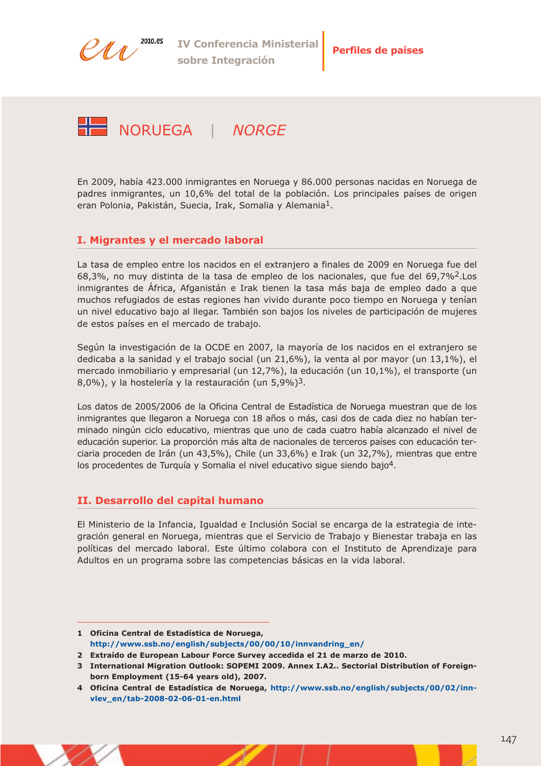



En 2009, había 423.000 inmigrantes en Noruega y 86.000 personas nacidas en Noruega de padres inmigrantes, un 10,6% del total de la población. Los principales países de origen eran Polonia, Pakistán, Suecia, Irak, Somalia y Alemania1.

# **I. Migrantes y el mercado laboral**

La tasa de empleo entre los nacidos en el extranjero a finales de 2009 en Noruega fue del 68,3%, no muy distinta de la tasa de empleo de los nacionales, que fue del 69,7%<sup>2</sup>.Los inmigrantes de África, Afganistán e Irak tienen la tasa más baja de empleo dado a que muchos refugiados de estas regiones han vivido durante poco tiempo en Noruega y tenían un nivel educativo bajo al llegar. También son bajos los niveles de participación de mujeres de estos países en el mercado de trabajo.

Según la investigación de la OCDE en 2007, la mayoría de los nacidos en el extranjero se dedicaba a la sanidad y el trabajo social (un 21,6%), la venta al por mayor (un 13,1%), el mercado inmobiliario y empresarial (un 12,7%), la educación (un 10,1%), el transporte (un 8,0%), y la hostelería y la restauración (un 5,9%)3.

Los datos de 2005/2006 de la Oficina Central de Estadística de Noruega muestran que de los inmigrantes que llegaron a Noruega con 18 años o más, casi dos de cada diez no habían terminado ningún ciclo educativo, mientras que uno de cada cuatro había alcanzado el nivel de educación superior. La proporción más alta de nacionales de terceros países con educación terciaria proceden de Irán (un 43,5%), Chile (un 33,6%) e Irak (un 32,7%), mientras que entre los procedentes de Turquía y Somalia el nivel educativo sigue siendo bajo<sup>4</sup>.

# **II. Desarrollo del capital humano**

El Ministerio de la Infancia, Igualdad e Inclusión Social se encarga de la estrategia de integración general en Noruega, mientras que el Servicio de Trabajo y Bienestar trabaja en las políticas del mercado laboral. Este último colabora con el Instituto de Aprendizaje para Adultos en un programa sobre las competencias básicas en la vida laboral.

**<sup>1</sup> Oficina Central de Estadística de Noruega, http://www.ssb.no/english/subjects/00/00/10/innvandring\_en/**

**<sup>2</sup> Extraído de European Labour Force Survey accedida el 21 de marzo de 2010.**

**<sup>3</sup> International Migration Outlook: SOPEMI 2009. Annex I.A2.. Sectorial Distribution of Foreignborn Employment (15-64 years old), 2007.**

**<sup>4</sup> Oficina Central de Estadística de Noruega, http://www.ssb.no/english/subjects/00/02/innvlev\_en/tab-2008-02-06-01-en.html**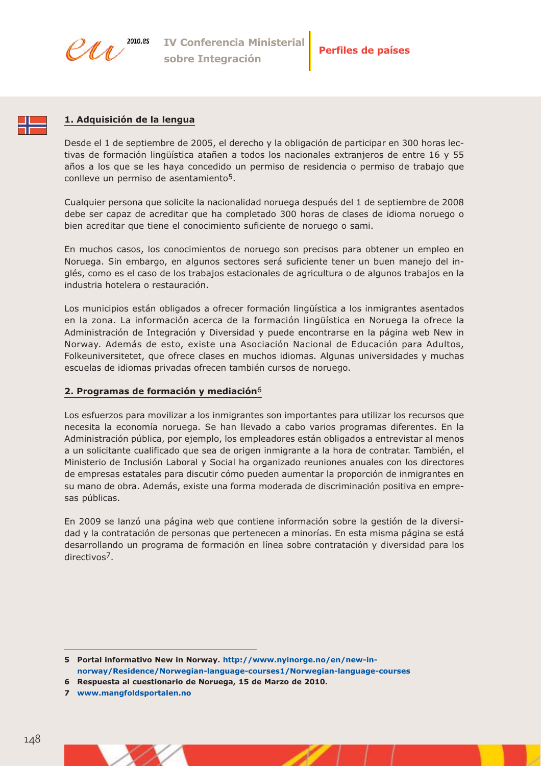

### **1. Adquisición de la lengua**

Desde el 1 de septiembre de 2005, el derecho y la obligación de participar en 300 horas lectivas de formación lingüística atañen a todos los nacionales extranjeros de entre 16 y 55 años a los que se les haya concedido un permiso de residencia o permiso de trabajo que conlleve un permiso de asentamiento5.

Cualquier persona que solicite la nacionalidad noruega después del 1 de septiembre de 2008 debe ser capaz de acreditar que ha completado 300 horas de clases de idioma noruego o bien acreditar que tiene el conocimiento suficiente de noruego o sami.

En muchos casos, los conocimientos de noruego son precisos para obtener un empleo en Noruega. Sin embargo, en algunos sectores será suficiente tener un buen manejo del inglés, como es el caso de los trabajos estacionales de agricultura o de algunos trabajos en la industria hotelera o restauración.

Los municipios están obligados a ofrecer formación lingüística a los inmigrantes asentados en la zona. La información acerca de la formación lingüística en Noruega la ofrece la Administración de Integración y Diversidad y puede encontrarse en la página web New in Norway. Además de esto, existe una Asociación Nacional de Educación para Adultos, Folkeuniversitetet, que ofrece clases en muchos idiomas. Algunas universidades y muchas escuelas de idiomas privadas ofrecen también cursos de noruego.

#### **2. Programas de formación y mediación**6

Los esfuerzos para movilizar a los inmigrantes son importantes para utilizar los recursos que necesita la economía noruega. Se han llevado a cabo varios programas diferentes. En la Administración pública, por ejemplo, los empleadores están obligados a entrevistar al menos a un solicitante cualificado que sea de origen inmigrante a la hora de contratar. También, el Ministerio de Inclusión Laboral y Social ha organizado reuniones anuales con los directores de empresas estatales para discutir cómo pueden aumentar la proporción de inmigrantes en su mano de obra. Además, existe una forma moderada de discriminación positiva en empresas públicas.

En 2009 se lanzó una página web que contiene información sobre la gestión de la diversidad y la contratación de personas que pertenecen a minorías. En esta misma página se está desarrollando un programa de formación en línea sobre contratación y diversidad para los directivos7.

**<sup>5</sup> Portal informativo New in Norway. http://www.nyinorge.no/en/new-innorway/Residence/Norwegian-language-courses1/Norwegian-language-courses**

**<sup>6</sup> Respuesta al cuestionario de Noruega, 15 de Marzo de 2010.**

**<sup>7</sup> www.mangfoldsportalen.no**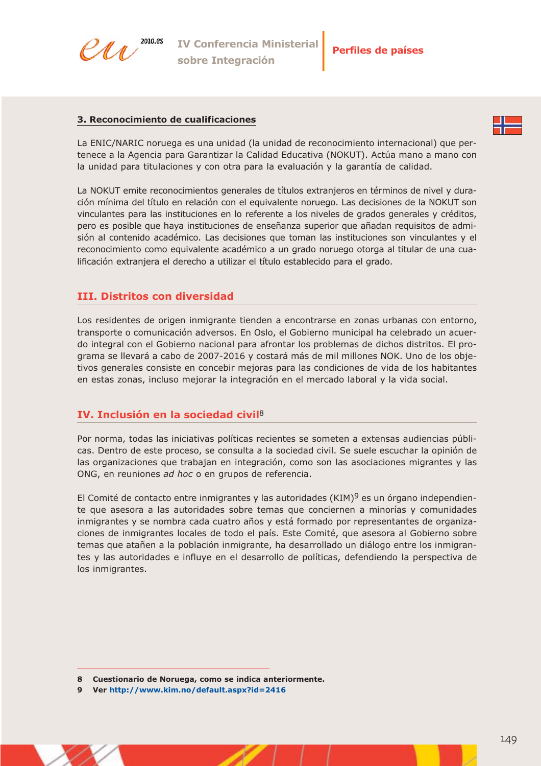

#### **3. Reconocimiento de cualificaciones**

La ENIC/NARIC noruega es una unidad (la unidad de reconocimiento internacional) que pertenece a la Agencia para Garantizar la Calidad Educativa (NOKUT). Actúa mano a mano con la unidad para titulaciones y con otra para la evaluación y la garantía de calidad.

La NOKUT emite reconocimientos generales de títulos extranjeros en términos de nivel y duración mínima del título en relación con el equivalente noruego. Las decisiones de la NOKUT son vinculantes para las instituciones en lo referente a los niveles de grados generales y créditos, pero es posible que haya instituciones de enseñanza superior que añadan requisitos de admisión al contenido académico. Las decisiones que toman las instituciones son vinculantes y el reconocimiento como equivalente académico a un grado noruego otorga al titular de una cualificación extranjera el derecho a utilizar el título establecido para el grado.

# **III. Distritos con diversidad**

Los residentes de origen inmigrante tienden a encontrarse en zonas urbanas con entorno, transporte o comunicación adversos. En Oslo, el Gobierno municipal ha celebrado un acuerdo integral con el Gobierno nacional para afrontar los problemas de dichos distritos. El programa se llevará a cabo de 2007-2016 y costará más de mil millones NOK. Uno de los objetivos generales consiste en concebir mejoras para las condiciones de vida de los habitantes en estas zonas, incluso mejorar la integración en el mercado laboral y la vida social.

# **IV. Inclusión en la sociedad civil**8

Por norma, todas las iniciativas políticas recientes se someten a extensas audiencias públicas. Dentro de este proceso, se consulta a la sociedad civil. Se suele escuchar la opinión de las organizaciones que trabajan en integración, como son las asociaciones migrantes y las ONG, en reuniones *ad hoc* o en grupos de referencia.

El Comité de contacto entre inmigrantes y las autoridades (KIM)<sup>9</sup> es un órgano independiente que asesora a las autoridades sobre temas que conciernen a minorías y comunidades inmigrantes y se nombra cada cuatro años y está formado por representantes de organizaciones de inmigrantes locales de todo el país. Este Comité, que asesora al Gobierno sobre temas que atañen a la población inmigrante, ha desarrollado un diálogo entre los inmigrantes y las autoridades e influye en el desarrollo de políticas, defendiendo la perspectiva de los inmigrantes.





**<sup>8</sup> Cuestionario de Noruega, como se indica anteriormente.**

**<sup>9</sup> Ver http://www.kim.no/default.aspx?id=2416**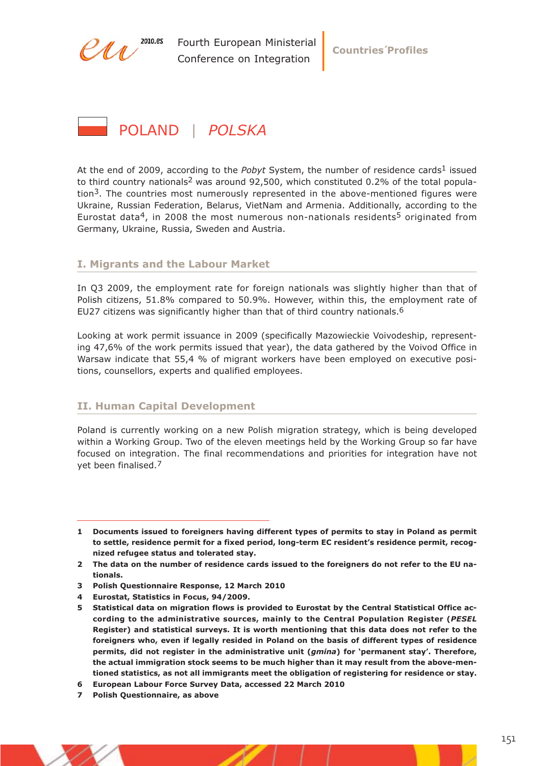



At the end of 2009, according to the *Pobyt* System, the number of residence cards<sup>1</sup> issued to third country nationals<sup>2</sup> was around 92,500, which constituted 0.2% of the total population3. The countries most numerously represented in the above-mentioned figures were Ukraine, Russian Federation, Belarus, VietNam and Armenia. Additionally, according to the Eurostat data<sup>4</sup>, in 2008 the most numerous non-nationals residents<sup>5</sup> originated from Germany, Ukraine, Russia, Sweden and Austria.

# **I. Migrants and the Labour Market**

In Q3 2009, the employment rate for foreign nationals was slightly higher than that of Polish citizens, 51.8% compared to 50.9%. However, within this, the employment rate of EU27 citizens was significantly higher than that of third country nationals.<sup>6</sup>

Looking at work permit issuance in 2009 (specifically Mazowieckie Voivodeship, representing 47,6% of the work permits issued that year), the data gathered by the Voivod Office in Warsaw indicate that 55,4 % of migrant workers have been employed on executive positions, counsellors, experts and qualified employees.

## **II. Human Capital Development**

Poland is currently working on a new Polish migration strategy, which is being developed within a Working Group. Two of the eleven meetings held by the Working Group so far have focused on integration. The final recommendations and priorities for integration have not yet been finalised.7

- **3 Polish Questionnaire Response, 12 March 2010**
- **4 Eurostat, Statistics in Focus, 94/2009.**
- **5 Statistical data on migration flows is provided to Eurostat by the Central Statistical Office according to the administrative sources, mainly to the Central Population Register (***PESEL* **Register) and statistical surveys. It is worth mentioning that this data does not refer to the foreigners who, even if legally resided in Poland on the basis of different types of residence permits, did not register in the administrative unit (***gmina***) for 'permanent stay'. Therefore, the actual immigration stock seems to be much higher than it may result from the above-mentioned statistics, as not all immigrants meet the obligation of registering for residence or stay.**
- **6 European Labour Force Survey Data, accessed 22 March 2010**
- **7 Polish Questionnaire, as above**



**<sup>1</sup> Documents issued to foreigners having different types of permits to stay in Poland as permit to settle, residence permit for a fixed period, long-term EC resident's residence permit, recognized refugee status and tolerated stay.**

**<sup>2</sup> The data on the number of residence cards issued to the foreigners do not refer to the EU nationals.**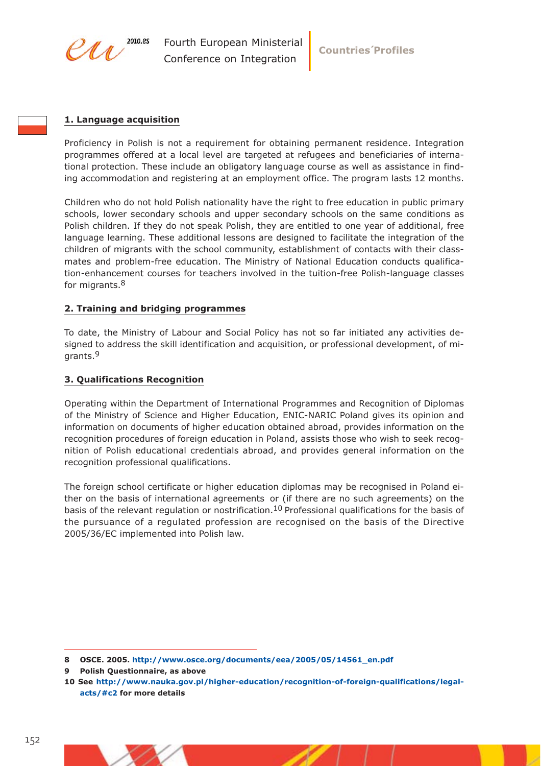

## **1. Language acquisition**

Proficiency in Polish is not a requirement for obtaining permanent residence. Integration programmes offered at a local level are targeted at refugees and beneficiaries of international protection. These include an obligatory language course as well as assistance in finding accommodation and registering at an employment office. The program lasts 12 months.

Children who do not hold Polish nationality have the right to free education in public primary schools, lower secondary schools and upper secondary schools on the same conditions as Polish children. If they do not speak Polish, they are entitled to one year of additional, free language learning. These additional lessons are designed to facilitate the integration of the children of migrants with the school community, establishment of contacts with their classmates and problem-free education. The Ministry of National Education conducts qualification-enhancement courses for teachers involved in the tuition-free Polish-language classes for migrants.8

## **2. Training and bridging programmes**

To date, the Ministry of Labour and Social Policy has not so far initiated any activities designed to address the skill identification and acquisition, or professional development, of migrants.9

### **3. Qualifications Recognition**

Operating within the Department of International Programmes and Recognition of Diplomas of the Ministry of Science and Higher Education, ENIC-NARIC Poland gives its opinion and information on documents of higher education obtained abroad, provides information on the recognition procedures of foreign education in Poland, assists those who wish to seek recognition of Polish educational credentials abroad, and provides general information on the recognition professional qualifications.

The foreign school certificate or higher education diplomas may be recognised in Poland either on the basis of international agreements or (if there are no such agreements) on the basis of the relevant regulation or nostrification.10 Professional qualifications for the basis of the pursuance of a regulated profession are recognised on the basis of the Directive 2005/36/EC implemented into Polish law.

**<sup>8</sup> OSCE. 2005. http://www.osce.org/documents/eea/2005/05/14561\_en.pdf**

**<sup>9</sup> Polish Questionnaire, as above**

**<sup>10</sup> See http://www.nauka.gov.pl/higher-education/recognition-of-foreign-qualifications/legalacts/#c2 for more details**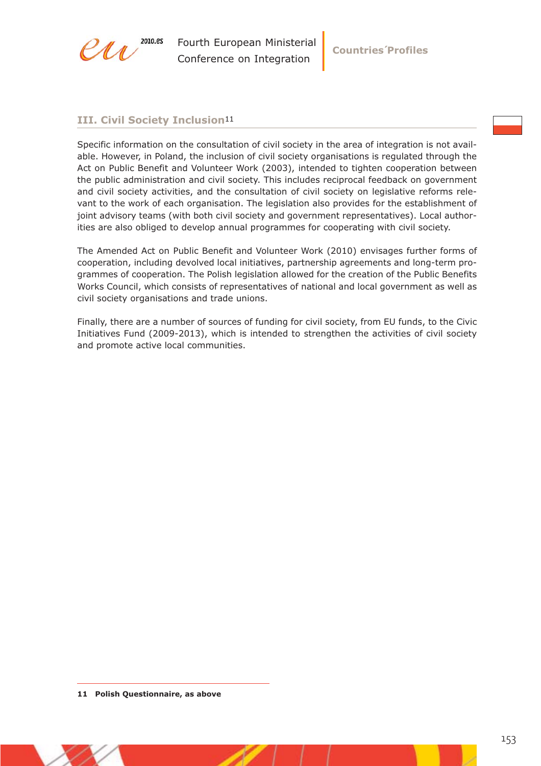

# **III. Civil Society Inclusion**11

Specific information on the consultation of civil society in the area of integration is not available. However, in Poland, the inclusion of civil society organisations is regulated through the Act on Public Benefit and Volunteer Work (2003), intended to tighten cooperation between the public administration and civil society. This includes reciprocal feedback on government and civil society activities, and the consultation of civil society on legislative reforms relevant to the work of each organisation. The legislation also provides for the establishment of joint advisory teams (with both civil society and government representatives). Local authorities are also obliged to develop annual programmes for cooperating with civil society.

The Amended Act on Public Benefit and Volunteer Work (2010) envisages further forms of cooperation, including devolved local initiatives, partnership agreements and long-term programmes of cooperation. The Polish legislation allowed for the creation of the Public Benefits Works Council, which consists of representatives of national and local government as well as civil society organisations and trade unions.

Finally, there are a number of sources of funding for civil society, from EU funds, to the Civic Initiatives Fund (2009-2013), which is intended to strengthen the activities of civil society and promote active local communities.



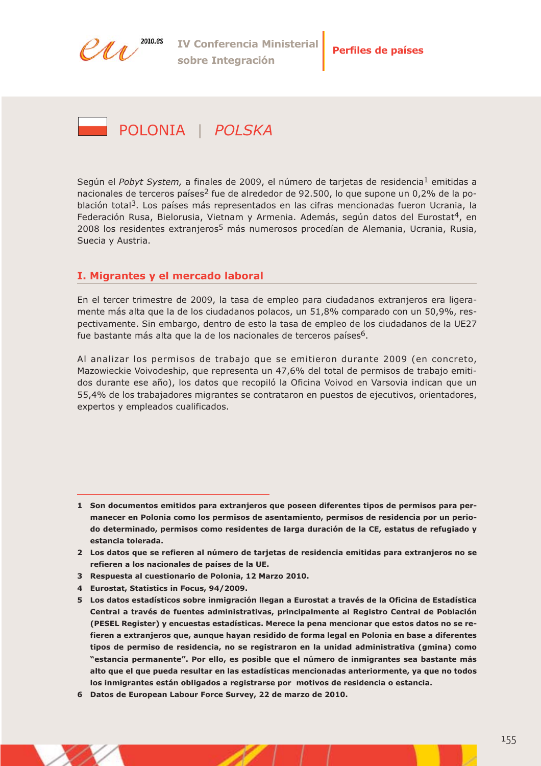



Según el *Pobyt System,* a finales de 2009, el número de tarjetas de residencia<sup>1</sup> emitidas a nacionales de terceros países<sup>2</sup> fue de alrededor de 92.500, lo que supone un 0,2% de la población total<sup>3</sup>. Los países más representados en las cifras mencionadas fueron Ucrania, la Federación Rusa, Bielorusia, Vietnam y Armenia. Además, según datos del Eurostat<sup>4</sup>, en 2008 los residentes extranjeros<sup>5</sup> más numerosos procedían de Alemania, Ucrania, Rusia, Suecia y Austria.

# **I. Migrantes y el mercado laboral**

En el tercer trimestre de 2009, la tasa de empleo para ciudadanos extranjeros era ligeramente más alta que la de los ciudadanos polacos, un 51,8% comparado con un 50,9%, respectivamente. Sin embargo, dentro de esto la tasa de empleo de los ciudadanos de la UE27 fue bastante más alta que la de los nacionales de terceros países<sup>6</sup>.

Al analizar los permisos de trabajo que se emitieron durante 2009 (en concreto, Mazowieckie Voivodeship, que representa un 47,6% del total de permisos de trabajo emitidos durante ese año), los datos que recopiló la Oficina Voivod en Varsovia indican que un 55,4% de los trabajadores migrantes se contrataron en puestos de ejecutivos, orientadores, expertos y empleados cualificados.

- **3 Respuesta al cuestionario de Polonia, 12 Marzo 2010.**
- **4 Eurostat, Statistics in Focus, 94/2009.**
- **5 Los datos estadísticos sobre inmigración llegan a Eurostat a través de la Oficina de Estadística Central a través de fuentes administrativas, principalmente al Registro Central de Población (PESEL Register) y encuestas estadísticas. Merece la pena mencionar que estos datos no se refieren a extranjeros que, aunque hayan residido de forma legal en Polonia en base a diferentes tipos de permiso de residencia, no se registraron en la unidad administrativa (gmina) como "estancia permanente". Por ello, es posible que el número de inmigrantes sea bastante más alto que el que pueda resultar en las estadísticas mencionadas anteriormente, ya que no todos los inmigrantes están obligados a registrarse por motivos de residencia o estancia.**
- **6 Datos de European Labour Force Survey, 22 de marzo de 2010.**

**<sup>1</sup> Son documentos emitidos para extranjeros que poseen diferentes tipos de permisos para permanecer en Polonia como los permisos de asentamiento, permisos de residencia por un periodo determinado, permisos como residentes de larga duración de la CE, estatus de refugiado y estancia tolerada.** 

**<sup>2</sup> Los datos que se refieren al número de tarjetas de residencia emitidas para extranjeros no se refieren a los nacionales de países de la UE.**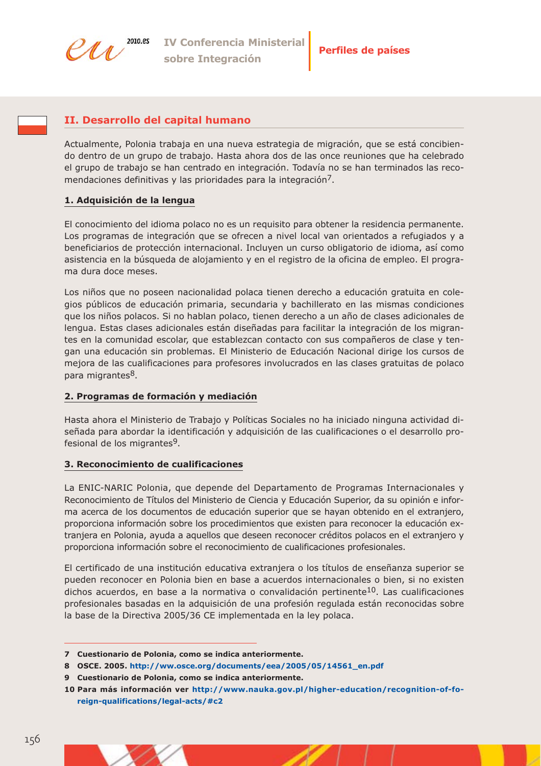

# **II. Desarrollo del capital humano**

Actualmente, Polonia trabaja en una nueva estrategia de migración, que se está concibiendo dentro de un grupo de trabajo. Hasta ahora dos de las once reuniones que ha celebrado el grupo de trabajo se han centrado en integración. Todavía no se han terminados las recomendaciones definitivas y las prioridades para la integración<sup>7</sup>.

# **1. Adquisición de la lengua**

El conocimiento del idioma polaco no es un requisito para obtener la residencia permanente. Los programas de integración que se ofrecen a nivel local van orientados a refugiados y a beneficiarios de protección internacional. Incluyen un curso obligatorio de idioma, así como asistencia en la búsqueda de alojamiento y en el registro de la oficina de empleo. El programa dura doce meses.

Los niños que no poseen nacionalidad polaca tienen derecho a educación gratuita en colegios públicos de educación primaria, secundaria y bachillerato en las mismas condiciones que los niños polacos. Si no hablan polaco, tienen derecho a un año de clases adicionales de lengua. Estas clases adicionales están diseñadas para facilitar la integración de los migrantes en la comunidad escolar, que establezcan contacto con sus compañeros de clase y tengan una educación sin problemas. El Ministerio de Educación Nacional dirige los cursos de mejora de las cualificaciones para profesores involucrados en las clases gratuitas de polaco para migrantes<sup>8</sup>.

## **2. Programas de formación y mediación**

Hasta ahora el Ministerio de Trabajo y Políticas Sociales no ha iniciado ninguna actividad diseñada para abordar la identificación y adquisición de las cualificaciones o el desarrollo profesional de los migrantes9.

## **3. Reconocimiento de cualificaciones**

La ENIC-NARIC Polonia, que depende del Departamento de Programas Internacionales y Reconocimiento de Títulos del Ministerio de Ciencia y Educación Superior, da su opinión e informa acerca de los documentos de educación superior que se hayan obtenido en el extranjero, proporciona información sobre los procedimientos que existen para reconocer la educación extranjera en Polonia, ayuda a aquellos que deseen reconocer créditos polacos en el extranjero y proporciona información sobre el reconocimiento de cualificaciones profesionales.

El certificado de una institución educativa extranjera o los títulos de enseñanza superior se pueden reconocer en Polonia bien en base a acuerdos internacionales o bien, si no existen dichos acuerdos, en base a la normativa o convalidación pertinente10. Las cualificaciones profesionales basadas en la adquisición de una profesión regulada están reconocidas sobre la base de la Directiva 2005/36 CE implementada en la ley polaca.

**<sup>7</sup> Cuestionario de Polonia, como se indica anteriormente.**

**<sup>8</sup> OSCE. 2005. http://ww.osce.org/documents/eea/2005/05/14561\_en.pdf**

**<sup>9</sup> Cuestionario de Polonia, como se indica anteriormente.**

**<sup>10</sup> Para más información ver http://www.nauka.gov.pl/higher-education/recognition-of-foreign-qualifications/legal-acts/#c2**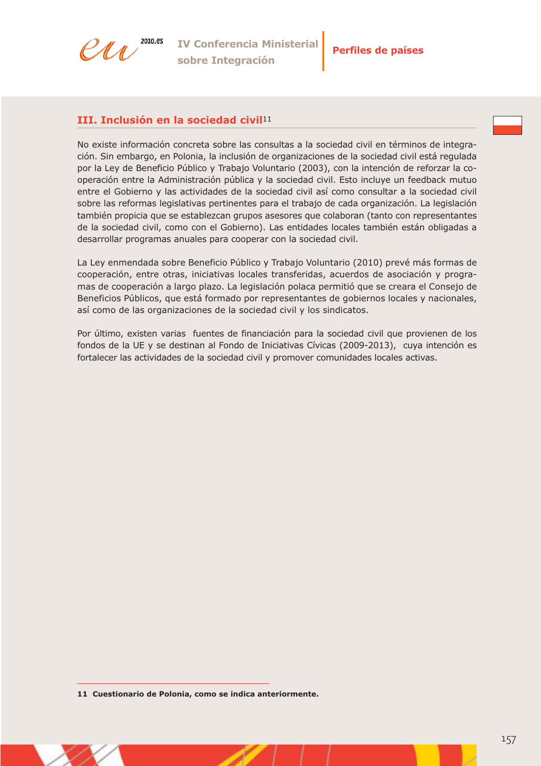

# **III. Inclusión en la sociedad civil**<sup>11</sup>

No existe información concreta sobre las consultas a la sociedad civil en términos de integración. Sin embargo, en Polonia, la inclusión de organizaciones de la sociedad civil está regulada por la Ley de Beneficio Público y Trabajo Voluntario (2003), con la intención de reforzar la cooperación entre la Administración pública y la sociedad civil. Esto incluye un feedback mutuo entre el Gobierno y las actividades de la sociedad civil así como consultar a la sociedad civil sobre las reformas legislativas pertinentes para el trabajo de cada organización. La legislación también propicia que se establezcan grupos asesores que colaboran (tanto con representantes de la sociedad civil, como con el Gobierno). Las entidades locales también están obligadas a desarrollar programas anuales para cooperar con la sociedad civil.

La Ley enmendada sobre Beneficio Público y Trabajo Voluntario (2010) prevé más formas de cooperación, entre otras, iniciativas locales transferidas, acuerdos de asociación y programas de cooperación a largo plazo. La legislación polaca permitió que se creara el Consejo de Beneficios Públicos, que está formado por representantes de gobiernos locales y nacionales, así como de las organizaciones de la sociedad civil y los sindicatos.

Por último, existen varias fuentes de financiación para la sociedad civil que provienen de los fondos de la UE y se destinan al Fondo de Iniciativas Cívicas (2009-2013), cuya intención es fortalecer las actividades de la sociedad civil y promover comunidades locales activas.

**<sup>11</sup> Cuestionario de Polonia, como se indica anteriormente.**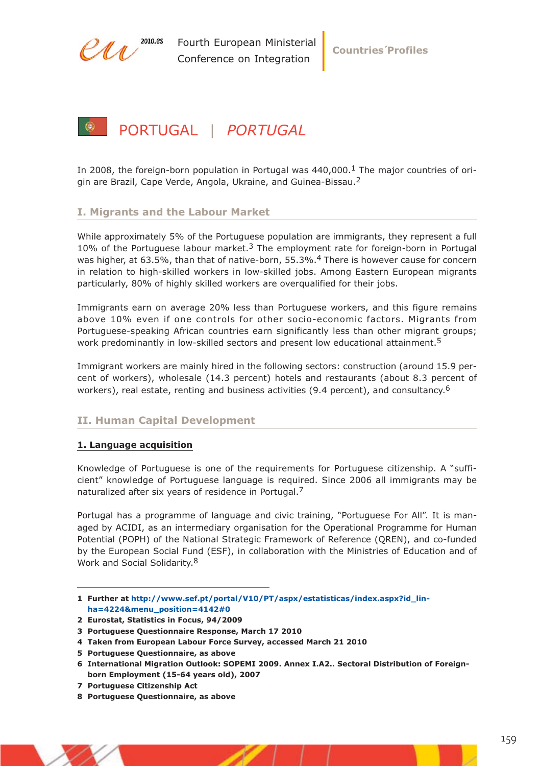



In 2008, the foreign-born population in Portugal was 440,000.<sup>1</sup> The major countries of origin are Brazil, Cape Verde, Angola, Ukraine, and Guinea-Bissau.2

# **I. Migrants and the Labour Market**

While approximately 5% of the Portuguese population are immigrants, they represent a full 10% of the Portuguese labour market.<sup>3</sup> The employment rate for foreign-born in Portugal was higher, at 63.5%, than that of native-born, 55.3%.<sup>4</sup> There is however cause for concern in relation to high-skilled workers in low-skilled jobs. Among Eastern European migrants particularly, 80% of highly skilled workers are overqualified for their jobs.

Immigrants earn on average 20% less than Portuguese workers, and this figure remains above 10% even if one controls for other socio-economic factors. Migrants from Portuguese-speaking African countries earn significantly less than other migrant groups; work predominantly in low-skilled sectors and present low educational attainment.<sup>5</sup>

Immigrant workers are mainly hired in the following sectors: construction (around 15.9 percent of workers), wholesale (14.3 percent) hotels and restaurants (about 8.3 percent of workers), real estate, renting and business activities (9.4 percent), and consultancy.<sup>6</sup>

# **II. Human Capital Development**

## **1. Language acquisition**

Knowledge of Portuguese is one of the requirements for Portuguese citizenship. A "sufficient" knowledge of Portuguese language is required. Since 2006 all immigrants may be naturalized after six years of residence in Portugal.<sup>7</sup>

Portugal has a programme of language and civic training, "Portuguese For All". It is managed by ACIDI, as an intermediary organisation for the Operational Programme for Human Potential (POPH) of the National Strategic Framework of Reference (QREN), and co-funded by the European Social Fund (ESF), in collaboration with the Ministries of Education and of Work and Social Solidarity.8

- **2 Eurostat, Statistics in Focus, 94/2009**
- **3 Portuguese Questionnaire Response, March 17 2010**
- **4 Taken from European Labour Force Survey, accessed March 21 2010**
- **5 Portuguese Questionnaire, as above**
- **6 International Migration Outlook: SOPEMI 2009. Annex I.A2.. Sectoral Distribution of Foreignborn Employment (15-64 years old), 2007**
- **7 Portuguese Citizenship Act**
- **8 Portuguese Questionnaire, as above**

**<sup>1</sup> Further at http://www.sef.pt/portal/V10/PT/aspx/estatisticas/index.aspx?id\_linha=4224&menu\_position=4142#0**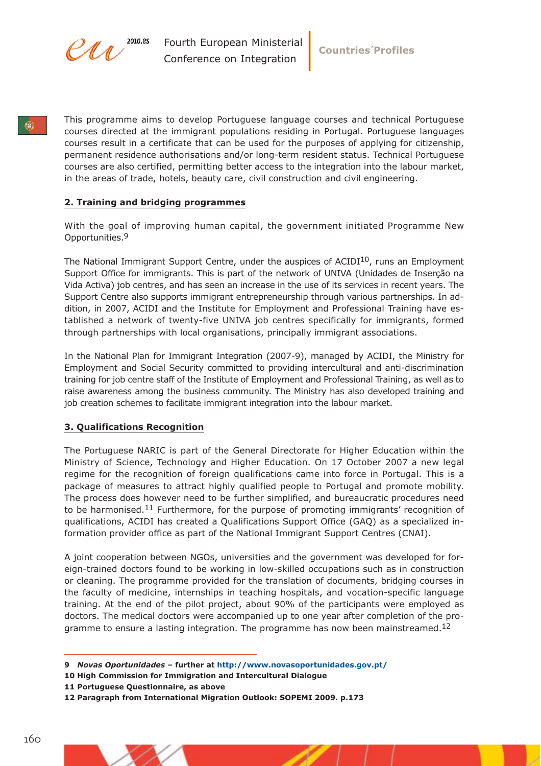

This programme aims to develop Portuguese language courses and technical Portuguese courses directed at the immigrant populations residing in Portugal. Portuguese languages courses result in a certificate that can be used for the purposes of applying for citizenship, permanent residence authorisations and/or long-term resident status. Technical Portuguese courses are also certified, permitting better access to the integration into the labour market, in the areas of trade, hotels, beauty care, civil construction and civil engineering.

# **2. Training and bridging programmes**

With the goal of improving human capital, the government initiated Programme New Opportunities.9

The National Immigrant Support Centre, under the auspices of ACIDI<sup>10</sup>, runs an Employment Support Office for immigrants. This is part of the network of UNIVA (Unidades de Inserção na Vida Activa) job centres, and has seen an increase in the use of its services in recent years. The Support Centre also supports immigrant entrepreneurship through various partnerships. In addition, in 2007, ACIDI and the Institute for Employment and Professional Training have established a network of twenty-five UNIVA job centres specifically for immigrants, formed through partnerships with local organisations, principally immigrant associations.

In the National Plan for Immigrant Integration (2007-9), managed by ACIDI, the Ministry for Employment and Social Security committed to providing intercultural and anti-discrimination training for job centre staff of the Institute of Employment and Professional Training, as well as to raise awareness among the business community. The Ministry has also developed training and job creation schemes to facilitate immigrant integration into the labour market.

## **3. Qualifications Recognition**

The Portuguese NARIC is part of the General Directorate for Higher Education within the Ministry of Science, Technology and Higher Education. On 17 October 2007 a new legal regime for the recognition of foreign qualifications came into force in Portugal. This is a package of measures to attract highly qualified people to Portugal and promote mobility. The process does however need to be further simplified, and bureaucratic procedures need to be harmonised.<sup>11</sup> Furthermore, for the purpose of promoting immigrants' recognition of qualifications, ACIDI has created a Qualifications Support Office (GAQ) as a specialized information provider office as part of the National Immigrant Support Centres (CNAI).

A joint cooperation between NGOs, universities and the government was developed for foreign-trained doctors found to be working in low-skilled occupations such as in construction or cleaning. The programme provided for the translation of documents, bridging courses in the faculty of medicine, internships in teaching hospitals, and vocation-specific language training. At the end of the pilot project, about 90% of the participants were employed as doctors. The medical doctors were accompanied up to one year after completion of the programme to ensure a lasting integration. The programme has now been mainstreamed.<sup>12</sup>

- **10 High Commission for Immigration and Intercultural Dialogue**
- **11 Portuguese Questionnaire, as above**

**<sup>9</sup>** *Novas Oportunidades* **– further at http://www.novasoportunidades.gov.pt/**

**<sup>12</sup> Paragraph from International Migration Outlook: SOPEMI 2009. p.173**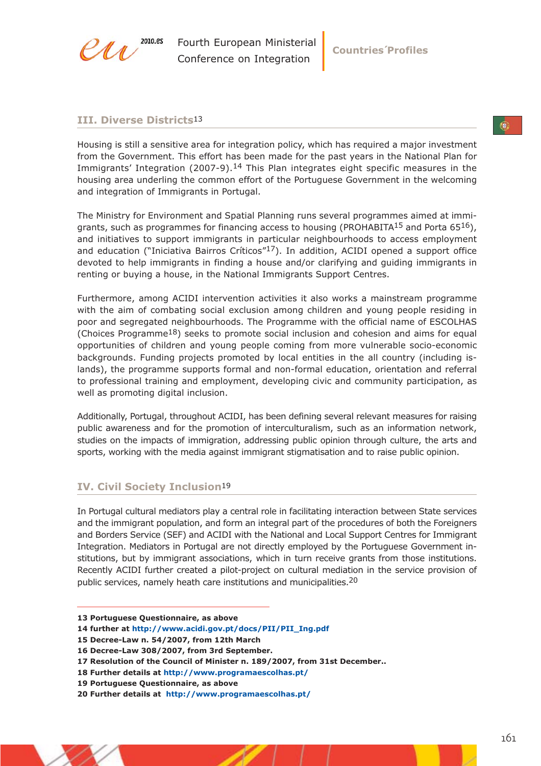

# **III. Diverse Districts**13

Housing is still a sensitive area for integration policy, which has required a major investment from the Government. This effort has been made for the past years in the National Plan for Immigrants' Integration (2007-9).<sup>14</sup> This Plan integrates eight specific measures in the housing area underling the common effort of the Portuguese Government in the welcoming and integration of Immigrants in Portugal.

The Ministry for Environment and Spatial Planning runs several programmes aimed at immigrants, such as programmes for financing access to housing (PROHABITA<sup>15</sup> and Porta 65<sup>16</sup>), and initiatives to support immigrants in particular neighbourhoods to access employment and education ("Iniciativa Bairros Críticos"<sup>17</sup>). In addition, ACIDI opened a support office devoted to help immigrants in finding a house and/or clarifying and guiding immigrants in renting or buying a house, in the National Immigrants Support Centres.

Furthermore, among ACIDI intervention activities it also works a mainstream programme with the aim of combating social exclusion among children and young people residing in poor and segregated neighbourhoods. The Programme with the official name of ESCOLHAS (Choices Programme<sup>18</sup>) seeks to promote social inclusion and cohesion and aims for equal opportunities of children and young people coming from more vulnerable socio-economic backgrounds. Funding projects promoted by local entities in the all country (including islands), the programme supports formal and non-formal education, orientation and referral to professional training and employment, developing civic and community participation, as well as promoting digital inclusion.

Additionally, Portugal, throughout ACIDI, has been defining several relevant measures for raising public awareness and for the promotion of interculturalism, such as an information network, studies on the impacts of immigration, addressing public opinion through culture, the arts and sports, working with the media against immigrant stigmatisation and to raise public opinion.

# **IV. Civil Society Inclusion**19

In Portugal cultural mediators play a central role in facilitating interaction between State services and the immigrant population, and form an integral part of the procedures of both the Foreigners and Borders Service (SEF) and ACIDI with the National and Local Support Centres for Immigrant Integration. Mediators in Portugal are not directly employed by the Portuguese Government institutions, but by immigrant associations, which in turn receive grants from those institutions. Recently ACIDI further created a pilot-project on cultural mediation in the service provision of public services, namely heath care institutions and municipalities.<sup>20</sup>

- **13 Portuguese Questionnaire, as above**
- **14 further at http://www.acidi.gov.pt/docs/PII/PII\_Ing.pdf**
- **15 Decree-Law n. 54/2007, from 12th March**

**19 Portuguese Questionnaire, as above**

**<sup>16</sup> Decree-Law 308/2007, from 3rd September.** 

**<sup>17</sup> Resolution of the Council of Minister n. 189/2007, from 31st December..**

**<sup>18</sup> Further details at http://www.programaescolhas.pt/**

**<sup>20</sup> Further details at http://www.programaescolhas.pt/**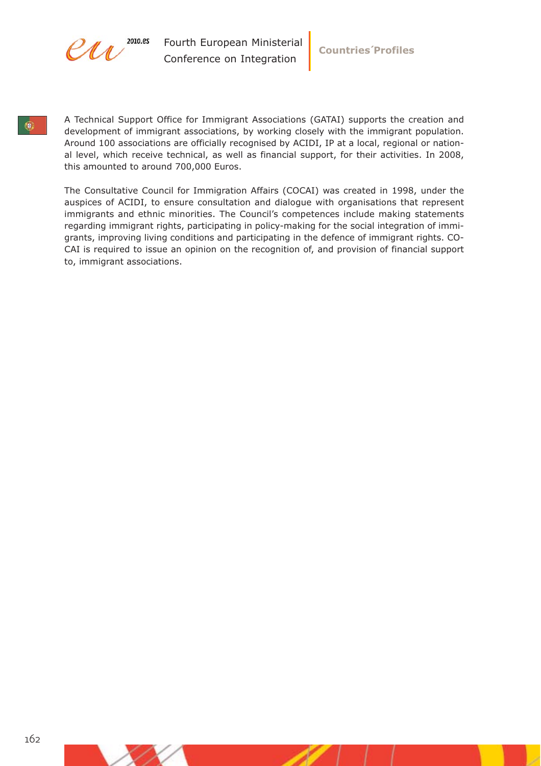

A Technical Support Office for Immigrant Associations (GATAI) supports the creation and development of immigrant associations, by working closely with the immigrant population. Around 100 associations are officially recognised by ACIDI, IP at a local, regional or national level, which receive technical, as well as financial support, for their activities. In 2008, this amounted to around 700,000 Euros.

The Consultative Council for Immigration Affairs (COCAI) was created in 1998, under the auspices of ACIDI, to ensure consultation and dialogue with organisations that represent immigrants and ethnic minorities. The Council's competences include making statements regarding immigrant rights, participating in policy-making for the social integration of immigrants, improving living conditions and participating in the defence of immigrant rights. CO-CAI is required to issue an opinion on the recognition of, and provision of financial support to, immigrant associations.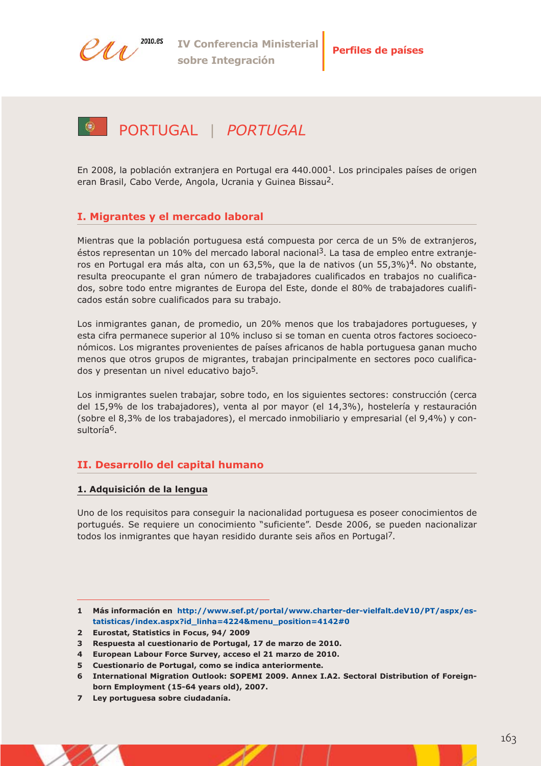



En 2008, la población extranjera en Portugal era 440.0001. Los principales países de origen eran Brasil, Cabo Verde, Angola, Ucrania y Guinea Bissau2.

# **I. Migrantes y el mercado laboral**

Mientras que la población portuguesa está compuesta por cerca de un 5% de extranjeros, éstos representan un 10% del mercado laboral nacional3. La tasa de empleo entre extranjeros en Portugal era más alta, con un 63,5%, que la de nativos (un 55,3%)<sup>4</sup>. No obstante, resulta preocupante el gran número de trabajadores cualificados en trabajos no cualificados, sobre todo entre migrantes de Europa del Este, donde el 80% de trabajadores cualificados están sobre cualificados para su trabajo.

Los inmigrantes ganan, de promedio, un 20% menos que los trabajadores portugueses, y esta cifra permanece superior al 10% incluso si se toman en cuenta otros factores socioeconómicos. Los migrantes provenientes de países africanos de habla portuguesa ganan mucho menos que otros grupos de migrantes, trabajan principalmente en sectores poco cualificados y presentan un nivel educativo bajo5.

Los inmigrantes suelen trabajar, sobre todo, en los siguientes sectores: construcción (cerca del 15,9% de los trabajadores), venta al por mayor (el 14,3%), hostelería y restauración (sobre el 8,3% de los trabajadores), el mercado inmobiliario y empresarial (el 9,4%) y consultoría6.

# **II. Desarrollo del capital humano**

#### **1. Adquisición de la lengua**

Uno de los requisitos para conseguir la nacionalidad portuguesa es poseer conocimientos de portugués. Se requiere un conocimiento "suficiente". Desde 2006, se pueden nacionalizar todos los inmigrantes que hayan residido durante seis años en Portugal<sup>7</sup>.

- **2 Eurostat, Statistics in Focus, 94/ 2009**
- **3 Respuesta al cuestionario de Portugal, 17 de marzo de 2010.**
- **4 European Labour Force Survey, acceso el 21 marzo de 2010.**
- **5 Cuestionario de Portugal, como se indica anteriormente.**
- **6 International Migration Outlook: SOPEMI 2009. Annex I.A2. Sectoral Distribution of Foreignborn Employment (15-64 years old), 2007.**
- **7 Ley portuguesa sobre ciudadanía.**

**<sup>1</sup> Más información en http://www.sef.pt/portal/www.charter-der-vielfalt.deV10/PT/aspx/estatisticas/index.aspx?id\_linha=4224&menu\_position=4142#0**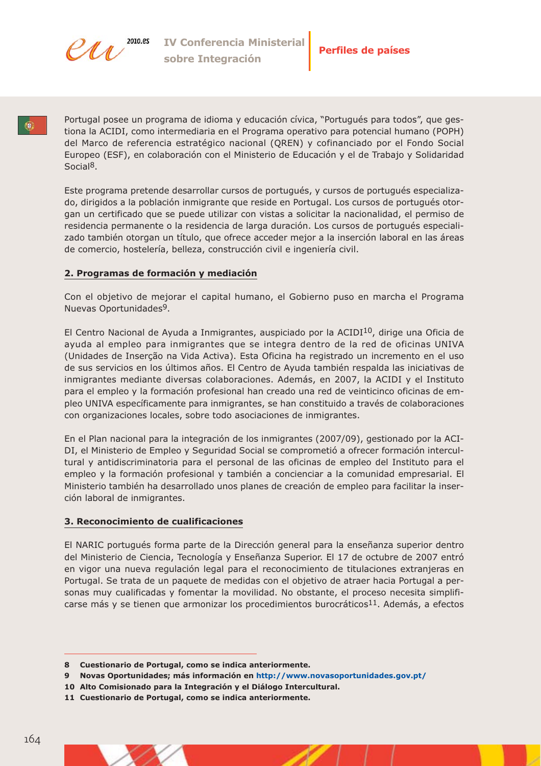

Portugal posee un programa de idioma y educación cívica, "Portugués para todos", que gestiona la ACIDI, como intermediaria en el Programa operativo para potencial humano (POPH) del Marco de referencia estratégico nacional (QREN) y cofinanciado por el Fondo Social Europeo (ESF), en colaboración con el Ministerio de Educación y el de Trabajo y Solidaridad Social8.

Este programa pretende desarrollar cursos de portugués, y cursos de portugués especializado, dirigidos a la población inmigrante que reside en Portugal. Los cursos de portugués otorgan un certificado que se puede utilizar con vistas a solicitar la nacionalidad, el permiso de residencia permanente o la residencia de larga duración. Los cursos de portugués especializado también otorgan un título, que ofrece acceder mejor a la inserción laboral en las áreas de comercio, hostelería, belleza, construcción civil e ingeniería civil.

### **2. Programas de formación y mediación**

Con el objetivo de mejorar el capital humano, el Gobierno puso en marcha el Programa Nuevas Oportunidades9.

El Centro Nacional de Ayuda a Inmigrantes, auspiciado por la ACIDI10, dirige una Oficia de ayuda al empleo para inmigrantes que se integra dentro de la red de oficinas UNIVA (Unidades de Inserção na Vida Activa). Esta Oficina ha registrado un incremento en el uso de sus servicios en los últimos años. El Centro de Ayuda también respalda las iniciativas de inmigrantes mediante diversas colaboraciones. Además, en 2007, la ACIDI y el Instituto para el empleo y la formación profesional han creado una red de veinticinco oficinas de empleo UNIVA específicamente para inmigrantes, se han constituido a través de colaboraciones con organizaciones locales, sobre todo asociaciones de inmigrantes.

En el Plan nacional para la integración de los inmigrantes (2007/09), gestionado por la ACI-DI, el Ministerio de Empleo y Seguridad Social se comprometió a ofrecer formación intercultural y antidiscriminatoria para el personal de las oficinas de empleo del Instituto para el empleo y la formación profesional y también a concienciar a la comunidad empresarial. El Ministerio también ha desarrollado unos planes de creación de empleo para facilitar la inserción laboral de inmigrantes.

#### **3. Reconocimiento de cualificaciones**

El NARIC portugués forma parte de la Dirección general para la enseñanza superior dentro del Ministerio de Ciencia, Tecnología y Enseñanza Superior. El 17 de octubre de 2007 entró en vigor una nueva regulación legal para el reconocimiento de titulaciones extranjeras en Portugal. Se trata de un paquete de medidas con el objetivo de atraer hacia Portugal a personas muy cualificadas y fomentar la movilidad. No obstante, el proceso necesita simplificarse más y se tienen que armonizar los procedimientos burocráticos $11$ . Además, a efectos

**<sup>8</sup> Cuestionario de Portugal, como se indica anteriormente.**

**<sup>9</sup> Novas Oportunidades; más información en http://www.novasoportunidades.gov.pt/**

**<sup>10</sup> Alto Comisionado para la Integración y el Diálogo Intercultural.**

**<sup>11</sup> Cuestionario de Portugal, como se indica anteriormente.**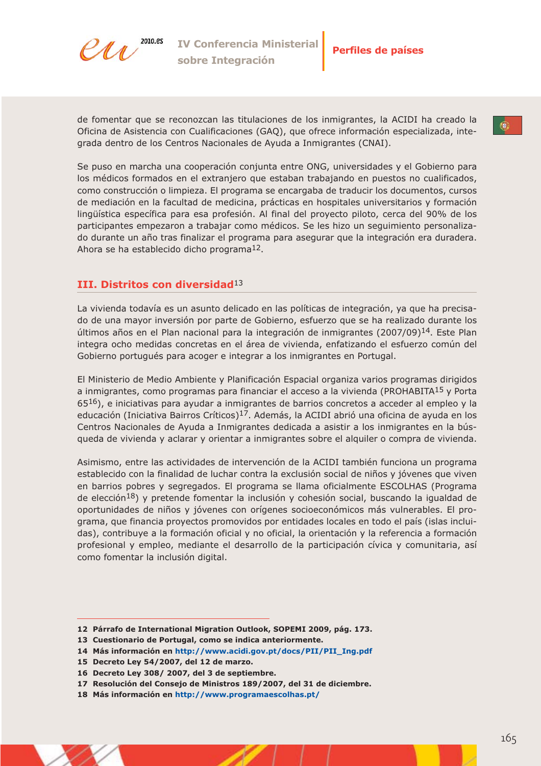

de fomentar que se reconozcan las titulaciones de los inmigrantes, la ACIDI ha creado la Oficina de Asistencia con Cualificaciones (GAQ), que ofrece información especializada, integrada dentro de los Centros Nacionales de Ayuda a Inmigrantes (CNAI).

Se puso en marcha una cooperación conjunta entre ONG, universidades y el Gobierno para los médicos formados en el extranjero que estaban trabajando en puestos no cualificados, como construcción o limpieza. El programa se encargaba de traducir los documentos, cursos de mediación en la facultad de medicina, prácticas en hospitales universitarios y formación lingüística específica para esa profesión. Al final del proyecto piloto, cerca del 90% de los participantes empezaron a trabajar como médicos. Se les hizo un seguimiento personalizado durante un año tras finalizar el programa para asegurar que la integración era duradera. Ahora se ha establecido dicho programa<sup>12</sup>.

## **III. Distritos con diversidad**13

La vivienda todavía es un asunto delicado en las políticas de integración, ya que ha precisado de una mayor inversión por parte de Gobierno, esfuerzo que se ha realizado durante los últimos años en el Plan nacional para la integración de inmigrantes (2007/09)14. Este Plan integra ocho medidas concretas en el área de vivienda, enfatizando el esfuerzo común del Gobierno portugués para acoger e integrar a los inmigrantes en Portugal.

El Ministerio de Medio Ambiente y Planificación Espacial organiza varios programas dirigidos a inmigrantes, como programas para financiar el acceso a la vivienda (PROHABITA<sup>15</sup> y Porta  $65^{16}$ ), e iniciativas para ayudar a inmigrantes de barrios concretos a acceder al empleo y la educación (Iniciativa Bairros Críticos)<sup>17</sup>. Además, la ACIDI abrió una oficina de ayuda en los Centros Nacionales de Ayuda a Inmigrantes dedicada a asistir a los inmigrantes en la búsqueda de vivienda y aclarar y orientar a inmigrantes sobre el alquiler o compra de vivienda.

Asimismo, entre las actividades de intervención de la ACIDI también funciona un programa establecido con la finalidad de luchar contra la exclusión social de niños y jóvenes que viven en barrios pobres y segregados. El programa se llama oficialmente ESCOLHAS (Programa de elección<sup>18</sup>) y pretende fomentar la inclusión y cohesión social, buscando la igualdad de oportunidades de niños y jóvenes con orígenes socioeconómicos más vulnerables. El programa, que financia proyectos promovidos por entidades locales en todo el país (islas incluidas), contribuye a la formación oficial y no oficial, la orientación y la referencia a formación profesional y empleo, mediante el desarrollo de la participación cívica y comunitaria, así como fomentar la inclusión digital.

- **13 Cuestionario de Portugal, como se indica anteriormente.**
- **14 Más información en http://www.acidi.gov.pt/docs/PII/PII\_Ing.pdf**
- **15 Decreto Ley 54/2007, del 12 de marzo.**
- **16 Decreto Ley 308/ 2007, del 3 de septiembre.**
- **17 Resolución del Consejo de Ministros 189/2007, del 31 de diciembre.**
- **18 Más información en http://www.programaescolhas.pt/**

**<sup>12</sup> Párrafo de International Migration Outlook, SOPEMI 2009, pág. 173.**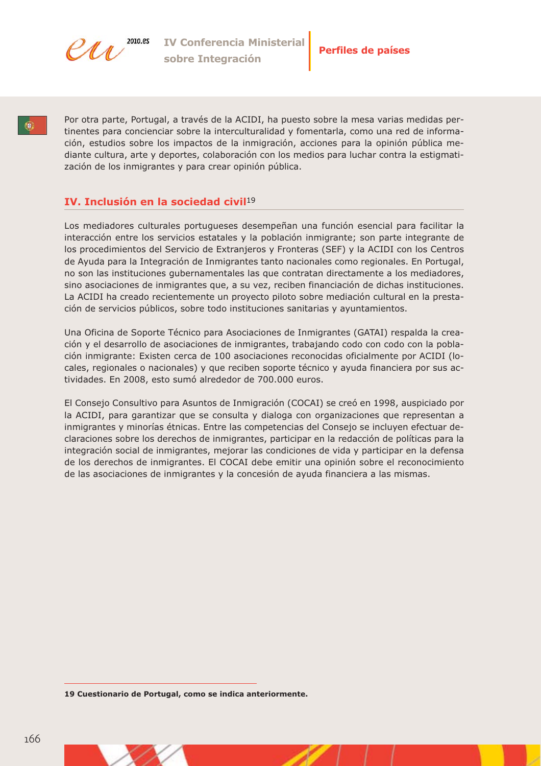

Por otra parte, Portugal, a través de la ACIDI, ha puesto sobre la mesa varias medidas pertinentes para concienciar sobre la interculturalidad y fomentarla, como una red de información, estudios sobre los impactos de la inmigración, acciones para la opinión pública mediante cultura, arte y deportes, colaboración con los medios para luchar contra la estigmatización de los inmigrantes y para crear opinión pública.

# **IV. Inclusión en la sociedad civil**19

Los mediadores culturales portugueses desempeñan una función esencial para facilitar la interacción entre los servicios estatales y la población inmigrante; son parte integrante de los procedimientos del Servicio de Extranjeros y Fronteras (SEF) y la ACIDI con los Centros de Ayuda para la Integración de Inmigrantes tanto nacionales como regionales. En Portugal, no son las instituciones gubernamentales las que contratan directamente a los mediadores, sino asociaciones de inmigrantes que, a su vez, reciben financiación de dichas instituciones. La ACIDI ha creado recientemente un proyecto piloto sobre mediación cultural en la prestación de servicios públicos, sobre todo instituciones sanitarias y ayuntamientos.

Una Oficina de Soporte Técnico para Asociaciones de Inmigrantes (GATAI) respalda la creación y el desarrollo de asociaciones de inmigrantes, trabajando codo con codo con la población inmigrante: Existen cerca de 100 asociaciones reconocidas oficialmente por ACIDI (locales, regionales o nacionales) y que reciben soporte técnico y ayuda financiera por sus actividades. En 2008, esto sumó alrededor de 700.000 euros.

El Consejo Consultivo para Asuntos de Inmigración (COCAI) se creó en 1998, auspiciado por la ACIDI, para garantizar que se consulta y dialoga con organizaciones que representan a inmigrantes y minorías étnicas. Entre las competencias del Consejo se incluyen efectuar declaraciones sobre los derechos de inmigrantes, participar en la redacción de políticas para la integración social de inmigrantes, mejorar las condiciones de vida y participar en la defensa de los derechos de inmigrantes. El COCAI debe emitir una opinión sobre el reconocimiento de las asociaciones de inmigrantes y la concesión de ayuda financiera a las mismas.

**19 Cuestionario de Portugal, como se indica anteriormente.**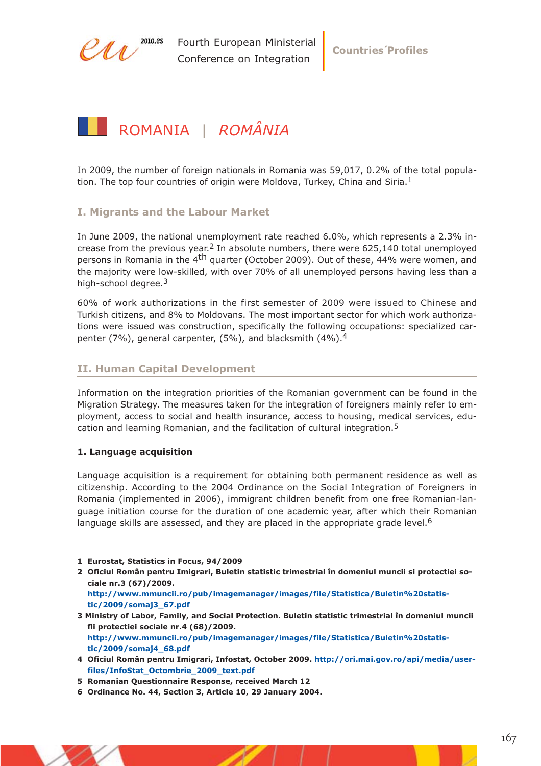



In 2009, the number of foreign nationals in Romania was 59,017, 0.2% of the total population. The top four countries of origin were Moldova, Turkey, China and Siria.<sup>1</sup>

# **I. Migrants and the Labour Market**

In June 2009, the national unemployment rate reached 6.0%, which represents a 2.3% increase from the previous year.<sup>2</sup> In absolute numbers, there were  $625,140$  total unemployed persons in Romania in the 4<sup>th</sup> quarter (October 2009). Out of these, 44% were women, and the majority were low-skilled, with over 70% of all unemployed persons having less than a high-school degree.<sup>3</sup>

60% of work authorizations in the first semester of 2009 were issued to Chinese and Turkish citizens, and 8% to Moldovans. The most important sector for which work authorizations were issued was construction, specifically the following occupations: specialized carpenter (7%), general carpenter, (5%), and blacksmith (4%).<sup>4</sup>

# **II. Human Capital Development**

Information on the integration priorities of the Romanian government can be found in the Migration Strategy. The measures taken for the integration of foreigners mainly refer to employment, access to social and health insurance, access to housing, medical services, education and learning Romanian, and the facilitation of cultural integration.5

## **1. Language acquisition**

Language acquisition is a requirement for obtaining both permanent residence as well as citizenship. According to the 2004 Ordinance on the Social Integration of Foreigners in Romania (implemented in 2006), immigrant children benefit from one free Romanian-language initiation course for the duration of one academic year, after which their Romanian language skills are assessed, and they are placed in the appropriate grade level.<sup>6</sup>

**http://www.mmuncii.ro/pub/imagemanager/images/file/Statistica/Buletin%20statistic/2009/somaj3\_67.pdf**

**3 Ministry of Labor, Family, and Social Protection. Buletin statistic trimestrial în domeniul muncii fli protectiei sociale nr.4 (68)/2009. http://www.mmuncii.ro/pub/imagemanager/images/file/Statistica/Buletin%20statistic/2009/somaj4\_68.pdf**

**<sup>1</sup> Eurostat, Statistics in Focus, 94/2009**

**<sup>2</sup> Oficiul Român pentru Imigrari, Buletin statistic trimestrial în domeniul muncii si protectiei sociale nr.3 (67)/2009.**

**<sup>4</sup> Oficiul Român pentru Imigrari, Infostat, October 2009. http://ori.mai.gov.ro/api/media/userfiles/InfoStat\_Octombrie\_2009\_text.pdf**

**<sup>5</sup> Romanian Questionnaire Response, received March 12**

**<sup>6</sup> Ordinance No. 44, Section 3, Article 10, 29 January 2004.**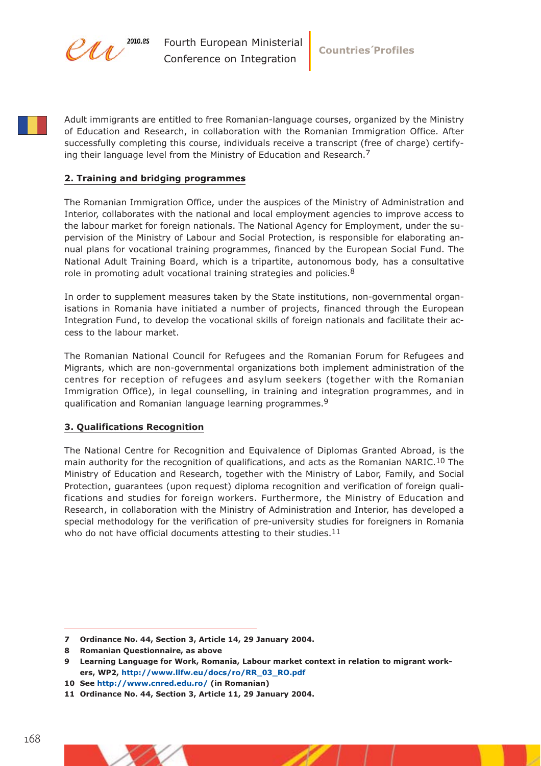

Adult immigrants are entitled to free Romanian-language courses, organized by the Ministry of Education and Research, in collaboration with the Romanian Immigration Office. After successfully completing this course, individuals receive a transcript (free of charge) certifying their language level from the Ministry of Education and Research. $7$ 

## **2. Training and bridging programmes**

The Romanian Immigration Office, under the auspices of the Ministry of Administration and Interior, collaborates with the national and local employment agencies to improve access to the labour market for foreign nationals. The National Agency for Employment, under the supervision of the Ministry of Labour and Social Protection, is responsible for elaborating annual plans for vocational training programmes, financed by the European Social Fund. The National Adult Training Board, which is a tripartite, autonomous body, has a consultative role in promoting adult vocational training strategies and policies.<sup>8</sup>

In order to supplement measures taken by the State institutions, non-governmental organisations in Romania have initiated a number of projects, financed through the European Integration Fund, to develop the vocational skills of foreign nationals and facilitate their access to the labour market.

The Romanian National Council for Refugees and the Romanian Forum for Refugees and Migrants, which are non-governmental organizations both implement administration of the centres for reception of refugees and asylum seekers (together with the Romanian Immigration Office), in legal counselling, in training and integration programmes, and in qualification and Romanian language learning programmes.9

## **3. Qualifications Recognition**

The National Centre for Recognition and Equivalence of Diplomas Granted Abroad, is the main authority for the recognition of qualifications, and acts as the Romanian NARIC.10 The Ministry of Education and Research, together with the Ministry of Labor, Family, and Social Protection, guarantees (upon request) diploma recognition and verification of foreign qualifications and studies for foreign workers. Furthermore, the Ministry of Education and Research, in collaboration with the Ministry of Administration and Interior, has developed a special methodology for the verification of pre-university studies for foreigners in Romania who do not have official documents attesting to their studies. $11$ 

**<sup>7</sup> Ordinance No. 44, Section 3, Article 14, 29 January 2004.** 

**<sup>8</sup> Romanian Questionnaire, as above**

**<sup>9</sup> Learning Language for Work, Romania, Labour market context in relation to migrant workers, WP2, http://www.llfw.eu/docs/ro/RR\_03\_RO.pdf**

**<sup>10</sup> See http://www.cnred.edu.ro/ (in Romanian)**

**<sup>11</sup> Ordinance No. 44, Section 3, Article 11, 29 January 2004.**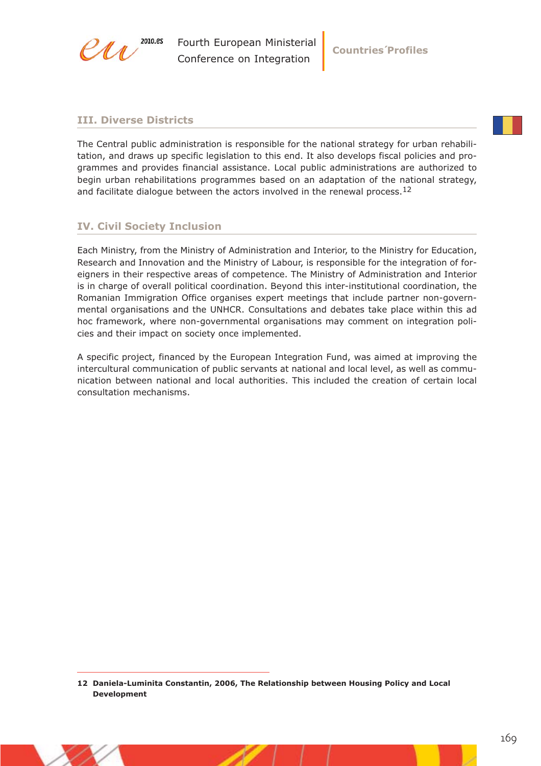

# **III. Diverse Districts**

The Central public administration is responsible for the national strategy for urban rehabilitation, and draws up specific legislation to this end. It also develops fiscal policies and programmes and provides financial assistance. Local public administrations are authorized to begin urban rehabilitations programmes based on an adaptation of the national strategy, and facilitate dialogue between the actors involved in the renewal process.<sup>12</sup>

# **IV. Civil Society Inclusion**

Each Ministry, from the Ministry of Administration and Interior, to the Ministry for Education, Research and Innovation and the Ministry of Labour, is responsible for the integration of foreigners in their respective areas of competence. The Ministry of Administration and Interior is in charge of overall political coordination. Beyond this inter-institutional coordination, the Romanian Immigration Office organises expert meetings that include partner non-governmental organisations and the UNHCR. Consultations and debates take place within this ad hoc framework, where non-governmental organisations may comment on integration policies and their impact on society once implemented.

A specific project, financed by the European Integration Fund, was aimed at improving the intercultural communication of public servants at national and local level, as well as communication between national and local authorities. This included the creation of certain local consultation mechanisms.

**<sup>12</sup> Daniela-Luminita Constantin, 2006, The Relationship between Housing Policy and Local Development**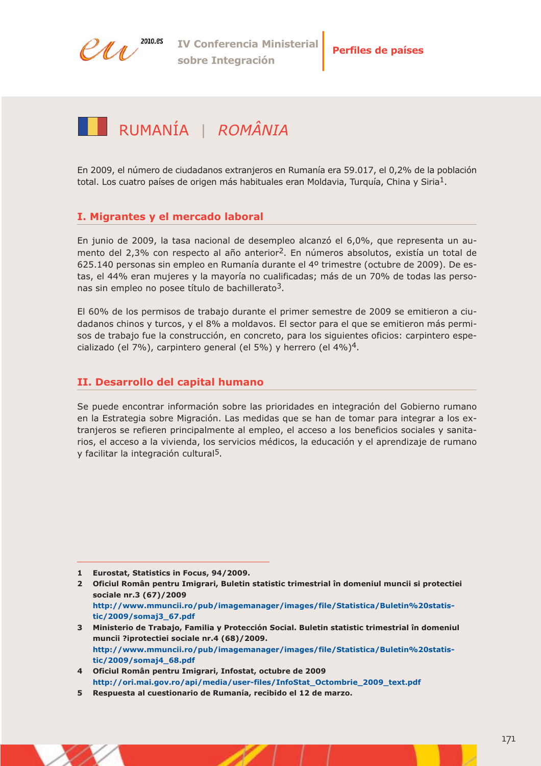



En 2009, el número de ciudadanos extranjeros en Rumanía era 59.017, el 0,2% de la población total. Los cuatro países de origen más habituales eran Moldavia, Turquía, China y Siria<sup>1</sup>.

# **I. Migrantes y el mercado laboral**

En junio de 2009, la tasa nacional de desempleo alcanzó el 6,0%, que representa un aumento del 2,3% con respecto al año anterior2. En números absolutos, existía un total de 625.140 personas sin empleo en Rumanía durante el 4º trimestre (octubre de 2009). De estas, el 44% eran mujeres y la mayoría no cualificadas; más de un 70% de todas las personas sin empleo no posee título de bachillerato<sup>3</sup>.

El 60% de los permisos de trabajo durante el primer semestre de 2009 se emitieron a ciudadanos chinos y turcos, y el 8% a moldavos. El sector para el que se emitieron más permisos de trabajo fue la construcción, en concreto, para los siguientes oficios: carpintero especializado (el 7%), carpintero general (el 5%) y herrero (el 4%)<sup>4</sup>.

## **II. Desarrollo del capital humano**

Se puede encontrar información sobre las prioridades en integración del Gobierno rumano en la Estrategia sobre Migración. Las medidas que se han de tomar para integrar a los extranjeros se refieren principalmente al empleo, el acceso a los beneficios sociales y sanitarios, el acceso a la vivienda, los servicios médicos, la educación y el aprendizaje de rumano y facilitar la integración cultural5.

**http://www.mmuncii.ro/pub/imagemanager/images/file/Statistica/Buletin%20statistic/2009/somaj3\_67.pdf**

- **3 Ministerio de Trabajo, Familia y Protección Social. Buletin statistic trimestrial în domeniul muncii ?iprotectiei sociale nr.4 (68)/2009. http://www.mmuncii.ro/pub/imagemanager/images/file/Statistica/Buletin%20statistic/2009/somaj4\_68.pdf**
- **4 Oficiul Român pentru Imigrari, Infostat, octubre de 2009 http://ori.mai.gov.ro/api/media/user-files/InfoStat\_Octombrie\_2009\_text.pdf**
- **5 Respuesta al cuestionario de Rumanía, recibido el 12 de marzo.**

**<sup>1</sup> Eurostat, Statistics in Focus, 94/2009.**

**<sup>2</sup> Oficiul Român pentru Imigrari, Buletin statistic trimestrial în domeniul muncii si protectiei sociale nr.3 (67)/2009**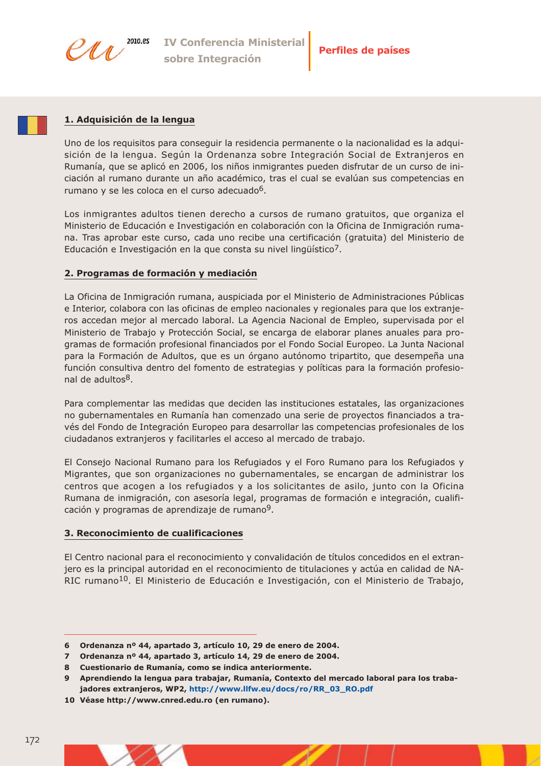

### **1. Adquisición de la lengua**

Uno de los requisitos para conseguir la residencia permanente o la nacionalidad es la adquisición de la lengua. Según la Ordenanza sobre Integración Social de Extranjeros en Rumanía, que se aplicó en 2006, los niños inmigrantes pueden disfrutar de un curso de iniciación al rumano durante un año académico, tras el cual se evalúan sus competencias en rumano y se les coloca en el curso adecuado6.

Los inmigrantes adultos tienen derecho a cursos de rumano gratuitos, que organiza el Ministerio de Educación e Investigación en colaboración con la Oficina de Inmigración rumana. Tras aprobar este curso, cada uno recibe una certificación (gratuita) del Ministerio de Educación e Investigación en la que consta su nivel lingüístico<sup>7</sup>.

### **2. Programas de formación y mediación**

La Oficina de Inmigración rumana, auspiciada por el Ministerio de Administraciones Públicas e Interior, colabora con las oficinas de empleo nacionales y regionales para que los extranjeros accedan mejor al mercado laboral. La Agencia Nacional de Empleo, supervisada por el Ministerio de Trabajo y Protección Social, se encarga de elaborar planes anuales para programas de formación profesional financiados por el Fondo Social Europeo. La Junta Nacional para la Formación de Adultos, que es un órgano autónomo tripartito, que desempeña una función consultiva dentro del fomento de estrategias y políticas para la formación profesional de adultos $8$ .

Para complementar las medidas que deciden las instituciones estatales, las organizaciones no gubernamentales en Rumanía han comenzado una serie de proyectos financiados a través del Fondo de Integración Europeo para desarrollar las competencias profesionales de los ciudadanos extranjeros y facilitarles el acceso al mercado de trabajo.

El Consejo Nacional Rumano para los Refugiados y el Foro Rumano para los Refugiados y Migrantes, que son organizaciones no gubernamentales, se encargan de administrar los centros que acogen a los refugiados y a los solicitantes de asilo, junto con la Oficina Rumana de inmigración, con asesoría legal, programas de formación e integración, cualificación y programas de aprendizaje de rumano9.

#### **3. Reconocimiento de cualificaciones**

El Centro nacional para el reconocimiento y convalidación de títulos concedidos en el extranjero es la principal autoridad en el reconocimiento de titulaciones y actúa en calidad de NA-RIC rumano10. El Ministerio de Educación e Investigación, con el Ministerio de Trabajo,

**<sup>6</sup> Ordenanza nº 44, apartado 3, artículo 10, 29 de enero de 2004.**

**<sup>7</sup> Ordenanza nº 44, apartado 3, artículo 14, 29 de enero de 2004.**

**<sup>8</sup> Cuestionario de Rumanía, como se indica anteriormente.**

**<sup>9</sup> Aprendiendo la lengua para trabajar, Rumanía, Contexto del mercado laboral para los trabajadores extranjeros, WP2, http://www.llfw.eu/docs/ro/RR\_03\_RO.pdf**

**<sup>10</sup> Véase http://www.cnred.edu.ro (en rumano).**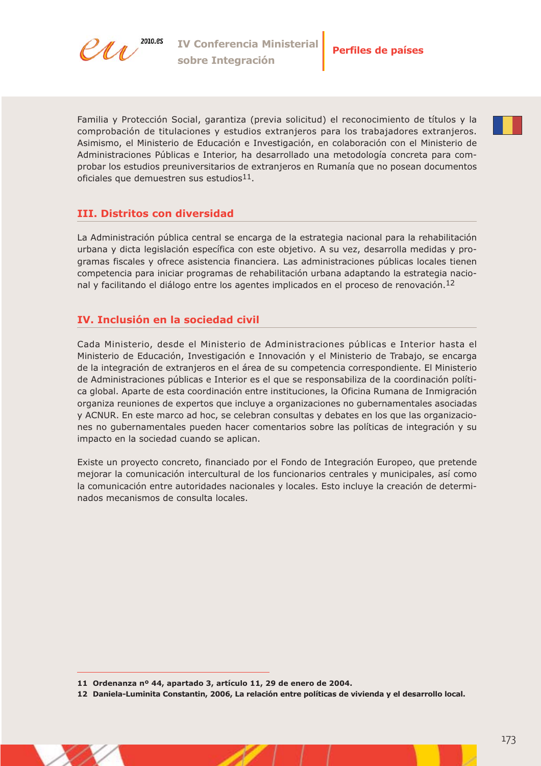

Familia y Protección Social, garantiza (previa solicitud) el reconocimiento de títulos y la comprobación de titulaciones y estudios extranjeros para los trabajadores extranjeros. Asimismo, el Ministerio de Educación e Investigación, en colaboración con el Ministerio de Administraciones Públicas e Interior, ha desarrollado una metodología concreta para comprobar los estudios preuniversitarios de extranjeros en Rumanía que no posean documentos oficiales que demuestren sus estudios $11$ .

# **III. Distritos con diversidad**

La Administración pública central se encarga de la estrategia nacional para la rehabilitación urbana y dicta legislación específica con este objetivo. A su vez, desarrolla medidas y programas fiscales y ofrece asistencia financiera. Las administraciones públicas locales tienen competencia para iniciar programas de rehabilitación urbana adaptando la estrategia nacional y facilitando el diálogo entre los agentes implicados en el proceso de renovación.<sup>12</sup>

# **IV. Inclusión en la sociedad civil**

Cada Ministerio, desde el Ministerio de Administraciones públicas e Interior hasta el Ministerio de Educación, Investigación e Innovación y el Ministerio de Trabajo, se encarga de la integración de extranjeros en el área de su competencia correspondiente. El Ministerio de Administraciones públicas e Interior es el que se responsabiliza de la coordinación política global. Aparte de esta coordinación entre instituciones, la Oficina Rumana de Inmigración organiza reuniones de expertos que incluye a organizaciones no gubernamentales asociadas y ACNUR. En este marco ad hoc, se celebran consultas y debates en los que las organizaciones no gubernamentales pueden hacer comentarios sobre las políticas de integración y su impacto en la sociedad cuando se aplican.

Existe un proyecto concreto, financiado por el Fondo de Integración Europeo, que pretende mejorar la comunicación intercultural de los funcionarios centrales y municipales, así como la comunicación entre autoridades nacionales y locales. Esto incluye la creación de determinados mecanismos de consulta locales.





**<sup>11</sup> Ordenanza nº 44, apartado 3, artículo 11, 29 de enero de 2004.**

**<sup>12</sup> Daniela-Luminita Constantin, 2006, La relación entre políticas de vivienda y el desarrollo local.**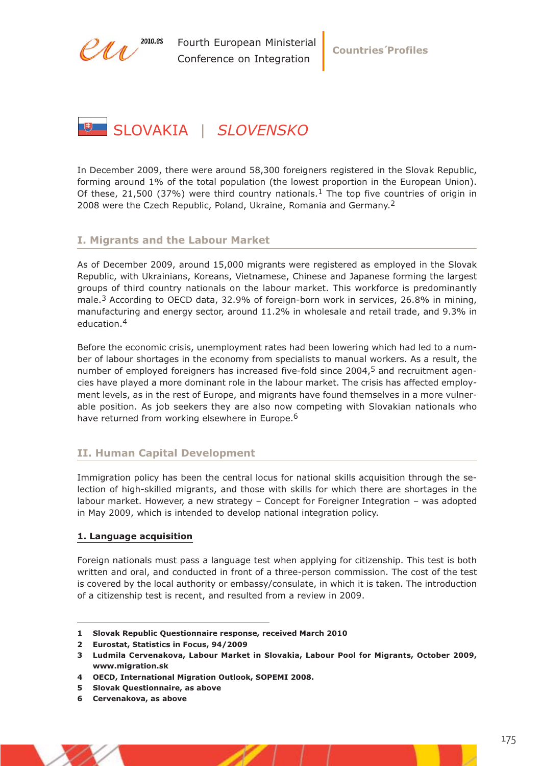



In December 2009, there were around 58,300 foreigners registered in the Slovak Republic, forming around 1% of the total population (the lowest proportion in the European Union). Of these, 21,500 (37%) were third country nationals.<sup>1</sup> The top five countries of origin in 2008 were the Czech Republic, Poland, Ukraine, Romania and Germany.2

# **I. Migrants and the Labour Market**

As of December 2009, around 15,000 migrants were registered as employed in the Slovak Republic, with Ukrainians, Koreans, Vietnamese, Chinese and Japanese forming the largest groups of third country nationals on the labour market. This workforce is predominantly male.3 According to OECD data, 32.9% of foreign-born work in services, 26.8% in mining, manufacturing and energy sector, around 11.2% in wholesale and retail trade, and 9.3% in education.4

Before the economic crisis, unemployment rates had been lowering which had led to a number of labour shortages in the economy from specialists to manual workers. As a result, the number of employed foreigners has increased five-fold since 2004,<sup>5</sup> and recruitment agencies have played a more dominant role in the labour market. The crisis has affected employment levels, as in the rest of Europe, and migrants have found themselves in a more vulnerable position. As job seekers they are also now competing with Slovakian nationals who have returned from working elsewhere in Europe.<sup>6</sup>

## **II. Human Capital Development**

Immigration policy has been the central locus for national skills acquisition through the selection of high-skilled migrants, and those with skills for which there are shortages in the labour market. However, a new strategy – Concept for Foreigner Integration – was adopted in May 2009, which is intended to develop national integration policy.

#### **1. Language acquisition**

Foreign nationals must pass a language test when applying for citizenship. This test is both written and oral, and conducted in front of a three-person commission. The cost of the test is covered by the local authority or embassy/consulate, in which it is taken. The introduction of a citizenship test is recent, and resulted from a review in 2009.

- **1 Slovak Republic Questionnaire response, received March 2010**
- **2 Eurostat, Statistics in Focus, 94/2009**
- **3 Ludmila Cervenakova, Labour Market in Slovakia, Labour Pool for Migrants, October 2009, www.migration.sk**
- **4 OECD, International Migration Outlook, SOPEMI 2008.**
- **5 Slovak Questionnaire, as above**
- **6 Cervenakova, as above**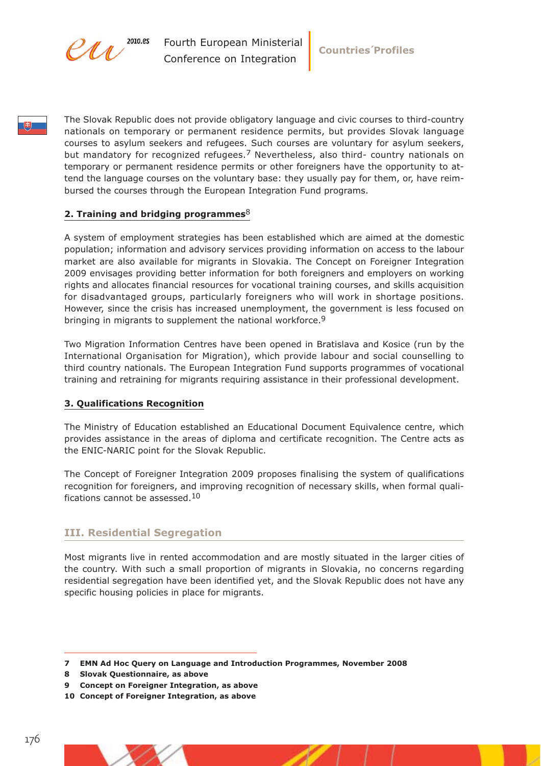

The Slovak Republic does not provide obligatory language and civic courses to third-country nationals on temporary or permanent residence permits, but provides Slovak language courses to asylum seekers and refugees. Such courses are voluntary for asylum seekers, but mandatory for recognized refugees.7 Nevertheless, also third- country nationals on temporary or permanent residence permits or other foreigners have the opportunity to attend the language courses on the voluntary base: they usually pay for them, or, have reimbursed the courses through the European Integration Fund programs.

# **2. Training and bridging programmes**8

A system of employment strategies has been established which are aimed at the domestic population; information and advisory services providing information on access to the labour market are also available for migrants in Slovakia. The Concept on Foreigner Integration 2009 envisages providing better information for both foreigners and employers on working rights and allocates financial resources for vocational training courses, and skills acquisition for disadvantaged groups, particularly foreigners who will work in shortage positions. However, since the crisis has increased unemployment, the government is less focused on bringing in migrants to supplement the national workforce.<sup>9</sup>

Two Migration Information Centres have been opened in Bratislava and Kosice (run by the International Organisation for Migration), which provide labour and social counselling to third country nationals. The European Integration Fund supports programmes of vocational training and retraining for migrants requiring assistance in their professional development.

# **3. Qualifications Recognition**

The Ministry of Education established an Educational Document Equivalence centre, which provides assistance in the areas of diploma and certificate recognition. The Centre acts as the ENIC-NARIC point for the Slovak Republic.

The Concept of Foreigner Integration 2009 proposes finalising the system of qualifications recognition for foreigners, and improving recognition of necessary skills, when formal qualifications cannot be assessed.10

# **III. Residential Segregation**

Most migrants live in rented accommodation and are mostly situated in the larger cities of the country. With such a small proportion of migrants in Slovakia, no concerns regarding residential segregation have been identified yet, and the Slovak Republic does not have any specific housing policies in place for migrants.

- **8 Slovak Questionnaire, as above**
- **9 Concept on Foreigner Integration, as above**

**<sup>7</sup> EMN Ad Hoc Query on Language and Introduction Programmes, November 2008**

**<sup>10</sup> Concept of Foreigner Integration, as above**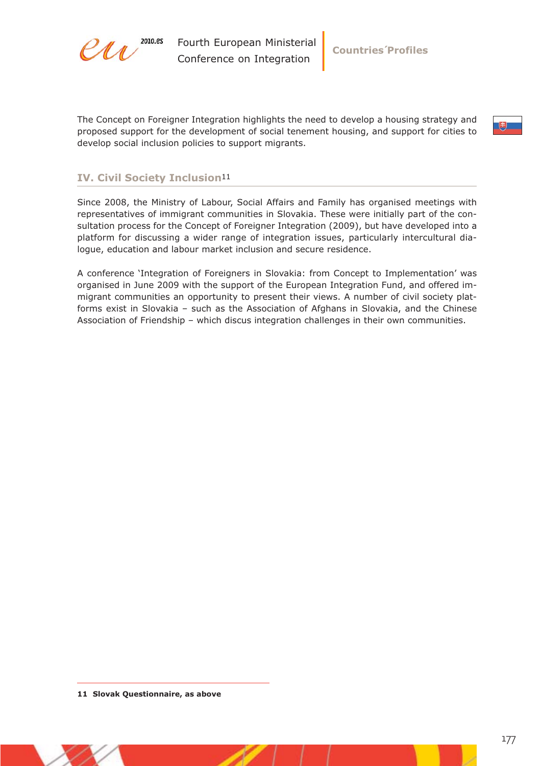

The Concept on Foreigner Integration highlights the need to develop a housing strategy and proposed support for the development of social tenement housing, and support for cities to develop social inclusion policies to support migrants.

# **IV. Civil Society Inclusion**11

Since 2008, the Ministry of Labour, Social Affairs and Family has organised meetings with representatives of immigrant communities in Slovakia. These were initially part of the consultation process for the Concept of Foreigner Integration (2009), but have developed into a platform for discussing a wider range of integration issues, particularly intercultural dialogue, education and labour market inclusion and secure residence.

A conference 'Integration of Foreigners in Slovakia: from Concept to Implementation' was organised in June 2009 with the support of the European Integration Fund, and offered immigrant communities an opportunity to present their views. A number of civil society platforms exist in Slovakia – such as the Association of Afghans in Slovakia, and the Chinese Association of Friendship – which discus integration challenges in their own communities.

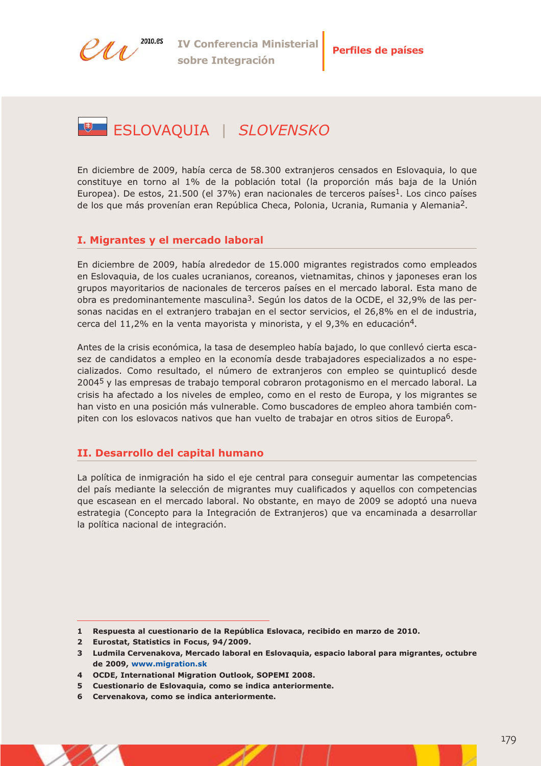



En diciembre de 2009, había cerca de 58.300 extranjeros censados en Eslovaquia, lo que constituye en torno al 1% de la población total (la proporción más baja de la Unión Europea). De estos, 21.500 (el 37%) eran nacionales de terceros países<sup>1</sup>. Los cinco países de los que más provenían eran República Checa, Polonia, Ucrania, Rumania y Alemania2.

# **I. Migrantes y el mercado laboral**

En diciembre de 2009, había alrededor de 15.000 migrantes registrados como empleados en Eslovaquia, de los cuales ucranianos, coreanos, vietnamitas, chinos y japoneses eran los grupos mayoritarios de nacionales de terceros países en el mercado laboral. Esta mano de obra es predominantemente masculina3. Según los datos de la OCDE, el 32,9% de las personas nacidas en el extranjero trabajan en el sector servicios, el 26,8% en el de industria, cerca del 11,2% en la venta mayorista y minorista, y el 9,3% en educación4.

Antes de la crisis económica, la tasa de desempleo había bajado, lo que conllevó cierta escasez de candidatos a empleo en la economía desde trabajadores especializados a no especializados. Como resultado, el número de extranjeros con empleo se quintuplicó desde 20045 y las empresas de trabajo temporal cobraron protagonismo en el mercado laboral. La crisis ha afectado a los niveles de empleo, como en el resto de Europa, y los migrantes se han visto en una posición más vulnerable. Como buscadores de empleo ahora también compiten con los eslovacos nativos que han vuelto de trabajar en otros sitios de Europa<sup>6</sup>.

# **II. Desarrollo del capital humano**

La política de inmigración ha sido el eje central para conseguir aumentar las competencias del país mediante la selección de migrantes muy cualificados y aquellos con competencias que escasean en el mercado laboral. No obstante, en mayo de 2009 se adoptó una nueva estrategia (Concepto para la Integración de Extranjeros) que va encaminada a desarrollar la política nacional de integración.

**2 Eurostat, Statistics in Focus, 94/2009.**

- **4 OCDE, International Migration Outlook, SOPEMI 2008.**
- **5 Cuestionario de Eslovaquia, como se indica anteriormente.**
- **6 Cervenakova, como se indica anteriormente.**

**<sup>1</sup> Respuesta al cuestionario de la República Eslovaca, recibido en marzo de 2010.**

**<sup>3</sup> Ludmila Cervenakova, Mercado laboral en Eslovaquia, espacio laboral para migrantes, octubre de 2009, www.migration.sk**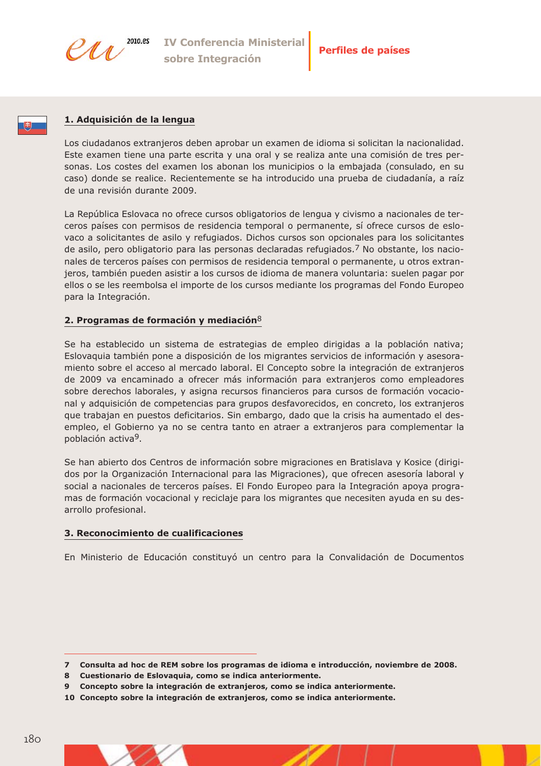

#### **1. Adquisición de la lengua**

Los ciudadanos extranjeros deben aprobar un examen de idioma si solicitan la nacionalidad. Este examen tiene una parte escrita y una oral y se realiza ante una comisión de tres personas. Los costes del examen los abonan los municipios o la embajada (consulado, en su caso) donde se realice. Recientemente se ha introducido una prueba de ciudadanía, a raíz de una revisión durante 2009.

La República Eslovaca no ofrece cursos obligatorios de lengua y civismo a nacionales de terceros países con permisos de residencia temporal o permanente, sí ofrece cursos de eslovaco a solicitantes de asilo y refugiados. Dichos cursos son opcionales para los solicitantes de asilo, pero obligatorio para las personas declaradas refugiados.7 No obstante, los nacionales de terceros países con permisos de residencia temporal o permanente, u otros extranjeros, también pueden asistir a los cursos de idioma de manera voluntaria: suelen pagar por ellos o se les reembolsa el importe de los cursos mediante los programas del Fondo Europeo para la Integración.

#### **2. Programas de formación y mediación**8

Se ha establecido un sistema de estrategias de empleo dirigidas a la población nativa; Eslovaquia también pone a disposición de los migrantes servicios de información y asesoramiento sobre el acceso al mercado laboral. El Concepto sobre la integración de extranjeros de 2009 va encaminado a ofrecer más información para extranjeros como empleadores sobre derechos laborales, y asigna recursos financieros para cursos de formación vocacional y adquisición de competencias para grupos desfavorecidos, en concreto, los extranjeros que trabajan en puestos deficitarios. Sin embargo, dado que la crisis ha aumentado el desempleo, el Gobierno ya no se centra tanto en atraer a extranjeros para complementar la población activa9.

Se han abierto dos Centros de información sobre migraciones en Bratislava y Kosice (dirigidos por la Organización Internacional para las Migraciones), que ofrecen asesoría laboral y social a nacionales de terceros países. El Fondo Europeo para la Integración apoya programas de formación vocacional y reciclaje para los migrantes que necesiten ayuda en su desarrollo profesional.

#### **3. Reconocimiento de cualificaciones**

En Ministerio de Educación constituyó un centro para la Convalidación de Documentos

**<sup>7</sup> Consulta ad hoc de REM sobre los programas de idioma e introducción, noviembre de 2008.**

**<sup>8</sup> Cuestionario de Eslovaquia, como se indica anteriormente.**

**<sup>9</sup> Concepto sobre la integración de extranjeros, como se indica anteriormente.**

**<sup>10</sup> Concepto sobre la integración de extranjeros, como se indica anteriormente.**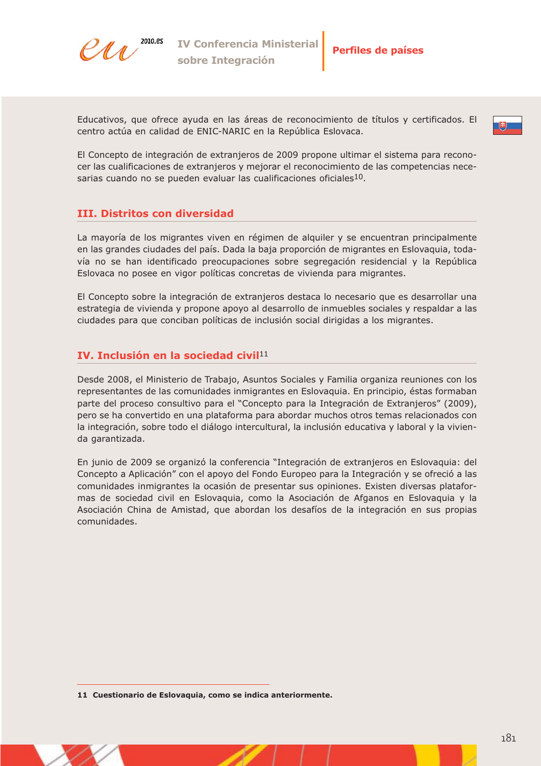

Educativos, que ofrece ayuda en las áreas de reconocimiento de títulos y certificados. El centro actúa en calidad de ENIC-NARIC en la República Eslovaca.

El Concepto de integración de extranjeros de 2009 propone ultimar el sistema para reconocer las cualificaciones de extranjeros y mejorar el reconocimiento de las competencias necesarias cuando no se pueden evaluar las cualificaciones oficiales<sup>10</sup>.

#### **III. Distritos con diversidad**

La mayoría de los migrantes viven en régimen de alquiler y se encuentran principalmente en las grandes ciudades del país. Dada la baja proporción de migrantes en Eslovaquia, todavía no se han identificado preocupaciones sobre segregación residencial y la República Eslovaca no posee en vigor políticas concretas de vivienda para migrantes.

El Concepto sobre la integración de extranjeros destaca lo necesario que es desarrollar una estrategia de vivienda y propone apoyo al desarrollo de inmuebles sociales y respaldar a las ciudades para que conciban políticas de inclusión social dirigidas a los migrantes.

### **IV. Inclusión en la sociedad civil**<sup>11</sup>

Desde 2008, el Ministerio de Trabajo, Asuntos Sociales y Familia organiza reuniones con los representantes de las comunidades inmigrantes en Eslovaquia. En principio, éstas formaban parte del proceso consultivo para el "Concepto para la Integración de Extranjeros" (2009), pero se ha convertido en una plataforma para abordar muchos otros temas relacionados con la integración, sobre todo el diálogo intercultural, la inclusión educativa y laboral y la vivienda garantizada.

En junio de 2009 se organizó la conferencia "Integración de extranjeros en Eslovaquia: del Concepto a Aplicación" con el apoyo del Fondo Europeo para la Integración y se ofreció a las comunidades inmigrantes la ocasión de presentar sus opiniones. Existen diversas plataformas de sociedad civil en Eslovaquia, como la Asociación de Afganos en Eslovaquia y la Asociación China de Amistad, que abordan los desafíos de la integración en sus propias comunidades.



**<sup>11</sup> Cuestionario de Eslovaquia, como se indica anteriormente.**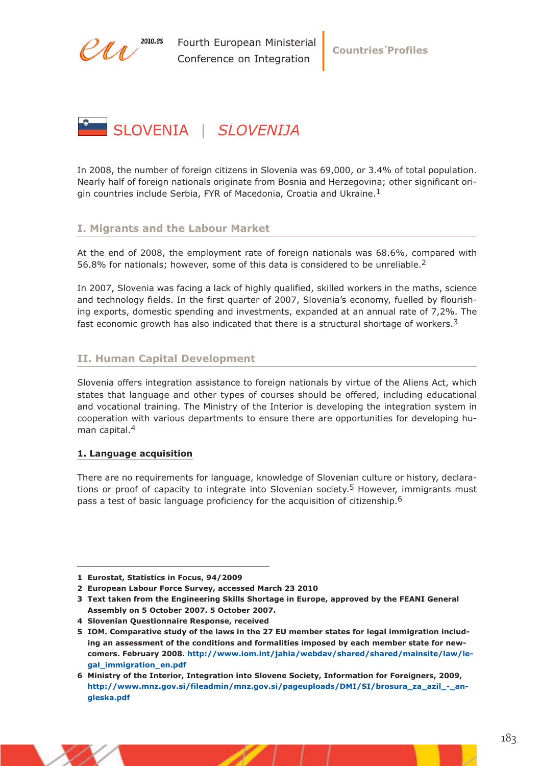



In 2008, the number of foreign citizens in Slovenia was 69,000, or 3.4% of total population. Nearly half of foreign nationals originate from Bosnia and Herzegovina; other significant origin countries include Serbia, FYR of Macedonia, Croatia and Ukraine. $1$ 

#### **I. Migrants and the Labour Market**

At the end of 2008, the employment rate of foreign nationals was 68.6%, compared with 56.8% for nationals; however, some of this data is considered to be unreliable.<sup>2</sup>

In 2007, Slovenia was facing a lack of highly qualified, skilled workers in the maths, science and technology fields. In the first quarter of 2007, Slovenia's economy, fuelled by flourishing exports, domestic spending and investments, expanded at an annual rate of 7,2%. The fast economic growth has also indicated that there is a structural shortage of workers.<sup>3</sup>

#### **II. Human Capital Development**

Slovenia offers integration assistance to foreign nationals by virtue of the Aliens Act, which states that language and other types of courses should be offered, including educational and vocational training. The Ministry of the Interior is developing the integration system in cooperation with various departments to ensure there are opportunities for developing human capital.<sup>4</sup>

#### **1. Language acquisition**

There are no requirements for language, knowledge of Slovenian culture or history, declarations or proof of capacity to integrate into Slovenian society.<sup>5</sup> However, immigrants must pass a test of basic language proficiency for the acquisition of citizenship.<sup>6</sup>

**<sup>1</sup> Eurostat, Statistics in Focus, 94/2009**

**<sup>2</sup> European Labour Force Survey, accessed March 23 2010**

**<sup>3</sup> Text taken from the Engineering Skills Shortage in Europe, approved by the FEANI General Assembly on 5 October 2007. 5 October 2007.**

**<sup>4</sup> Slovenian Questionnaire Response, received**

**<sup>5</sup> IOM. Comparative study of the laws in the 27 EU member states for legal immigration including an assessment of the conditions and formalities imposed by each member state for newcomers. February 2008. http://www.iom.int/jahia/webdav/shared/shared/mainsite/law/legal\_immigration\_en.pdf** 

**<sup>6</sup> Ministry of the Interior, Integration into Slovene Society, Information for Foreigners, 2009, http://www.mnz.gov.si/fileadmin/mnz.gov.si/pageuploads/DMI/SI/brosura\_za\_azil\_-\_angleska.pdf**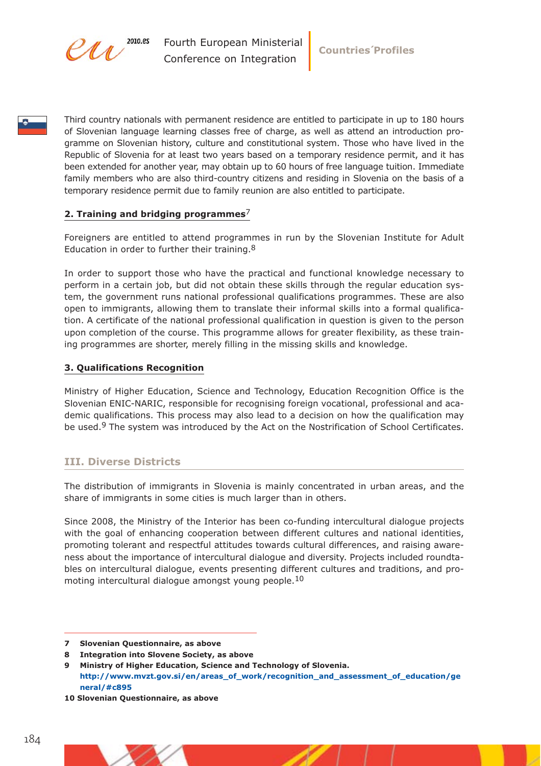



Third country nationals with permanent residence are entitled to participate in up to 180 hours of Slovenian language learning classes free of charge, as well as attend an introduction programme on Slovenian history, culture and constitutional system. Those who have lived in the Republic of Slovenia for at least two years based on a temporary residence permit, and it has been extended for another year, may obtain up to 60 hours of free language tuition. Immediate family members who are also third-country citizens and residing in Slovenia on the basis of a temporary residence permit due to family reunion are also entitled to participate.

#### **2. Training and bridging programmes**7

Foreigners are entitled to attend programmes in run by the Slovenian Institute for Adult Education in order to further their training.8

In order to support those who have the practical and functional knowledge necessary to perform in a certain job, but did not obtain these skills through the regular education system, the government runs national professional qualifications programmes. These are also open to immigrants, allowing them to translate their informal skills into a formal qualification. A certificate of the national professional qualification in question is given to the person upon completion of the course. This programme allows for greater flexibility, as these training programmes are shorter, merely filling in the missing skills and knowledge.

#### **3. Qualifications Recognition**

Ministry of Higher Education, Science and Technology, Education Recognition Office is the Slovenian ENIC-NARIC, responsible for recognising foreign vocational, professional and academic qualifications. This process may also lead to a decision on how the qualification may be used.<sup>9</sup> The system was introduced by the Act on the Nostrification of School Certificates.

# **III. Diverse Districts**

The distribution of immigrants in Slovenia is mainly concentrated in urban areas, and the share of immigrants in some cities is much larger than in others.

Since 2008, the Ministry of the Interior has been co-funding intercultural dialogue projects with the goal of enhancing cooperation between different cultures and national identities, promoting tolerant and respectful attitudes towards cultural differences, and raising awareness about the importance of intercultural dialogue and diversity. Projects included roundtables on intercultural dialogue, events presenting different cultures and traditions, and promoting intercultural dialogue amongst young people.10

**<sup>7</sup> Slovenian Questionnaire, as above**

**<sup>8</sup> Integration into Slovene Society, as above**

**<sup>9</sup> Ministry of Higher Education, Science and Technology of Slovenia.**

**http://www.mvzt.gov.si/en/areas\_of\_work/recognition\_and\_assessment\_of\_education/ge neral/#c895**

**<sup>10</sup> Slovenian Questionnaire, as above**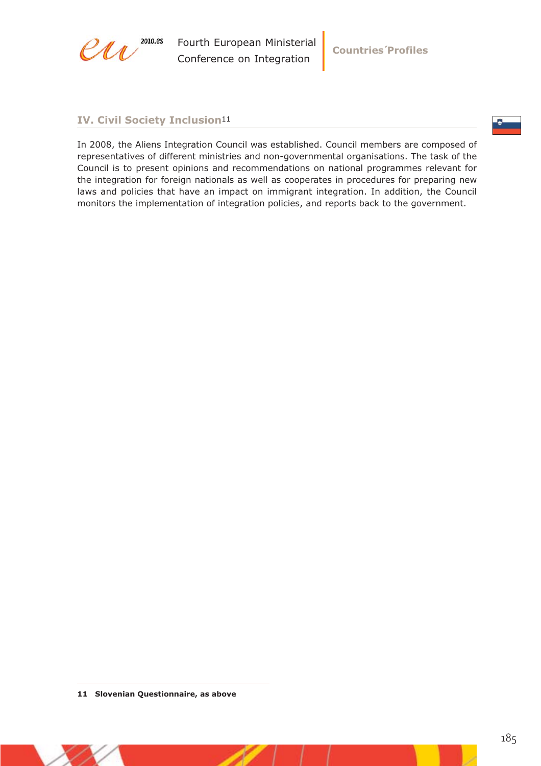

# **IV. Civil Society Inclusion**11

In 2008, the Aliens Integration Council was established. Council members are composed of representatives of different ministries and non-governmental organisations. The task of the Council is to present opinions and recommendations on national programmes relevant for the integration for foreign nationals as well as cooperates in procedures for preparing new laws and policies that have an impact on immigrant integration. In addition, the Council monitors the implementation of integration policies, and reports back to the government.



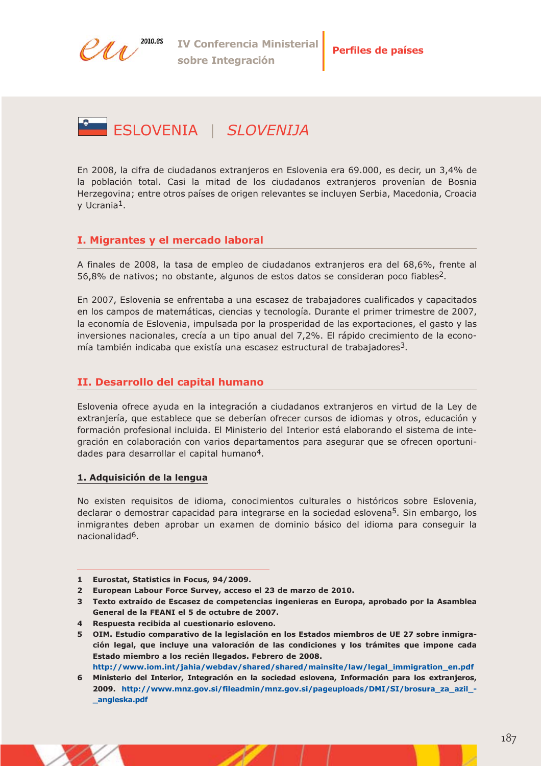



En 2008, la cifra de ciudadanos extranjeros en Eslovenia era 69.000, es decir, un 3,4% de la población total. Casi la mitad de los ciudadanos extranjeros provenían de Bosnia Herzegovina; entre otros países de origen relevantes se incluyen Serbia, Macedonia, Croacia y Ucrania1.

# **I. Migrantes y el mercado laboral**

A finales de 2008, la tasa de empleo de ciudadanos extranjeros era del 68,6%, frente al  $56,8%$  de nativos; no obstante, algunos de estos datos se consideran poco fiables<sup>2</sup>.

En 2007, Eslovenia se enfrentaba a una escasez de trabajadores cualificados y capacitados en los campos de matemáticas, ciencias y tecnología. Durante el primer trimestre de 2007, la economía de Eslovenia, impulsada por la prosperidad de las exportaciones, el gasto y las inversiones nacionales, crecía a un tipo anual del 7,2%. El rápido crecimiento de la economía también indicaba que existía una escasez estructural de trabajadores3.

#### **II. Desarrollo del capital humano**

Eslovenia ofrece ayuda en la integración a ciudadanos extranjeros en virtud de la Ley de extranjería, que establece que se deberían ofrecer cursos de idiomas y otros, educación y formación profesional incluida. El Ministerio del Interior está elaborando el sistema de integración en colaboración con varios departamentos para asegurar que se ofrecen oportunidades para desarrollar el capital humano4.

#### **1. Adquisición de la lengua**

No existen requisitos de idioma, conocimientos culturales o históricos sobre Eslovenia, declarar o demostrar capacidad para integrarse en la sociedad eslovena<sup>5</sup>. Sin embargo, los inmigrantes deben aprobar un examen de dominio básico del idioma para conseguir la nacionalidad6.

**<sup>1</sup> Eurostat, Statistics in Focus, 94/2009.** 

**<sup>2</sup> European Labour Force Survey, acceso el 23 de marzo de 2010.**

**<sup>3</sup> Texto extraído de Escasez de competencias ingenieras en Europa, aprobado por la Asamblea General de la FEANI el 5 de octubre de 2007.** 

**<sup>4</sup> Respuesta recibida al cuestionario esloveno.**

**<sup>5</sup> OIM. Estudio comparativo de la legislación en los Estados miembros de UE 27 sobre inmigración legal, que incluye una valoración de las condiciones y los trámites que impone cada Estado miembro a los recién llegados. Febrero de 2008.**

**http://www.iom.int/jahia/webdav/shared/shared/mainsite/law/legal\_immigration\_en.pdf 6 Ministerio del Interior, Integración en la sociedad eslovena, Información para los extranjeros,**

**<sup>2009.</sup> http://www.mnz.gov.si/fileadmin/mnz.gov.si/pageuploads/DMI/SI/brosura\_za\_azil\_- \_angleska.pdf**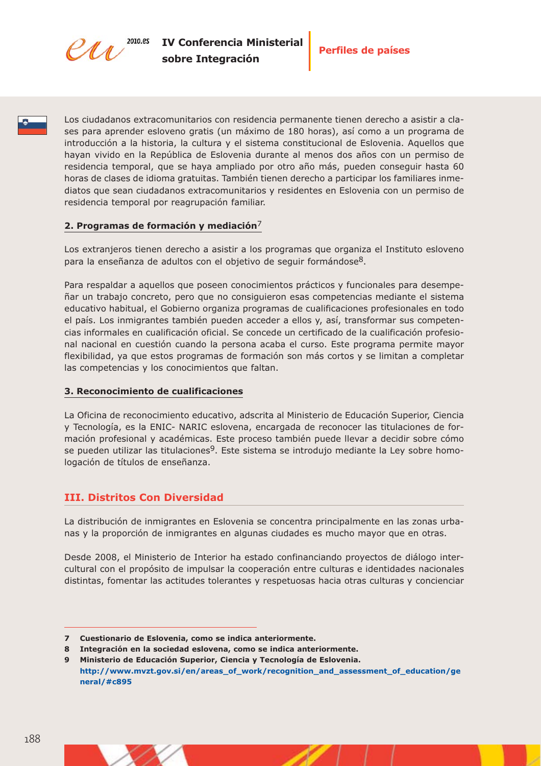



Los ciudadanos extracomunitarios con residencia permanente tienen derecho a asistir a clases para aprender esloveno gratis (un máximo de 180 horas), así como a un programa de introducción a la historia, la cultura y el sistema constitucional de Eslovenia. Aquellos que hayan vivido en la República de Eslovenia durante al menos dos años con un permiso de residencia temporal, que se haya ampliado por otro año más, pueden conseguir hasta 60 horas de clases de idioma gratuitas. También tienen derecho a participar los familiares inmediatos que sean ciudadanos extracomunitarios y residentes en Eslovenia con un permiso de residencia temporal por reagrupación familiar.

#### **2. Programas de formación y mediación**7

Los extranjeros tienen derecho a asistir a los programas que organiza el Instituto esloveno para la enseñanza de adultos con el objetivo de seguir formándose8.

Para respaldar a aquellos que poseen conocimientos prácticos y funcionales para desempeñar un trabajo concreto, pero que no consiguieron esas competencias mediante el sistema educativo habitual, el Gobierno organiza programas de cualificaciones profesionales en todo el país. Los inmigrantes también pueden acceder a ellos y, así, transformar sus competencias informales en cualificación oficial. Se concede un certificado de la cualificación profesional nacional en cuestión cuando la persona acaba el curso. Este programa permite mayor flexibilidad, ya que estos programas de formación son más cortos y se limitan a completar las competencias y los conocimientos que faltan.

#### **3. Reconocimiento de cualificaciones**

La Oficina de reconocimiento educativo, adscrita al Ministerio de Educación Superior, Ciencia y Tecnología, es la ENIC- NARIC eslovena, encargada de reconocer las titulaciones de formación profesional y académicas. Este proceso también puede llevar a decidir sobre cómo se pueden utilizar las titulaciones<sup>9</sup>. Este sistema se introdujo mediante la Ley sobre homologación de títulos de enseñanza.

# **III. Distritos Con Diversidad**

La distribución de inmigrantes en Eslovenia se concentra principalmente en las zonas urbanas y la proporción de inmigrantes en algunas ciudades es mucho mayor que en otras.

Desde 2008, el Ministerio de Interior ha estado confinanciando proyectos de diálogo intercultural con el propósito de impulsar la cooperación entre culturas e identidades nacionales distintas, fomentar las actitudes tolerantes y respetuosas hacia otras culturas y concienciar

**<sup>7</sup> Cuestionario de Eslovenia, como se indica anteriormente.**

**<sup>8</sup> Integración en la sociedad eslovena, como se indica anteriormente.**

**<sup>9</sup> Ministerio de Educación Superior, Ciencia y Tecnología de Eslovenia.**

**http://www.mvzt.gov.si/en/areas\_of\_work/recognition\_and\_assessment\_of\_education/ge neral/#c895**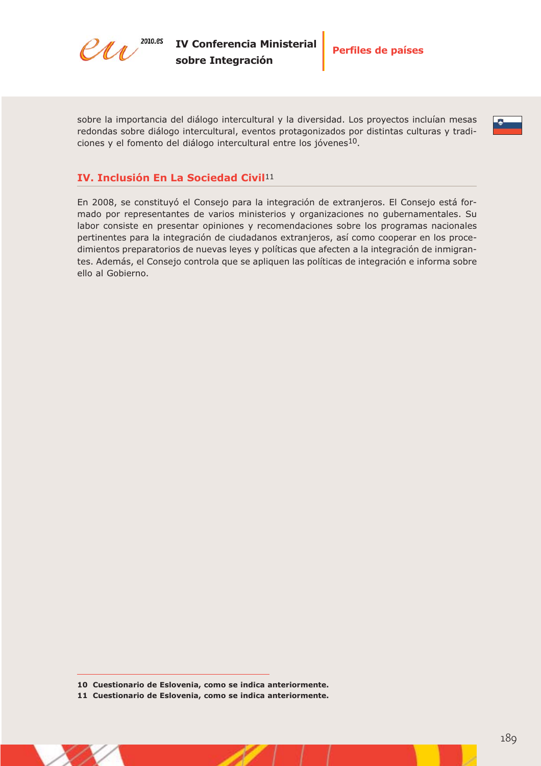

sobre la importancia del diálogo intercultural y la diversidad. Los proyectos incluían mesas redondas sobre diálogo intercultural, eventos protagonizados por distintas culturas y tradiciones y el fomento del diálogo intercultural entre los jóvenes<sup>10</sup>.



# **IV. Inclusión En La Sociedad Civil**11

En 2008, se constituyó el Consejo para la integración de extranjeros. El Consejo está formado por representantes de varios ministerios y organizaciones no gubernamentales. Su labor consiste en presentar opiniones y recomendaciones sobre los programas nacionales pertinentes para la integración de ciudadanos extranjeros, así como cooperar en los procedimientos preparatorios de nuevas leyes y políticas que afecten a la integración de inmigrantes. Además, el Consejo controla que se apliquen las políticas de integración e informa sobre ello al Gobierno.



**<sup>10</sup> Cuestionario de Eslovenia, como se indica anteriormente.**

**<sup>11</sup> Cuestionario de Eslovenia, como se indica anteriormente.**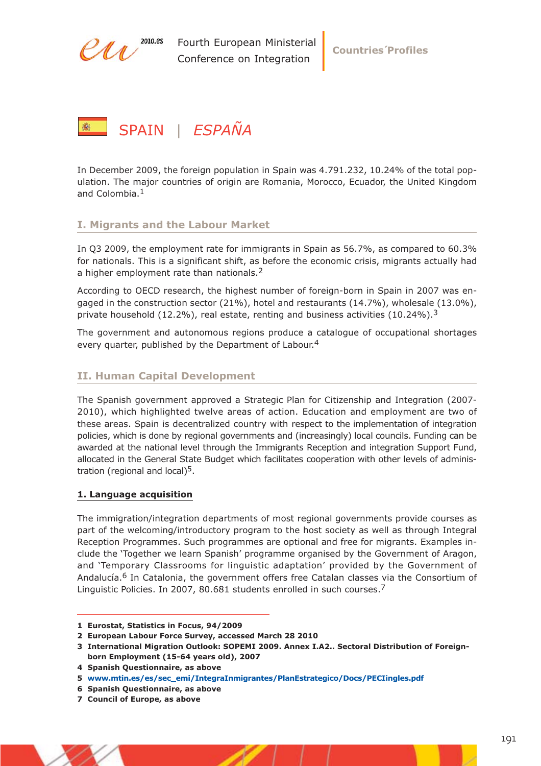



In December 2009, the foreign population in Spain was 4.791.232, 10.24% of the total population. The major countries of origin are Romania, Morocco, Ecuador, the United Kingdom and Colombia.1

# **I. Migrants and the Labour Market**

In Q3 2009, the employment rate for immigrants in Spain as 56.7%, as compared to 60.3% for nationals. This is a significant shift, as before the economic crisis, migrants actually had a higher employment rate than nationals.<sup>2</sup>

According to OECD research, the highest number of foreign-born in Spain in 2007 was engaged in the construction sector (21%), hotel and restaurants (14.7%), wholesale (13.0%), private household (12.2%), real estate, renting and business activities (10.24%).<sup>3</sup>

The government and autonomous regions produce a catalogue of occupational shortages every quarter, published by the Department of Labour.<sup>4</sup>

#### **II. Human Capital Development**

The Spanish government approved a Strategic Plan for Citizenship and Integration (2007- 2010), which highlighted twelve areas of action. Education and employment are two of these areas. Spain is decentralized country with respect to the implementation of integration policies, which is done by regional governments and (increasingly) local councils. Funding can be awarded at the national level through the Immigrants Reception and integration Support Fund, allocated in the General State Budget which facilitates cooperation with other levels of administration (regional and local) $5$ .

#### **1. Language acquisition**

The immigration/integration departments of most regional governments provide courses as part of the welcoming/introductory program to the host society as well as through Integral Reception Programmes. Such programmes are optional and free for migrants. Examples include the 'Together we learn Spanish' programme organised by the Government of Aragon, and 'Temporary Classrooms for linguistic adaptation' provided by the Government of Andalucía.<sup>6</sup> In Catalonia, the government offers free Catalan classes via the Consortium of Linguistic Policies. In 2007, 80.681 students enrolled in such courses.<sup>7</sup>

**2 European Labour Force Survey, accessed March 28 2010**

**4 Spanish Questionnaire, as above**

- **6 Spanish Questionnaire, as above**
- **7 Council of Europe, as above**



**<sup>1</sup> Eurostat, Statistics in Focus, 94/2009**

**<sup>3</sup> International Migration Outlook: SOPEMI 2009. Annex I.A2.. Sectoral Distribution of Foreignborn Employment (15-64 years old), 2007**

**<sup>5</sup> www.mtin.es/es/sec\_emi/IntegraInmigrantes/PlanEstrategico/Docs/PECIingles.pdf**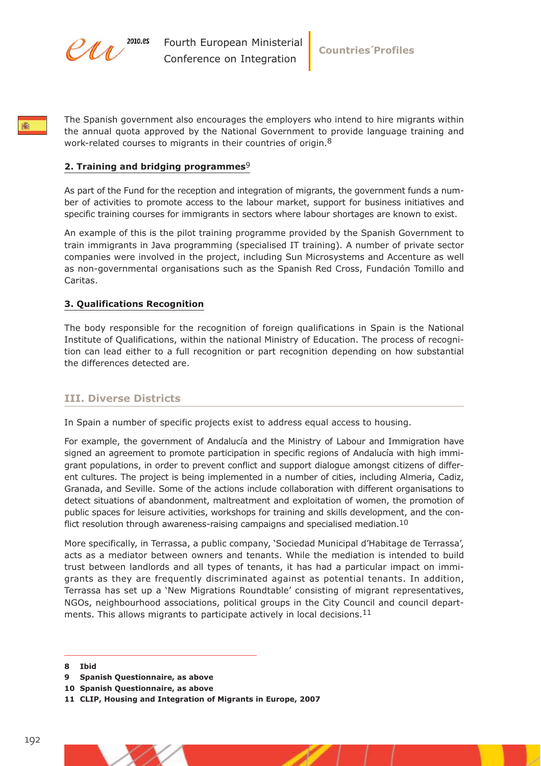

The Spanish government also encourages the employers who intend to hire migrants within the annual quota approved by the National Government to provide language training and work-related courses to migrants in their countries of origin.8

#### **2. Training and bridging programmes**9

As part of the Fund for the reception and integration of migrants, the government funds a number of activities to promote access to the labour market, support for business initiatives and specific training courses for immigrants in sectors where labour shortages are known to exist.

An example of this is the pilot training programme provided by the Spanish Government to train immigrants in Java programming (specialised IT training). A number of private sector companies were involved in the project, including Sun Microsystems and Accenture as well as non-governmental organisations such as the Spanish Red Cross, Fundación Tomillo and Caritas.

#### **3. Qualifications Recognition**

The body responsible for the recognition of foreign qualifications in Spain is the National Institute of Qualifications, within the national Ministry of Education. The process of recognition can lead either to a full recognition or part recognition depending on how substantial the differences detected are.

#### **III. Diverse Districts**

In Spain a number of specific projects exist to address equal access to housing.

For example, the government of Andalucía and the Ministry of Labour and Immigration have signed an agreement to promote participation in specific regions of Andalucía with high immigrant populations, in order to prevent conflict and support dialogue amongst citizens of different cultures. The project is being implemented in a number of cities, including Almeria, Cadiz, Granada, and Seville. Some of the actions include collaboration with different organisations to detect situations of abandonment, maltreatment and exploitation of women, the promotion of public spaces for leisure activities, workshops for training and skills development, and the conflict resolution through awareness-raising campaigns and specialised mediation.10

More specifically, in Terrassa, a public company, 'Sociedad Municipal d'Habitage de Terrassa', acts as a mediator between owners and tenants. While the mediation is intended to build trust between landlords and all types of tenants, it has had a particular impact on immigrants as they are frequently discriminated against as potential tenants. In addition, Terrassa has set up a 'New Migrations Roundtable' consisting of migrant representatives, NGOs, neighbourhood associations, political groups in the City Council and council departments. This allows migrants to participate actively in local decisions.<sup>11</sup>

**8 Ibid**

- **9 Spanish Questionnaire, as above**
- **10 Spanish Questionnaire, as above**

192

**<sup>11</sup> CLIP, Housing and Integration of Migrants in Europe, 2007**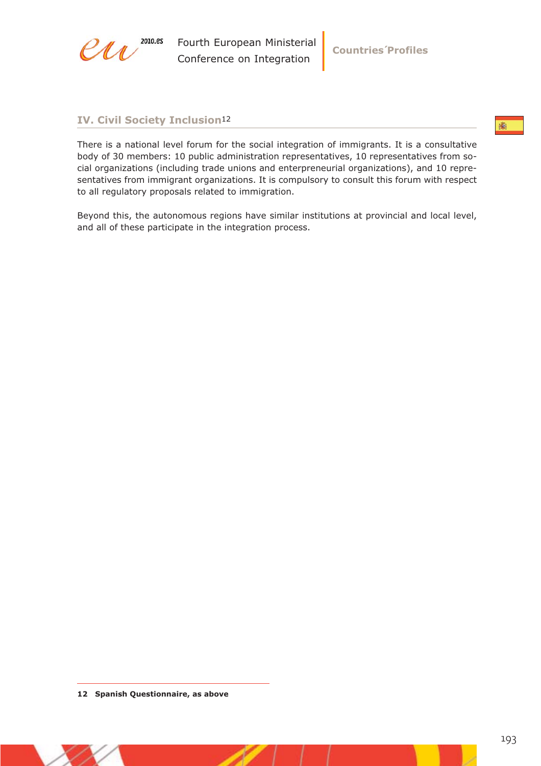

# **IV. Civil Society Inclusion**12

There is a national level forum for the social integration of immigrants. It is a consultative body of 30 members: 10 public administration representatives, 10 representatives from social organizations (including trade unions and enterpreneurial organizations), and 10 representatives from immigrant organizations. It is compulsory to consult this forum with respect to all regulatory proposals related to immigration.

Beyond this, the autonomous regions have similar institutions at provincial and local level, and all of these participate in the integration process.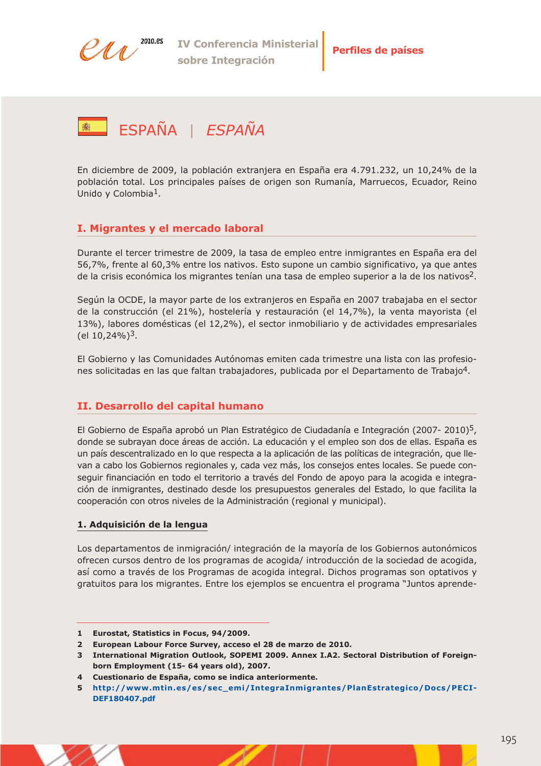



En diciembre de 2009, la población extranjera en España era 4.791.232, un 10,24% de la población total. Los principales países de origen son Rumanía, Marruecos, Ecuador, Reino Unido y Colombia1.

# **I. Migrantes y el mercado laboral**

Durante el tercer trimestre de 2009, la tasa de empleo entre inmigrantes en España era del 56,7%, frente al 60,3% entre los nativos. Esto supone un cambio significativo, ya que antes de la crisis económica los migrantes tenían una tasa de empleo superior a la de los nativos<sup>2</sup>.

Según la OCDE, la mayor parte de los extranjeros en España en 2007 trabajaba en el sector de la construcción (el 21%), hostelería y restauración (el 14,7%), la venta mayorista (el 13%), labores domésticas (el 12,2%), el sector inmobiliario y de actividades empresariales  $(el 10, 24\%)$ <sup>3</sup>.

El Gobierno y las Comunidades Autónomas emiten cada trimestre una lista con las profesiones solicitadas en las que faltan trabajadores, publicada por el Departamento de Trabajo4.

# **II. Desarrollo del capital humano**

El Gobierno de España aprobó un Plan Estratégico de Ciudadanía e Integración (2007- 2010)5, donde se subrayan doce áreas de acción. La educación y el empleo son dos de ellas. España es un país descentralizado en lo que respecta a la aplicación de las políticas de integración, que llevan a cabo los Gobiernos regionales y, cada vez más, los consejos entes locales. Se puede conseguir financiación en todo el territorio a través del Fondo de apoyo para la acogida e integración de inmigrantes, destinado desde los presupuestos generales del Estado, lo que facilita la cooperación con otros niveles de la Administración (regional y municipal).

#### **1. Adquisición de la lengua**

Los departamentos de inmigración/ integración de la mayoría de los Gobiernos autonómicos ofrecen cursos dentro de los programas de acogida/ introducción de la sociedad de acogida, así como a través de los Programas de acogida integral. Dichos programas son optativos y gratuitos para los migrantes. Entre los ejemplos se encuentra el programa "Juntos aprende-

**<sup>1</sup> Eurostat, Statistics in Focus, 94/2009.**

**<sup>2</sup> European Labour Force Survey, acceso el 28 de marzo de 2010.**

**<sup>3</sup> International Migration Outlook, SOPEMI 2009. Annex I.A2. Sectoral Distribution of Foreignborn Employment (15- 64 years old), 2007.**

**<sup>4</sup> Cuestionario de España, como se indica anteriormente.**

**<sup>5</sup> http://www.mtin.es/es/sec\_emi/IntegraInmigrantes/PlanEstrategico/Docs/PECI-DEF180407.pdf**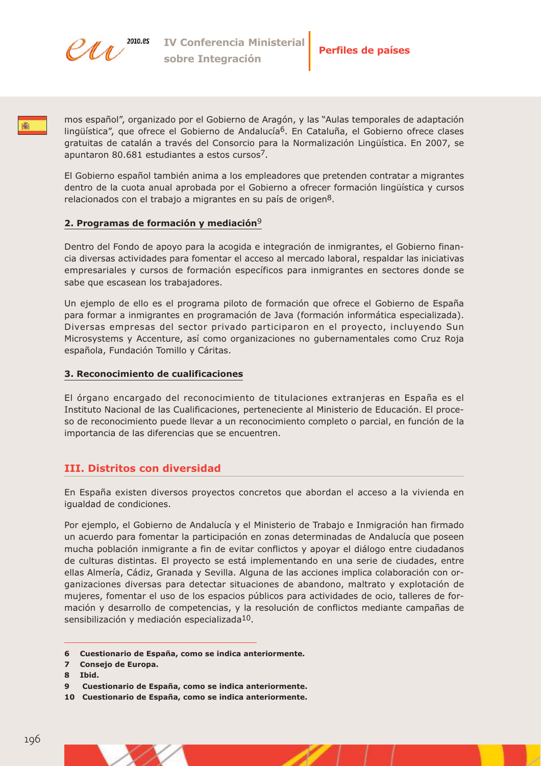

mos español", organizado por el Gobierno de Aragón, y las "Aulas temporales de adaptación lingüística", que ofrece el Gobierno de Andalucía<sup>6</sup>. En Cataluña, el Gobierno ofrece clases gratuitas de catalán a través del Consorcio para la Normalización Lingüística. En 2007, se apuntaron 80.681 estudiantes a estos cursos7.

El Gobierno español también anima a los empleadores que pretenden contratar a migrantes dentro de la cuota anual aprobada por el Gobierno a ofrecer formación lingüística y cursos relacionados con el trabajo a migrantes en su país de origen8.

#### **2. Programas de formación y mediación**9

Dentro del Fondo de apoyo para la acogida e integración de inmigrantes, el Gobierno financia diversas actividades para fomentar el acceso al mercado laboral, respaldar las iniciativas empresariales y cursos de formación específicos para inmigrantes en sectores donde se sabe que escasean los trabajadores.

Un ejemplo de ello es el programa piloto de formación que ofrece el Gobierno de España para formar a inmigrantes en programación de Java (formación informática especializada). Diversas empresas del sector privado participaron en el proyecto, incluyendo Sun Microsystems y Accenture, así como organizaciones no gubernamentales como Cruz Roja española, Fundación Tomillo y Cáritas.

#### **3. Reconocimiento de cualificaciones**

El órgano encargado del reconocimiento de titulaciones extranjeras en España es el Instituto Nacional de las Cualificaciones, perteneciente al Ministerio de Educación. El proceso de reconocimiento puede llevar a un reconocimiento completo o parcial, en función de la importancia de las diferencias que se encuentren.

# **III. Distritos con diversidad**

En España existen diversos proyectos concretos que abordan el acceso a la vivienda en igualdad de condiciones.

Por ejemplo, el Gobierno de Andalucía y el Ministerio de Trabajo e Inmigración han firmado un acuerdo para fomentar la participación en zonas determinadas de Andalucía que poseen mucha población inmigrante a fin de evitar conflictos y apoyar el diálogo entre ciudadanos de culturas distintas. El proyecto se está implementando en una serie de ciudades, entre ellas Almería, Cádiz, Granada y Sevilla. Alguna de las acciones implica colaboración con organizaciones diversas para detectar situaciones de abandono, maltrato y explotación de mujeres, fomentar el uso de los espacios públicos para actividades de ocio, talleres de formación y desarrollo de competencias, y la resolución de conflictos mediante campañas de sensibilización y mediación especializada<sup>10</sup>.

**<sup>6</sup> Cuestionario de España, como se indica anteriormente.**

**<sup>7</sup> Consejo de Europa.**

**<sup>8</sup> Ibid.**

**<sup>9</sup> Cuestionario de España, como se indica anteriormente.**

**<sup>10</sup> Cuestionario de España, como se indica anteriormente.**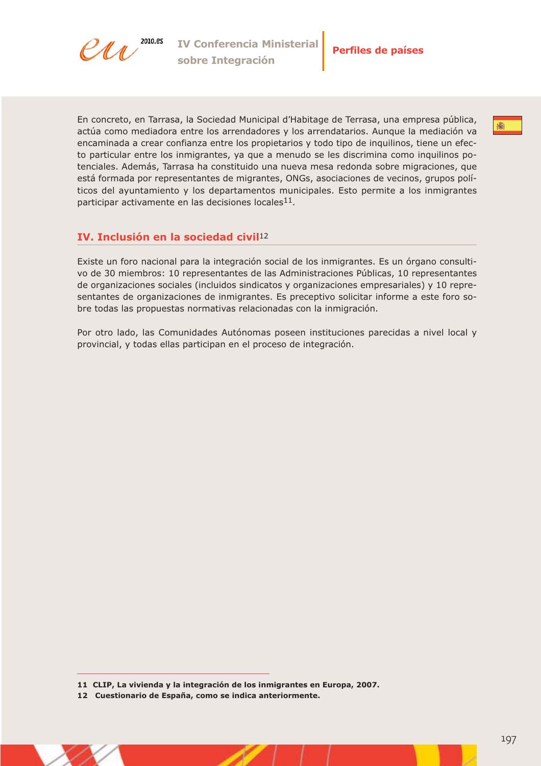

En concreto, en Tarrasa, la Sociedad Municipal d'Habitage de Terrasa, una empresa pública, actúa como mediadora entre los arrendadores y los arrendatarios. Aunque la mediación va encaminada a crear confianza entre los propietarios y todo tipo de inquilinos, tiene un efecto particular entre los inmigrantes, ya que a menudo se les discrimina como inquilinos potenciales. Además, Tarrasa ha constituido una nueva mesa redonda sobre migraciones, que está formada por representantes de migrantes, ONGs, asociaciones de vecinos, grupos políticos del ayuntamiento y los departamentos municipales. Esto permite a los inmigrantes participar activamente en las decisiones locales $11$ .

# **IV. Inclusión en la sociedad civil**12

Existe un foro nacional para la integración social de los inmigrantes. Es un órgano consultivo de 30 miembros: 10 representantes de las Administraciones Públicas, 10 representantes de organizaciones sociales (incluidos sindicatos y organizaciones empresariales) y 10 representantes de organizaciones de inmigrantes. Es preceptivo solicitar informe a este foro sobre todas las propuestas normativas relacionadas con la inmigración.

Por otro lado, las Comunidades Autónomas poseen instituciones parecidas a nivel local y provincial, y todas ellas participan en el proceso de integración.

**11 CLIP, La vivienda y la integración de los inmigrantes en Europa, 2007.**



**<sup>12</sup> Cuestionario de España, como se indica anteriormente.**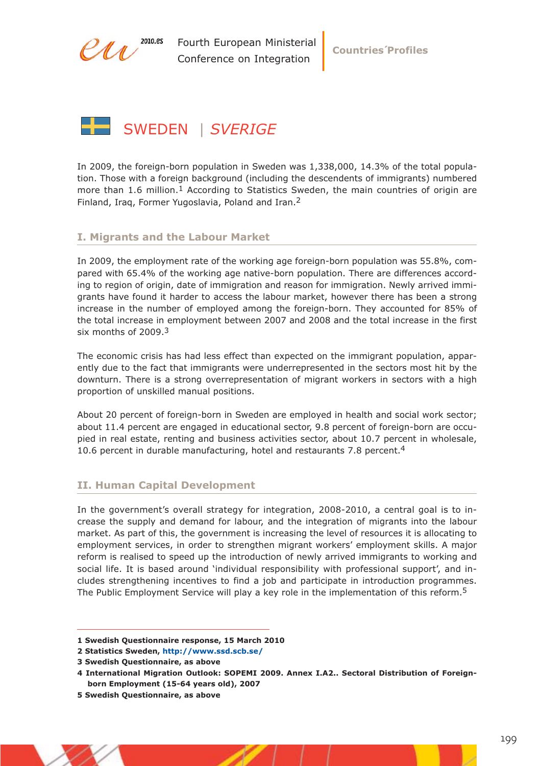



In 2009, the foreign-born population in Sweden was 1,338,000, 14.3% of the total population. Those with a foreign background (including the descendents of immigrants) numbered more than 1.6 million.<sup>1</sup> According to Statistics Sweden, the main countries of origin are Finland, Iraq, Former Yugoslavia, Poland and Iran.2

#### **I. Migrants and the Labour Market**

In 2009, the employment rate of the working age foreign-born population was 55.8%, compared with 65.4% of the working age native-born population. There are differences according to region of origin, date of immigration and reason for immigration. Newly arrived immigrants have found it harder to access the labour market, however there has been a strong increase in the number of employed among the foreign-born. They accounted for 85% of the total increase in employment between 2007 and 2008 and the total increase in the first six months of 2009.3

The economic crisis has had less effect than expected on the immigrant population, apparently due to the fact that immigrants were underrepresented in the sectors most hit by the downturn. There is a strong overrepresentation of migrant workers in sectors with a high proportion of unskilled manual positions.

About 20 percent of foreign-born in Sweden are employed in health and social work sector; about 11.4 percent are engaged in educational sector, 9.8 percent of foreign-born are occupied in real estate, renting and business activities sector, about 10.7 percent in wholesale, 10.6 percent in durable manufacturing, hotel and restaurants 7.8 percent.4

#### **II. Human Capital Development**

In the government's overall strategy for integration, 2008-2010, a central goal is to increase the supply and demand for labour, and the integration of migrants into the labour market. As part of this, the government is increasing the level of resources it is allocating to employment services, in order to strengthen migrant workers' employment skills. A major reform is realised to speed up the introduction of newly arrived immigrants to working and social life. It is based around 'individual responsibility with professional support', and includes strengthening incentives to find a job and participate in introduction programmes. The Public Employment Service will play a key role in the implementation of this reform.<sup>5</sup>

**<sup>1</sup> Swedish Questionnaire response, 15 March 2010**

**<sup>2</sup> Statistics Sweden, http://www.ssd.scb.se/**

**<sup>3</sup> Swedish Questionnaire, as above**

**<sup>4</sup> International Migration Outlook: SOPEMI 2009. Annex I.A2.. Sectoral Distribution of Foreignborn Employment (15-64 years old), 2007**

**<sup>5</sup> Swedish Questionnaire, as above**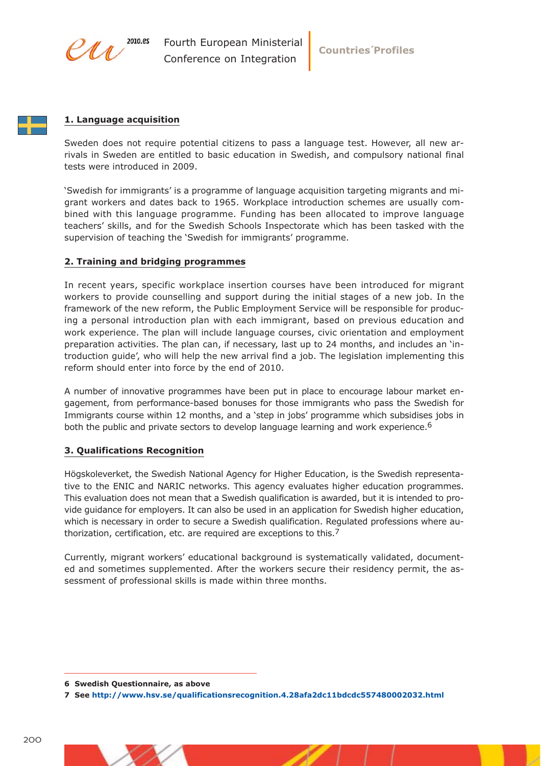

#### **1. Language acquisition**

Sweden does not require potential citizens to pass a language test. However, all new arrivals in Sweden are entitled to basic education in Swedish, and compulsory national final tests were introduced in 2009.

'Swedish for immigrants' is a programme of language acquisition targeting migrants and migrant workers and dates back to 1965. Workplace introduction schemes are usually combined with this language programme. Funding has been allocated to improve language teachers' skills, and for the Swedish Schools Inspectorate which has been tasked with the supervision of teaching the 'Swedish for immigrants' programme.

#### **2. Training and bridging programmes**

In recent years, specific workplace insertion courses have been introduced for migrant workers to provide counselling and support during the initial stages of a new job. In the framework of the new reform, the Public Employment Service will be responsible for producing a personal introduction plan with each immigrant, based on previous education and work experience. The plan will include language courses, civic orientation and employment preparation activities. The plan can, if necessary, last up to 24 months, and includes an 'introduction guide', who will help the new arrival find a job. The legislation implementing this reform should enter into force by the end of 2010.

A number of innovative programmes have been put in place to encourage labour market engagement, from performance-based bonuses for those immigrants who pass the Swedish for Immigrants course within 12 months, and a 'step in jobs' programme which subsidises jobs in both the public and private sectors to develop language learning and work experience.<sup>6</sup>

#### **3. Qualifications Recognition**

Högskoleverket, the Swedish National Agency for Higher Education, is the Swedish representative to the ENIC and NARIC networks. This agency evaluates higher education programmes. This evaluation does not mean that a Swedish qualification is awarded, but it is intended to provide guidance for employers. It can also be used in an application for Swedish higher education, which is necessary in order to secure a Swedish qualification. Regulated professions where authorization, certification, etc. are required are exceptions to this.<sup>7</sup>

Currently, migrant workers' educational background is systematically validated, documented and sometimes supplemented. After the workers secure their residency permit, the assessment of professional skills is made within three months.

**<sup>6</sup> Swedish Questionnaire, as above**

**<sup>7</sup> See http://www.hsv.se/qualificationsrecognition.4.28afa2dc11bdcdc557480002032.html**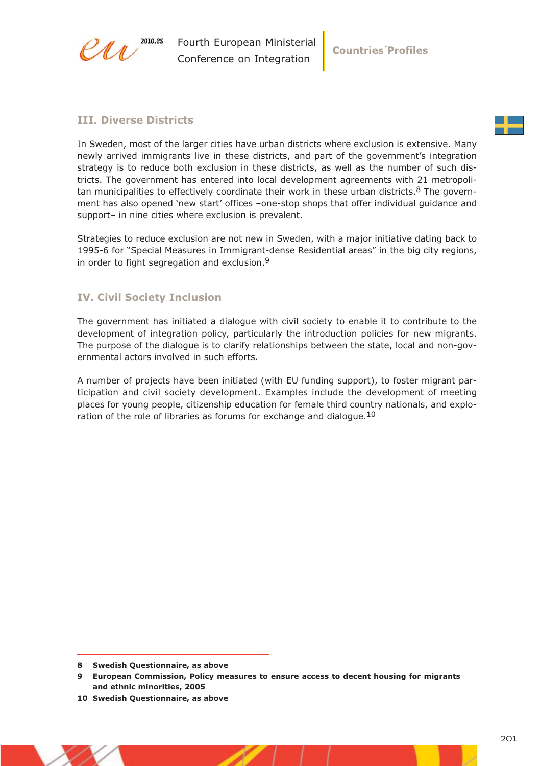

# **III. Diverse Districts**

In Sweden, most of the larger cities have urban districts where exclusion is extensive. Many newly arrived immigrants live in these districts, and part of the government's integration strategy is to reduce both exclusion in these districts, as well as the number of such districts. The government has entered into local development agreements with 21 metropolitan municipalities to effectively coordinate their work in these urban districts. $8$  The government has also opened 'new start' offices –one-stop shops that offer individual guidance and support– in nine cities where exclusion is prevalent.

Strategies to reduce exclusion are not new in Sweden, with a major initiative dating back to 1995-6 for "Special Measures in Immigrant-dense Residential areas" in the big city regions, in order to fight segregation and exclusion.9

# **IV. Civil Society Inclusion**

The government has initiated a dialogue with civil society to enable it to contribute to the development of integration policy, particularly the introduction policies for new migrants. The purpose of the dialogue is to clarify relationships between the state, local and non-governmental actors involved in such efforts.

A number of projects have been initiated (with EU funding support), to foster migrant participation and civil society development. Examples include the development of meeting places for young people, citizenship education for female third country nationals, and exploration of the role of libraries as forums for exchange and dialogue. $10$ 

**<sup>8</sup> Swedish Questionnaire, as above**

**<sup>9</sup> European Commission, Policy measures to ensure access to decent housing for migrants and ethnic minorities, 2005**

**<sup>10</sup> Swedish Questionnaire, as above**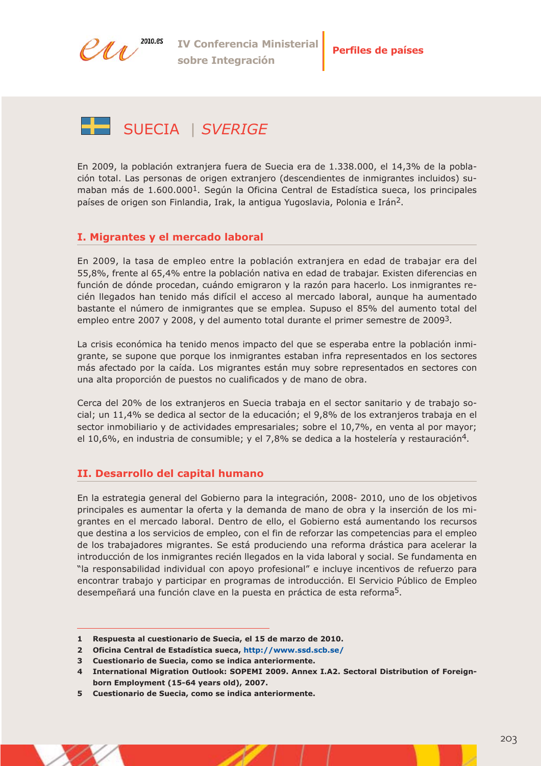



En 2009, la población extranjera fuera de Suecia era de 1.338.000, el 14,3% de la población total. Las personas de origen extranjero (descendientes de inmigrantes incluidos) sumaban más de 1.600.0001. Según la Oficina Central de Estadística sueca, los principales países de origen son Finlandia, Irak, la antigua Yugoslavia, Polonia e Irán2.

# **I. Migrantes y el mercado laboral**

En 2009, la tasa de empleo entre la población extranjera en edad de trabajar era del 55,8%, frente al 65,4% entre la población nativa en edad de trabajar. Existen diferencias en función de dónde procedan, cuándo emigraron y la razón para hacerlo. Los inmigrantes recién llegados han tenido más difícil el acceso al mercado laboral, aunque ha aumentado bastante el número de inmigrantes que se emplea. Supuso el 85% del aumento total del empleo entre 2007 y 2008, y del aumento total durante el primer semestre de 20093.

La crisis económica ha tenido menos impacto del que se esperaba entre la población inmigrante, se supone que porque los inmigrantes estaban infra representados en los sectores más afectado por la caída. Los migrantes están muy sobre representados en sectores con una alta proporción de puestos no cualificados y de mano de obra.

Cerca del 20% de los extranjeros en Suecia trabaja en el sector sanitario y de trabajo social; un 11,4% se dedica al sector de la educación; el 9,8% de los extranjeros trabaja en el sector inmobiliario y de actividades empresariales; sobre el 10,7%, en venta al por mayor; el 10,6%, en industria de consumible; y el 7,8% se dedica a la hostelería y restauración<sup>4</sup>.

# **II. Desarrollo del capital humano**

En la estrategia general del Gobierno para la integración, 2008- 2010, uno de los objetivos principales es aumentar la oferta y la demanda de mano de obra y la inserción de los migrantes en el mercado laboral. Dentro de ello, el Gobierno está aumentando los recursos que destina a los servicios de empleo, con el fin de reforzar las competencias para el empleo de los trabajadores migrantes. Se está produciendo una reforma drástica para acelerar la introducción de los inmigrantes recién llegados en la vida laboral y social. Se fundamenta en "la responsabilidad individual con apoyo profesional" e incluye incentivos de refuerzo para encontrar trabajo y participar en programas de introducción. El Servicio Público de Empleo desempeñará una función clave en la puesta en práctica de esta reforma5.



**<sup>1</sup> Respuesta al cuestionario de Suecia, el 15 de marzo de 2010.**

**<sup>2</sup> Oficina Central de Estadística sueca, http://www.ssd.scb.se/**

**<sup>3</sup> Cuestionario de Suecia, como se indica anteriormente.**

**<sup>4</sup> International Migration Outlook: SOPEMI 2009. Annex I.A2. Sectoral Distribution of Foreignborn Employment (15-64 years old), 2007.**

**<sup>5</sup> Cuestionario de Suecia, como se indica anteriormente.**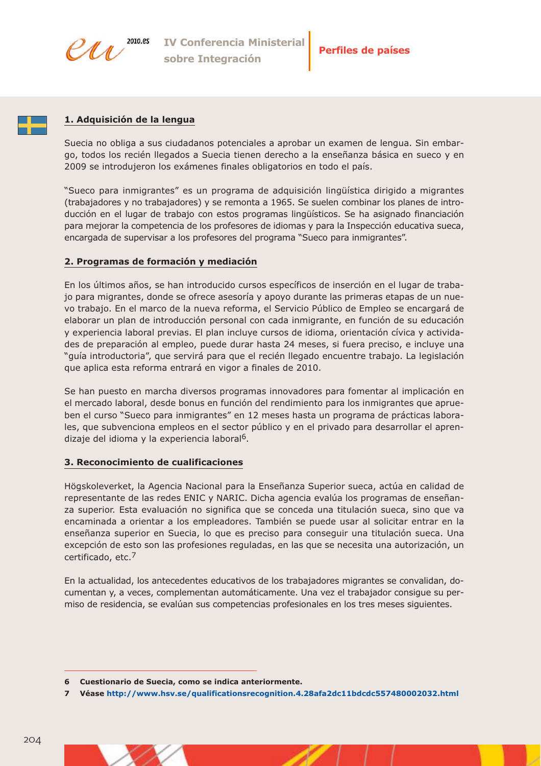

#### **1. Adquisición de la lengua**

Suecia no obliga a sus ciudadanos potenciales a aprobar un examen de lengua. Sin embargo, todos los recién llegados a Suecia tienen derecho a la enseñanza básica en sueco y en 2009 se introdujeron los exámenes finales obligatorios en todo el país.

"Sueco para inmigrantes" es un programa de adquisición lingüística dirigido a migrantes (trabajadores y no trabajadores) y se remonta a 1965. Se suelen combinar los planes de introducción en el lugar de trabajo con estos programas lingüísticos. Se ha asignado financiación para mejorar la competencia de los profesores de idiomas y para la Inspección educativa sueca, encargada de supervisar a los profesores del programa "Sueco para inmigrantes".

#### **2. Programas de formación y mediación**

En los últimos años, se han introducido cursos específicos de inserción en el lugar de trabajo para migrantes, donde se ofrece asesoría y apoyo durante las primeras etapas de un nuevo trabajo. En el marco de la nueva reforma, el Servicio Público de Empleo se encargará de elaborar un plan de introducción personal con cada inmigrante, en función de su educación y experiencia laboral previas. El plan incluye cursos de idioma, orientación cívica y actividades de preparación al empleo, puede durar hasta 24 meses, si fuera preciso, e incluye una "guía introductoria", que servirá para que el recién llegado encuentre trabajo. La legislación que aplica esta reforma entrará en vigor a finales de 2010.

Se han puesto en marcha diversos programas innovadores para fomentar al implicación en el mercado laboral, desde bonus en función del rendimiento para los inmigrantes que aprueben el curso "Sueco para inmigrantes" en 12 meses hasta un programa de prácticas laborales, que subvenciona empleos en el sector público y en el privado para desarrollar el aprendizaje del idioma y la experiencia laboral6.

#### **3. Reconocimiento de cualificaciones**

Högskoleverket, la Agencia Nacional para la Enseñanza Superior sueca, actúa en calidad de representante de las redes ENIC y NARIC. Dicha agencia evalúa los programas de enseñanza superior. Esta evaluación no significa que se conceda una titulación sueca, sino que va encaminada a orientar a los empleadores. También se puede usar al solicitar entrar en la enseñanza superior en Suecia, lo que es preciso para conseguir una titulación sueca. Una excepción de esto son las profesiones reguladas, en las que se necesita una autorización, un certificado, etc.7

En la actualidad, los antecedentes educativos de los trabajadores migrantes se convalidan, documentan y, a veces, complementan automáticamente. Una vez el trabajador consigue su permiso de residencia, se evalúan sus competencias profesionales en los tres meses siguientes.

**<sup>6</sup> Cuestionario de Suecia, como se indica anteriormente.**

**<sup>7</sup> Véase http://www.hsv.se/qualificationsrecognition.4.28afa2dc11bdcdc557480002032.html**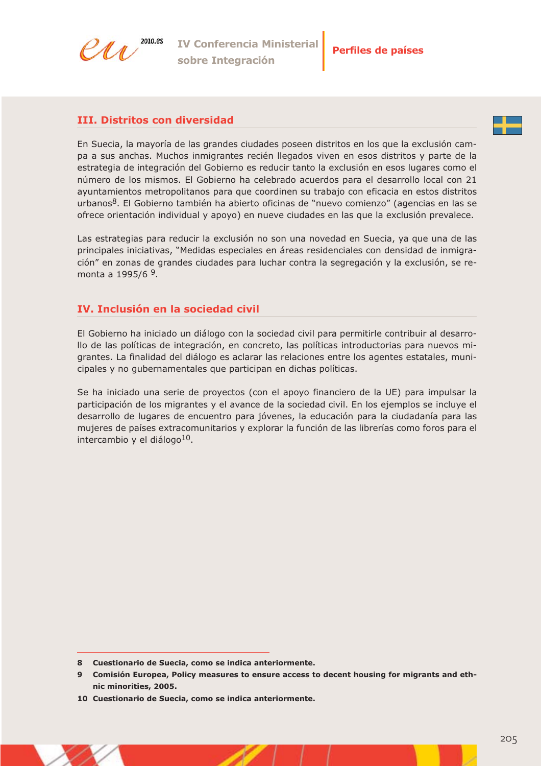

# **III. Distritos con diversidad**

En Suecia, la mayoría de las grandes ciudades poseen distritos en los que la exclusión campa a sus anchas. Muchos inmigrantes recién llegados viven en esos distritos y parte de la estrategia de integración del Gobierno es reducir tanto la exclusión en esos lugares como el número de los mismos. El Gobierno ha celebrado acuerdos para el desarrollo local con 21 ayuntamientos metropolitanos para que coordinen su trabajo con eficacia en estos distritos urbanos<sup>8</sup>. El Gobierno también ha abierto oficinas de "nuevo comienzo" (agencias en las se ofrece orientación individual y apoyo) en nueve ciudades en las que la exclusión prevalece.

Las estrategias para reducir la exclusión no son una novedad en Suecia, ya que una de las principales iniciativas, "Medidas especiales en áreas residenciales con densidad de inmigración" en zonas de grandes ciudades para luchar contra la segregación y la exclusión, se remonta a 1995/6 <sup>9</sup>.

# **IV. Inclusión en la sociedad civil**

El Gobierno ha iniciado un diálogo con la sociedad civil para permitirle contribuir al desarrollo de las políticas de integración, en concreto, las políticas introductorias para nuevos migrantes. La finalidad del diálogo es aclarar las relaciones entre los agentes estatales, municipales y no gubernamentales que participan en dichas políticas.

Se ha iniciado una serie de proyectos (con el apoyo financiero de la UE) para impulsar la participación de los migrantes y el avance de la sociedad civil. En los ejemplos se incluye el desarrollo de lugares de encuentro para jóvenes, la educación para la ciudadanía para las mujeres de países extracomunitarios y explorar la función de las librerías como foros para el intercambio y el diálogo<sup>10</sup>.



**<sup>8</sup> Cuestionario de Suecia, como se indica anteriormente.**

**<sup>9</sup> Comisión Europea, Policy measures to ensure access to decent housing for migrants and ethnic minorities, 2005.**

**<sup>10</sup> Cuestionario de Suecia, como se indica anteriormente.**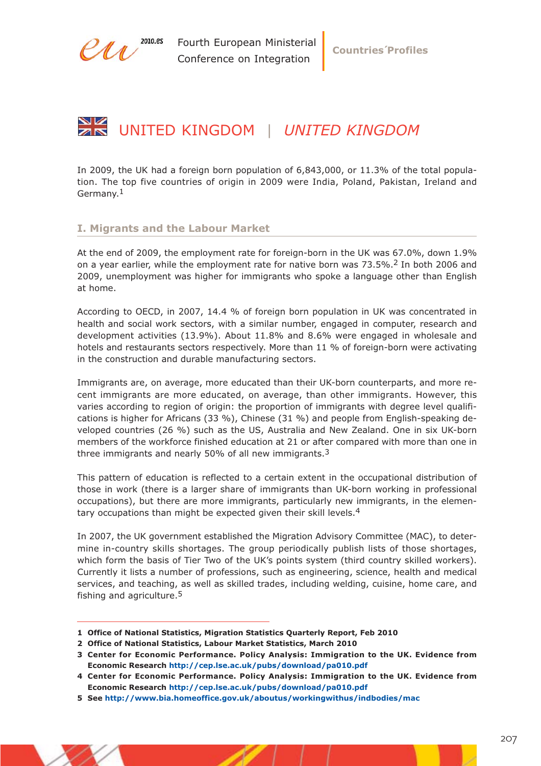



In 2009, the UK had a foreign born population of 6,843,000, or 11.3% of the total population. The top five countries of origin in 2009 were India, Poland, Pakistan, Ireland and Germany.1

#### **I. Migrants and the Labour Market**

At the end of 2009, the employment rate for foreign-born in the UK was 67.0%, down 1.9% on a year earlier, while the employment rate for native born was 73.5%.<sup>2</sup> In both 2006 and 2009, unemployment was higher for immigrants who spoke a language other than English at home.

According to OECD, in 2007, 14.4 % of foreign born population in UK was concentrated in health and social work sectors, with a similar number, engaged in computer, research and development activities (13.9%). About 11.8% and 8.6% were engaged in wholesale and hotels and restaurants sectors respectively. More than 11 % of foreign-born were activating in the construction and durable manufacturing sectors.

Immigrants are, on average, more educated than their UK-born counterparts, and more recent immigrants are more educated, on average, than other immigrants. However, this varies according to region of origin: the proportion of immigrants with degree level qualifications is higher for Africans (33 %), Chinese (31 %) and people from English-speaking developed countries (26 %) such as the US, Australia and New Zealand. One in six UK-born members of the workforce finished education at 21 or after compared with more than one in three immigrants and nearly 50% of all new immigrants.3

This pattern of education is reflected to a certain extent in the occupational distribution of those in work (there is a larger share of immigrants than UK-born working in professional occupations), but there are more immigrants, particularly new immigrants, in the elementary occupations than might be expected given their skill levels.<sup>4</sup>

In 2007, the UK government established the Migration Advisory Committee (MAC), to determine in-country skills shortages. The group periodically publish lists of those shortages, which form the basis of Tier Two of the UK's points system (third country skilled workers). Currently it lists a number of professions, such as engineering, science, health and medical services, and teaching, as well as skilled trades, including welding, cuisine, home care, and fishing and agriculture.5

**1 Office of National Statistics, Migration Statistics Quarterly Report, Feb 2010**

**<sup>2</sup> Office of National Statistics, Labour Market Statistics, March 2010**

**<sup>3</sup> Center for Economic Performance. Policy Analysis: Immigration to the UK. Evidence from Economic Research http://cep.lse.ac.uk/pubs/download/pa010.pdf**

**<sup>4</sup> Center for Economic Performance. Policy Analysis: Immigration to the UK. Evidence from Economic Research http://cep.lse.ac.uk/pubs/download/pa010.pdf**

**<sup>5</sup> See http://www.bia.homeoffice.gov.uk/aboutus/workingwithus/indbodies/mac**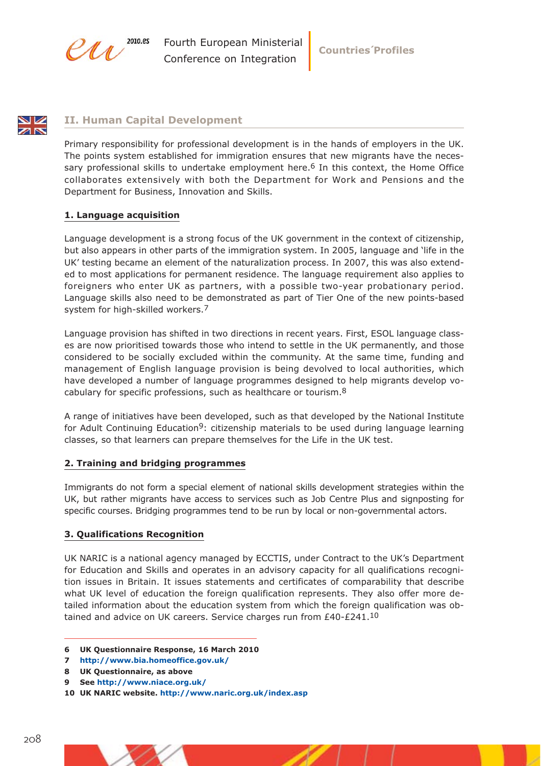

# **II. Human Capital Development**

Primary responsibility for professional development is in the hands of employers in the UK. The points system established for immigration ensures that new migrants have the necessary professional skills to undertake employment here.<sup>6</sup> In this context, the Home Office collaborates extensively with both the Department for Work and Pensions and the Department for Business, Innovation and Skills.

# **1. Language acquisition**

Language development is a strong focus of the UK government in the context of citizenship, but also appears in other parts of the immigration system. In 2005, language and 'life in the UK' testing became an element of the naturalization process. In 2007, this was also extended to most applications for permanent residence. The language requirement also applies to foreigners who enter UK as partners, with a possible two-year probationary period. Language skills also need to be demonstrated as part of Tier One of the new points-based system for high-skilled workers.7

Language provision has shifted in two directions in recent years. First, ESOL language classes are now prioritised towards those who intend to settle in the UK permanently, and those considered to be socially excluded within the community. At the same time, funding and management of English language provision is being devolved to local authorities, which have developed a number of language programmes designed to help migrants develop vocabulary for specific professions, such as healthcare or tourism.8

A range of initiatives have been developed, such as that developed by the National Institute for Adult Continuing Education<sup>9</sup>: citizenship materials to be used during language learning classes, so that learners can prepare themselves for the Life in the UK test.

#### **2. Training and bridging programmes**

Immigrants do not form a special element of national skills development strategies within the UK, but rather migrants have access to services such as Job Centre Plus and signposting for specific courses. Bridging programmes tend to be run by local or non-governmental actors.

#### **3. Qualifications Recognition**

UK NARIC is a national agency managed by ECCTIS, under Contract to the UK's Department for Education and Skills and operates in an advisory capacity for all qualifications recognition issues in Britain. It issues statements and certificates of comparability that describe what UK level of education the foreign qualification represents. They also offer more detailed information about the education system from which the foreign qualification was obtained and advice on UK careers. Service charges run from £40-£241.10

- **6 UK Questionnaire Response, 16 March 2010**
- **7 http://www.bia.homeoffice.gov.uk/**
- **8 UK Questionnaire, as above**
- **9 See http://www.niace.org.uk/**
- **10 UK NARIC website. http://www.naric.org.uk/index.asp**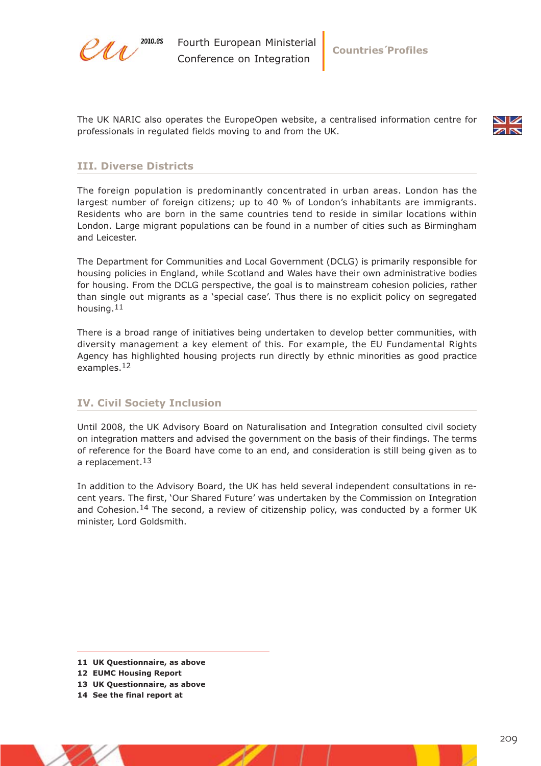

The UK NARIC also operates the EuropeOpen website, a centralised information centre for professionals in regulated fields moving to and from the UK.



# **III. Diverse Districts**

The foreign population is predominantly concentrated in urban areas. London has the largest number of foreign citizens; up to 40 % of London's inhabitants are immigrants. Residents who are born in the same countries tend to reside in similar locations within London. Large migrant populations can be found in a number of cities such as Birmingham and Leicester.

The Department for Communities and Local Government (DCLG) is primarily responsible for housing policies in England, while Scotland and Wales have their own administrative bodies for housing. From the DCLG perspective, the goal is to mainstream cohesion policies, rather than single out migrants as a 'special case'. Thus there is no explicit policy on segregated housing.<sup>11</sup>

There is a broad range of initiatives being undertaken to develop better communities, with diversity management a key element of this. For example, the EU Fundamental Rights Agency has highlighted housing projects run directly by ethnic minorities as good practice examples.12

# **IV. Civil Society Inclusion**

Until 2008, the UK Advisory Board on Naturalisation and Integration consulted civil society on integration matters and advised the government on the basis of their findings. The terms of reference for the Board have come to an end, and consideration is still being given as to a replacement.<sup>13</sup>

In addition to the Advisory Board, the UK has held several independent consultations in recent years. The first, 'Our Shared Future' was undertaken by the Commission on Integration and Cohesion.<sup>14</sup> The second, a review of citizenship policy, was conducted by a former UK minister, Lord Goldsmith.

- **11 UK Questionnaire, as above**
- **12 EUMC Housing Report**
- **13 UK Questionnaire, as above**
- **14 See the final report at**

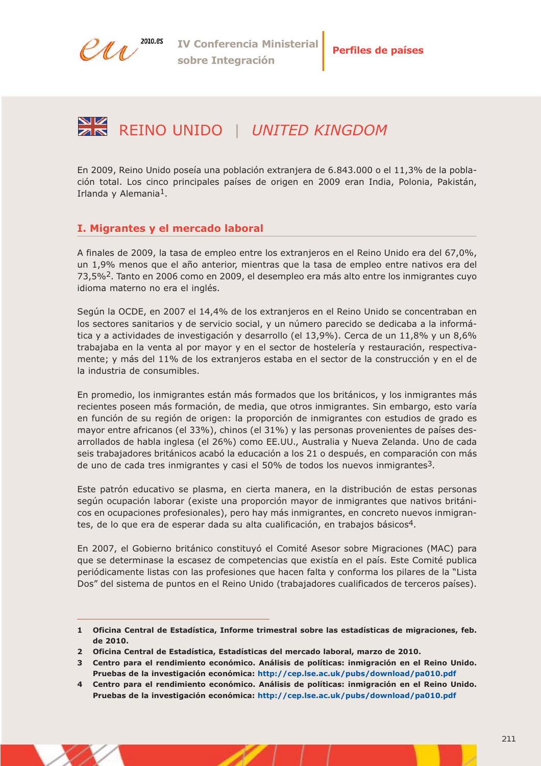

# REINO UNIDO | *UNITED KINGDOM*

En 2009, Reino Unido poseía una población extranjera de 6.843.000 o el 11,3% de la población total. Los cinco principales países de origen en 2009 eran India, Polonia, Pakistán, Irlanda y Alemania1.

# **I. Migrantes y el mercado laboral**

A finales de 2009, la tasa de empleo entre los extranjeros en el Reino Unido era del 67,0%, un 1,9% menos que el año anterior, mientras que la tasa de empleo entre nativos era del 73,5%2. Tanto en 2006 como en 2009, el desempleo era más alto entre los inmigrantes cuyo idioma materno no era el inglés.

Según la OCDE, en 2007 el 14,4% de los extranjeros en el Reino Unido se concentraban en los sectores sanitarios y de servicio social, y un número parecido se dedicaba a la informática y a actividades de investigación y desarrollo (el 13,9%). Cerca de un 11,8% y un 8,6% trabajaba en la venta al por mayor y en el sector de hostelería y restauración, respectivamente; y más del 11% de los extranjeros estaba en el sector de la construcción y en el de la industria de consumibles.

En promedio, los inmigrantes están más formados que los británicos, y los inmigrantes más recientes poseen más formación, de media, que otros inmigrantes. Sin embargo, esto varía en función de su región de origen: la proporción de inmigrantes con estudios de grado es mayor entre africanos (el 33%), chinos (el 31%) y las personas provenientes de países desarrollados de habla inglesa (el 26%) como EE.UU., Australia y Nueva Zelanda. Uno de cada seis trabajadores británicos acabó la educación a los 21 o después, en comparación con más de uno de cada tres inmigrantes y casi el 50% de todos los nuevos inmigrantes<sup>3</sup>.

Este patrón educativo se plasma, en cierta manera, en la distribución de estas personas según ocupación laborar (existe una proporción mayor de inmigrantes que nativos británicos en ocupaciones profesionales), pero hay más inmigrantes, en concreto nuevos inmigrantes, de lo que era de esperar dada su alta cualificación, en trabajos básicos<sup>4</sup>.

En 2007, el Gobierno británico constituyó el Comité Asesor sobre Migraciones (MAC) para que se determinase la escasez de competencias que existía en el país. Este Comité publica periódicamente listas con las profesiones que hacen falta y conforma los pilares de la "Lista Dos" del sistema de puntos en el Reino Unido (trabajadores cualificados de terceros países).



**<sup>1</sup> Oficina Central de Estadística, Informe trimestral sobre las estadísticas de migraciones, feb. de 2010.** 

**<sup>2</sup> Oficina Central de Estadística, Estadísticas del mercado laboral, marzo de 2010.**

**<sup>3</sup> Centro para el rendimiento económico. Análisis de políticas: inmigración en el Reino Unido. Pruebas de la investigación económica: http://cep.lse.ac.uk/pubs/download/pa010.pdf**

**<sup>4</sup> Centro para el rendimiento económico. Análisis de políticas: inmigración en el Reino Unido. Pruebas de la investigación económica: http://cep.lse.ac.uk/pubs/download/pa010.pdf**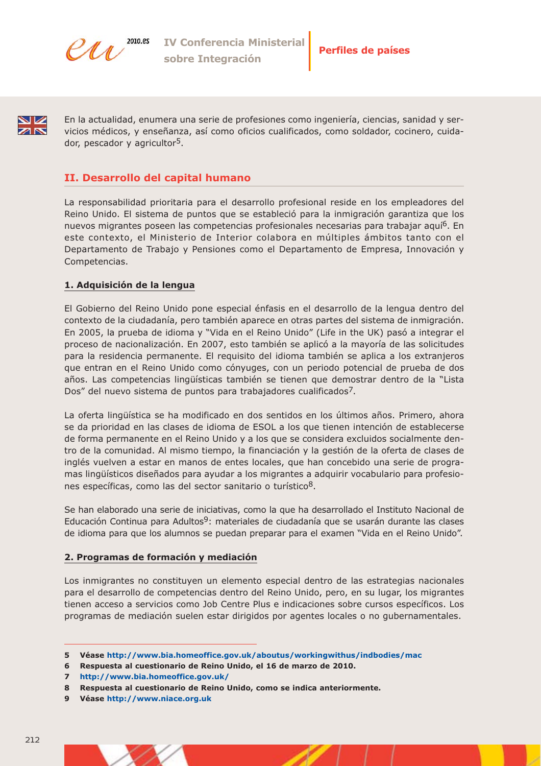



En la actualidad, enumera una serie de profesiones como ingeniería, ciencias, sanidad y servicios médicos, y enseñanza, así como oficios cualificados, como soldador, cocinero, cuidador, pescador y agricultor5.

# **II. Desarrollo del capital humano**

La responsabilidad prioritaria para el desarrollo profesional reside en los empleadores del Reino Unido. El sistema de puntos que se estableció para la inmigración garantiza que los nuevos migrantes poseen las competencias profesionales necesarias para trabajar aquí6. En este contexto, el Ministerio de Interior colabora en múltiples ámbitos tanto con el Departamento de Trabajo y Pensiones como el Departamento de Empresa, Innovación y Competencias.

#### **1. Adquisición de la lengua**

El Gobierno del Reino Unido pone especial énfasis en el desarrollo de la lengua dentro del contexto de la ciudadanía, pero también aparece en otras partes del sistema de inmigración. En 2005, la prueba de idioma y "Vida en el Reino Unido" (Life in the UK) pasó a integrar el proceso de nacionalización. En 2007, esto también se aplicó a la mayoría de las solicitudes para la residencia permanente. El requisito del idioma también se aplica a los extranjeros que entran en el Reino Unido como cónyuges, con un periodo potencial de prueba de dos años. Las competencias lingüísticas también se tienen que demostrar dentro de la "Lista Dos" del nuevo sistema de puntos para trabajadores cualificados<sup>7</sup>.

La oferta lingüística se ha modificado en dos sentidos en los últimos años. Primero, ahora se da prioridad en las clases de idioma de ESOL a los que tienen intención de establecerse de forma permanente en el Reino Unido y a los que se considera excluidos socialmente dentro de la comunidad. Al mismo tiempo, la financiación y la gestión de la oferta de clases de inglés vuelven a estar en manos de entes locales, que han concebido una serie de programas lingüísticos diseñados para ayudar a los migrantes a adquirir vocabulario para profesiones específicas, como las del sector sanitario o turístico8.

Se han elaborado una serie de iniciativas, como la que ha desarrollado el Instituto Nacional de Educación Continua para Adultos<sup>9</sup>: materiales de ciudadanía que se usarán durante las clases de idioma para que los alumnos se puedan preparar para el examen "Vida en el Reino Unido".

#### **2. Programas de formación y mediación**

Los inmigrantes no constituyen un elemento especial dentro de las estrategias nacionales para el desarrollo de competencias dentro del Reino Unido, pero, en su lugar, los migrantes tienen acceso a servicios como Job Centre Plus e indicaciones sobre cursos específicos. Los programas de mediación suelen estar dirigidos por agentes locales o no gubernamentales.

**<sup>5</sup> Véase http://www.bia.homeoffice.gov.uk/aboutus/workingwithus/indbodies/mac**

**<sup>6</sup> Respuesta al cuestionario de Reino Unido, el 16 de marzo de 2010.**

**<sup>7</sup> http://www.bia.homeoffice.gov.uk/**

**<sup>8</sup> Respuesta al cuestionario de Reino Unido, como se indica anteriormente.**

**<sup>9</sup> Véase http://www.niace.org.uk**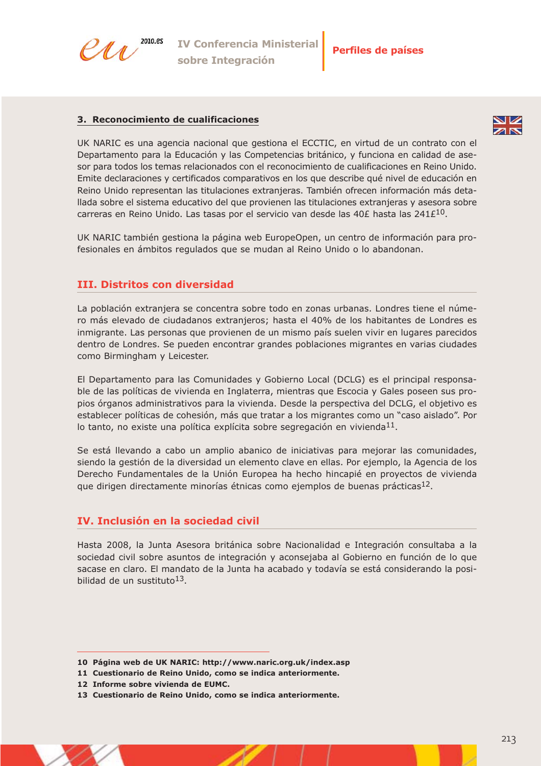

#### **3. Reconocimiento de cualificaciones**

UK NARIC es una agencia nacional que gestiona el ECCTIC, en virtud de un contrato con el Departamento para la Educación y las Competencias británico, y funciona en calidad de asesor para todos los temas relacionados con el reconocimiento de cualificaciones en Reino Unido. Emite declaraciones y certificados comparativos en los que describe qué nivel de educación en Reino Unido representan las titulaciones extranjeras. También ofrecen información más detallada sobre el sistema educativo del que provienen las titulaciones extranjeras y asesora sobre carreras en Reino Unido. Las tasas por el servicio van desde las 40£ hasta las 241 $E^{10}$ .

UK NARIC también gestiona la página web EuropeOpen, un centro de información para profesionales en ámbitos regulados que se mudan al Reino Unido o lo abandonan.

#### **III. Distritos con diversidad**

La población extranjera se concentra sobre todo en zonas urbanas. Londres tiene el número más elevado de ciudadanos extranjeros; hasta el 40% de los habitantes de Londres es inmigrante. Las personas que provienen de un mismo país suelen vivir en lugares parecidos dentro de Londres. Se pueden encontrar grandes poblaciones migrantes en varias ciudades como Birmingham y Leicester.

El Departamento para las Comunidades y Gobierno Local (DCLG) es el principal responsable de las políticas de vivienda en Inglaterra, mientras que Escocia y Gales poseen sus propios órganos administrativos para la vivienda. Desde la perspectiva del DCLG, el objetivo es establecer políticas de cohesión, más que tratar a los migrantes como un "caso aislado". Por lo tanto, no existe una política explícita sobre segregación en vivienda $11$ .

Se está llevando a cabo un amplio abanico de iniciativas para mejorar las comunidades, siendo la gestión de la diversidad un elemento clave en ellas. Por ejemplo, la Agencia de los Derecho Fundamentales de la Unión Europea ha hecho hincapié en proyectos de vivienda que dirigen directamente minorías étnicas como ejemplos de buenas prácticas<sup>12</sup>.

#### **IV. Inclusión en la sociedad civil**

Hasta 2008, la Junta Asesora británica sobre Nacionalidad e Integración consultaba a la sociedad civil sobre asuntos de integración y aconsejaba al Gobierno en función de lo que sacase en claro. El mandato de la Junta ha acabado y todavía se está considerando la posibilidad de un sustituto<sup>13</sup>.



**<sup>10</sup> Página web de UK NARIC: http://www.naric.org.uk/index.asp** 

**<sup>11</sup> Cuestionario de Reino Unido, como se indica anteriormente.**

**<sup>12</sup> Informe sobre vivienda de EUMC.**

**<sup>13</sup> Cuestionario de Reino Unido, como se indica anteriormente.**